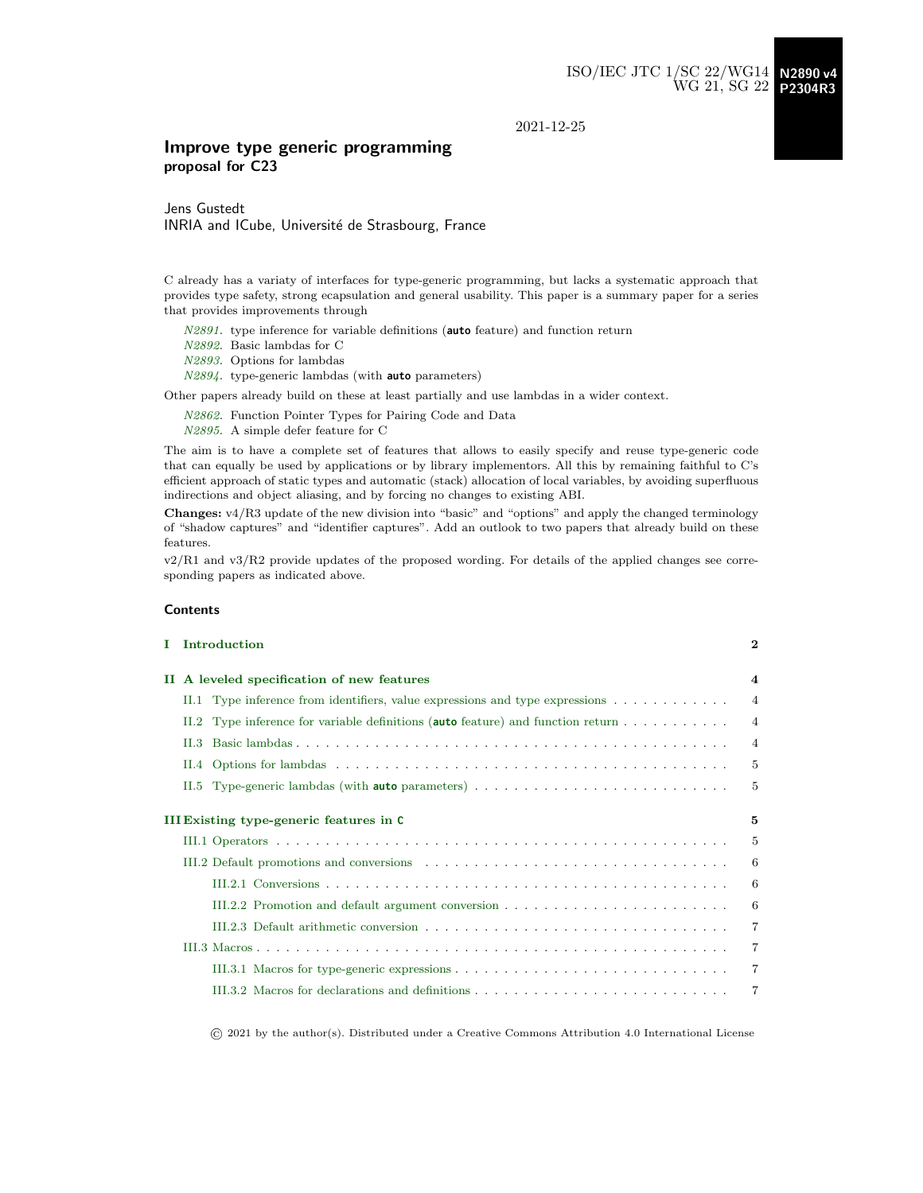2021-12-25

### Improve type generic programming proposal for C23

Jens Gustedt INRIA and ICube, Université de Strasbourg, France

C already has a variaty of interfaces for type-generic programming, but lacks a systematic approach that provides type safety, strong ecapsulation and general usability. This paper is a summary paper for a series that provides improvements through

- [N2891.](http://www.open-std.org/jtc1/sc22/wg14/www/docs/n2891.pdf) type inference for variable definitions (**auto** feature) and function return
- [N2892.](http://www.open-std.org/jtc1/sc22/wg14/www/docs/n2892.pdf) Basic lambdas for C

[N2893.](http://www.open-std.org/jtc1/sc22/wg14/www/docs/n2893.html) Options for lambdas

[N2894.](http://www.open-std.org/jtc1/sc22/wg14/www/docs/n2894.pdf) type-generic lambdas (with **auto** parameters)

Other papers already build on these at least partially and use lambdas in a wider context.

[N2862.](http://www.open-std.org/jtc1/sc22/wg14/www/docs/n2862.pdf) Function Pointer Types for Pairing Code and Data

[N2895.](http://www.open-std.org/jtc1/sc22/wg14/www/docs/n2895.html) A simple defer feature for C

The aim is to have a complete set of features that allows to easily specify and reuse type-generic code that can equally be used by applications or by library implementors. All this by remaining faithful to C's efficient approach of static types and automatic (stack) allocation of local variables, by avoiding superfluous indirections and object aliasing, and by forcing no changes to existing ABI.

Changes: v4/R3 update of the new division into "basic" and "options" and apply the changed terminology of "shadow captures" and "identifier captures". Add an outlook to two papers that already build on these features.

v2/R1 and v3/R2 provide updates of the proposed wording. For details of the applied changes see corresponding papers as indicated above.

#### **Contents**

| I Introduction                                                                                   | $\bf{2}$       |
|--------------------------------------------------------------------------------------------------|----------------|
| II A leveled specification of new features                                                       | $\overline{4}$ |
| II.1 Type inference from identifiers, value expressions and type expressions $\dots \dots \dots$ | $\overline{4}$ |
| II.2 Type inference for variable definitions (auto feature) and function return                  | $\overline{4}$ |
|                                                                                                  | $\overline{4}$ |
| II.4                                                                                             | $\overline{5}$ |
|                                                                                                  | 5              |
| <b>III</b> Existing type-generic features in C                                                   | 5              |
|                                                                                                  | 5              |
|                                                                                                  | -6             |
|                                                                                                  | 6              |
|                                                                                                  | 6              |
|                                                                                                  | $\overline{7}$ |
|                                                                                                  | 7              |
|                                                                                                  | $\overline{7}$ |
|                                                                                                  | $\overline{7}$ |

© 2021 by the author(s). Distributed under a Creative Commons Attribution 4.0 International License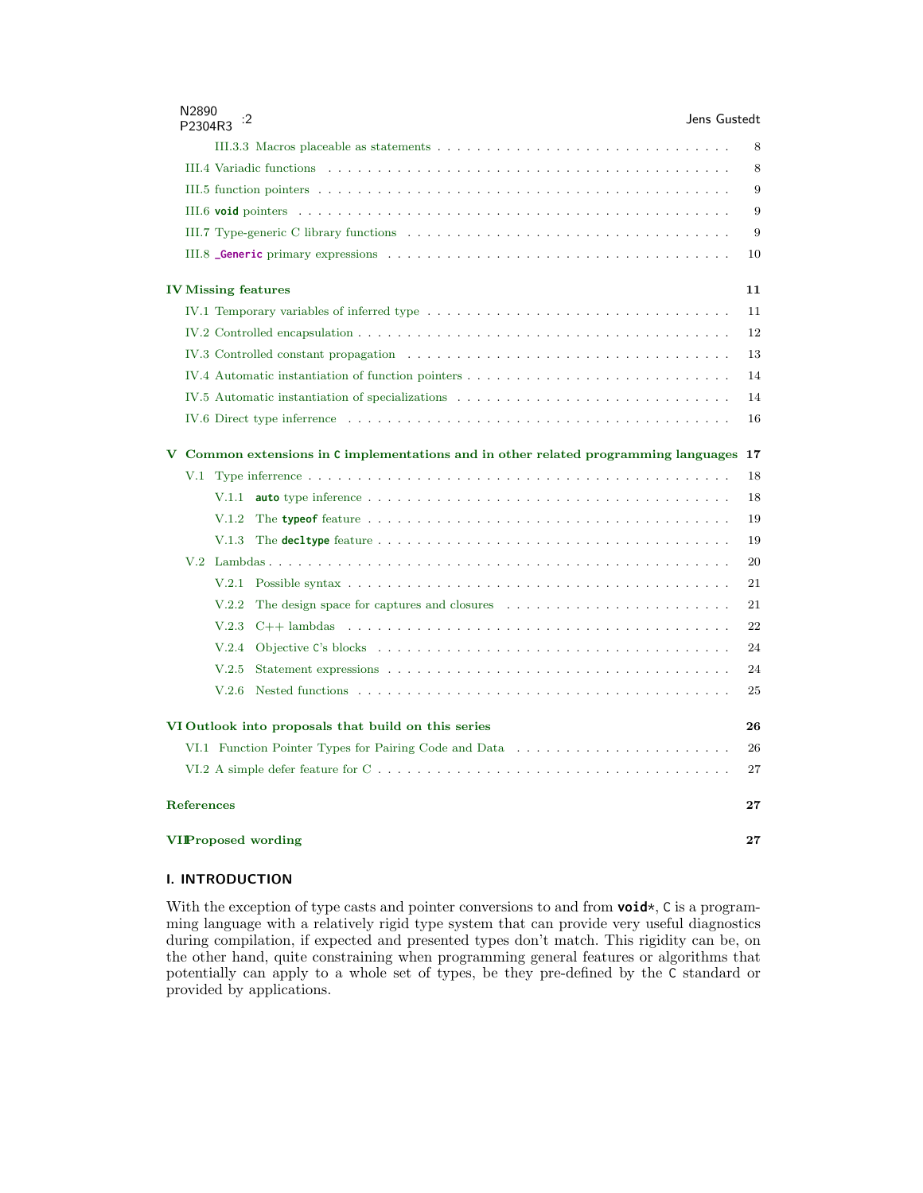| N2890<br>:2<br>P2304R3                                                                                                                                      | Jens Gustedt |  |  |  |  |  |
|-------------------------------------------------------------------------------------------------------------------------------------------------------------|--------------|--|--|--|--|--|
|                                                                                                                                                             |              |  |  |  |  |  |
|                                                                                                                                                             | 8            |  |  |  |  |  |
|                                                                                                                                                             | 9            |  |  |  |  |  |
|                                                                                                                                                             | 9            |  |  |  |  |  |
| III.7 Type-generic C library functions $\ldots \ldots \ldots \ldots \ldots \ldots \ldots \ldots \ldots \ldots \ldots \ldots$                                | 9            |  |  |  |  |  |
|                                                                                                                                                             | 10           |  |  |  |  |  |
| <b>IV Missing features</b>                                                                                                                                  | 11           |  |  |  |  |  |
|                                                                                                                                                             | 11           |  |  |  |  |  |
|                                                                                                                                                             | 12           |  |  |  |  |  |
|                                                                                                                                                             | 13           |  |  |  |  |  |
| IV.4 Automatic instantiation of function pointers                                                                                                           | 14           |  |  |  |  |  |
| IV.5 Automatic instantiation of specializations                                                                                                             | 14           |  |  |  |  |  |
|                                                                                                                                                             | 16           |  |  |  |  |  |
| Common extensions in C implementations and in other related programming languages<br>v                                                                      | 17           |  |  |  |  |  |
| V.1                                                                                                                                                         | 18           |  |  |  |  |  |
| V.1.1                                                                                                                                                       | 18           |  |  |  |  |  |
| V.1.2                                                                                                                                                       | 19           |  |  |  |  |  |
| V.1.3                                                                                                                                                       | 19           |  |  |  |  |  |
|                                                                                                                                                             | 20           |  |  |  |  |  |
| V.2.1                                                                                                                                                       | 21           |  |  |  |  |  |
| V.2.2                                                                                                                                                       | 21           |  |  |  |  |  |
| V.2.3                                                                                                                                                       | 22           |  |  |  |  |  |
| V.2.4                                                                                                                                                       | 24           |  |  |  |  |  |
| V.2.5                                                                                                                                                       | 24           |  |  |  |  |  |
| V.2.6<br>Nested functions $\ldots$ , $\ldots$ , $\ldots$ , $\ldots$ , $\ldots$ , $\ldots$ , $\ldots$ , $\ldots$ , $\ldots$ , $\ldots$ , $\ldots$ , $\ldots$ | 25           |  |  |  |  |  |
| VI Outlook into proposals that build on this series                                                                                                         | 26           |  |  |  |  |  |
| VI.1 Function Pointer Types for Pairing Code and Data                                                                                                       | 26           |  |  |  |  |  |
|                                                                                                                                                             | 27           |  |  |  |  |  |
| References                                                                                                                                                  | 27           |  |  |  |  |  |
| <b>VIP</b> roposed wording                                                                                                                                  | 27           |  |  |  |  |  |

#### <span id="page-1-0"></span>I. INTRODUCTION

With the exception of type casts and pointer conversions to and from **void**\*, C is a programming language with a relatively rigid type system that can provide very useful diagnostics during compilation, if expected and presented types don't match. This rigidity can be, on the other hand, quite constraining when programming general features or algorithms that potentially can apply to a whole set of types, be they pre-defined by the C standard or provided by applications.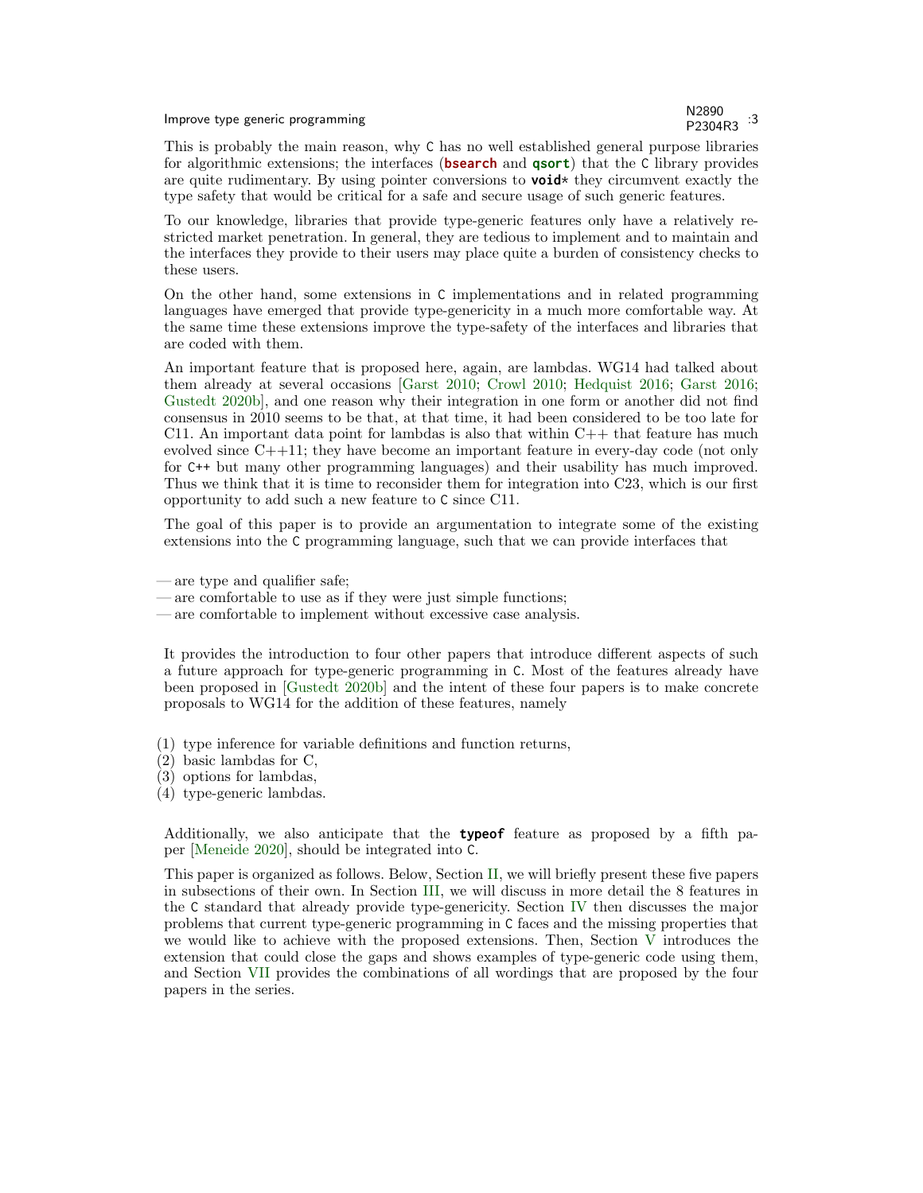Improve type generic programming<br>
Docentric programming N2890

This is probably the main reason, why C has no well established general purpose libraries for algorithmic extensions; the interfaces (**bsearch** and **qsort**) that the C library provides are quite rudimentary. By using pointer conversions to **void**\* they circumvent exactly the type safety that would be critical for a safe and secure usage of such generic features.

To our knowledge, libraries that provide type-generic features only have a relatively restricted market penetration. In general, they are tedious to implement and to maintain and the interfaces they provide to their users may place quite a burden of consistency checks to these users.

On the other hand, some extensions in C implementations and in related programming languages have emerged that provide type-genericity in a much more comfortable way. At the same time these extensions improve the type-safety of the interfaces and libraries that are coded with them.

An important feature that is proposed here, again, are lambdas. WG14 had talked about them already at several occasions [\[Garst 2010;](#page-26-3) [Crowl 2010;](#page-26-4) [Hedquist 2016;](#page-26-5) [Garst 2016;](#page-26-6) [Gustedt 2020b\]](#page-26-7), and one reason why their integration in one form or another did not find consensus in 2010 seems to be that, at that time, it had been considered to be too late for C11. An important data point for lambdas is also that within  $C_{++}$  that feature has much evolved since C++11; they have become an important feature in every-day code (not only for C++ but many other programming languages) and their usability has much improved. Thus we think that it is time to reconsider them for integration into C23, which is our first opportunity to add such a new feature to C since C11.

The goal of this paper is to provide an argumentation to integrate some of the existing extensions into the C programming language, such that we can provide interfaces that

- are type and qualifier safe;
- are comfortable to use as if they were just simple functions;
- are comfortable to implement without excessive case analysis.

It provides the introduction to four other papers that introduce different aspects of such a future approach for type-generic programming in C. Most of the features already have been proposed in [\[Gustedt 2020b\]](#page-26-7) and the intent of these four papers is to make concrete proposals to WG14 for the addition of these features, namely

- (1) type inference for variable definitions and function returns,
- (2) basic lambdas for C,
- (3) options for lambdas,
- (4) type-generic lambdas.

Additionally, we also anticipate that the **typeof** feature as proposed by a fifth paper [\[Meneide 2020\]](#page-26-8), should be integrated into C.

This paper is organized as follows. Below, Section [II,](#page-3-0) we will briefly present these five papers in subsections of their own. In Section [III,](#page-4-2) we will discuss in more detail the 8 features in the C standard that already provide type-genericity. Section [IV](#page-10-0) then discusses the major problems that current type-generic programming in C faces and the missing properties that we would like to achieve with the proposed extensions. Then, Section [V](#page-16-0) introduces the extension that could close the gaps and shows examples of type-generic code using them, and Section [VII](#page-26-2) provides the combinations of all wordings that are proposed by the four papers in the series.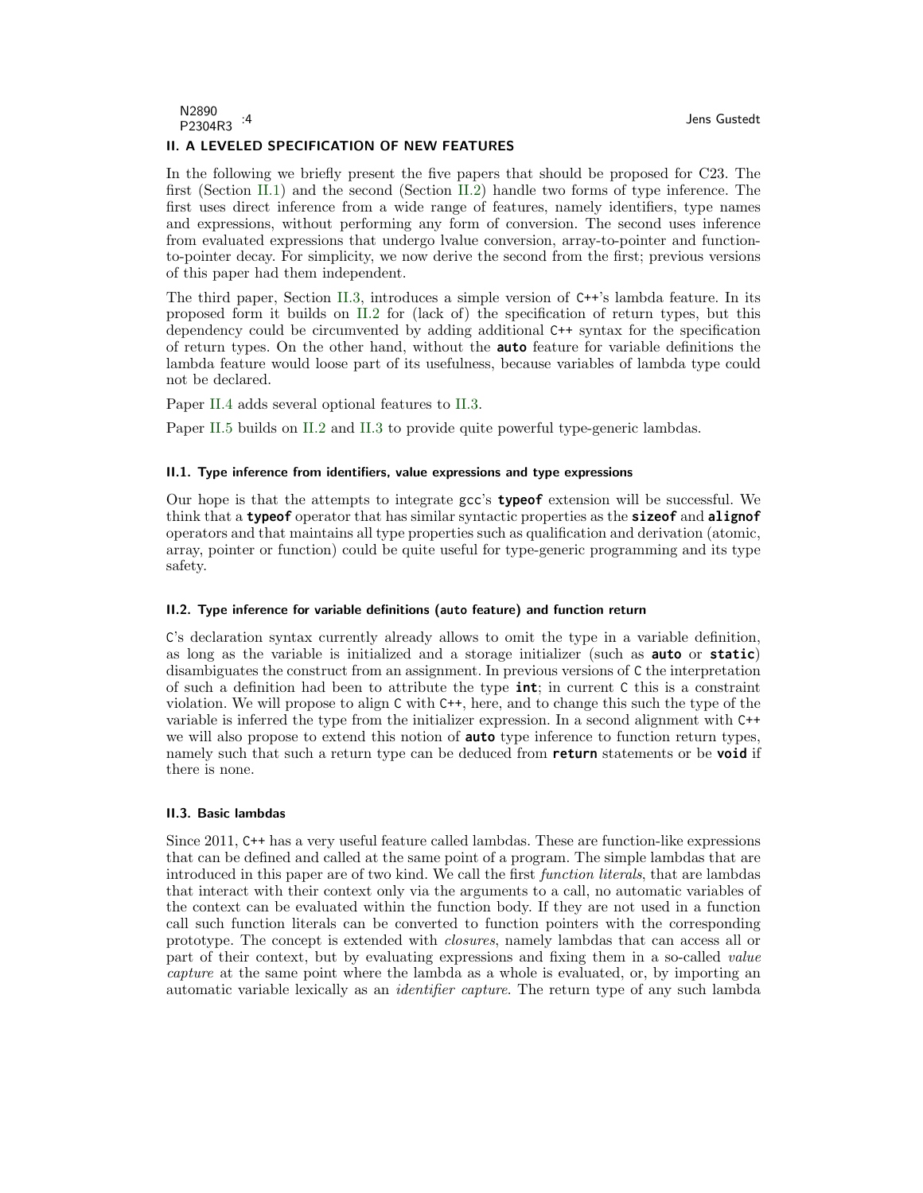N2890  $P2304R3$ <sup>:4</sup> Jens Gustedt

#### <span id="page-3-0"></span>II. A LEVELED SPECIFICATION OF NEW FEATURES

In the following we briefly present the five papers that should be proposed for C23. The first (Section [II.1\)](#page-3-1) and the second (Section [II.2\)](#page-3-2) handle two forms of type inference. The first uses direct inference from a wide range of features, namely identifiers, type names and expressions, without performing any form of conversion. The second uses inference from evaluated expressions that undergo lvalue conversion, array-to-pointer and functionto-pointer decay. For simplicity, we now derive the second from the first; previous versions of this paper had them independent.

The third paper, Section [II.3,](#page-3-3) introduces a simple version of C++'s lambda feature. In its proposed form it builds on [II.2](#page-3-2) for (lack of) the specification of return types, but this dependency could be circumvented by adding additional C++ syntax for the specification of return types. On the other hand, without the **auto** feature for variable definitions the lambda feature would loose part of its usefulness, because variables of lambda type could not be declared.

Paper [II.4](#page-4-0) adds several optional features to [II.3.](#page-3-3)

Paper [II.5](#page-4-1) builds on [II.2](#page-3-2) and [II.3](#page-3-3) to provide quite powerful type-generic lambdas.

#### <span id="page-3-1"></span>II.1. Type inference from identifiers, value expressions and type expressions

Our hope is that the attempts to integrate gcc's **typeof** extension will be successful. We think that a **typeof** operator that has similar syntactic properties as the **sizeof** and **alignof** operators and that maintains all type properties such as qualification and derivation (atomic, array, pointer or function) could be quite useful for type-generic programming and its type safety.

#### <span id="page-3-2"></span>II.2. Type inference for variable definitions (**auto** feature) and function return

C's declaration syntax currently already allows to omit the type in a variable definition, as long as the variable is initialized and a storage initializer (such as **auto** or **static**) disambiguates the construct from an assignment. In previous versions of C the interpretation of such a definition had been to attribute the type **int**; in current C this is a constraint violation. We will propose to align C with C++, here, and to change this such the type of the variable is inferred the type from the initializer expression. In a second alignment with C++ we will also propose to extend this notion of **auto** type inference to function return types, namely such that such a return type can be deduced from **return** statements or be **void** if there is none.

#### <span id="page-3-3"></span>II.3. Basic lambdas

Since 2011, C++ has a very useful feature called lambdas. These are function-like expressions that can be defined and called at the same point of a program. The simple lambdas that are introduced in this paper are of two kind. We call the first function literals, that are lambdas that interact with their context only via the arguments to a call, no automatic variables of the context can be evaluated within the function body. If they are not used in a function call such function literals can be converted to function pointers with the corresponding prototype. The concept is extended with closures, namely lambdas that can access all or part of their context, but by evaluating expressions and fixing them in a so-called value capture at the same point where the lambda as a whole is evaluated, or, by importing an automatic variable lexically as an identifier capture. The return type of any such lambda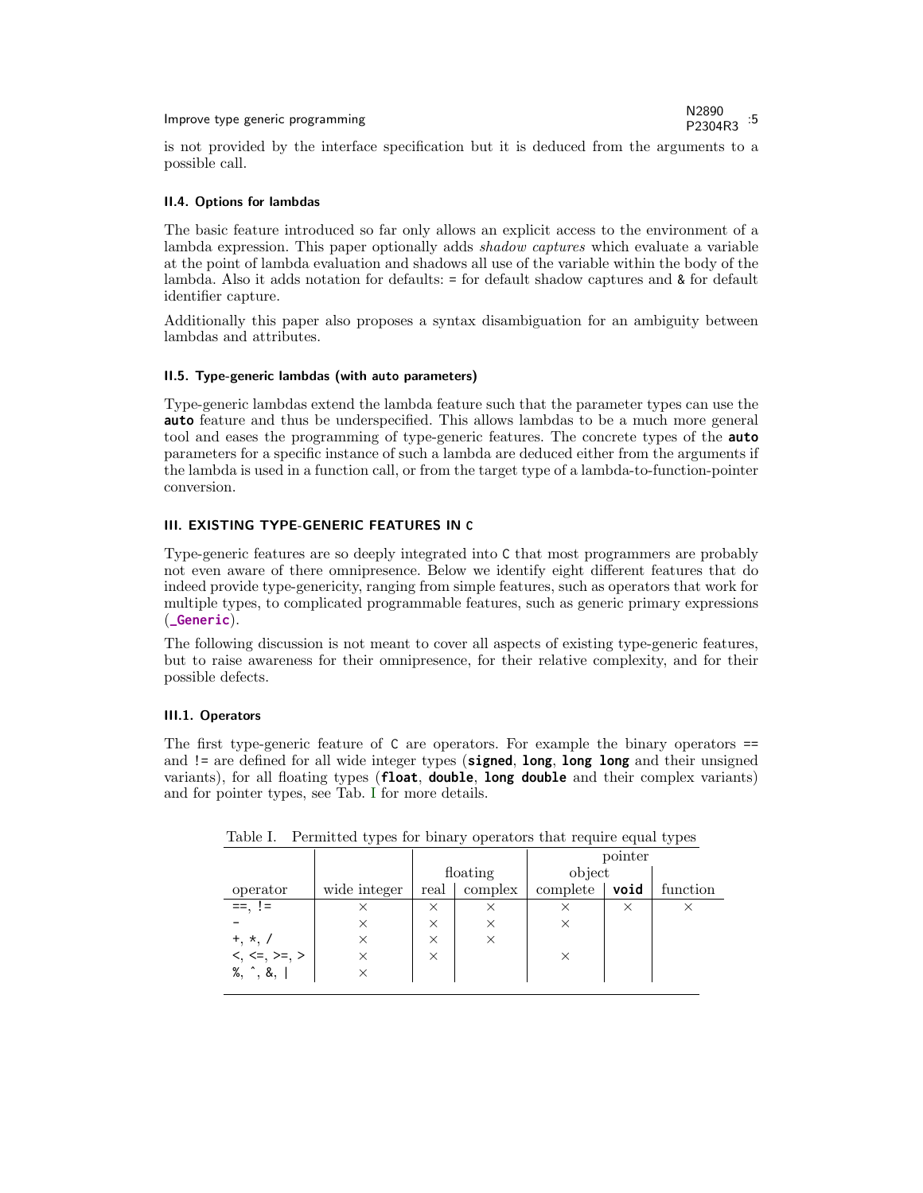## Improve type generic programming<br>
Docentric programming N2890

# P<sub>2304R3</sub> :5

is not provided by the interface specification but it is deduced from the arguments to a possible call.

#### <span id="page-4-0"></span>II.4. Options for lambdas

The basic feature introduced so far only allows an explicit access to the environment of a lambda expression. This paper optionally adds shadow captures which evaluate a variable at the point of lambda evaluation and shadows all use of the variable within the body of the lambda. Also it adds notation for defaults: = for default shadow captures and & for default identifier capture.

Additionally this paper also proposes a syntax disambiguation for an ambiguity between lambdas and attributes.

#### <span id="page-4-1"></span>II.5. Type-generic lambdas (with **auto** parameters)

Type-generic lambdas extend the lambda feature such that the parameter types can use the **auto** feature and thus be underspecified. This allows lambdas to be a much more general tool and eases the programming of type-generic features. The concrete types of the **auto** parameters for a specific instance of such a lambda are deduced either from the arguments if the lambda is used in a function call, or from the target type of a lambda-to-function-pointer conversion.

#### <span id="page-4-2"></span>III. EXISTING TYPE-GENERIC FEATURES IN **C**

Type-generic features are so deeply integrated into C that most programmers are probably not even aware of there omnipresence. Below we identify eight different features that do indeed provide type-genericity, ranging from simple features, such as operators that work for multiple types, to complicated programmable features, such as generic primary expressions (**\_Generic**).

The following discussion is not meant to cover all aspects of existing type-generic features, but to raise awareness for their omnipresence, for their relative complexity, and for their possible defects.

#### <span id="page-4-3"></span>III.1. Operators

The first type-generic feature of C are operators. For example the binary operators == and != are defined for all wide integer types (**signed**, **long**, **long long** and their unsigned variants), for all floating types (**float**, **double**, **long double** and their complex variants) and for pointer types, see Tab. [I](#page-4-4) for more details.

<span id="page-4-4"></span>

|                               |              |          |          |          | pointer  |          |
|-------------------------------|--------------|----------|----------|----------|----------|----------|
|                               |              | floating |          | object   |          |          |
| operator                      | wide integer | real     | complex  | complete | void     | function |
|                               |              | ×        | $\times$ | ×        | $\times$ | $\times$ |
|                               |              | ×        | $\times$ | ×        |          |          |
|                               |              |          | $\times$ |          |          |          |
| $^+, *, /$<br><, <=, >=, >    |              | $\times$ |          | ×        |          |          |
| $%, \hat{ }$ , $\& , \hat{ }$ |              |          |          |          |          |          |

Table I. Permitted types for binary operators that require equal types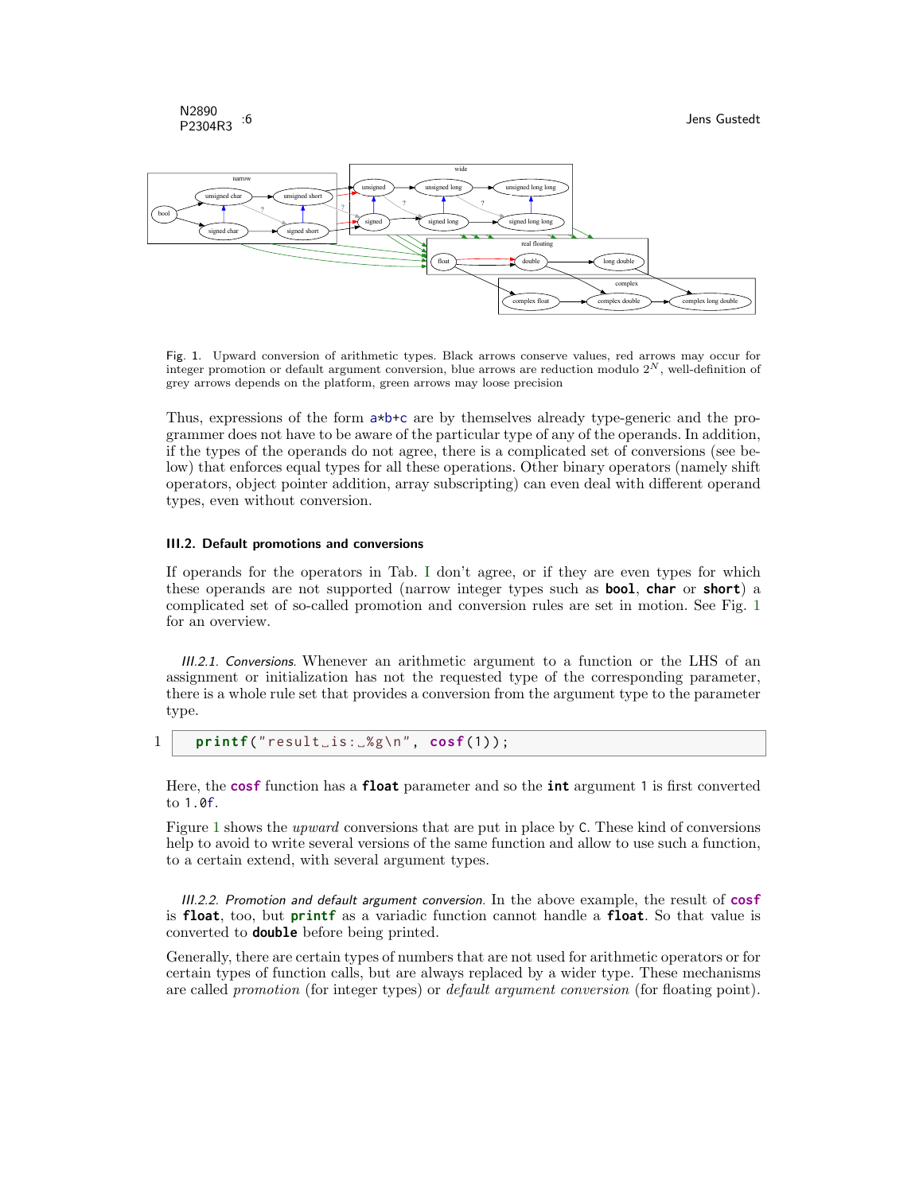

<span id="page-5-3"></span>Fig. 1. Upward conversion of arithmetic types. Black arrows conserve values, red arrows may occur for integer promotion or default argument conversion, blue arrows are reduction modulo  $2^N$ , well-definition of grey arrows depends on the platform, green arrows may loose precision

Thus, expressions of the form a\*b+c are by themselves already type-generic and the programmer does not have to be aware of the particular type of any of the operands. In addition, if the types of the operands do not agree, there is a complicated set of conversions (see below) that enforces equal types for all these operations. Other binary operators (namely shift operators, object pointer addition, array subscripting) can even deal with different operand types, even without conversion.

#### <span id="page-5-0"></span>III.2. Default promotions and conversions

N2890

If operands for the operators in Tab. [I](#page-4-4) don't agree, or if they are even types for which these operands are not supported (narrow integer types such as **bool**, **char** or **short**) a complicated set of so-called promotion and conversion rules are set in motion. See Fig. [1](#page-5-3) for an overview.

<span id="page-5-1"></span>III.2.1. Conversions. Whenever an arithmetic argument to a function or the LHS of an assignment or initialization has not the requested type of the corresponding parameter, there is a whole rule set that provides a conversion from the argument type to the parameter type.

```
1 printf (" result ␣is:␣%g\n", cosf (1) ) ;
```
Here, the **cosf** function has a **float** parameter and so the **int** argument 1 is first converted to 1.0f.

Figure [1](#page-5-3) shows the upward conversions that are put in place by C. These kind of conversions help to avoid to write several versions of the same function and allow to use such a function, to a certain extend, with several argument types.

<span id="page-5-2"></span>III.2.2. Promotion and default argument conversion. In the above example, the result of **cosf** is **float**, too, but **printf** as a variadic function cannot handle a **float**. So that value is converted to **double** before being printed.

Generally, there are certain types of numbers that are not used for arithmetic operators or for certain types of function calls, but are always replaced by a wider type. These mechanisms are called promotion (for integer types) or default argument conversion (for floating point).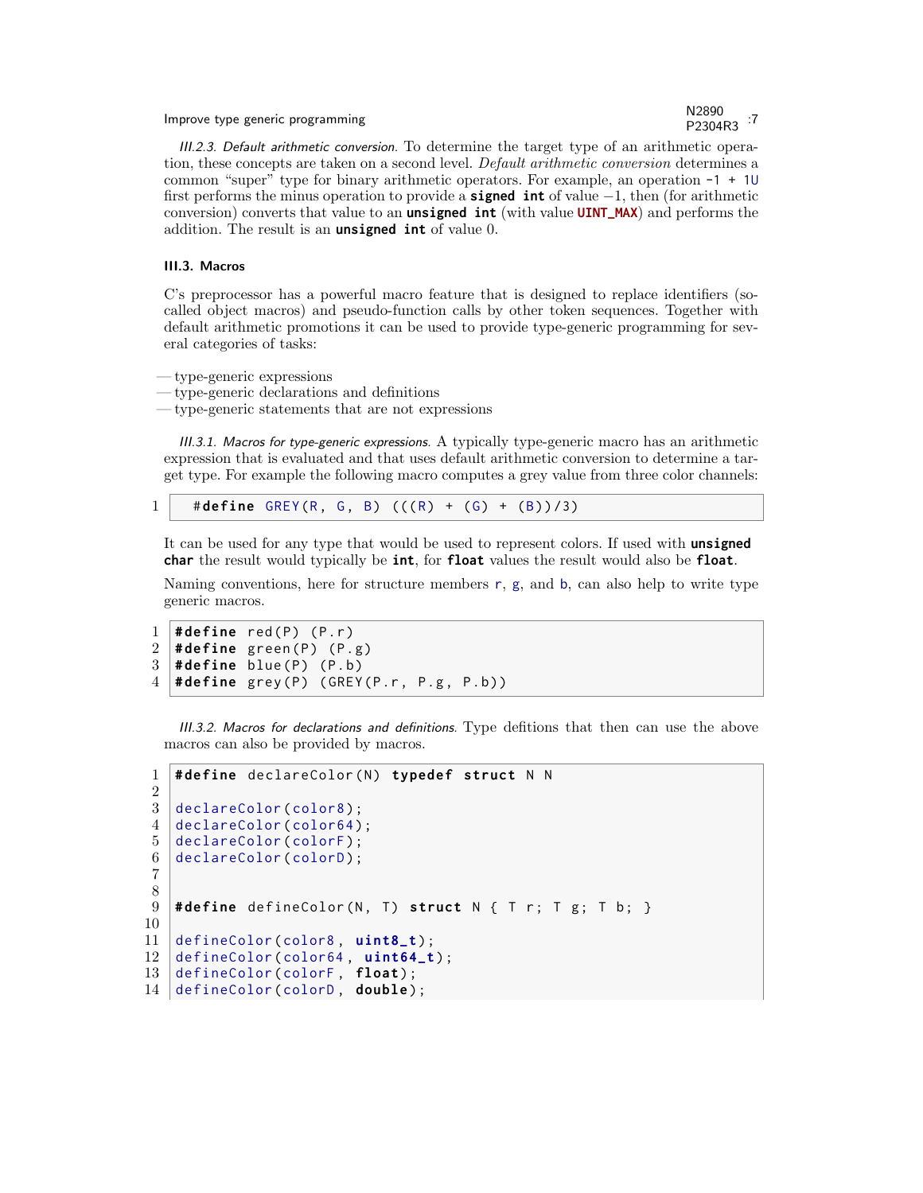## Improve type generic programming  $\Box$

# P<sub>2304R3</sub> :7

<span id="page-6-0"></span>III.2.3. Default arithmetic conversion. To determine the target type of an arithmetic operation, these concepts are taken on a second level. Default arithmetic conversion determines a common "super" type for binary arithmetic operators. For example, an operation -1 + 1U first performs the minus operation to provide a **signed int** of value −1, then (for arithmetic conversion) converts that value to an **unsigned int** (with value **UINT\_MAX**) and performs the addition. The result is an **unsigned int** of value 0.

#### <span id="page-6-1"></span>III.3. Macros

C's preprocessor has a powerful macro feature that is designed to replace identifiers (socalled object macros) and pseudo-function calls by other token sequences. Together with default arithmetic promotions it can be used to provide type-generic programming for several categories of tasks:

- type-generic expressions
- type-generic declarations and definitions
- type-generic statements that are not expressions

<span id="page-6-2"></span>III.3.1. Macros for type-generic expressions. A typically type-generic macro has an arithmetic expression that is evaluated and that uses default arithmetic conversion to determine a target type. For example the following macro computes a grey value from three color channels:

1 | # **define** GREY (R, G, B) (((R) + (G) + (B))/3)

It can be used for any type that would be used to represent colors. If used with **unsigned char** the result would typically be **int**, for **float** values the result would also be **float**.

Naming conventions, here for structure members r, g, and b, can also help to write type generic macros.

```
1 \mid #define \mid red(P) \mid (P.r)2 #define green (P) (P.g)
3 #define blue(P) (P.b)
4 #define grey(P) (GREY(P.r, P.g, P.b))
```
<span id="page-6-3"></span>III.3.2. Macros for declarations and definitions. Type defitions that then can use the above macros can also be provided by macros.

```
1 # define declareColor ( N ) typedef struct N N
2
3 declareColor(color8);
4 declareColor (color64);
5 declareColor ( colorF ) ;
6 declareColor (colorD);
7
8
9 #define defineColor(N, T) struct N { T r; T g; T b; }
10
11 defineColor (color8 , uint8_t ) ;
12 defineColor ( color64 , uint64_t ) ;
13 defineColor (colorF , float ) ;
14 defineColor (colorD , double ) ;
```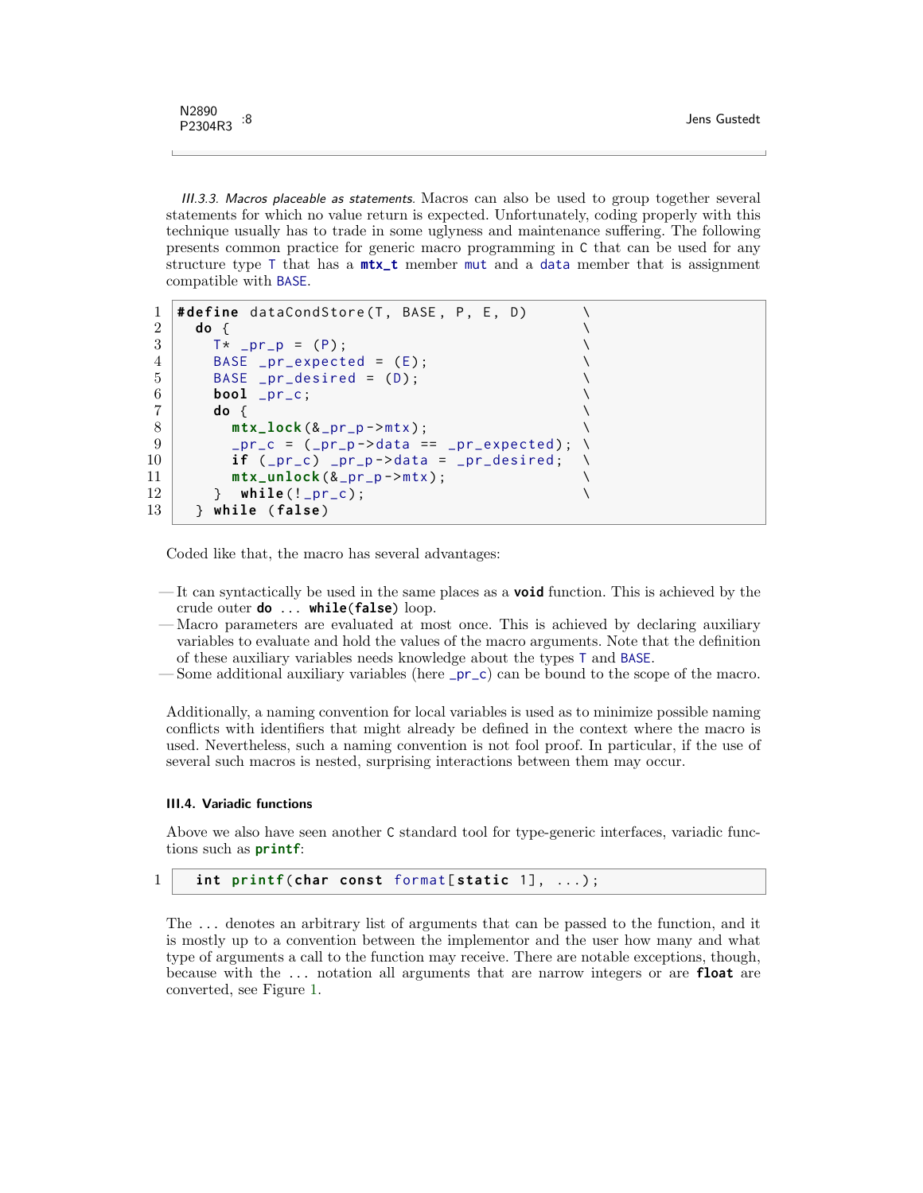<span id="page-7-0"></span>III.3.3. Macros placeable as statements. Macros can also be used to group together several statements for which no value return is expected. Unfortunately, coding properly with this technique usually has to trade in some uglyness and maintenance suffering. The following presents common practice for generic macro programming in C that can be used for any structure type T that has a **mtx\_t** member mut and a data member that is assignment compatible with BASE.

```
1 #define dataCondStore(T, BASE, P, E, D)
2 \mid do {
3 \mid T* _pr_p = (P);
4 \mid BASE _pr_expected = (E);
5 BASE \_pr\_desired = (D);
6 \parallel bool _pr_c ; \parallel7 \parallel do { \parallel8 \mid mtx_lock (\&_pr_p->mtx);
9 \mid _pr_c = (_pr_p->data == _pr_expected)
10 if (_pr_c) _pr_p->data = _pr_desired;
11 mtx_unlock (&_pr_p->mtx);
12 \left| \right. } while(!_pr_c); \left. \right.13 } while ( false )
```
Coded like that, the macro has several advantages:

- It can syntactically be used in the same places as a **void** function. This is achieved by the crude outer **do** ... **while**(**false**) loop.
- Macro parameters are evaluated at most once. This is achieved by declaring auxiliary variables to evaluate and hold the values of the macro arguments. Note that the definition of these auxiliary variables needs knowledge about the types T and BASE.
- Some additional auxiliary variables (here \_pr\_c) can be bound to the scope of the macro.

Additionally, a naming convention for local variables is used as to minimize possible naming conflicts with identifiers that might already be defined in the context where the macro is used. Nevertheless, such a naming convention is not fool proof. In particular, if the use of several such macros is nested, surprising interactions between them may occur.

#### <span id="page-7-1"></span>III.4. Variadic functions

Above we also have seen another C standard tool for type-generic interfaces, variadic functions such as **printf**:

```
1 int printf ( char const format [ static 1], ...);
```
The ... denotes an arbitrary list of arguments that can be passed to the function, and it is mostly up to a convention between the implementor and the user how many and what type of arguments a call to the function may receive. There are notable exceptions, though, because with the ... notation all arguments that are narrow integers or are **float** are converted, see Figure [1.](#page-5-3)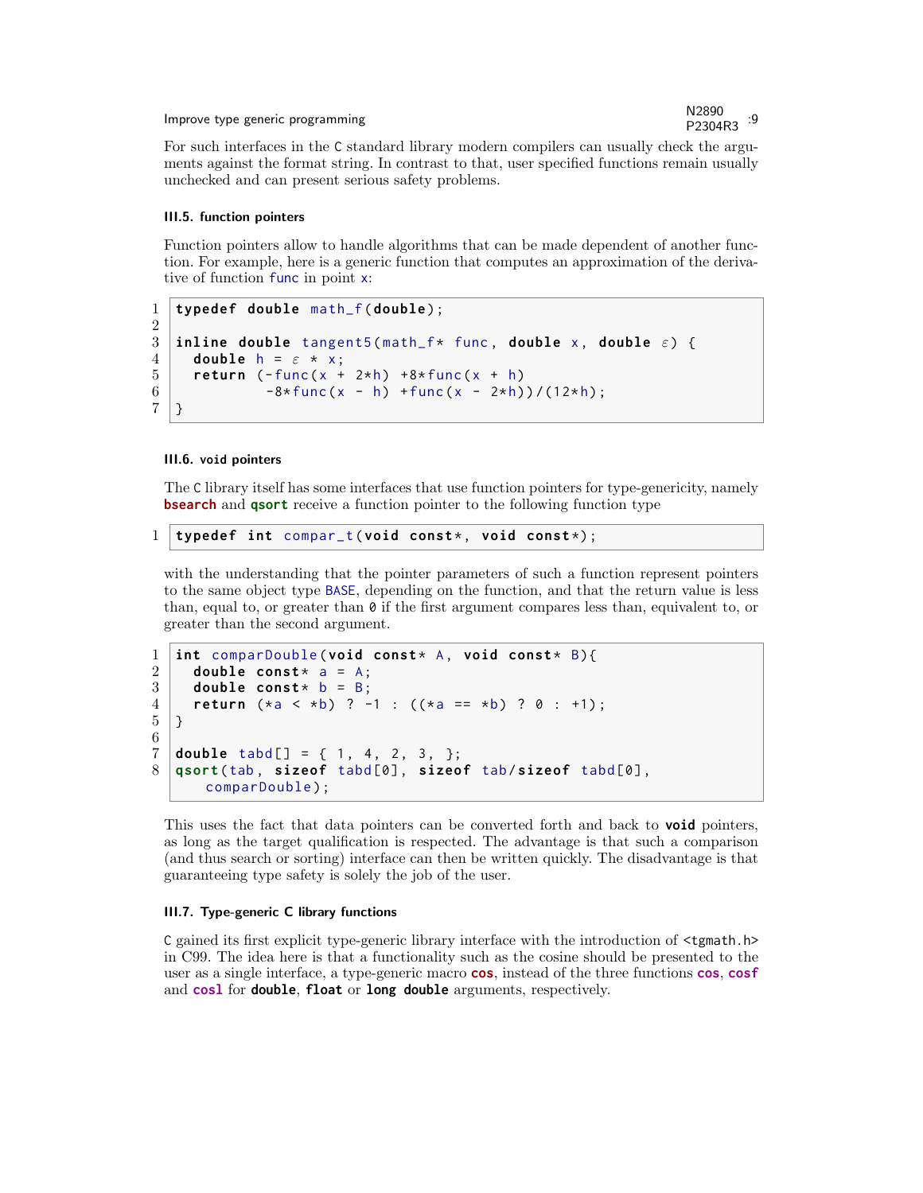For such interfaces in the C standard library modern compilers can usually check the arguments against the format string. In contrast to that, user specified functions remain usually unchecked and can present serious safety problems.

#### <span id="page-8-0"></span>III.5. function pointers

Function pointers allow to handle algorithms that can be made dependent of another function. For example, here is a generic function that computes an approximation of the derivative of function func in point x:

```
1 typedef double math_f ( double ) ;
2
3 inline double tangent5 ( math_f * func , double x, double ε) {
4 double h = \varepsilon \times x;
5 return (-func(x + 2*h) +8*func(x + h)6 -8 \times func (x - h) + func (x - 2 \times h) /(12 \times h);
7 }
```
#### <span id="page-8-1"></span>III.6. **void** pointers

The C library itself has some interfaces that use function pointers for type-genericity, namely **bsearch** and **qsort** receive a function pointer to the following function type

```
1 typedef int compar_t ( void const * , void const *) ;
```
with the understanding that the pointer parameters of such a function represent pointers to the same object type BASE, depending on the function, and that the return value is less than, equal to, or greater than  $\theta$  if the first argument compares less than, equivalent to, or greater than the second argument.

```
1 int comparDouble (void const * A, void const * B) {
2 double const * a = A;
3 double const * b = B;
4 return (*a < *b) ? -1 : ((*a == *b) ? 0 : +1);
5 \mid }
6
7 double tabd [] = { 1 , 4 , 2 , 3 , };
8 qsort (tab , sizeof tabd [0] , sizeof tab / sizeof tabd [0] ,
      comparDouble ) ;
```
This uses the fact that data pointers can be converted forth and back to **void** pointers, as long as the target qualification is respected. The advantage is that such a comparison (and thus search or sorting) interface can then be written quickly. The disadvantage is that guaranteeing type safety is solely the job of the user.

#### <span id="page-8-2"></span>III.7. Type-generic C library functions

C gained its first explicit type-generic library interface with the introduction of <tgmath.h> in C99. The idea here is that a functionality such as the cosine should be presented to the user as a single interface, a type-generic macro **cos**, instead of the three functions **cos**, **cosf** and **cosl** for **double**, **float** or **long double** arguments, respectively.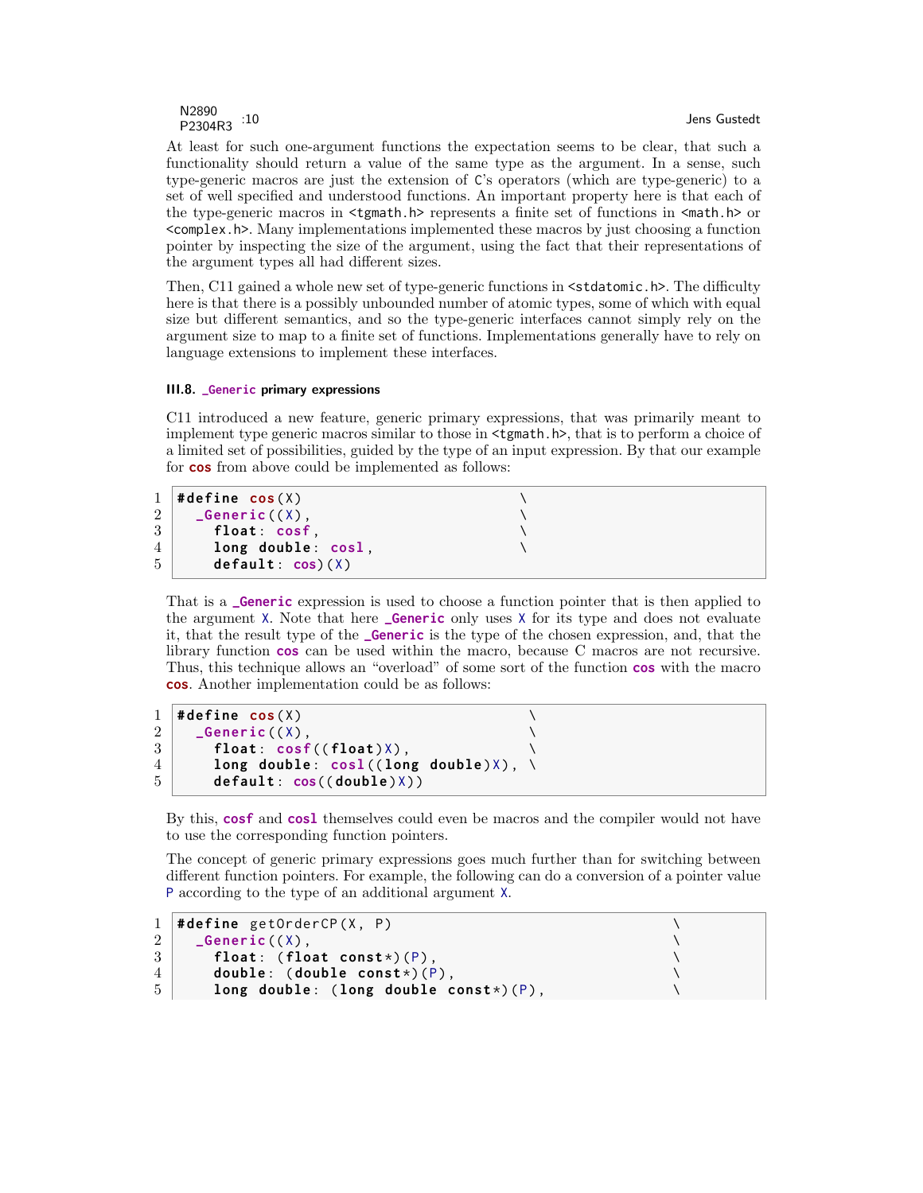```
N2890
P2304R3 :10 Jens Gustedt
```
At least for such one-argument functions the expectation seems to be clear, that such a functionality should return a value of the same type as the argument. In a sense, such type-generic macros are just the extension of C's operators (which are type-generic) to a set of well specified and understood functions. An important property here is that each of the type-generic macros in  $\epsilon$ tgmath.h> represents a finite set of functions in  $\epsilon$ math.h> or <complex.h>. Many implementations implemented these macros by just choosing a function pointer by inspecting the size of the argument, using the fact that their representations of the argument types all had different sizes.

Then, C11 gained a whole new set of type-generic functions in <stdatomic.h>. The difficulty here is that there is a possibly unbounded number of atomic types, some of which with equal size but different semantics, and so the type-generic interfaces cannot simply rely on the argument size to map to a finite set of functions. Implementations generally have to rely on language extensions to implement these interfaces.

#### <span id="page-9-0"></span>III.8. **\_Generic** primary expressions

C11 introduced a new feature, generic primary expressions, that was primarily meant to implement type generic macros similar to those in <tgmath.h>, that is to perform a choice of a limited set of possibilities, guided by the type of an input expression. By that our example for **cos** from above could be implemented as follows:

```
\begin{array}{ccc} 1 & # \text{define } \cos(X) \\ 2 & & \text{generic}(\ell X) \end{array}\begin{array}{ccc} 2 & \text{.} \textsf{generic} \left( \left( \texttt{X} \right), \right. & \hspace{3.5cm} \backslash \\ 3 & \text{.} \textsf{float}: \text{ } \textsf{cosf} \, . \end{array}float: \cosh, \qquad \qquad \setminus4 long double : cosl , \
5 default : cos) (X)
```
That is a **\_Generic** expression is used to choose a function pointer that is then applied to the argument X. Note that here **\_Generic** only uses X for its type and does not evaluate it, that the result type of the **\_Generic** is the type of the chosen expression, and, that the library function **cos** can be used within the macro, because C macros are not recursive. Thus, this technique allows an "overload" of some sort of the function **cos** with the macro **cos**. Another implementation could be as follows:

```
1 \mid # define cos(X)2 \mid _Generic ((X),
3 float: cos f((float)X),
4 long double : cosl (( long double )X) , \
5 default : cos(( double )X) )
```
By this, **cosf** and **cosl** themselves could even be macros and the compiler would not have to use the corresponding function pointers.

The concept of generic primary expressions goes much further than for switching between different function pointers. For example, the following can do a conversion of a pointer value P according to the type of an additional argument X.

```
1 #define getOrderCP(X, P) \qquad \qquad \setminus2 \parallel \text{ \_} \text{Generic}((X) ,
3 float : (float const*)(P),
4 double : ( double const *) (P) , \
5 long double : ( long double const *) (P) , \
```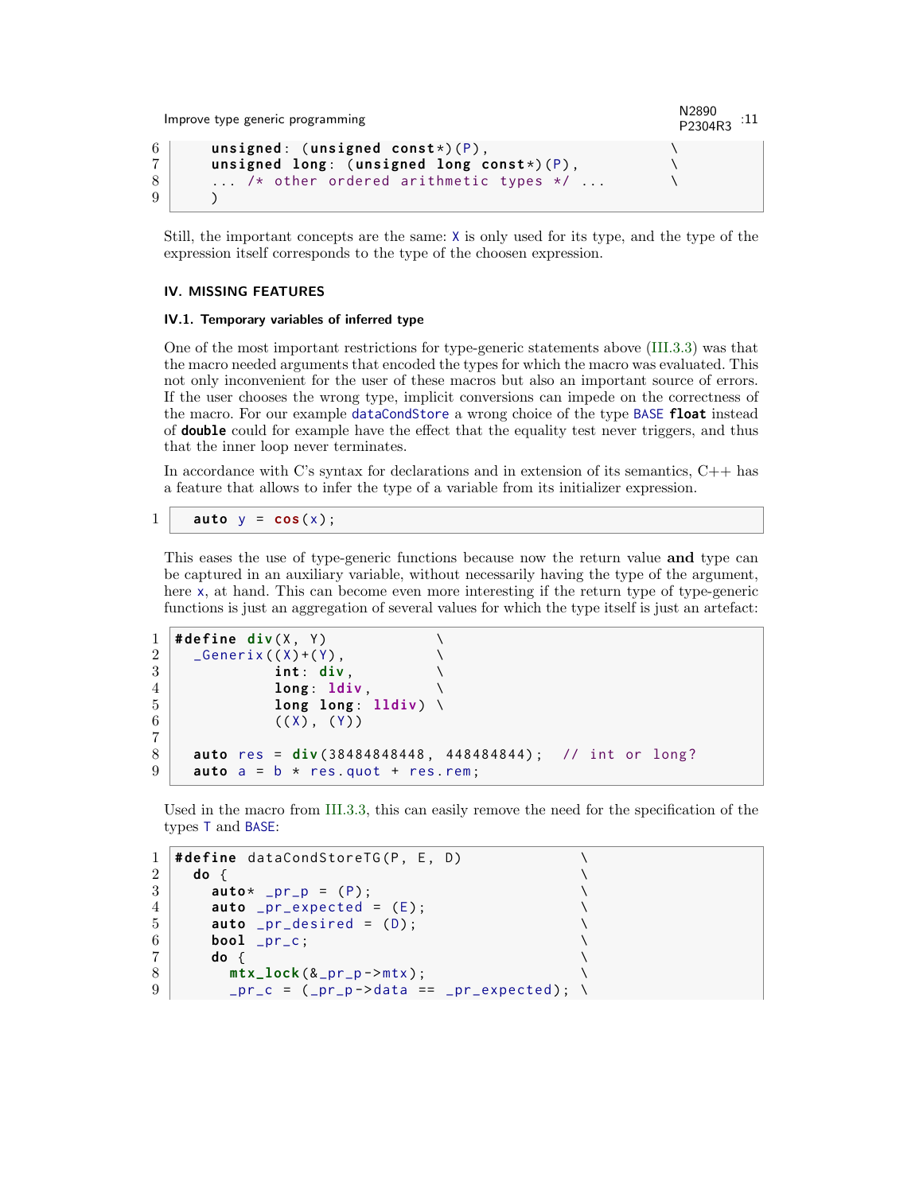```
Improve type generic programming<br>
D2390
                                                         P2304R3 :11
6 unsigned: (unsigned const*)(P), \gamma unsigned long: (unsigned long const*)(P), \gammaunsigned long: (unsigned long const*)(P),
8 ... /* other ordered arithmetic types */ ... \setminus9 )
```
Still, the important concepts are the same: X is only used for its type, and the type of the expression itself corresponds to the type of the choosen expression.

#### <span id="page-10-0"></span>IV. MISSING FEATURES

#### <span id="page-10-1"></span>IV.1. Temporary variables of inferred type

One of the most important restrictions for type-generic statements above [\(III.3.3\)](#page-7-0) was that the macro needed arguments that encoded the types for which the macro was evaluated. This not only inconvenient for the user of these macros but also an important source of errors. If the user chooses the wrong type, implicit conversions can impede on the correctness of the macro. For our example dataCondStore a wrong choice of the type BASE **float** instead of **double** could for example have the effect that the equality test never triggers, and thus that the inner loop never terminates.

In accordance with C's syntax for declarations and in extension of its semantics, C++ has a feature that allows to infer the type of a variable from its initializer expression.

 $1$  auto  $y = cos(x)$ ;

This eases the use of type-generic functions because now the return value and type can be captured in an auxiliary variable, without necessarily having the type of the argument, here x, at hand. This can become even more interesting if the return type of type-generic functions is just an aggregation of several values for which the type itself is just an artefact:

```
1 # define div (X , Y ) \
   \angleGenerix ((X) +(Y), \angle3 int: div,
4 long : ldiv , \
5 long long : lldiv ) \
6 ((X), (Y))7
8 auto res = div (38484848448 , 448484844) ; // int or long ?
9 auto a = b * res. quot + res. rem;
```
Used in the macro from [III.3.3,](#page-7-0) this can easily remove the need for the specification of the types T and BASE:

```
1 #define dataCondStoreTG(P, E, D)
2 \mid do {
3 \mid auto * \perp pr \perp p = (P);
4 auto pr<sup>ex pexpected = (E);</sup>
5 auto \lnot p r desired = (D);
6 \mid bool _pr_c;
7 \parallel do {
8 \mid mtx_lock (\&_pr_p->mtx);
9 \mid _pr_c = (_pr_p->data == _pr_expected);
```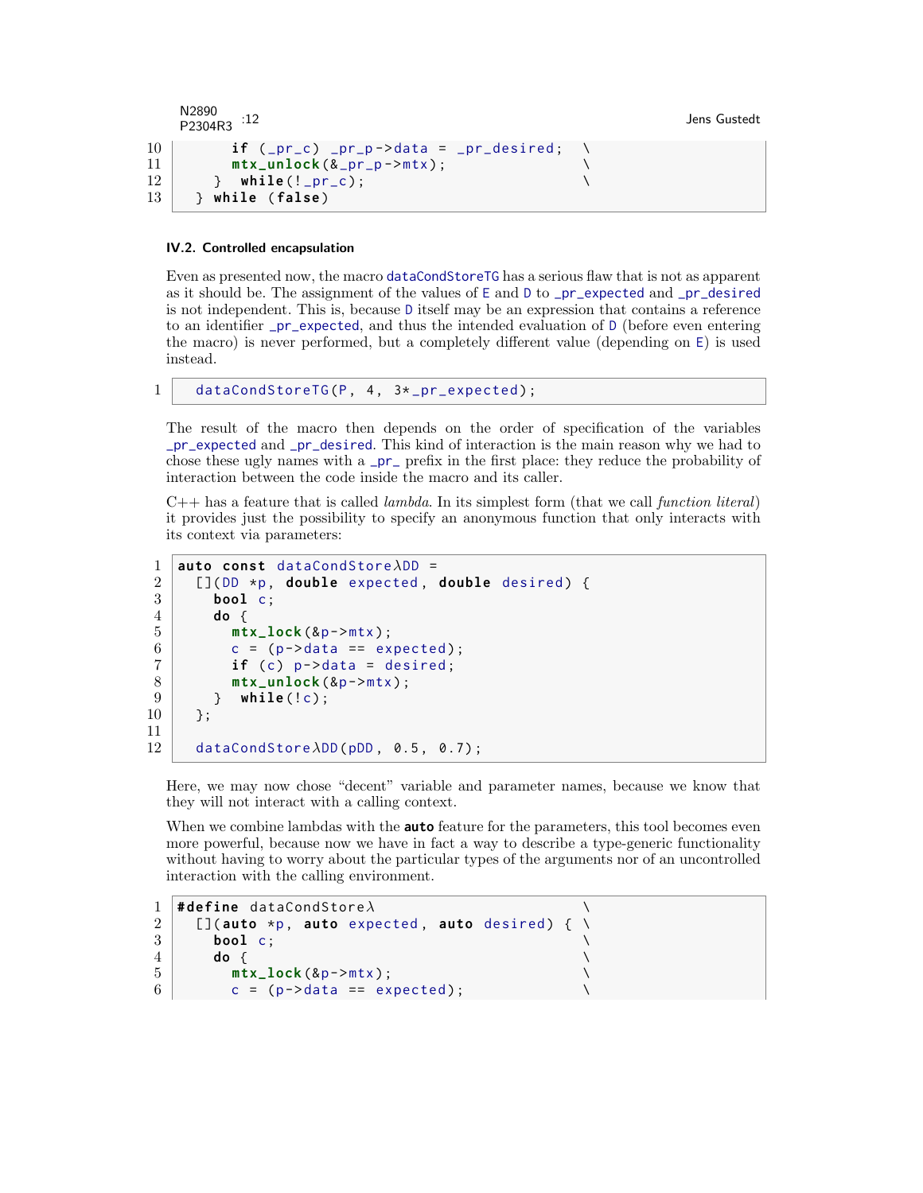|    | N <sub>2890</sub><br>:12<br>P2304R3     | Jens Gustedt |
|----|-----------------------------------------|--------------|
| 10 | $if$ (_pr_c) _pr_p->data = _pr_desired; |              |
| 11 | $mtx\_unlock(&_{pr-p->mtx):$            |              |
| 12 | while( $!\_pr\_c$ );                    |              |
| 13 | while (false)                           |              |

#### <span id="page-11-0"></span>IV.2. Controlled encapsulation

Even as presented now, the macro dataCondStoreTG has a serious flaw that is not as apparent as it should be. The assignment of the values of E and D to \_pr\_expected and \_pr\_desired is not independent. This is, because D itself may be an expression that contains a reference to an identifier prevented, and thus the intended evaluation of D (before even entering the macro) is never performed, but a completely different value (depending on E) is used instead.

1 dataCondStoreTG(P, 4, 3\*\_pr\_expected);

The result of the macro then depends on the order of specification of the variables \_pr\_expected and \_pr\_desired. This kind of interaction is the main reason why we had to chose these ugly names with a \_pr\_ prefix in the first place: they reduce the probability of interaction between the code inside the macro and its caller.

 $C++$  has a feature that is called *lambda*. In its simplest form (that we call *function literal*) it provides just the possibility to specify an anonymous function that only interacts with its context via parameters:

```
1 auto const dataCondStoreλDD =<br>2 [1(DD *p. double expected.
     2 []( DD *p, double expected , double desired ) {
3 bool c;
4 do {
5 mtx_lock (8p->mtx);
6 c = (p->data == expected);
7 if (c) p->data = desired;
8 mtx_unlock (&p->mtx);
9 } while (!c) ;
10 \mid \};
11
12 dataCondStore\lambdaDD(pDD, 0.5, 0.7);
```
Here, we may now chose "decent" variable and parameter names, because we know that they will not interact with a calling context.

When we combine lambdas with the **auto** feature for the parameters, this tool becomes even more powerful, because now we have in fact a way to describe a type-generic functionality without having to worry about the particular types of the arguments nor of an uncontrolled interaction with the calling environment.

```
1 #define dataCondStore\lambda2 []( auto *p, auto expected, auto desired) { \
3 \mid bool c; \setminus4 do { \
5 \mid \text{mix\_lock} (\& p \rightarrow \text{mix}) ;6 \mid c = (p->data == expected);
```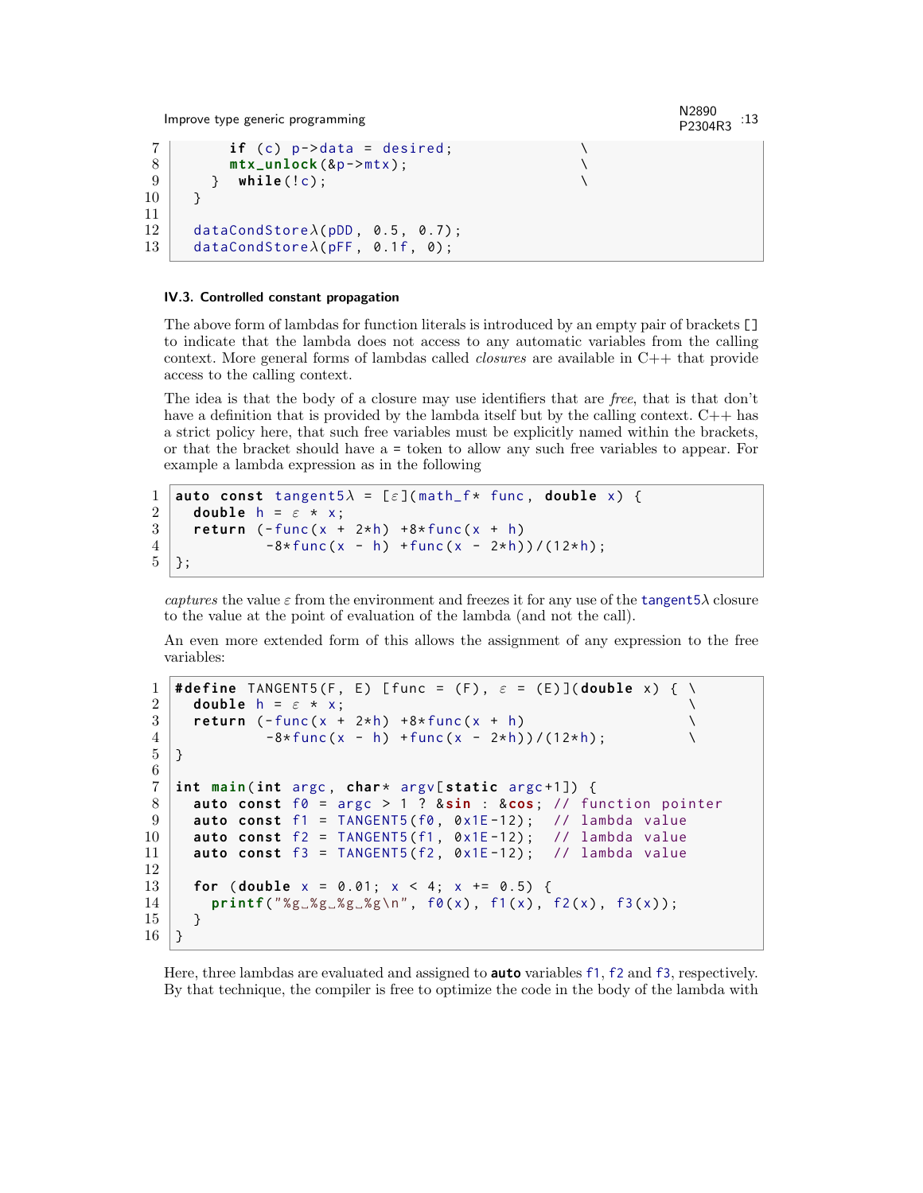Improve type generic programming<br>  $\frac{1}{2}$  negative negative negative negative negative negative negative negative negative negative negative negative negative negative negative negative negative negative negative negativ

```
7 if (c) p->data = desired;
8 \mid \text{mtx\_unlock} (\& p \rightarrow \text{mtx});
9 \mid \qquad} while(!c);
10 }
11
12 dataCondStore\lambda(pDD, 0.5, 0.7);
13 dataCondStore\lambda(pFF, 0.1f, 0);
```
#### <span id="page-12-0"></span>IV.3. Controlled constant propagation

The above form of lambdas for function literals is introduced by an empty pair of brackets [] to indicate that the lambda does not access to any automatic variables from the calling context. More general forms of lambdas called *closures* are available in  $C++$  that provide access to the calling context.

The idea is that the body of a closure may use identifiers that are free, that is that don't have a definition that is provided by the lambda itself but by the calling context.  $C++$  has a strict policy here, that such free variables must be explicitly named within the brackets, or that the bracket should have a = token to allow any such free variables to appear. For example a lambda expression as in the following

```
1 auto const tangent5\lambda = [\varepsilon](math_f* func, double x) {
2 double h = \varepsilon \times x;
3 return (-func(x + 2*h) +8*func(x + h)4 -8*func(x - h) + func(x - 2*h)/(12*h);5 | };
```
captures the value  $\varepsilon$  from the environment and freezes it for any use of the tangent5 $\lambda$  closure to the value at the point of evaluation of the lambda (and not the call).

An even more extended form of this allows the assignment of any expression to the free variables:

```
1 #define TANGENT5 (F, E) [func = (F), ε = (E)](double x) { \
2 double h = \varepsilon * x;
\begin{array}{c|c} 3 & \text{return } (-\text{func}(x + 2*h) + 8* \text{func}(x + h) & -8* \text{func}(x - h) + \text{func}(x - 2*h))/(12*h): & \end{array}4 \mid -8 \star \text{func} (x - h) + \text{func} (x - 2 \star h)) / (12 \star h) ;5 | }
\frac{6}{7}7 int main ( int argc , char * argv [ static argc +1]) {
8 auto const f0 = argc > 1 ? & sin : & cos ; // function pointer
9 auto const f1 = TANGENT5 (f0 , 0x1E -12) ; // lambda value
10 auto const f2 = TANGENT5 (f1 , 0x1E -12) ; // lambda value
11 auto const f3 = TANGENT5 (f2 , 0x1E -12) ; // lambda value
12
13 for ( double x = 0.01; x < 4; x += 0.5) {
14 printf ("%g␣%g␣%g␣%g\n", f0(x) , f1(x) , f2(x) , f3(x) ) ;
15 }
16 | }
```
Here, three lambdas are evaluated and assigned to **auto** variables f1, f2 and f3, respectively. By that technique, the compiler is free to optimize the code in the body of the lambda with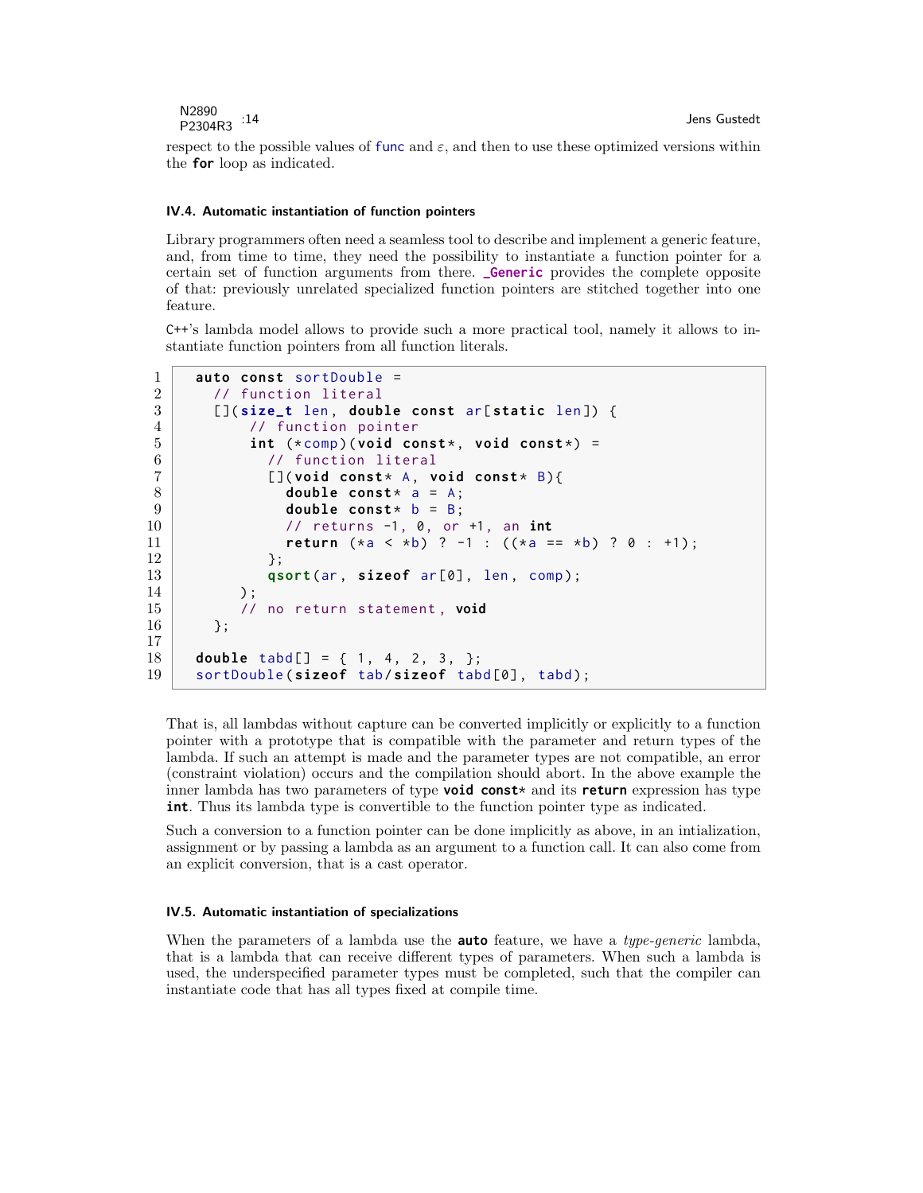```
N2890
P2304R3 :14 Dens Gustedt P2304R3 is the set of the set of the set of the set of the set of the set of the set of the set of the set of the set of the set of the set of the set of the set of the set of the set of the s
```
respect to the possible values of func and  $\varepsilon$ , and then to use these optimized versions within the **for** loop as indicated.

#### <span id="page-13-0"></span>IV.4. Automatic instantiation of function pointers

Library programmers often need a seamless tool to describe and implement a generic feature, and, from time to time, they need the possibility to instantiate a function pointer for a certain set of function arguments from there. **\_Generic** provides the complete opposite of that: previously unrelated specialized function pointers are stitched together into one feature.

C++'s lambda model allows to provide such a more practical tool, namely it allows to instantiate function pointers from all function literals.

```
1 auto const sortDouble =
2 // function literal
3 []( size_t len , double const ar[ static len ]) {
4 // function pointer
5 int (* comp ) ( void const * , void const *) =
6 // function literal
7 []( void const * A, void const * B) {
8 double const * a = A;
9 double const \star b = B;
10 // returns -1, 0, or +1, an int
11 return (*a < *b) ? -1 : ((*a == *b) ? 0 : +1);12 };
13 qsort (ar , sizeof ar [0] , len , comp ) ;
14 );
15 // no return statement , void
16 };
17
18 double tabd \begin{bmatrix} 1 & 2 & 3 \\ 1 & 4 & 2 \end{bmatrix};
19 sortDouble ( sizeof tab / sizeof tabd [0] , tabd ) ;
```
That is, all lambdas without capture can be converted implicitly or explicitly to a function pointer with a prototype that is compatible with the parameter and return types of the lambda. If such an attempt is made and the parameter types are not compatible, an error (constraint violation) occurs and the compilation should abort. In the above example the inner lambda has two parameters of type **void const**\* and its **return** expression has type **int**. Thus its lambda type is convertible to the function pointer type as indicated.

Such a conversion to a function pointer can be done implicitly as above, in an intialization, assignment or by passing a lambda as an argument to a function call. It can also come from an explicit conversion, that is a cast operator.

#### <span id="page-13-1"></span>IV.5. Automatic instantiation of specializations

When the parameters of a lambda use the **auto** feature, we have a *type-generic* lambda, that is a lambda that can receive different types of parameters. When such a lambda is used, the underspecified parameter types must be completed, such that the compiler can instantiate code that has all types fixed at compile time.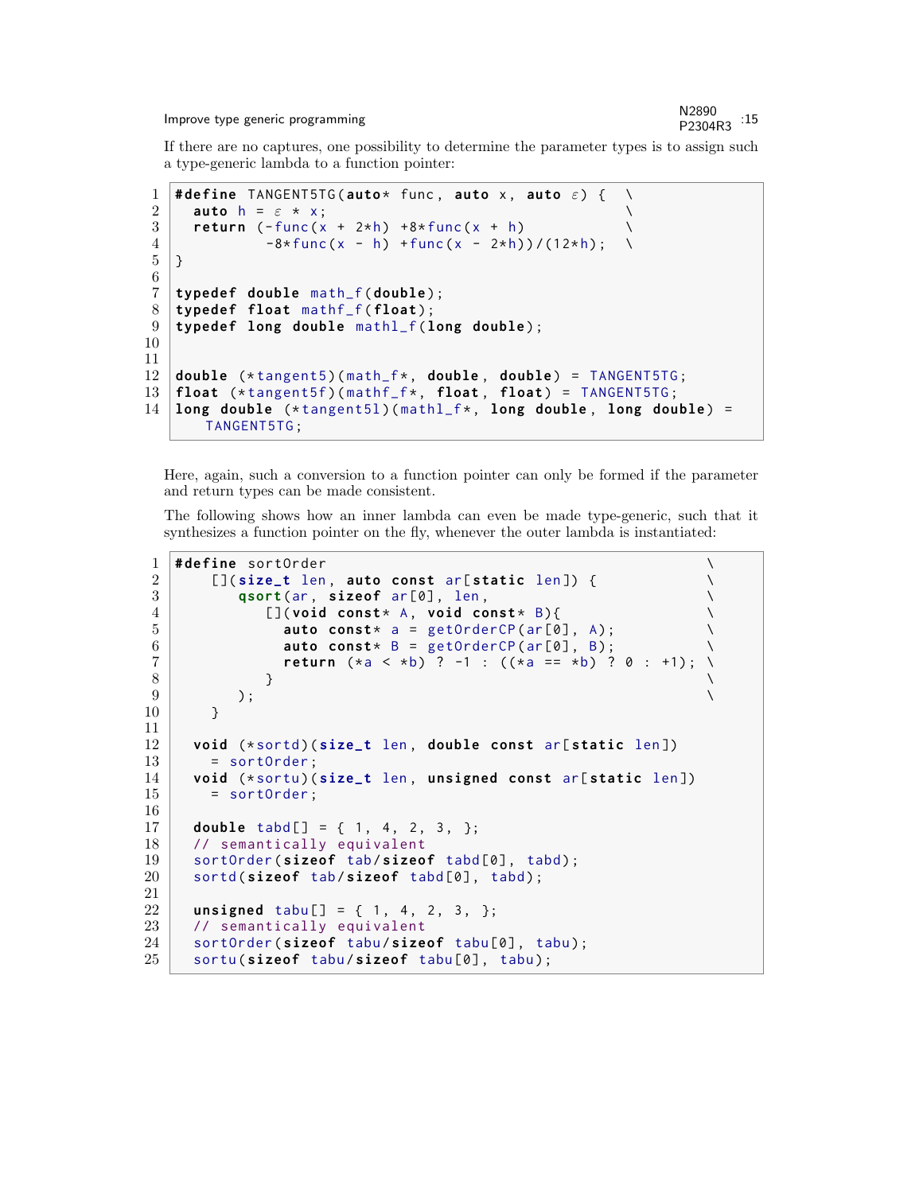$P2304R3$  :15

Improve type generic programming<br>  $\frac{1}{2}$  negative negative negative negative negative negative negative negative negative negative negative negative negative negative negative negative negative negative negative negativ

If there are no captures, one possibility to determine the parameter types is to assign such a type-generic lambda to a function pointer:

```
1 # define TANGENT5TG ( auto * func , auto x , auto ε) { \
2 auto h = \varepsilon \star x;
3 \mid return (-func(x + 2*h) +8* func(x + h)
4 \mid -8 \star \text{func} (x - h) + \text{func} (x - 2 \star h)) / (12 \star h) ;5 | }
6
7 typedef double math_f ( double ) ;
8 typedef float mathf_f ( float ) ;
9 typedef long double mathl_f ( long double ) ;
10
11
12 double (* tangent5 ) ( math_f * , double , double ) = TANGENT5TG ;
13 float (* tangent5f ) ( mathf_f * , float , float ) = TANGENT5TG ;
14 long double (* tangent5l ) ( mathl_f * , long double , long double ) =
       TANGENT5TG ;
```
Here, again, such a conversion to a function pointer can only be formed if the parameter and return types can be made consistent.

The following shows how an inner lambda can even be made type-generic, such that it synthesizes a function pointer on the fly, whenever the outer lambda is instantiated:

```
1 #define sortOrder<br>2 [1(size_t len
        [ ](size_t len, auto const ar[static len]) { \qquad \qquad \setminus3 qsort (ar , sizeof ar [0] , len , \
4 []( void const * A, void const * B) { \
\begin{array}{c|c|c|c|c|c} 5 & \text{auto const} \star a = \text{getOrderCP(}a\Gamma[\emptyset], \hspace{0.1cm} A); & \hspace{0.2cm} \backslash \\ 6 & \text{auto const} \star \hspace{0.1cm} B = \text{getOrderCP(}a\Gamma[\emptyset], \hspace{0.1cm} B); & \hspace{0.2cm} \backslash \end{array}auto const * B = getOrderCP(ar[0], B);
7 return (*a < *b) ? -1 : ((*a == *b) ? 0 : +1); \
 8 \hspace{2em} \lambda9 \hspace{2.5cm} );
10 }
11
12 void (*sortd) (size_t len, double const ar[static len])
13 = sortOrder;
14 void (* sortu ) ( size_t len , unsigned const ar[ static len ])
15 = sortOrder;
16
17 double tabd [] = { 1, 4, 2, 3, };
18 // semantically equivalent
19 | sortOrder (sizeof tab/sizeof tabd [0], tabd);
20 sortd (sizeof tab/sizeof tabd [0], tabd);
21
22 unsigned tabu [] = { 1, 4, 2, 3, };
23 // semantically equivalent
24 sortOrder ( sizeof tabu / sizeof tabu [0] , tabu ) ;
25 sortu(sizeof tabu/sizeof tabu[0], tabu);
```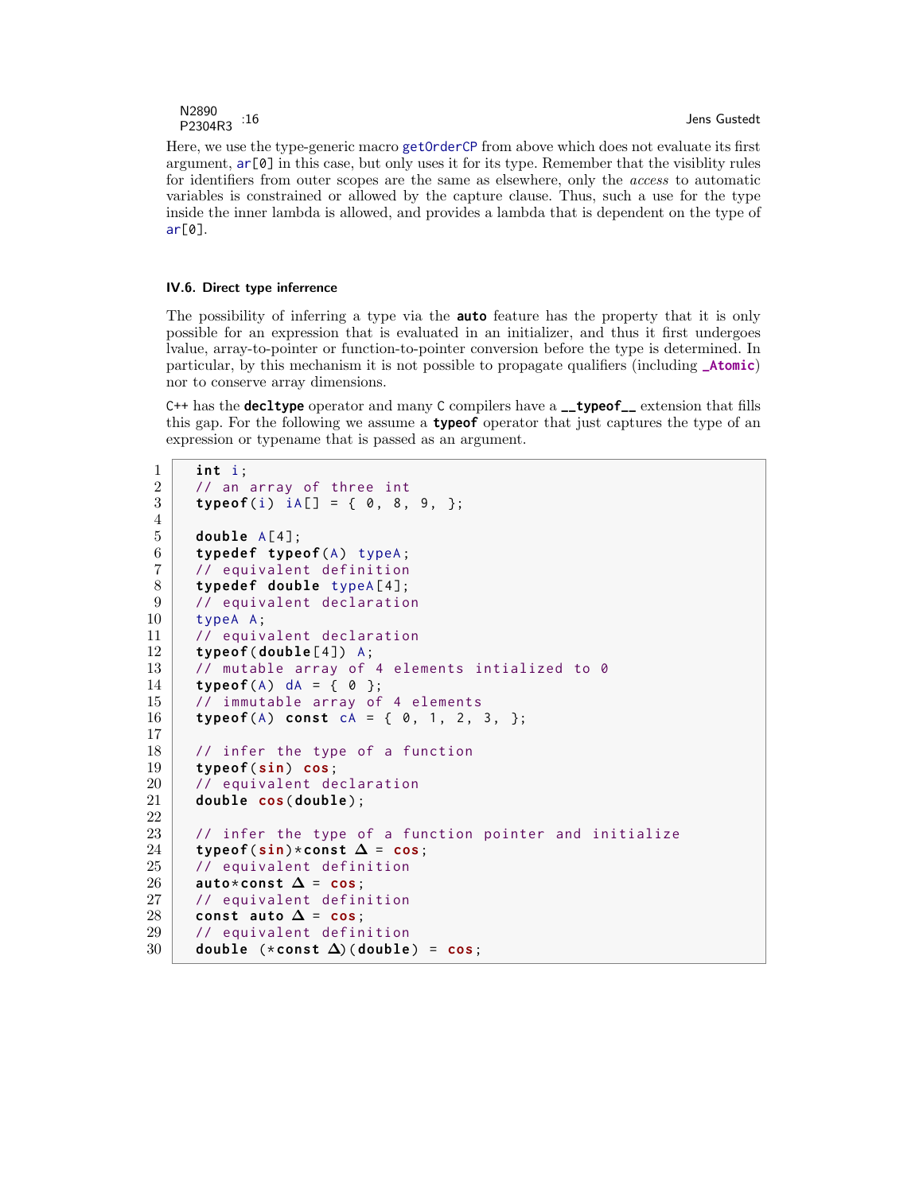Here, we use the type-generic macro getOrderCP from above which does not evaluate its first argument, ar[0] in this case, but only uses it for its type. Remember that the visiblity rules for identifiers from outer scopes are the same as elsewhere, only the access to automatic variables is constrained or allowed by the capture clause. Thus, such a use for the type inside the inner lambda is allowed, and provides a lambda that is dependent on the type of ar[0].

#### <span id="page-15-0"></span>IV.6. Direct type inferrence

The possibility of inferring a type via the **auto** feature has the property that it is only possible for an expression that is evaluated in an initializer, and thus it first undergoes lvalue, array-to-pointer or function-to-pointer conversion before the type is determined. In particular, by this mechanism it is not possible to propagate qualifiers (including **\_Atomic**) nor to conserve array dimensions.

C++ has the **decltype** operator and many C compilers have a **\_\_typeof\_\_** extension that fills this gap. For the following we assume a **typeof** operator that just captures the type of an expression or typename that is passed as an argument.

```
1 int i;
 2 // an array of three int
 3 typeof (i) iA[] = { 0, 8, 9, };
 4
 5 double A [4];
 6 typedef typeof (A) typeA ;
 7 // equivalent definition
8 typedef double typeA [4];
9 // equivalent declaration
10 typeA A;
11 // equivalent declaration
12 typeof ( double [4]) A;
13 // mutable array of 4 elements intialized to 0
14 typeof (A) dA = \{ 0 \};
15 // immutable array of 4 elements
16 typeof (A) const cA = { 0, 1, 2, 3, };
17
18 // infer the type of a function
19 typeof (sin) cos;
20 // equivalent declaration
21 double cos ( double ) ;
\frac{22}{23}// infer the type of a function pointer and initialize
24 typeof (sin) * const \Delta = cos;<br>25 // equivalent definition
      // equivalent definition
26 auto \times const \Delta = cos;
27 // equivalent definition
28 \vert const auto \Delta = cos;
29 // equivalent definition
30 double (*const \Delta) (double) = cos;
```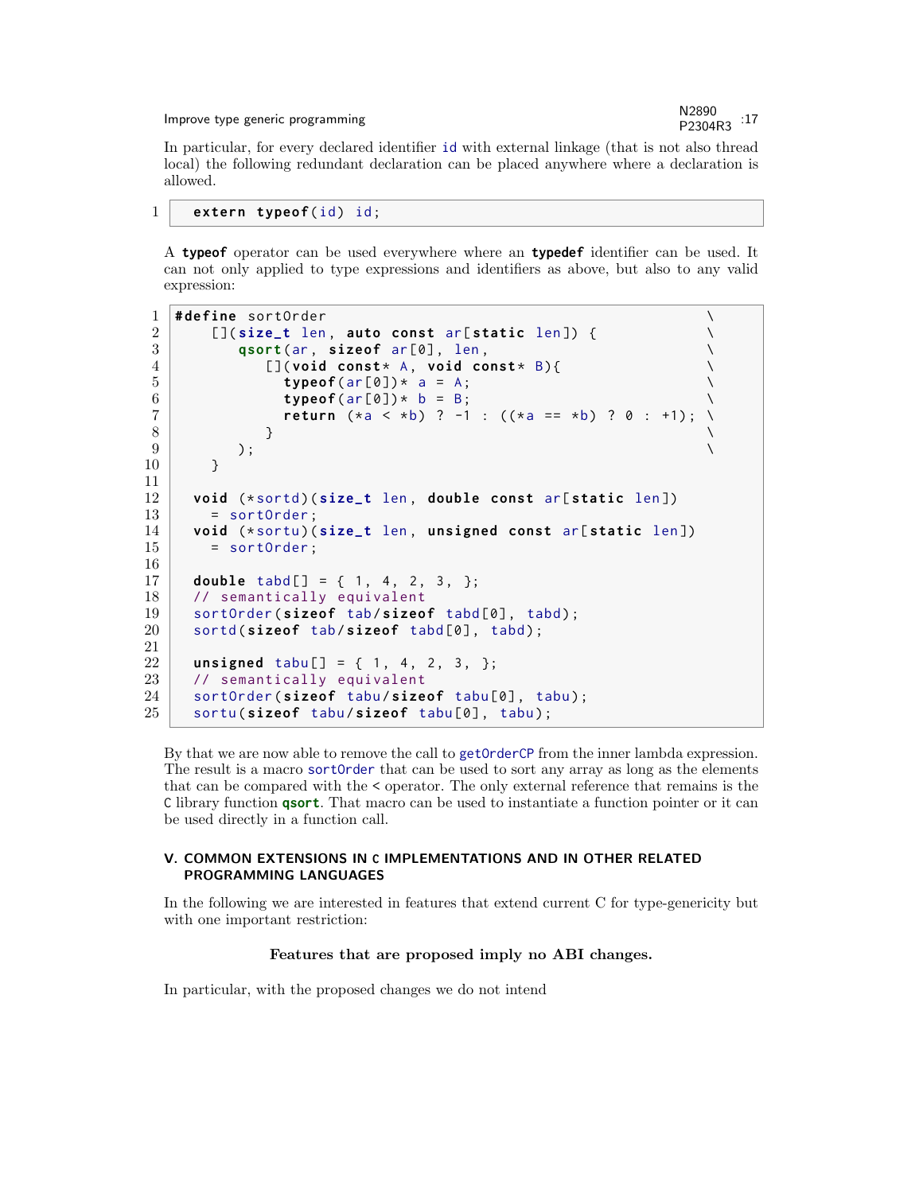Improve type generic programming<br>  $\frac{1}{2}$  negative negative negative negative negative negative negative negative negative negative negative negative negative negative negative negative negative negative negative negativ

In particular, for every declared identifier id with external linkage (that is not also thread local) the following redundant declaration can be placed anywhere where a declaration is allowed.

1 **extern typeof** (id) id;

A **typeof** operator can be used everywhere where an **typedef** identifier can be used. It can not only applied to type expressions and identifiers as above, but also to any valid expression:

```
1 #define sortOrder<br>2 [](size_t len
        [ ](size_t len, auto const ar[static len]) { \qquad \qquad \setminus\begin{array}{ccc} 3 & \text{~~} \end{array} qsort(ar, sizeof ar[0], len, \qquad \qquad \backslash4 []( void const * A, void const * B) { \
5 typeof (ar [0]) * a = A;
\begin{array}{c|c|c|c|c} 6 & \text{typeof(ar[0])\star b = B;} \ \hline 7 & \text{return } (*a < *b) & ? & -1 \end{array}return (*a < *b) ? -1 : ((*a == *b) ? 0 : +1)
 8 \hspace{2em} \lambda9 \hspace{2.5cm} );
10 }
11
12 void (*sortd) (size_t len, double const ar[static len])
13 = sortOrder;
14 void (*sortu) (size_t len, unsigned const ar[static len])
15 = sortOrder;
16
17 double tabd [] = { 1, 4, 2, 3, };
18 // semantically equivalent
19 sortOrder(sizeof tab/sizeof tabd[0], tabd);<br>20 sortd(sizeof tab/sizeof tabd[0], tabd);
     sortd (sizeof tab/sizeof tabd [0], tabd);
21
22 unsigned tabu [] = { 1, 4, 2, 3, };
23 // semantically equivalent
24 sortOrder (sizeof tabu/sizeof tabu [0], tabu);
25 | sortu (sizeof tabu/sizeof tabu [0], tabu);
```
By that we are now able to remove the call to getOrderCP from the inner lambda expression. The result is a macro sortOrder that can be used to sort any array as long as the elements that can be compared with the < operator. The only external reference that remains is the C library function **qsort**. That macro can be used to instantiate a function pointer or it can be used directly in a function call.

### <span id="page-16-0"></span>V. COMMON EXTENSIONS IN **C** IMPLEMENTATIONS AND IN OTHER RELATED PROGRAMMING LANGUAGES

In the following we are interested in features that extend current C for type-genericity but with one important restriction:

### Features that are proposed imply no ABI changes.

In particular, with the proposed changes we do not intend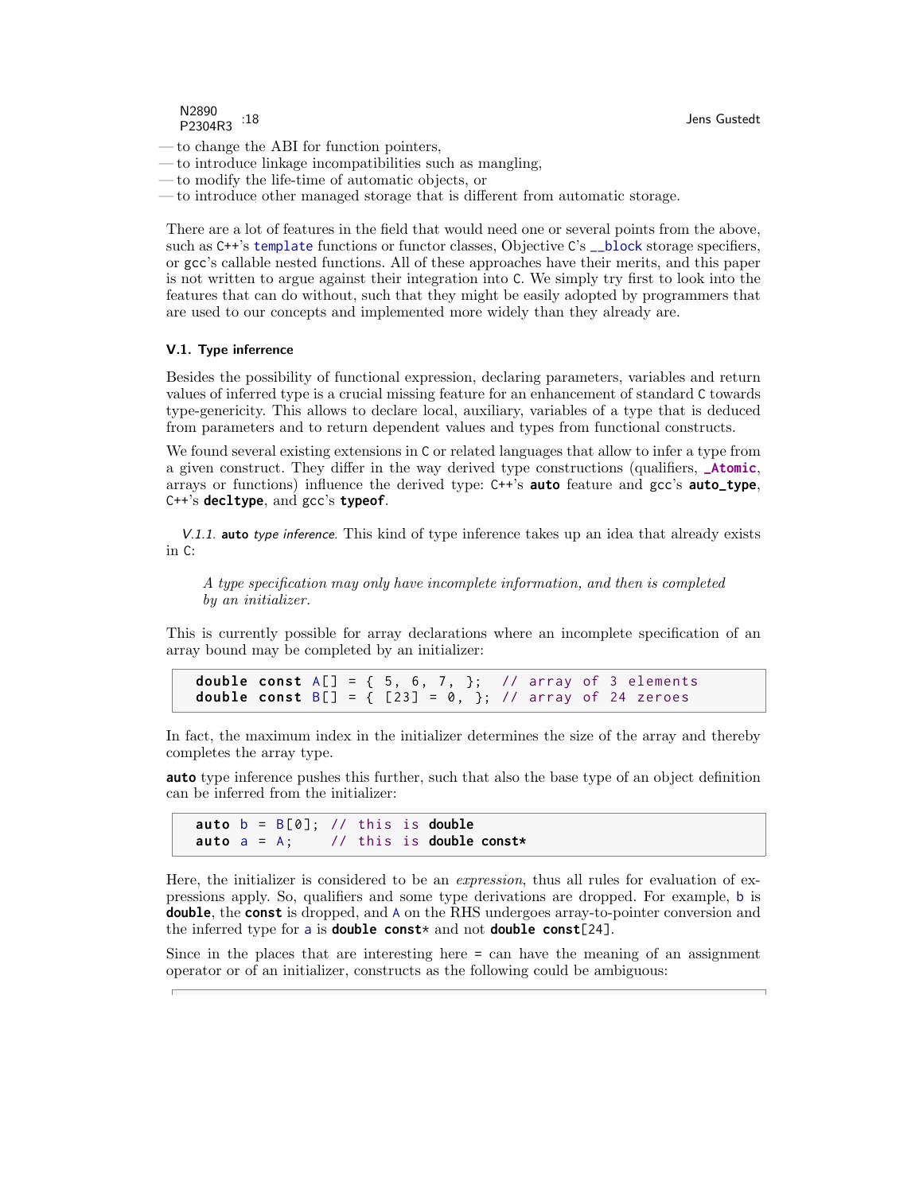N2890  $P2304R3$  :18  $P3304R3$ 

- to change the ABI for function pointers,
- to introduce linkage incompatibilities such as mangling,
- to modify the life-time of automatic objects, or
- to introduce other managed storage that is different from automatic storage.

There are a lot of features in the field that would need one or several points from the above, such as  $C^{++}$ 's template functions or functor classes, Objective C's \_block storage specifiers, or gcc's callable nested functions. All of these approaches have their merits, and this paper is not written to argue against their integration into C. We simply try first to look into the features that can do without, such that they might be easily adopted by programmers that are used to our concepts and implemented more widely than they already are.

#### <span id="page-17-0"></span>V.1. Type inferrence

Besides the possibility of functional expression, declaring parameters, variables and return values of inferred type is a crucial missing feature for an enhancement of standard C towards type-genericity. This allows to declare local, auxiliary, variables of a type that is deduced from parameters and to return dependent values and types from functional constructs.

We found several existing extensions in  $C$  or related languages that allow to infer a type from a given construct. They differ in the way derived type constructions (qualifiers, **\_Atomic**, arrays or functions) influence the derived type: C++'s **auto** feature and gcc's **auto\_type**, C++'s **decltype**, and gcc's **typeof**.

<span id="page-17-1"></span>V.1.1. **auto** type inference. This kind of type inference takes up an idea that already exists in C:

A type specification may only have incomplete information, and then is completed by an initializer.

This is currently possible for array declarations where an incomplete specification of an array bound may be completed by an initializer:

**double const** A[] = { 5 , 6 , 7 , }; // array of 3 elements **double const**  $B[] = \{ [23] = 0, \}$ ; // array of 24 zeroes

In fact, the maximum index in the initializer determines the size of the array and thereby completes the array type.

**auto** type inference pushes this further, such that also the base type of an object definition can be inferred from the initializer:

**auto**  $b = B[0]$ ; // this is **double auto** a = A; // this is **double const\***

Here, the initializer is considered to be an *expression*, thus all rules for evaluation of expressions apply. So, qualifiers and some type derivations are dropped. For example, b is **double**, the **const** is dropped, and A on the RHS undergoes array-to-pointer conversion and the inferred type for a is **double const**\* and not **double const**[24].

Since in the places that are interesting here = can have the meaning of an assignment operator or of an initializer, constructs as the following could be ambiguous: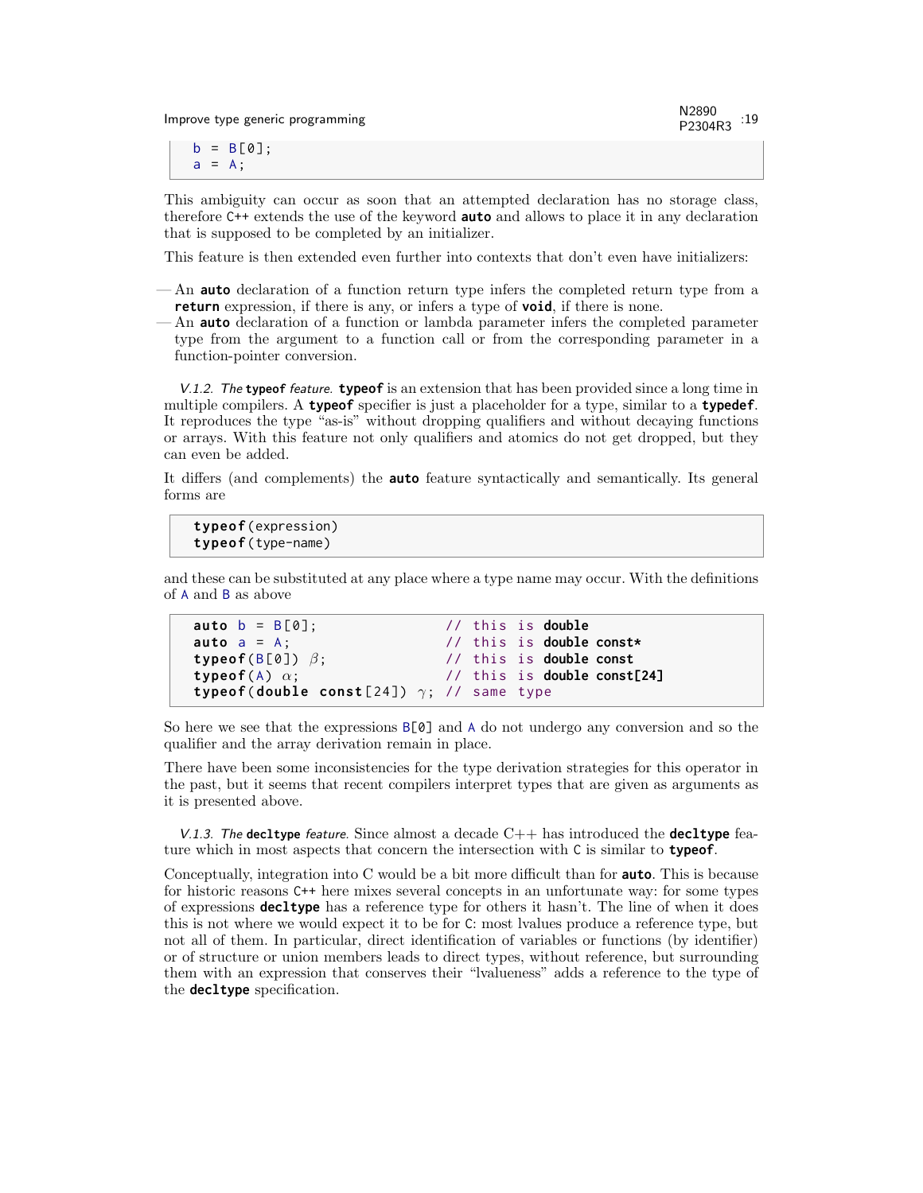Improve type generic programming  $\Box$ 

 $b = B[0]$ ;  $a = A;$ 

This ambiguity can occur as soon that an attempted declaration has no storage class, therefore C++ extends the use of the keyword **auto** and allows to place it in any declaration that is supposed to be completed by an initializer.

This feature is then extended even further into contexts that don't even have initializers:

- An **auto** declaration of a function return type infers the completed return type from a **return** expression, if there is any, or infers a type of **void**, if there is none.
- An **auto** declaration of a function or lambda parameter infers the completed parameter type from the argument to a function call or from the corresponding parameter in a function-pointer conversion.

<span id="page-18-0"></span>V.1.2. The **typeof** feature. **typeof** is an extension that has been provided since a long time in multiple compilers. A **typeof** specifier is just a placeholder for a type, similar to a **typedef**. It reproduces the type "as-is" without dropping qualifiers and without decaying functions or arrays. With this feature not only qualifiers and atomics do not get dropped, but they can even be added.

It differs (and complements) the **auto** feature syntactically and semantically. Its general forms are

```
typeof (expression)
typeof (type-name)
```
and these can be substituted at any place where a type name may occur. With the definitions of A and B as above

```
auto b = B [0]; // this is double
auto a = A; // this is double const*
typeof (B [0]) β; // this is double const
typeof (A) α; // this is double const[24]
typeof ( double const [24]) γ; // same type
```
So here we see that the expressions  $B[0]$  and A do not undergo any conversion and so the qualifier and the array derivation remain in place.

There have been some inconsistencies for the type derivation strategies for this operator in the past, but it seems that recent compilers interpret types that are given as arguments as it is presented above.

<span id="page-18-1"></span>V.1.3. The **decltype** feature. Since almost a decade C++ has introduced the **decltype** feature which in most aspects that concern the intersection with C is similar to **typeof**.

Conceptually, integration into C would be a bit more difficult than for **auto**. This is because for historic reasons C++ here mixes several concepts in an unfortunate way: for some types of expressions **decltype** has a reference type for others it hasn't. The line of when it does this is not where we would expect it to be for C: most lvalues produce a reference type, but not all of them. In particular, direct identification of variables or functions (by identifier) or of structure or union members leads to direct types, without reference, but surrounding them with an expression that conserves their "lvalueness" adds a reference to the type of the **decltype** specification.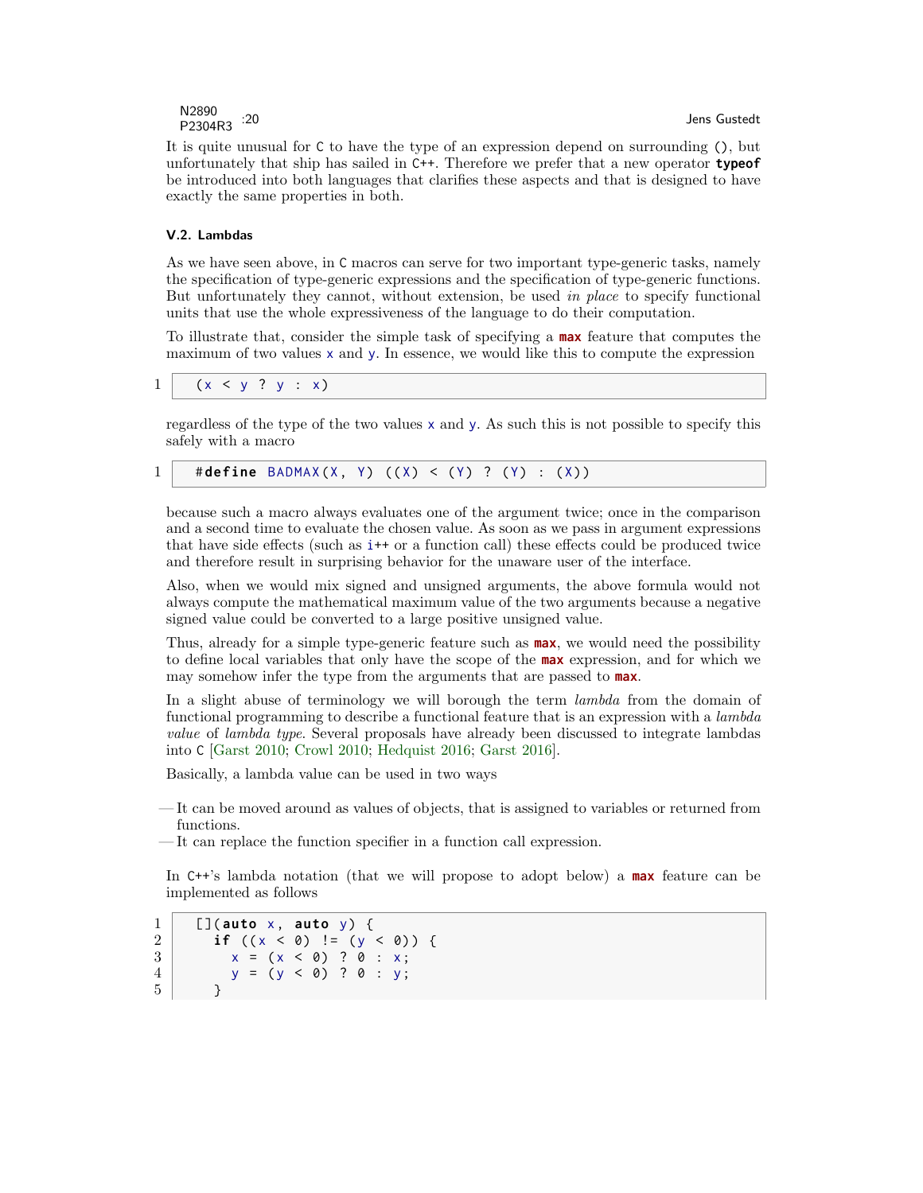N2890 P2304R3 :20 Jens Gustedt

It is quite unusual for C to have the type of an expression depend on surrounding (), but unfortunately that ship has sailed in C++. Therefore we prefer that a new operator **typeof** be introduced into both languages that clarifies these aspects and that is designed to have exactly the same properties in both.

#### <span id="page-19-0"></span>V.2. Lambdas

As we have seen above, in C macros can serve for two important type-generic tasks, namely the specification of type-generic expressions and the specification of type-generic functions. But unfortunately they cannot, without extension, be used in place to specify functional units that use the whole expressiveness of the language to do their computation.

To illustrate that, consider the simple task of specifying a **max** feature that computes the maximum of two values x and y. In essence, we would like this to compute the expression

 $1 | (x < y ? y : x)$ 

regardless of the type of the two values x and y. As such this is not possible to specify this safely with a macro

1 # **define** BADMAX (X, Y) ((X) < (Y) ? (Y) : (X) )

because such a macro always evaluates one of the argument twice; once in the comparison and a second time to evaluate the chosen value. As soon as we pass in argument expressions that have side effects (such as i++ or a function call) these effects could be produced twice and therefore result in surprising behavior for the unaware user of the interface.

Also, when we would mix signed and unsigned arguments, the above formula would not always compute the mathematical maximum value of the two arguments because a negative signed value could be converted to a large positive unsigned value.

Thus, already for a simple type-generic feature such as **max**, we would need the possibility to define local variables that only have the scope of the **max** expression, and for which we may somehow infer the type from the arguments that are passed to **max**.

In a slight abuse of terminology we will borough the term lambda from the domain of functional programming to describe a functional feature that is an expression with a *lambda* value of lambda type. Several proposals have already been discussed to integrate lambdas into C [\[Garst 2010;](#page-26-3) [Crowl 2010;](#page-26-4) [Hedquist 2016;](#page-26-5) [Garst 2016\]](#page-26-6).

Basically, a lambda value can be used in two ways

- It can be moved around as values of objects, that is assigned to variables or returned from functions.
- It can replace the function specifier in a function call expression.

In C++'s lambda notation (that we will propose to adopt below) a **max** feature can be implemented as follows

```
1 []( auto x, auto y) {
2 if ((x < 0) := (y < 0)) {
3 \mid x = (x < 0) ? 0 : x;4 \mid y = (y < 0) ? 0 : y;5 }
```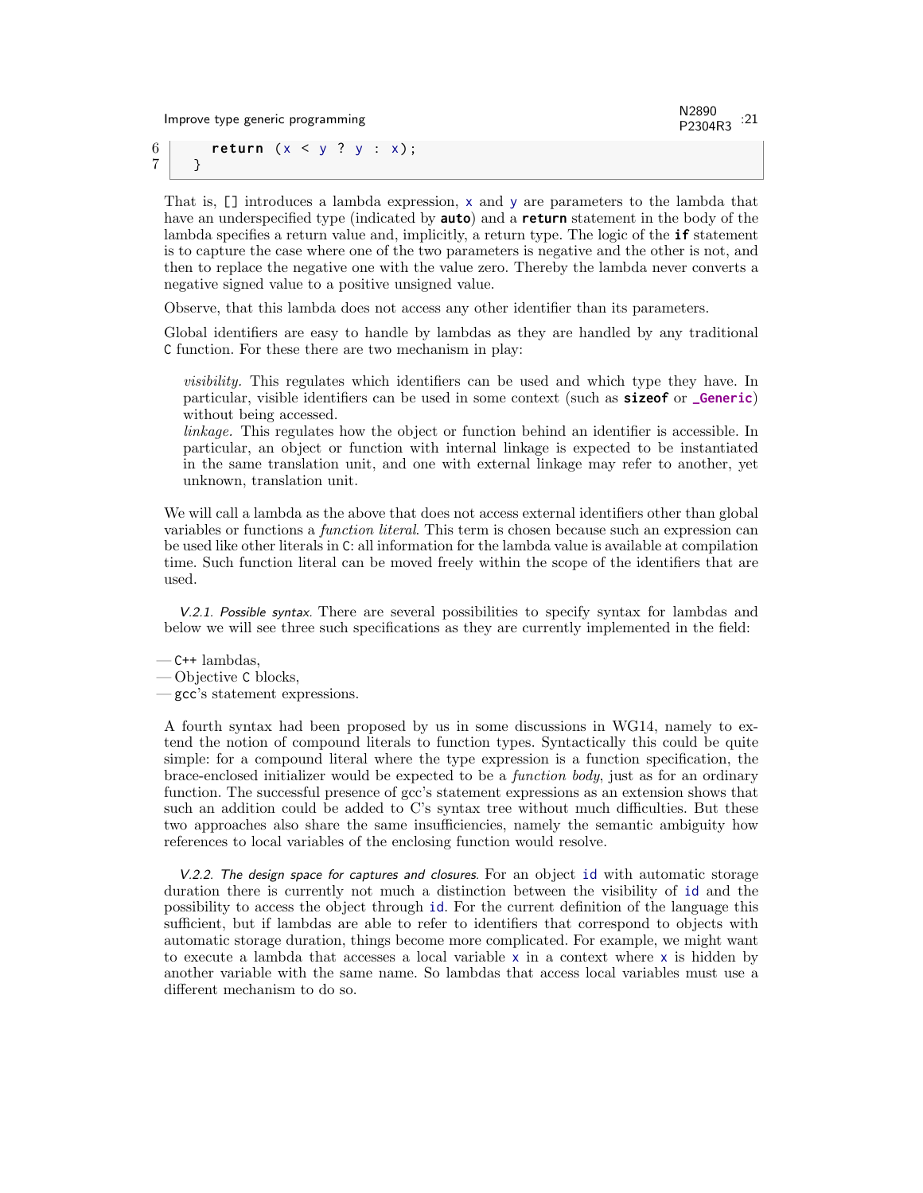Improve type generic programming<br>  $\frac{1}{2}$  negative negative negative negative negative negative negative negative negative negative negative negative negative negative negative negative negative negative negative negativ

6 **return** (x < y ? y : x) ; 7 }

That is, [] introduces a lambda expression, x and y are parameters to the lambda that have an underspecified type (indicated by **auto**) and a **return** statement in the body of the lambda specifies a return value and, implicitly, a return type. The logic of the **if** statement is to capture the case where one of the two parameters is negative and the other is not, and then to replace the negative one with the value zero. Thereby the lambda never converts a negative signed value to a positive unsigned value.

Observe, that this lambda does not access any other identifier than its parameters.

Global identifiers are easy to handle by lambdas as they are handled by any traditional C function. For these there are two mechanism in play:

visibility. This regulates which identifiers can be used and which type they have. In particular, visible identifiers can be used in some context (such as **sizeof** or **\_Generic**) without being accessed.

linkage. This regulates how the object or function behind an identifier is accessible. In particular, an object or function with internal linkage is expected to be instantiated in the same translation unit, and one with external linkage may refer to another, yet unknown, translation unit.

We will call a lambda as the above that does not access external identifiers other than global variables or functions a function literal. This term is chosen because such an expression can be used like other literals in C: all information for the lambda value is available at compilation time. Such function literal can be moved freely within the scope of the identifiers that are used.

<span id="page-20-0"></span>V.2.1. Possible syntax. There are several possibilities to specify syntax for lambdas and below we will see three such specifications as they are currently implemented in the field:

- $-$  C++ lambdas,
- Objective C blocks,

— gcc's statement expressions.

A fourth syntax had been proposed by us in some discussions in WG14, namely to extend the notion of compound literals to function types. Syntactically this could be quite simple: for a compound literal where the type expression is a function specification, the brace-enclosed initializer would be expected to be a function body, just as for an ordinary function. The successful presence of gcc's statement expressions as an extension shows that such an addition could be added to C's syntax tree without much difficulties. But these two approaches also share the same insufficiencies, namely the semantic ambiguity how references to local variables of the enclosing function would resolve.

<span id="page-20-1"></span>V.2.2. The design space for captures and closures. For an object id with automatic storage duration there is currently not much a distinction between the visibility of id and the possibility to access the object through id. For the current definition of the language this sufficient, but if lambdas are able to refer to identifiers that correspond to objects with automatic storage duration, things become more complicated. For example, we might want to execute a lambda that accesses a local variable x in a context where x is hidden by another variable with the same name. So lambdas that access local variables must use a different mechanism to do so.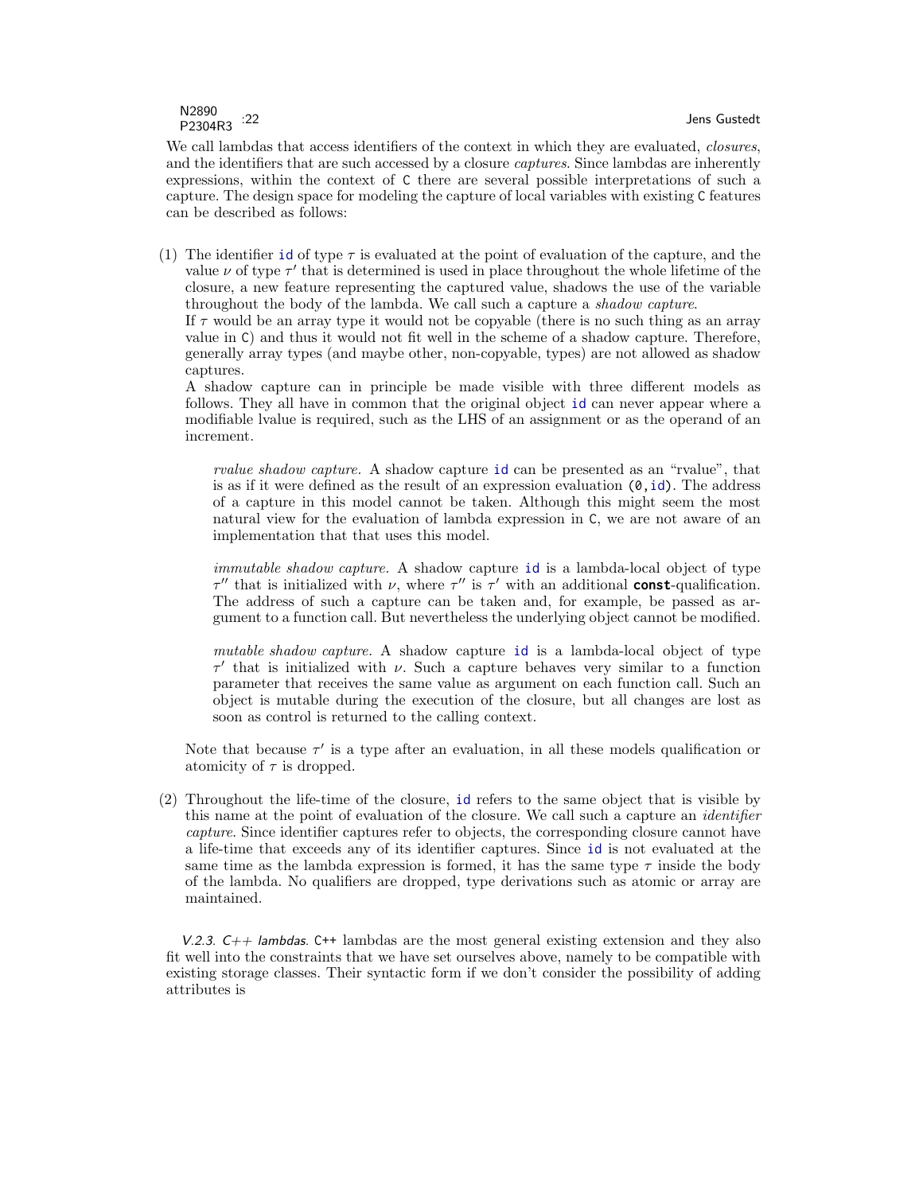We call lambdas that access identifiers of the context in which they are evaluated, *closures*, and the identifiers that are such accessed by a closure *captures*. Since lambdas are inherently expressions, within the context of C there are several possible interpretations of such a capture. The design space for modeling the capture of local variables with existing C features can be described as follows:

(1) The identifier id of type  $\tau$  is evaluated at the point of evaluation of the capture, and the value  $\nu$  of type  $\tau'$  that is determined is used in place throughout the whole lifetime of the closure, a new feature representing the captured value, shadows the use of the variable throughout the body of the lambda. We call such a capture a shadow capture.

If  $\tau$  would be an array type it would not be copyable (there is no such thing as an array value in C) and thus it would not fit well in the scheme of a shadow capture. Therefore, generally array types (and maybe other, non-copyable, types) are not allowed as shadow captures.

A shadow capture can in principle be made visible with three different models as follows. They all have in common that the original object id can never appear where a modifiable lvalue is required, such as the LHS of an assignment or as the operand of an increment.

rvalue shadow capture. A shadow capture id can be presented as an "rvalue", that is as if it were defined as the result of an expression evaluation  $(0, id)$ . The address of a capture in this model cannot be taken. Although this might seem the most natural view for the evaluation of lambda expression in C, we are not aware of an implementation that that uses this model.

immutable shadow capture. A shadow capture id is a lambda-local object of type  $\tau''$  that is initialized with  $\nu$ , where  $\tau''$  is  $\tau'$  with an additional **const**-qualification. The address of such a capture can be taken and, for example, be passed as argument to a function call. But nevertheless the underlying object cannot be modified.

mutable shadow capture. A shadow capture id is a lambda-local object of type  $\tau'$  that is initialized with  $\nu$ . Such a capture behaves very similar to a function parameter that receives the same value as argument on each function call. Such an object is mutable during the execution of the closure, but all changes are lost as soon as control is returned to the calling context.

Note that because  $\tau'$  is a type after an evaluation, in all these models qualification or atomicity of  $\tau$  is dropped.

(2) Throughout the life-time of the closure, id refers to the same object that is visible by this name at the point of evaluation of the closure. We call such a capture an identifier capture. Since identifier captures refer to objects, the corresponding closure cannot have a life-time that exceeds any of its identifier captures. Since id is not evaluated at the same time as the lambda expression is formed, it has the same type  $\tau$  inside the body of the lambda. No qualifiers are dropped, type derivations such as atomic or array are maintained.

<span id="page-21-0"></span>V.2.3.  $C++$  lambdas.  $C++$  lambdas are the most general existing extension and they also fit well into the constraints that we have set ourselves above, namely to be compatible with existing storage classes. Their syntactic form if we don't consider the possibility of adding attributes is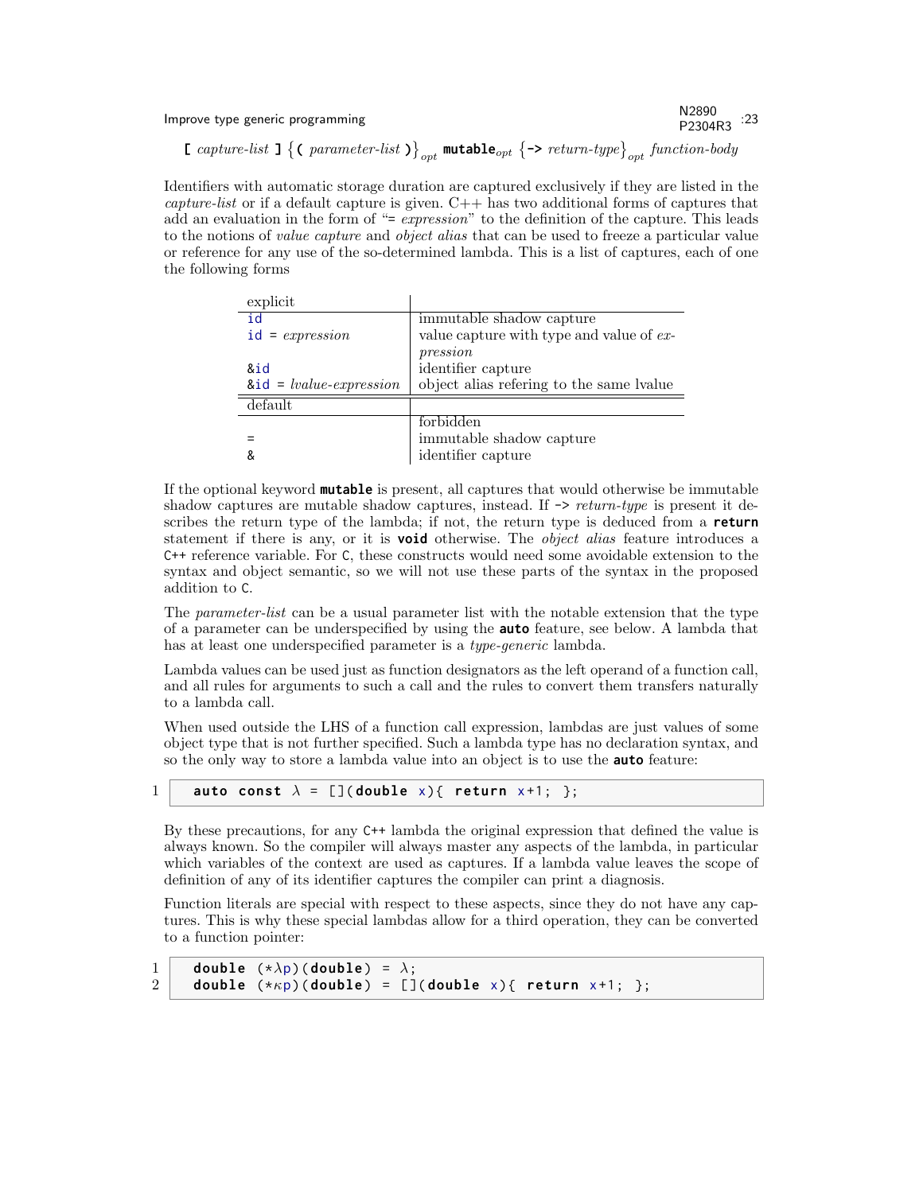Improve type generic programming  $\Gamma$ 

$$
\begin{array}{rl} N2890 \\ P2304R3 \end{array} \text{ : } 23
$$

[ capture-list  $\textbf{I}$   $\left\{$  **(** parameter-list  $\textbf{I}$   $\right\}_{opt}$  **mutable**<sub>opt</sub>  $\left\{$   $\textbf{-}$  return-type $\right\}_{opt}$  function-body

Identifiers with automatic storage duration are captured exclusively if they are listed in the capture-list or if a default capture is given.  $C++$  has two additional forms of captures that add an evaluation in the form of "= *expression*" to the definition of the capture. This leads to the notions of *value capture* and *object alias* that can be used to freeze a particular value or reference for any use of the so-determined lambda. This is a list of captures, each of one the following forms

| explicit                            |                                             |
|-------------------------------------|---------------------------------------------|
| id                                  | immutable shadow capture                    |
| $id = expression$                   | value capture with type and value of $ex$ - |
|                                     | pression                                    |
| &id                                 | identifier capture                          |
| $\&id = \mathit{lvalue-expression}$ | object alias refering to the same lyalue    |
| default                             |                                             |
|                                     | forbidden                                   |
|                                     | immutable shadow capture                    |
| &                                   | identifier capture                          |

If the optional keyword **mutable** is present, all captures that would otherwise be immutable shadow captures are mutable shadow captures, instead. If  $\rightarrow$  return-type is present it describes the return type of the lambda; if not, the return type is deduced from a **return** statement if there is any, or it is **void** otherwise. The object alias feature introduces a C++ reference variable. For C, these constructs would need some avoidable extension to the syntax and object semantic, so we will not use these parts of the syntax in the proposed addition to C.

The *parameter-list* can be a usual parameter list with the notable extension that the type of a parameter can be underspecified by using the **auto** feature, see below. A lambda that has at least one underspecified parameter is a type-generic lambda.

Lambda values can be used just as function designators as the left operand of a function call, and all rules for arguments to such a call and the rules to convert them transfers naturally to a lambda call.

When used outside the LHS of a function call expression, lambdas are just values of some object type that is not further specified. Such a lambda type has no declaration syntax, and so the only way to store a lambda value into an object is to use the **auto** feature:

```
1 auto const \lambda = []( double x) { return x+1; };
```
By these precautions, for any C++ lambda the original expression that defined the value is always known. So the compiler will always master any aspects of the lambda, in particular which variables of the context are used as captures. If a lambda value leaves the scope of definition of any of its identifier captures the compiler can print a diagnosis.

Function literals are special with respect to these aspects, since they do not have any captures. This is why these special lambdas allow for a third operation, they can be converted to a function pointer:

```
1 double (\star \lambda p) (double) = \lambda;
2 double (*\kappa p) (double) = [](double x){ return x+1; };
```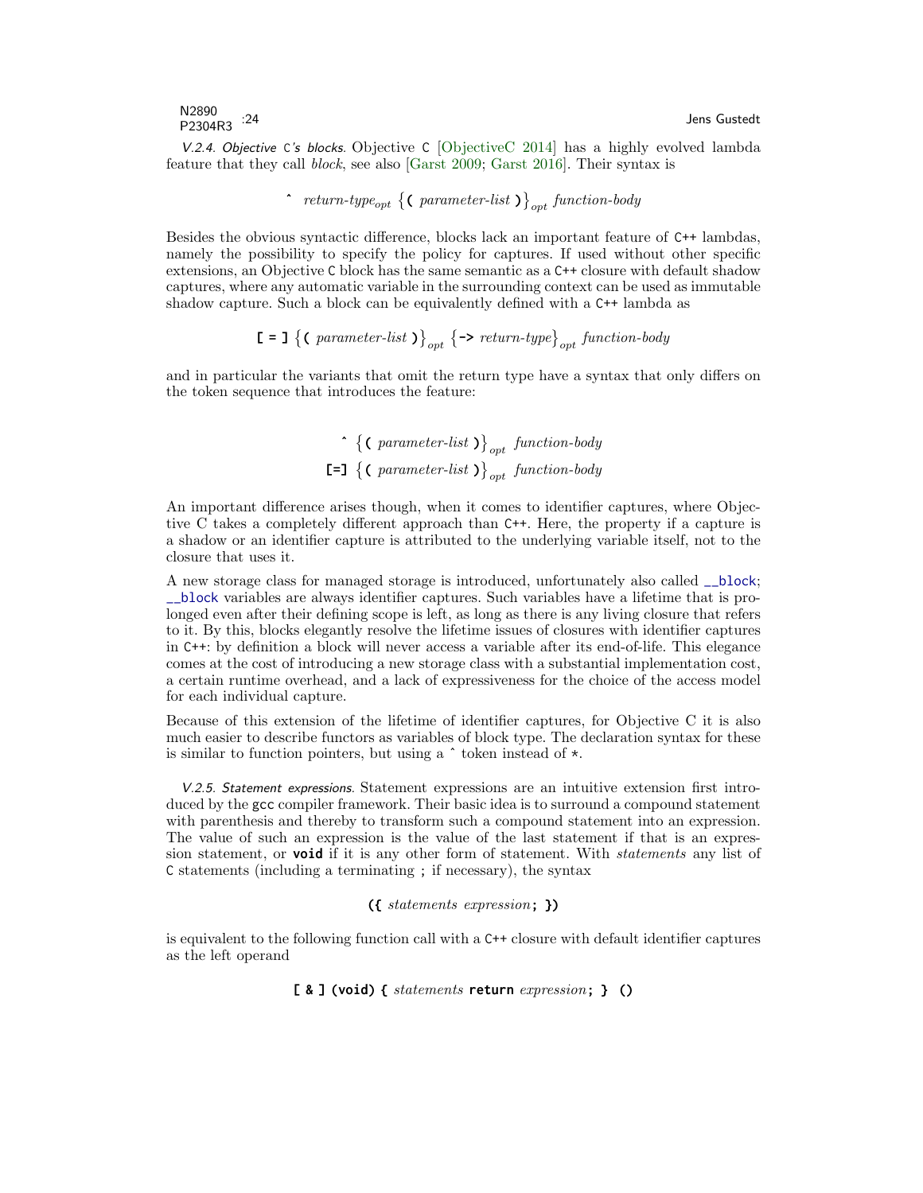N2890 N2090 :24<br>P2304R3 :24 Jens Gustedt

<span id="page-23-0"></span>V.2.4. Objective C's blocks. Objective C [\[ObjectiveC 2014\]](#page-26-9) has a highly evolved lambda feature that they call block, see also [\[Garst 2009;](#page-26-10) [Garst 2016\]](#page-26-6). Their syntax is

 $\hat{i}$  return-type<sub>opt</sub>  $\{C$  parameter-list  $D$ <sub>opt</sub> function-body

Besides the obvious syntactic difference, blocks lack an important feature of C++ lambdas, namely the possibility to specify the policy for captures. If used without other specific extensions, an Objective C block has the same semantic as a C++ closure with default shadow captures, where any automatic variable in the surrounding context can be used as immutable shadow capture. Such a block can be equivalently defined with a C++ lambda as

 $\mathbf{I} = \mathbf{I}$   $\{ \text{(} \text{ parameter-list } \text{)} \}$ <sub>opt</sub>  $\{ \text{-} \text{return-type} \}$ <sub>opt</sub> function-body

and in particular the variants that omit the return type have a syntax that only differs on the token sequence that introduces the feature:

> $\left\{ \in \mathbb{R}^n \setminus \mathbb{R}^n \right\}$  function-body **[=]**  $\{$  ( parameter-list  $\}$   $\}$ <sub>opt</sub> function-body

An important difference arises though, when it comes to identifier captures, where Objective C takes a completely different approach than C++. Here, the property if a capture is a shadow or an identifier capture is attributed to the underlying variable itself, not to the closure that uses it.

A new storage class for managed storage is introduced, unfortunately also called \_\_block; \_\_block variables are always identifier captures. Such variables have a lifetime that is prolonged even after their defining scope is left, as long as there is any living closure that refers to it. By this, blocks elegantly resolve the lifetime issues of closures with identifier captures in C++: by definition a block will never access a variable after its end-of-life. This elegance comes at the cost of introducing a new storage class with a substantial implementation cost, a certain runtime overhead, and a lack of expressiveness for the choice of the access model for each individual capture.

Because of this extension of the lifetime of identifier captures, for Objective C it is also much easier to describe functors as variables of block type. The declaration syntax for these is similar to function pointers, but using a ˆ token instead of \*.

<span id="page-23-1"></span>V.2.5. Statement expressions. Statement expressions are an intuitive extension first introduced by the gcc compiler framework. Their basic idea is to surround a compound statement with parenthesis and thereby to transform such a compound statement into an expression. The value of such an expression is the value of the last statement if that is an expression statement, or **void** if it is any other form of statement. With statements any list of C statements (including a terminating ; if necessary), the syntax

#### **({** statements expression**; })**

is equivalent to the following function call with a C++ closure with default identifier captures as the left operand

**[ & ] (void) {** statements **return** expression**; } ()**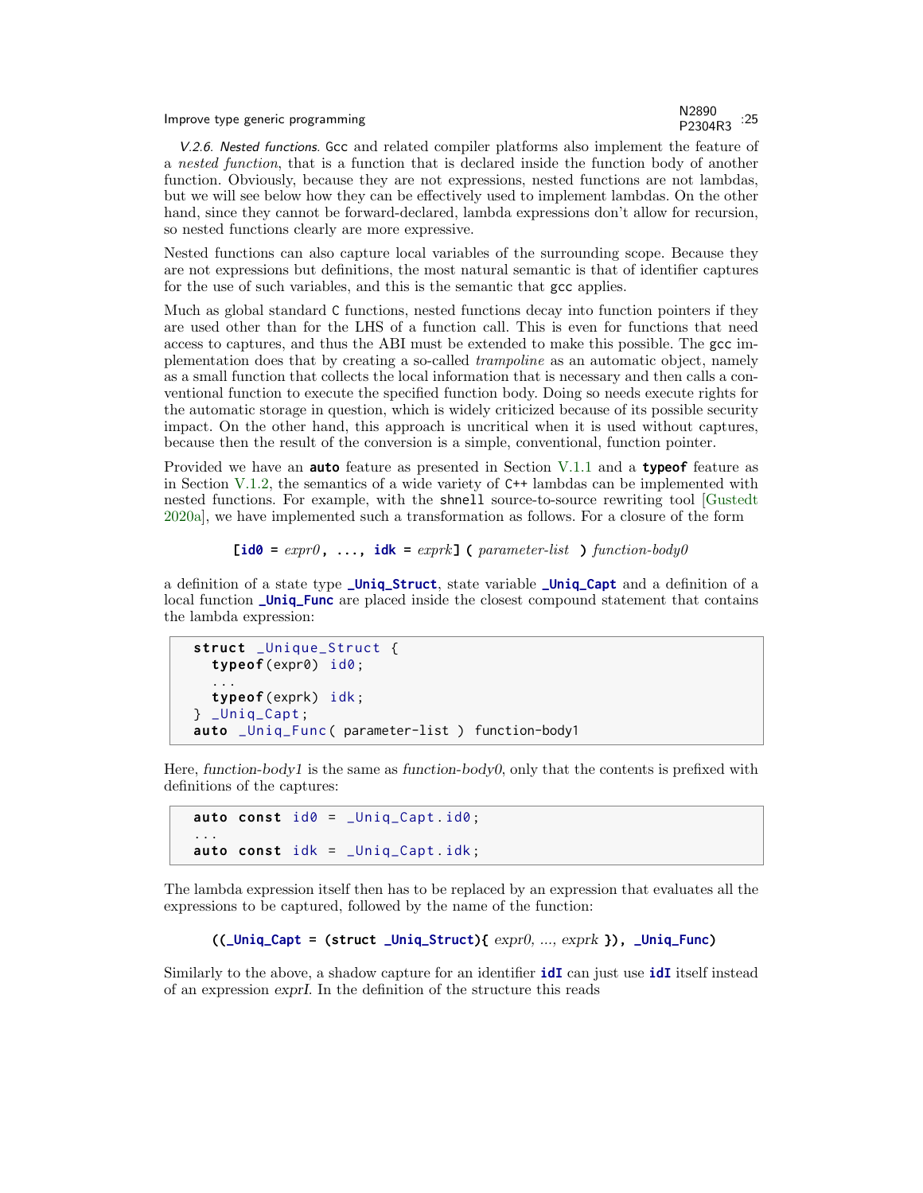Improve type generic programming<br>  $\frac{1}{2}$  negative negative negative negative negative negative negative negative negative negative negative negative negative negative negative negative negative negative negative negativ

<span id="page-24-0"></span>V.2.6. Nested functions. Gcc and related compiler platforms also implement the feature of a nested function, that is a function that is declared inside the function body of another function. Obviously, because they are not expressions, nested functions are not lambdas, but we will see below how they can be effectively used to implement lambdas. On the other hand, since they cannot be forward-declared, lambda expressions don't allow for recursion, so nested functions clearly are more expressive.

Nested functions can also capture local variables of the surrounding scope. Because they are not expressions but definitions, the most natural semantic is that of identifier captures for the use of such variables, and this is the semantic that gcc applies.

Much as global standard C functions, nested functions decay into function pointers if they are used other than for the LHS of a function call. This is even for functions that need access to captures, and thus the ABI must be extended to make this possible. The gcc implementation does that by creating a so-called trampoline as an automatic object, namely as a small function that collects the local information that is necessary and then calls a conventional function to execute the specified function body. Doing so needs execute rights for the automatic storage in question, which is widely criticized because of its possible security impact. On the other hand, this approach is uncritical when it is used without captures, because then the result of the conversion is a simple, conventional, function pointer.

Provided we have an **auto** feature as presented in Section [V.1.1](#page-17-1) and a **typeof** feature as in Section [V.1.2,](#page-18-0) the semantics of a wide variety of C++ lambdas can be implemented with nested functions. For example, with the shnell source-to-source rewriting tool [\[Gustedt](#page-26-11) [2020a\]](#page-26-11), we have implemented such a transformation as follows. For a closure of the form

```
\textbf{[} \textbf{i} \textbf{d0} \textbf{d} \textbf{b} = exp r \theta, \ldots, \textbf{i} \textbf{d} \textbf{k} = exp r k \textbf{1} \textbf{(} parameter-list \textbf{)} function-body0
```
a definition of a state type **\_Uniq\_Struct**, state variable **\_Uniq\_Capt** and a definition of a local function **\_Uniq\_Func** are placed inside the closest compound statement that contains the lambda expression:

```
struct _Unique_Struct {
  typeof (expr0) id0 ;
  ...
  typeof (exprk) idk ;
} _Uniq_Capt ;
auto _Uniq_Func ( parameter-list ) function-body1
```
Here, function-body1 is the same as function-body0, only that the contents is prefixed with definitions of the captures:

```
auto const id0 = _Uniq_Capt .id0 ;
...
auto const idk = _Uniq_Capt .idk ;
```
The lambda expression itself then has to be replaced by an expression that evaluates all the expressions to be captured, followed by the name of the function:

**((\_Uniq\_Capt = (struct \_Uniq\_Struct){** expr0, ..., exprk **}), \_Uniq\_Func)**

Similarly to the above, a shadow capture for an identifier **idI** can just use **idI** itself instead of an expression exprI. In the definition of the structure this reads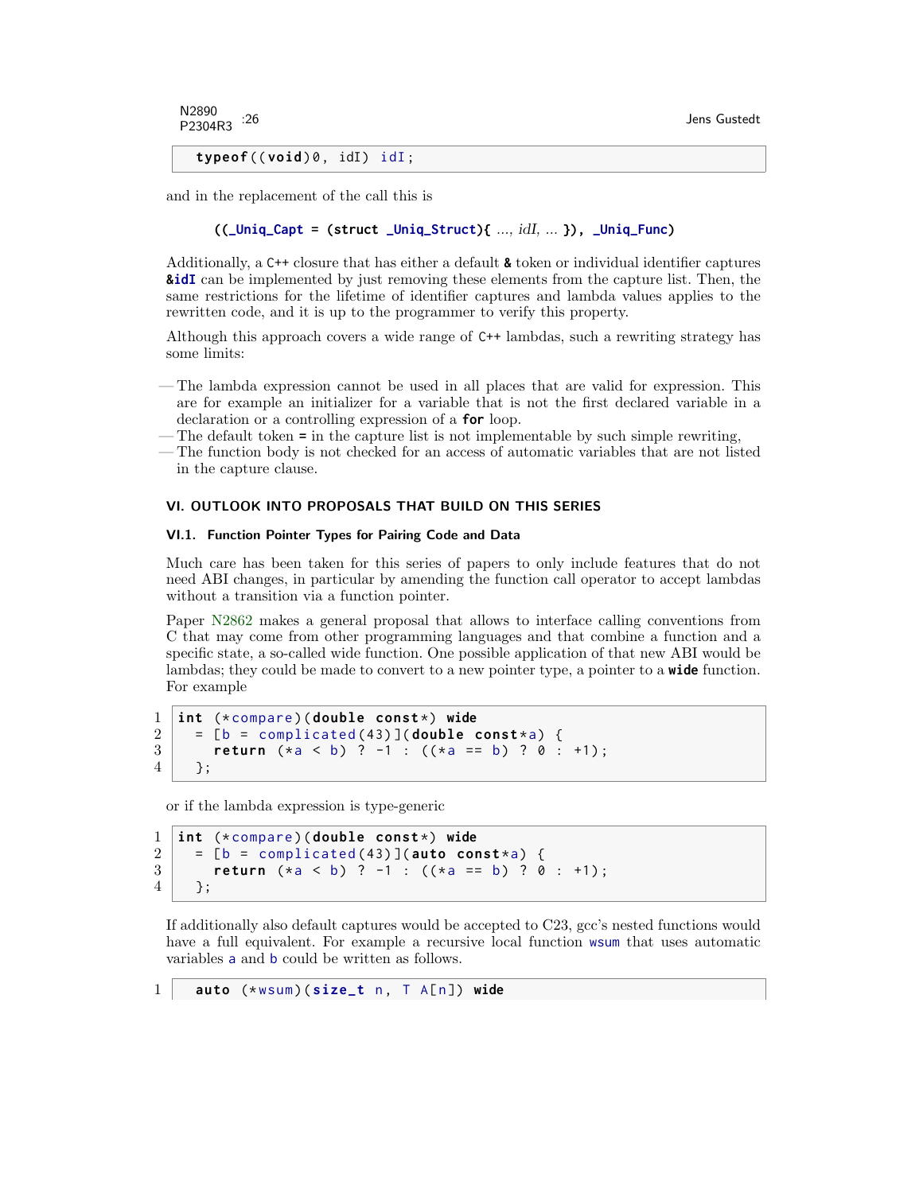N2890 P2304R3 :26 Jens Gustedt

**typeof** (( **void** ) 0 , idI) idI;

and in the replacement of the call this is

```
((_Uniq_Capt = (struct _Uniq_Struct){ ..., idI, ... }), _Uniq_Func)
```
Additionally, a C++ closure that has either a default **&** token or individual identifier captures **&idI** can be implemented by just removing these elements from the capture list. Then, the same restrictions for the lifetime of identifier captures and lambda values applies to the rewritten code, and it is up to the programmer to verify this property.

Although this approach covers a wide range of C++ lambdas, such a rewriting strategy has some limits:

- The lambda expression cannot be used in all places that are valid for expression. This are for example an initializer for a variable that is not the first declared variable in a declaration or a controlling expression of a **for** loop.
- The default token **=** in the capture list is not implementable by such simple rewriting,
- The function body is not checked for an access of automatic variables that are not listed in the capture clause.

#### <span id="page-25-0"></span>VI. OUTLOOK INTO PROPOSALS THAT BUILD ON THIS SERIES

#### <span id="page-25-1"></span>VI.1. Function Pointer Types for Pairing Code and Data

Much care has been taken for this series of papers to only include features that do not need ABI changes, in particular by amending the function call operator to accept lambdas without a transition via a function pointer.

Paper [N2862](http://www.open-std.org/jtc1/sc22/wg14/www/docs/n2862.pdf) makes a general proposal that allows to interface calling conventions from C that may come from other programming languages and that combine a function and a specific state, a so-called wide function. One possible application of that new ABI would be lambdas; they could be made to convert to a new pointer type, a pointer to a **wide** function. For example

```
1 int (* compare ) ( double const *) wide
2 = [b = complicated (43)] (double const *a) {
3 return (*a < b) ? -1 : ((*a == b) ? 0 : +1);
4 };
```
or if the lambda expression is type-generic

```
1 int (* compare ) ( double const *) wide
2 = [b = complicated (43)] (auto const*a) {
3 return (*a < b) ? -1 : ((*a == b) ? 0 : +1);
4 };
```
If additionally also default captures would be accepted to C23, gcc's nested functions would have a full equivalent. For example a recursive local function wsum that uses automatic variables a and b could be written as follows.

1 **auto** (\* wsum ) ( **size\_t** n, T A[n]) **wide**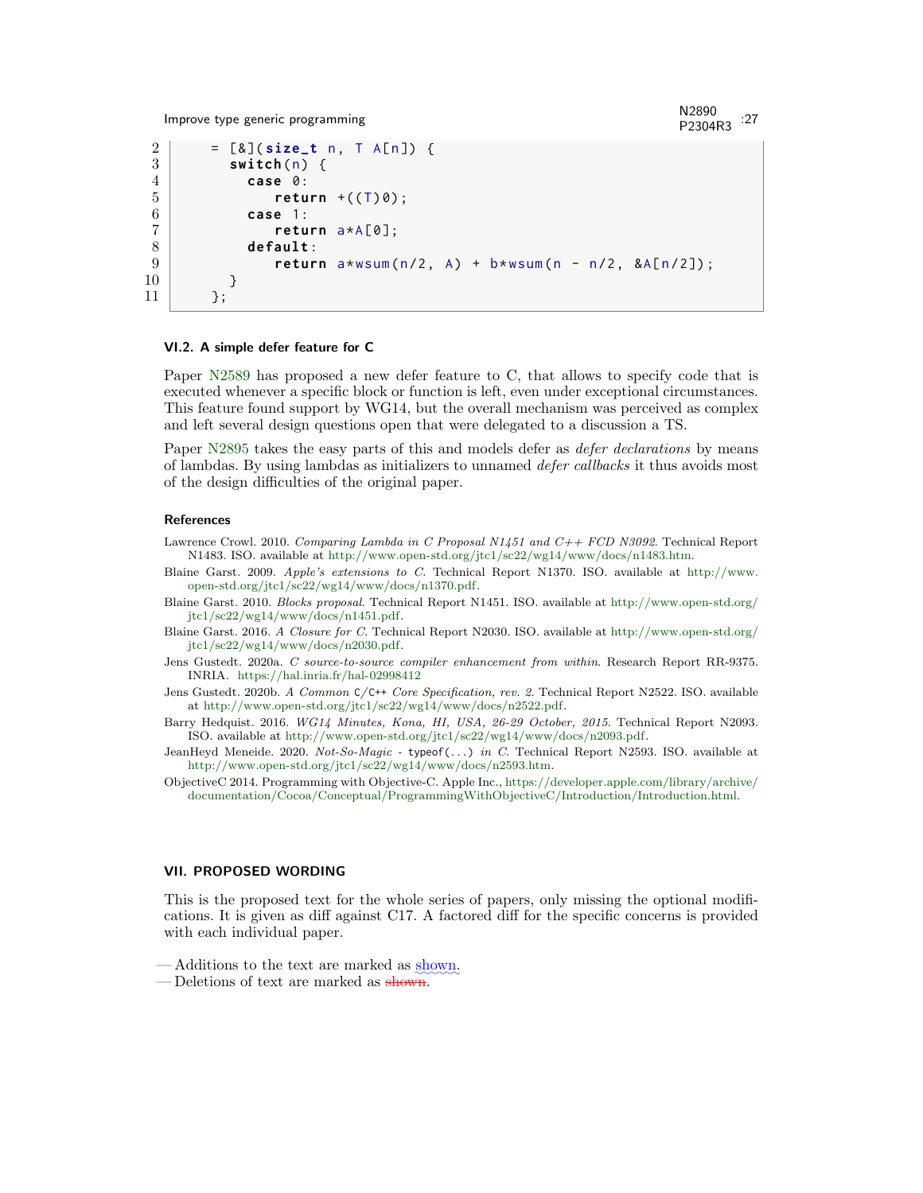```
\begin{array}{c|c} 2 & = & \mathbf{[} & \& \mathbf{[}} \& \mathbf{size\_t} & \mathsf{n}, \mathsf{T} & \mathsf{A[n]} \& \mathbf{switch}( \mathsf{n}) & \mathbf{[} \end{array}3 switch (n) {
 4 case 0:
5 return +((T)0);
 6 case 1:
 7 return a*A [0];
8 default :
9 return a*wsum(n/2, A) + b*wsum(n - n/2, 8A[n/2]);10 }
11 };
```
#### <span id="page-26-0"></span>VI.2. A simple defer feature for C

Paper [N2589](http://www.open-std.org/jtc1/sc22/wg14/www/docs/n2589.pdf) has proposed a new defer feature to C, that allows to specify code that is executed whenever a specific block or function is left, even under exceptional circumstances. This feature found support by WG14, but the overall mechanism was perceived as complex and left several design questions open that were delegated to a discussion a TS.

Paper [N2895](http://www.open-std.org/jtc1/sc22/wg14/www/docs/n2895.pdf) takes the easy parts of this and models defer as *defer declarations* by means of lambdas. By using lambdas as initializers to unnamed defer callbacks it thus avoids most of the design difficulties of the original paper.

#### <span id="page-26-1"></span>**References**

- <span id="page-26-4"></span>Lawrence Crowl. 2010. Comparing Lambda in C Proposal N1451 and  $C++$  FCD N3092. Technical Report N1483. ISO. available at [http://www.open-std.org/jtc1/sc22/wg14/www/docs/n1483.htm.](http://www.open-std.org/jtc1/sc22/wg14/www/docs/n1483.htm)
- <span id="page-26-10"></span>Blaine Garst. 2009. Apple's extensions to C. Technical Report N1370. ISO. available at [http://www.](http://www.open-std.org/jtc1/sc22/wg14/www/docs/n1370.pdf) [open-std.org/jtc1/sc22/wg14/www/docs/n1370.pdf.](http://www.open-std.org/jtc1/sc22/wg14/www/docs/n1370.pdf)
- <span id="page-26-3"></span>Blaine Garst. 2010. Blocks proposal. Technical Report N1451. ISO. available at [http://www.open-std.org/](http://www.open-std.org/jtc1/sc22/wg14/www/docs/n1451.pdf) [jtc1/sc22/wg14/www/docs/n1451.pdf.](http://www.open-std.org/jtc1/sc22/wg14/www/docs/n1451.pdf)
- <span id="page-26-6"></span>Blaine Garst. 2016. A Closure for C. Technical Report N2030. ISO. available at [http://www.open-std.org/](http://www.open-std.org/jtc1/sc22/wg14/www/docs/n2030.pdf) [jtc1/sc22/wg14/www/docs/n2030.pdf.](http://www.open-std.org/jtc1/sc22/wg14/www/docs/n2030.pdf)
- <span id="page-26-11"></span>Jens Gustedt. 2020a. C source-to-source compiler enhancement from within. Research Report RR-9375. INRIA. <https://hal.inria.fr/hal-02998412>
- <span id="page-26-7"></span>Jens Gustedt. 2020b. A Common C/C++ Core Specification, rev. 2. Technical Report N2522. ISO. available at [http://www.open-std.org/jtc1/sc22/wg14/www/docs/n2522.pdf.](http://www.open-std.org/jtc1/sc22/wg14/www/docs/n2522.pdf)
- <span id="page-26-5"></span>Barry Hedquist. 2016. WG14 Minutes, Kona, HI, USA, 26-29 October, 2015. Technical Report N2093. ISO. available at [http://www.open-std.org/jtc1/sc22/wg14/www/docs/n2093.pdf.](http://www.open-std.org/jtc1/sc22/wg14/www/docs/n2093.pdf)
- <span id="page-26-8"></span>JeanHeyd Meneide. 2020. Not-So-Magic - typeof(...) in C. Technical Report N2593. ISO. available at [http://www.open-std.org/jtc1/sc22/wg14/www/docs/n2593.htm.](http://www.open-std.org/jtc1/sc22/wg14/www/docs/n2593.htm)
- <span id="page-26-9"></span>ObjectiveC 2014. Programming with Objective-C. Apple Inc., [https://developer.apple.com/library/archive/](https://developer.apple.com/library/archive/documentation/Cocoa/Conceptual/ProgrammingWithObjectiveC/Introduction/Introduction.html) [documentation/Cocoa/Conceptual/ProgrammingWithObjectiveC/Introduction/Introduction.html.](https://developer.apple.com/library/archive/documentation/Cocoa/Conceptual/ProgrammingWithObjectiveC/Introduction/Introduction.html)

#### <span id="page-26-2"></span>VII. PROPOSED WORDING

This is the proposed text for the whole series of papers, only missing the optional modifications. It is given as diff against C17. A factored diff for the specific concerns is provided with each individual paper.

- $-$  Additions to the text are marked as shown.
- Deletions of text are marked as shown.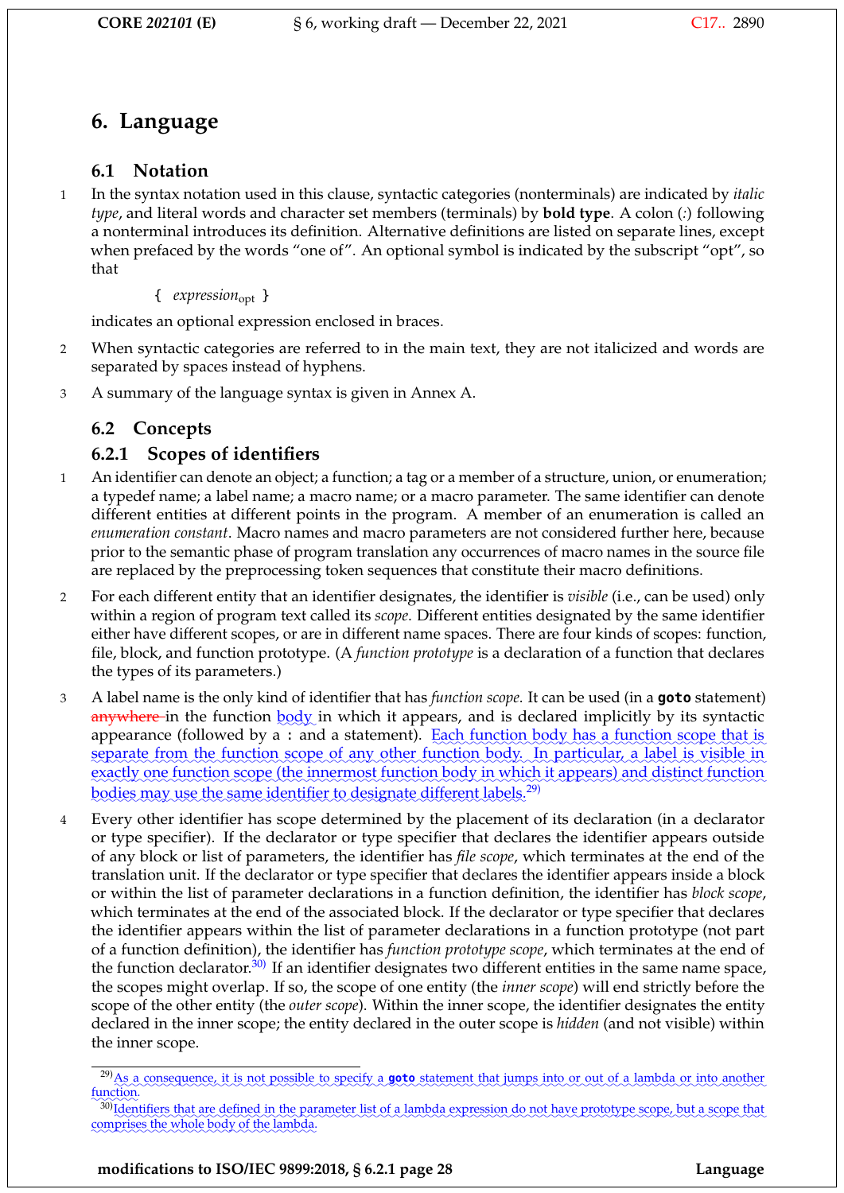# **6. Language**

## **6.1 Notation**

1 In the syntax notation used in this clause, syntactic categories (nonterminals) are indicated by *italic type*, and literal words and character set members (terminals) by **bold type**. A colon (*:*) following a nonterminal introduces its definition. Alternative definitions are listed on separate lines, except when prefaced by the words "one of". An optional symbol is indicated by the subscript "opt", so that

{ *expression*<sub>opt</sub> }

indicates an optional expression enclosed in braces.

- 2 When syntactic categories are referred to in the main text, they are not italicized and words are separated by spaces instead of hyphens.
- 3 A summary of the language syntax is given in Annex A.

## **6.2 Concepts**

## **6.2.1 Scopes of identifiers**

- 1 An identifier can denote an object; a function; a tag or a member of a structure, union, or enumeration; a typedef name; a label name; a macro name; or a macro parameter. The same identifier can denote different entities at different points in the program. A member of an enumeration is called an *enumeration constant*. Macro names and macro parameters are not considered further here, because prior to the semantic phase of program translation any occurrences of macro names in the source file are replaced by the preprocessing token sequences that constitute their macro definitions.
- 2 For each different entity that an identifier designates, the identifier is *visible* (i.e., can be used) only within a region of program text called its *scope*. Different entities designated by the same identifier either have different scopes, or are in different name spaces. There are four kinds of scopes: function, file, block, and function prototype. (A *function prototype* is a declaration of a function that declares the types of its parameters.)
- 3 A label name is the only kind of identifier that has *function scope*. It can be used (in a **goto** statement) anywhere in the function  $\frac{\text{body}}{\text{m}}$  in which it appears, and is declared implicitly by its syntactic appearance (followed by a : and a statement). Each function body has a function scope that is separate from the function scope of any other function body. In particular, a label is visible in exactly one function scope (the innermost function body in which it appears) and distinct function bodies may use the same identifier to designate different labels.<sup>29)</sup>
- 4 Every other identifier has scope determined by the placement of its declaration (in a declarator or type specifier). If the declarator or type specifier that declares the identifier appears outside of any block or list of parameters, the identifier has *file scope*, which terminates at the end of the translation unit. If the declarator or type specifier that declares the identifier appears inside a block or within the list of parameter declarations in a function definition, the identifier has *block scope*, which terminates at the end of the associated block. If the declarator or type specifier that declares the identifier appears within the list of parameter declarations in a function prototype (not part of a function definition), the identifier has *function prototype scope*, which terminates at the end of the function declarator.<sup>30)</sup> If an identifier designates two different entities in the same name space, the scopes might overlap. If so, the scope of one entity (the *inner scope*) will end strictly before the scope of the other entity (the *outer scope*). Within the inner scope, the identifier designates the entity declared in the inner scope; the entity declared in the outer scope is *hidden* (and not visible) within the inner scope.

<sup>29)</sup> As a consequence, it is not possible to specify a **goto** statement that jumps into or out of a lambda or into another function.

<sup>30)</sup> Identifiers that are defined in the parameter list of a lambda expression do not have prototype scope, but a scope that comprises the whole body of the lambda.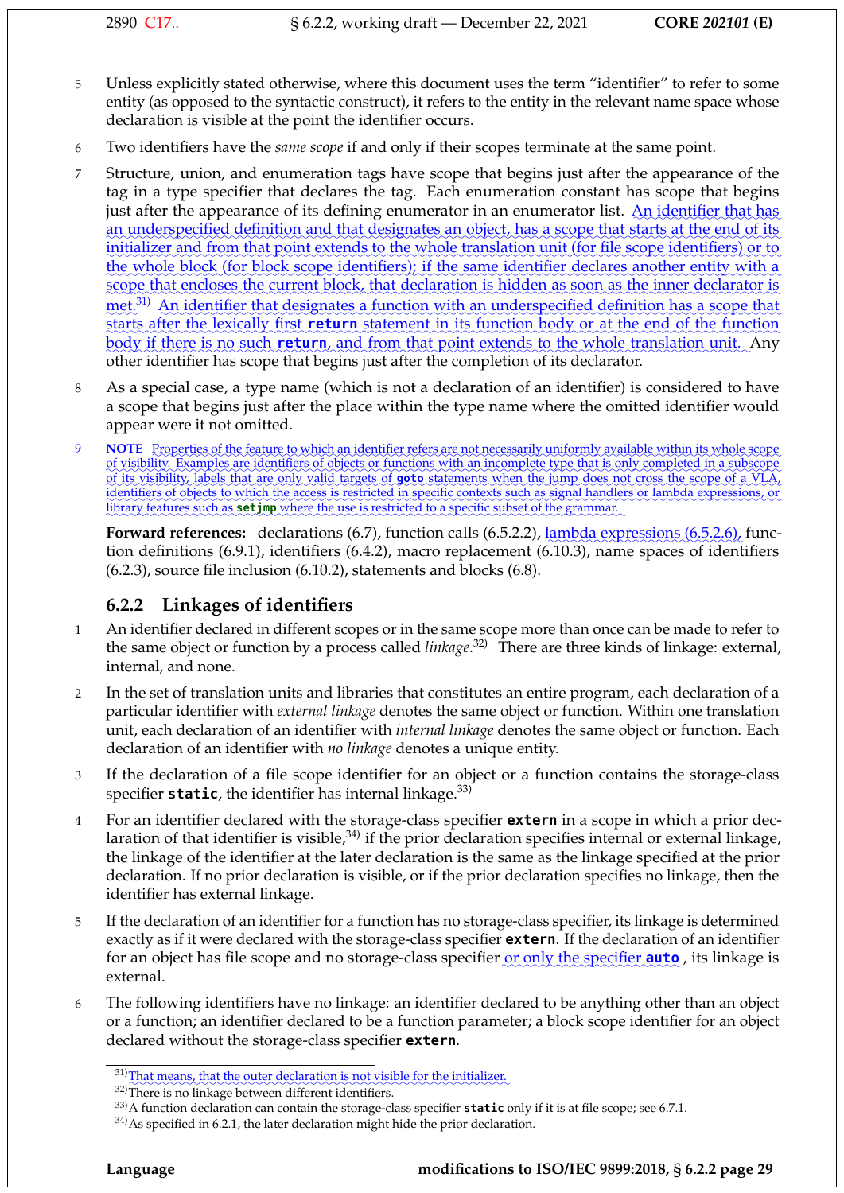- 5 Unless explicitly stated otherwise, where this document uses the term "identifier" to refer to some entity (as opposed to the syntactic construct), it refers to the entity in the relevant name space whose declaration is visible at the point the identifier occurs.
- 6 Two identifiers have the *same scope* if and only if their scopes terminate at the same point.
- 7 Structure, union, and enumeration tags have scope that begins just after the appearance of the tag in a type specifier that declares the tag. Each enumeration constant has scope that begins just after the appearance of its defining enumerator in an enumerator list. An identifier that has an underspecified definition and that designates an object, has a scope that starts at the end of its initializer and from that point extends to the whole translation unit (for file scope identifiers) or to the whole block (for block scope identifiers); if the same identifier declares another entity with a scope that encloses the current block, that declaration is hidden as soon as the inner declarator is met.<sup>31)</sup> An identifier that designates a function with an underspecified definition has a scope that starts after the lexically first **return** statement in its function body or at the end of the function body if there is no such **return**, and from that point extends to the whole translation unit. Any other identifier has scope that begins just after the completion of its declarator.
- 8 As a special case, a type name (which is not a declaration of an identifier) is considered to have a scope that begins just after the place within the type name where the omitted identifier would appear were it not omitted.
- **NOTE** Properties of the feature to which an identifier refers are not necessarily uniformly available within its whole scope of visibility. Examples are identifiers of objects or functions with an incomplete type that is only completed in a subscope of its visibility, labels that are only valid targets of **goto** statements when the jump does not cross the scope of a VLA identifiers of objects to which the access is restricted in specific contexts such as signal handlers or lambda expressions, or library features such as **set jmp** where the use is restricted to a specific subset of the grammar.

**Forward references:** declarations (6.7), function calls (6.5.2.2), lambda expressions (6.5.2.6), function definitions (6.9.1), identifiers (6.4.2), macro replacement (6.10.3), name spaces of identifiers (6.2.3), source file inclusion (6.10.2), statements and blocks (6.8).

## **6.2.2 Linkages of identifiers**

- 1 An identifier declared in different scopes or in the same scope more than once can be made to refer to the same object or function by a process called *linkage*. 32) There are three kinds of linkage: external, internal, and none.
- 2 In the set of translation units and libraries that constitutes an entire program, each declaration of a particular identifier with *external linkage* denotes the same object or function. Within one translation unit, each declaration of an identifier with *internal linkage* denotes the same object or function. Each declaration of an identifier with *no linkage* denotes a unique entity.
- 3 If the declaration of a file scope identifier for an object or a function contains the storage-class specifier **static**, the identifier has internal linkage.<sup>33)</sup>
- 4 For an identifier declared with the storage-class specifier **extern** in a scope in which a prior declaration of that identifier is visible,<sup>34)</sup> if the prior declaration specifies internal or external linkage, the linkage of the identifier at the later declaration is the same as the linkage specified at the prior declaration. If no prior declaration is visible, or if the prior declaration specifies no linkage, then the identifier has external linkage.
- 5 If the declaration of an identifier for a function has no storage-class specifier, its linkage is determined exactly as if it were declared with the storage-class specifier **extern**. If the declaration of an identifier for an object has file scope and no storage-class specifier <u>or only the specifier</u> **auto** , its linkage is external.
- 6 The following identifiers have no linkage: an identifier declared to be anything other than an object or a function; an identifier declared to be a function parameter; a block scope identifier for an object declared without the storage-class specifier **extern**.

<sup>31)</sup> That means, that the outer declaration is not visible for the initializer.

<sup>32)</sup>There is no linkage between different identifiers.

<sup>33)</sup>A function declaration can contain the storage-class specifier **static** only if it is at file scope; see 6.7.1.

 $34)$ As specified in 6.2.1, the later declaration might hide the prior declaration.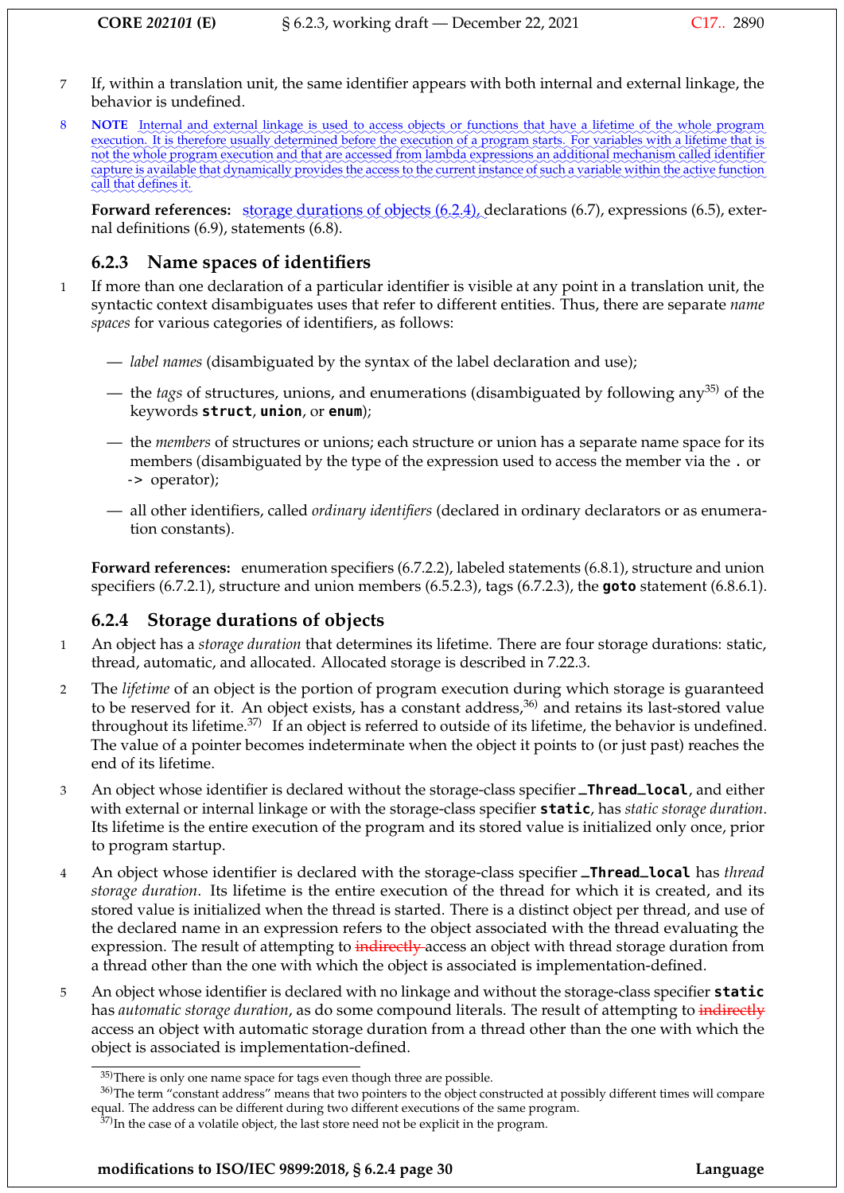- 7 If, within a translation unit, the same identifier appears with both internal and external linkage, the behavior is undefined.
- **8 NOTE** Internal and external linkage is used to access objects or functions that have a lifetime of the whole program execution. It is therefore usually determined before the execution of a program starts. For variables with a lifetime that is not the whole program execution and that are accessed from lambda expressions an additional mechanism called identifier ✿✿✿✿✿ ✿✿ ✿✿✿✿✿✿✿ capture is available that dynamically provides the access to the current instance of such a variable within the active function call that defines it.

**Forward references:** storage durations of objects  $(6.2.4)$ , declarations (6.7), expressions (6.5), external definitions (6.9), statements (6.8).

## **6.2.3 Name spaces of identifiers**

- 1 If more than one declaration of a particular identifier is visible at any point in a translation unit, the syntactic context disambiguates uses that refer to different entities. Thus, there are separate *name spaces* for various categories of identifiers, as follows:
	- *label names* (disambiguated by the syntax of the label declaration and use);
	- the *tags* of structures, unions, and enumerations (disambiguated by following any35) of the keywords **struct**, **union**, or **enum**);
	- the *members* of structures or unions; each structure or union has a separate name space for its members (disambiguated by the type of the expression used to access the member via the . or -> operator);
	- all other identifiers, called *ordinary identifiers* (declared in ordinary declarators or as enumeration constants).

**Forward references:** enumeration specifiers (6.7.2.2), labeled statements (6.8.1), structure and union specifiers (6.7.2.1), structure and union members (6.5.2.3), tags (6.7.2.3), the **goto** statement (6.8.6.1).

## **6.2.4 Storage durations of objects**

- 1 An object has a *storage duration* that determines its lifetime. There are four storage durations: static, thread, automatic, and allocated. Allocated storage is described in 7.22.3.
- 2 The *lifetime* of an object is the portion of program execution during which storage is guaranteed to be reserved for it. An object exists, has a constant address, $36$  and retains its last-stored value throughout its lifetime.37) If an object is referred to outside of its lifetime, the behavior is undefined. The value of a pointer becomes indeterminate when the object it points to (or just past) reaches the end of its lifetime.
- <sup>3</sup> An object whose identifier is declared without the storage-class specifier **\_Thread\_local**, and either with external or internal linkage or with the storage-class specifier **static**, has *static storage duration*. Its lifetime is the entire execution of the program and its stored value is initialized only once, prior to program startup.
- <sup>4</sup> An object whose identifier is declared with the storage-class specifier **\_Thread\_local** has *thread storage duration*. Its lifetime is the entire execution of the thread for which it is created, and its stored value is initialized when the thread is started. There is a distinct object per thread, and use of the declared name in an expression refers to the object associated with the thread evaluating the expression. The result of attempting to indirectly access an object with thread storage duration from a thread other than the one with which the object is associated is implementation-defined.
- 5 An object whose identifier is declared with no linkage and without the storage-class specifier **static** has *automatic storage duration*, as do some compound literals. The result of attempting to indirectly access an object with automatic storage duration from a thread other than the one with which the object is associated is implementation-defined.

<sup>&</sup>lt;sup>35)</sup>There is only one name space for tags even though three are possible.

<sup>&</sup>lt;sup>36)</sup>The term "constant address" means that two pointers to the object constructed at possibly different times will compare equal. The address can be different during two different executions of the same program.

 $37$ ] In the case of a volatile object, the last store need not be explicit in the program.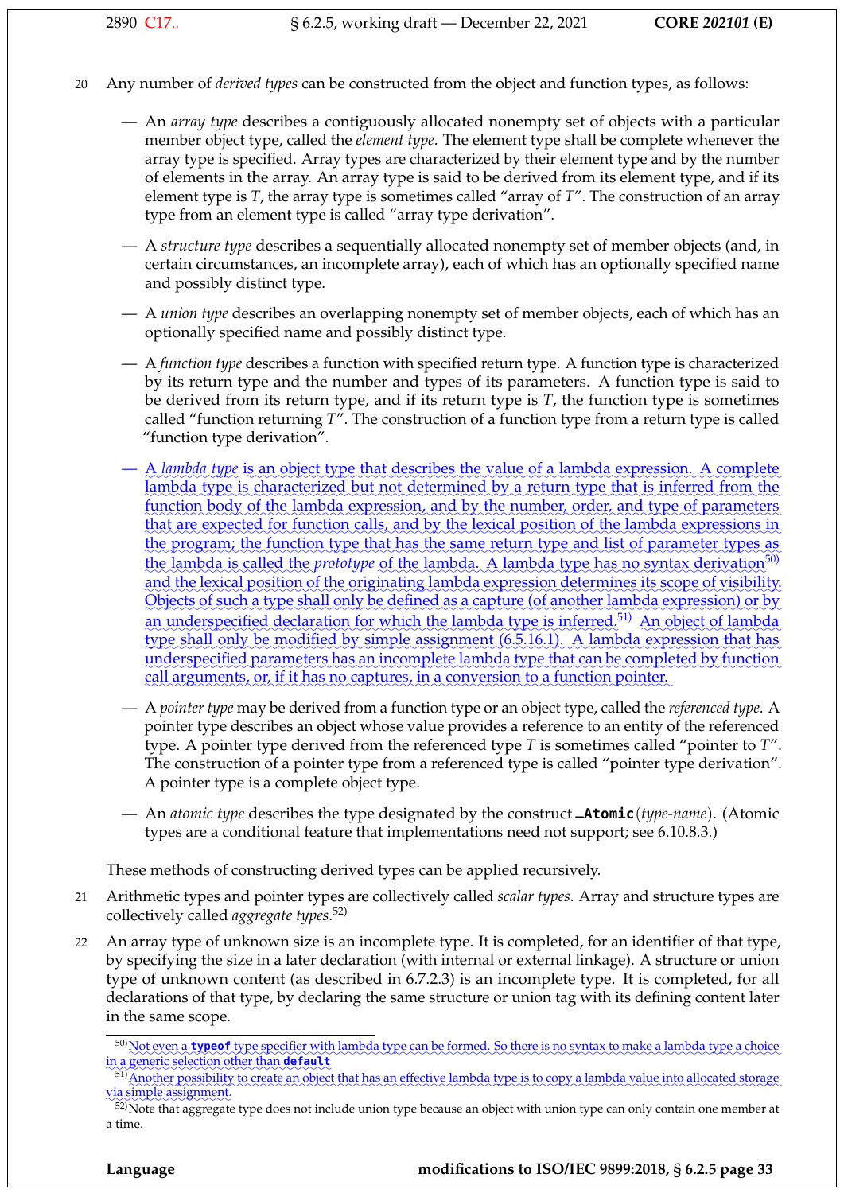- 20 Any number of *derived types* can be constructed from the object and function types, as follows:
	- An *array type* describes a contiguously allocated nonempty set of objects with a particular member object type, called the *element type*. The element type shall be complete whenever the array type is specified. Array types are characterized by their element type and by the number of elements in the array. An array type is said to be derived from its element type, and if its element type is *T*, the array type is sometimes called "array of *T*". The construction of an array type from an element type is called "array type derivation".
	- A *structure type* describes a sequentially allocated nonempty set of member objects (and, in certain circumstances, an incomplete array), each of which has an optionally specified name and possibly distinct type.
	- A *union type* describes an overlapping nonempty set of member objects, each of which has an optionally specified name and possibly distinct type.
	- A *function type* describes a function with specified return type. A function type is characterized by its return type and the number and types of its parameters. A function type is said to be derived from its return type, and if its return type is *T*, the function type is sometimes called "function returning *T*". The construction of a function type from a return type is called "function type derivation".
	- A lambda type is an object type that describes the value of a lambda expression. A complete lambda type is characterized but not determined by a return type that is inferred from the function body of the lambda expression, and by the number, order, and type of parameters that are expected for function calls, and by the lexical position of the lambda expressions in the program; the function type that has the same return type and list of parameter types as the lambda is called the *prototype* of the lambda. A lambda type has no syntax derivation<sup>50)</sup> and the lexical position of the originating lambda expression determines its scope of visibility. Objects of such a type shall only be defined as a capture (of another lambda expression) or by an underspecified declaration for which the lambda type is inferred.<sup>51)</sup> An object of lambda type shall only be modified by simple assignment (6.5.16.1). A lambda expression that has underspecified parameters has an incomplete lambda type that can be completed by function call arguments, or, if it has no captures, in a conversion to a function pointer.
	- A *pointer type* may be derived from a function type or an object type, called the *referenced type*. A pointer type describes an object whose value provides a reference to an entity of the referenced type. A pointer type derived from the referenced type *T* is sometimes called "pointer to *T*". The construction of a pointer type from a referenced type is called "pointer type derivation". A pointer type is a complete object type.
	- An *atomic type* describes the type designated by the construct **\_Atomic**(*type-name*). (Atomic types are a conditional feature that implementations need not support; see 6.10.8.3.)

These methods of constructing derived types can be applied recursively.

- 21 Arithmetic types and pointer types are collectively called *scalar types*. Array and structure types are collectively called *aggregate types*. 52)
- 22 An array type of unknown size is an incomplete type. It is completed, for an identifier of that type, by specifying the size in a later declaration (with internal or external linkage). A structure or union type of unknown content (as described in 6.7.2.3) is an incomplete type. It is completed, for all declarations of that type, by declaring the same structure or union tag with its defining content later in the same scope.

<sup>50)</sup> Not even a **typeof** type specifier with lambda type can be formed. So there is no syntax to make a lambda type a choice in a generic selection other than **default** 

<sup>51)</sup> Another possibility to create an object that has an effective lambda type is to copy a lambda value into allocated storage via simple assignment.

<sup>52)</sup>Note that aggregate type does not include union type because an object with union type can only contain one member at a time.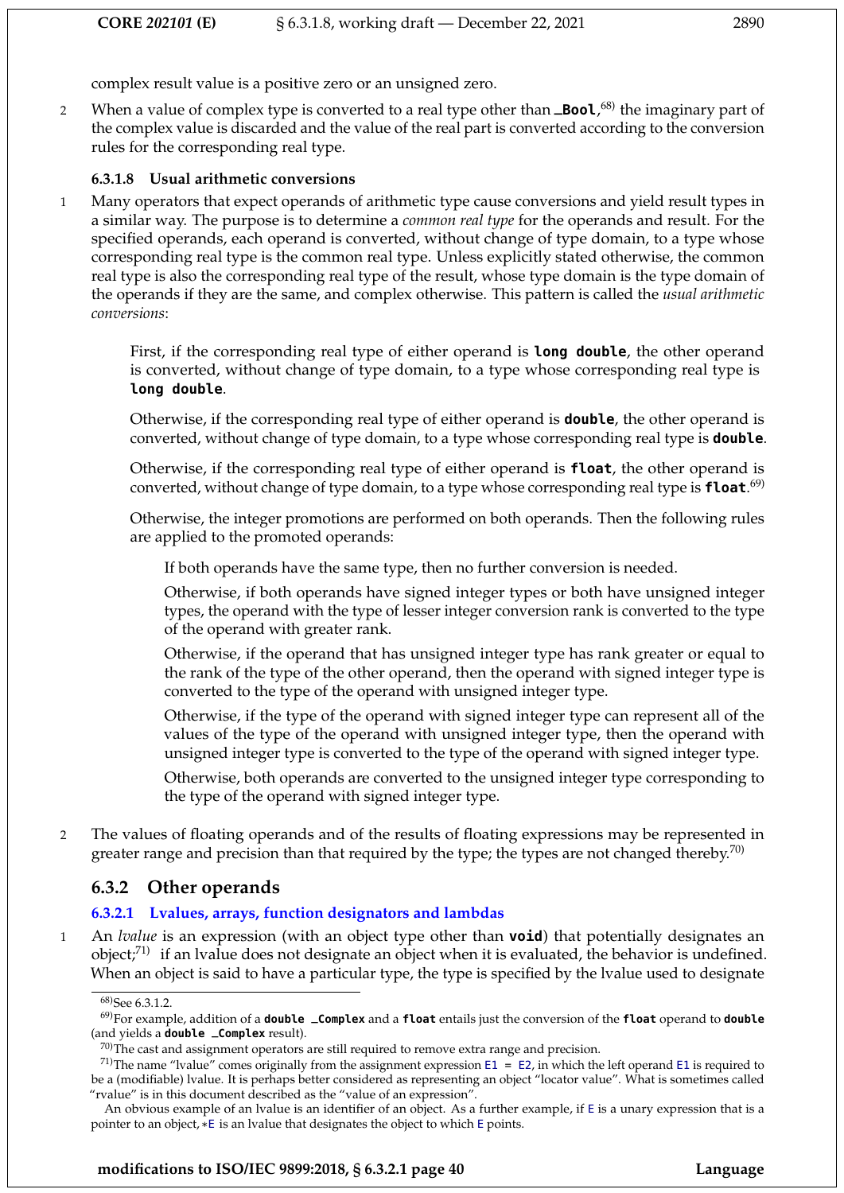<sup>2</sup> When a value of complex type is converted to a real type other than **\_Bool**, 68) the imaginary part of the complex value is discarded and the value of the real part is converted according to the conversion rules for the corresponding real type.

### **6.3.1.8 Usual arithmetic conversions**

1 Many operators that expect operands of arithmetic type cause conversions and yield result types in a similar way. The purpose is to determine a *common real type* for the operands and result. For the specified operands, each operand is converted, without change of type domain, to a type whose corresponding real type is the common real type. Unless explicitly stated otherwise, the common real type is also the corresponding real type of the result, whose type domain is the type domain of the operands if they are the same, and complex otherwise. This pattern is called the *usual arithmetic conversions*:

First, if the corresponding real type of either operand is **long double**, the other operand is converted, without change of type domain, to a type whose corresponding real type is **long double**.

Otherwise, if the corresponding real type of either operand is **double**, the other operand is converted, without change of type domain, to a type whose corresponding real type is **double**.

Otherwise, if the corresponding real type of either operand is **float**, the other operand is converted, without change of type domain, to a type whose corresponding real type is **float**. 69)

Otherwise, the integer promotions are performed on both operands. Then the following rules are applied to the promoted operands:

If both operands have the same type, then no further conversion is needed.

Otherwise, if both operands have signed integer types or both have unsigned integer types, the operand with the type of lesser integer conversion rank is converted to the type of the operand with greater rank.

Otherwise, if the operand that has unsigned integer type has rank greater or equal to the rank of the type of the other operand, then the operand with signed integer type is converted to the type of the operand with unsigned integer type.

Otherwise, if the type of the operand with signed integer type can represent all of the values of the type of the operand with unsigned integer type, then the operand with unsigned integer type is converted to the type of the operand with signed integer type.

Otherwise, both operands are converted to the unsigned integer type corresponding to the type of the operand with signed integer type.

2 The values of floating operands and of the results of floating expressions may be represented in greater range and precision than that required by the type; the types are not changed thereby.<sup>70)</sup>

## **6.3.2 Other operands**

### **6.3.2.1 Lvalues, arrays, function designators and lambdas**

1 An *lvalue* is an expression (with an object type other than **void**) that potentially designates an object; $^{71)}$  if an lvalue does not designate an object when it is evaluated, the behavior is undefined. When an object is said to have a particular type, the type is specified by the lvalue used to designate

<sup>68)</sup>See 6.3.1.2.

<sup>69)</sup>For example, addition of a **double \_Complex** and a **float** entails just the conversion of the **float** operand to **double** (and yields a **double \_Complex** result).

 $70$ )The cast and assignment operators are still required to remove extra range and precision.

<sup>&</sup>lt;sup>71)</sup>The name "lvalue" comes originally from the assignment expression  $E1 = E2$ , in which the left operand  $E1$  is required to be a (modifiable) lvalue. It is perhaps better considered as representing an object "locator value". What is sometimes called "rvalue" is in this document described as the "value of an expression".

An obvious example of an lvalue is an identifier of an object. As a further example, if E is a unary expression that is a pointer to an object, \*E is an lvalue that designates the object to which E points.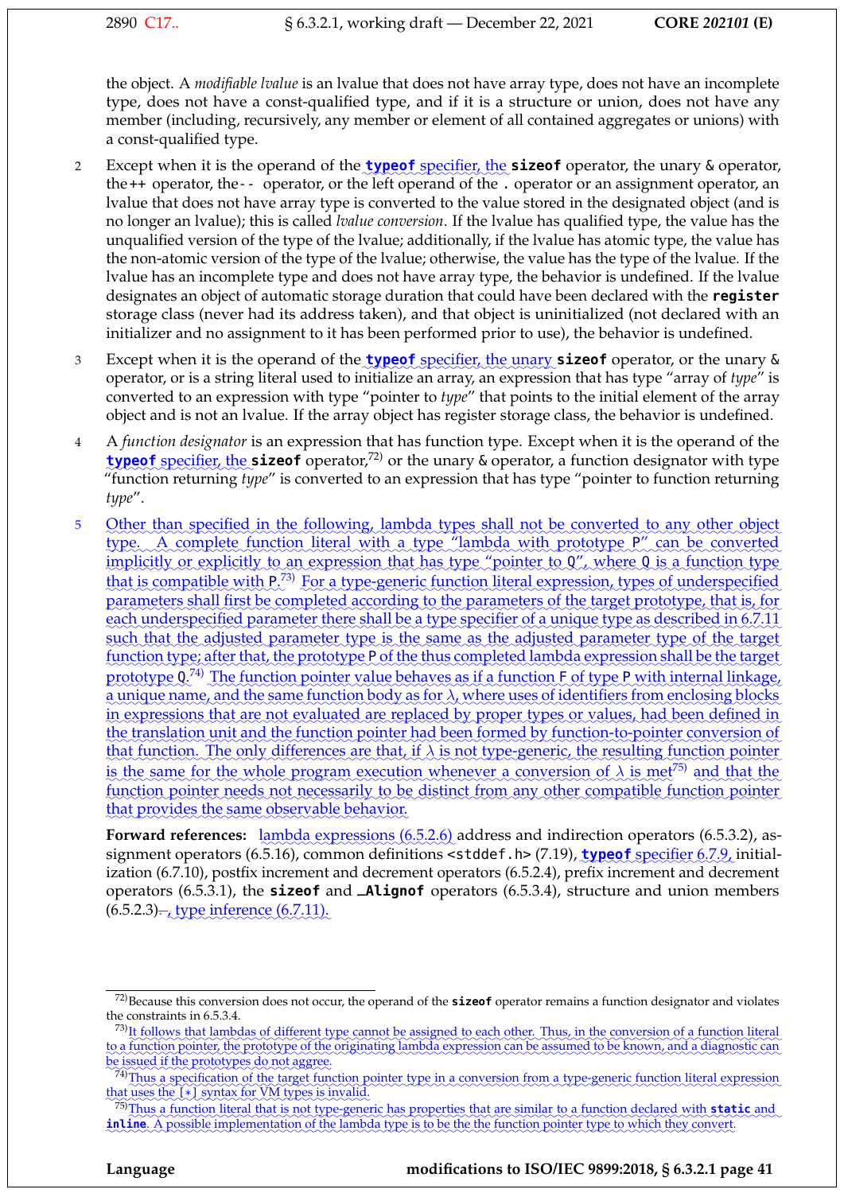the object. A *modifiable lvalue* is an lvalue that does not have array type, does not have an incomplete type, does not have a const-qualified type, and if it is a structure or union, does not have any member (including, recursively, any member or element of all contained aggregates or unions) with a const-qualified type.

- 2 Except when it is the operand of the **typeof** specifier, the **sizeof** operator, the unary & operator, the++ operator, the-- operator, or the left operand of the . operator or an assignment operator, an lvalue that does not have array type is converted to the value stored in the designated object (and is no longer an lvalue); this is called *lvalue conversion*. If the lvalue has qualified type, the value has the unqualified version of the type of the lvalue; additionally, if the lvalue has atomic type, the value has the non-atomic version of the type of the lvalue; otherwise, the value has the type of the lvalue. If the lvalue has an incomplete type and does not have array type, the behavior is undefined. If the lvalue designates an object of automatic storage duration that could have been declared with the **register** storage class (never had its address taken), and that object is uninitialized (not declared with an initializer and no assignment to it has been performed prior to use), the behavior is undefined.
- 3 Except when it is the operand of the ✿✿✿✿✿✿✿ **typeof**✿✿✿✿✿✿✿✿ specifier, ✿✿✿✿ the ✿✿✿✿✿ unary✿ **sizeof** operator, or the unary & operator, or is a string literal used to initialize an array, an expression that has type "array of *type*" is converted to an expression with type "pointer to *type*" that points to the initial element of the array object and is not an lvalue. If the array object has register storage class, the behavior is undefined.
- 4 A *function designator* is an expression that has function type. Except when it is the operand of the **typeof** specifier, the **sizeof** operator,<sup>72)</sup> or the unary & operator, a function designator with type "function returning *type*" is converted to an expression that has type "pointer to function returning *type*".
- 5 Other than specified in the following, lambda types shall not be converted to any other object type...A complete function literal with a type "lambda with prototype P" can be converted implicitly or explicitly to an expression that has type "pointer to Q", where Q is a function type that is compatible with P.<sup>73)</sup> For a type-generic function literal expression, types of underspecified parameters shall first be completed according to the parameters of the target prototype, that is, for each underspecified parameter there shall be a type specifier of a unique type as described in 6.7.11 such that the adjusted parameter type is the same as the adjusted parameter type of the target function type; after that, the prototype P of the thus completed lambda expression shall be the target ✿✿✿✿✿✿✿✿✿ ✿✿ ✿✿✿✿ ✿✿✿✿✿✿✿✿ ✿✿✿✿✿✿ ✿✿✿✿✿✿✿ ✿✿✿ ✿✿ ✿ ✿✿✿✿ ✿✿ ✿✿✿✿✿✿✿✿ prototype  $Q^{74}$ . The function pointer value behaves as if a function F of type P with internal linkage, a unique name, and the same function body as for  $\lambda$ , where uses of identifiers from enclosing blocks in expressions that are not evaluated are replaced by proper types or values, had been defined in the translation unit and the function pointer had been formed by function-to-pointer conversion of that function. The only differences are that, if  $\lambda$  is not type-generic, the resulting function pointer is the same for the whole program execution whenever a conversion of  $\lambda$  is met<sup>75)</sup> and that the function pointer needs not necessarily to be distinct from any other compatible function pointer that provides the same observable behavior.

**Forward references:** lambda expressions (6.5.2.6) address and indirection operators (6.5.3.2), assignment operators (6.5.16), common definitions <stddef . h> (7.19), <mark>typeof</mark> specifier 6.7.9, initialization (6.7.10), postfix increment and decrement operators (6.5.2.4), prefix increment and decrement operators (6.5.3.1), the **sizeof** and **\_Alignof** operators (6.5.3.4), structure and union members  $(6.5.2.3)$ . type inference  $(6.7.11)$ .

<sup>72)</sup>Because this conversion does not occur, the operand of the **sizeof** operator remains a function designator and violates the constraints in 6.5.3.4.

<sup>73)</sup> It follows that lambdas of different type cannot be assigned to each other. Thus, in the conversion of a function literal to a function pointer, the prototype of the originating lambda expression can be assumed to be known, and a diagnostic can be issued if the prototypes do not aggree.

<sup>74)</sup> Thus a specification of the target function pointer type in a conversion from a type-generic function literal expression that uses the [\*] syntax for VM types is invalid.

<sup>75)</sup> Thus a function literal that is not type-generic has properties that are similar to a function declared with **static** and inline. A possible implementation of the lambda type is to be the function pointer type to which they convert.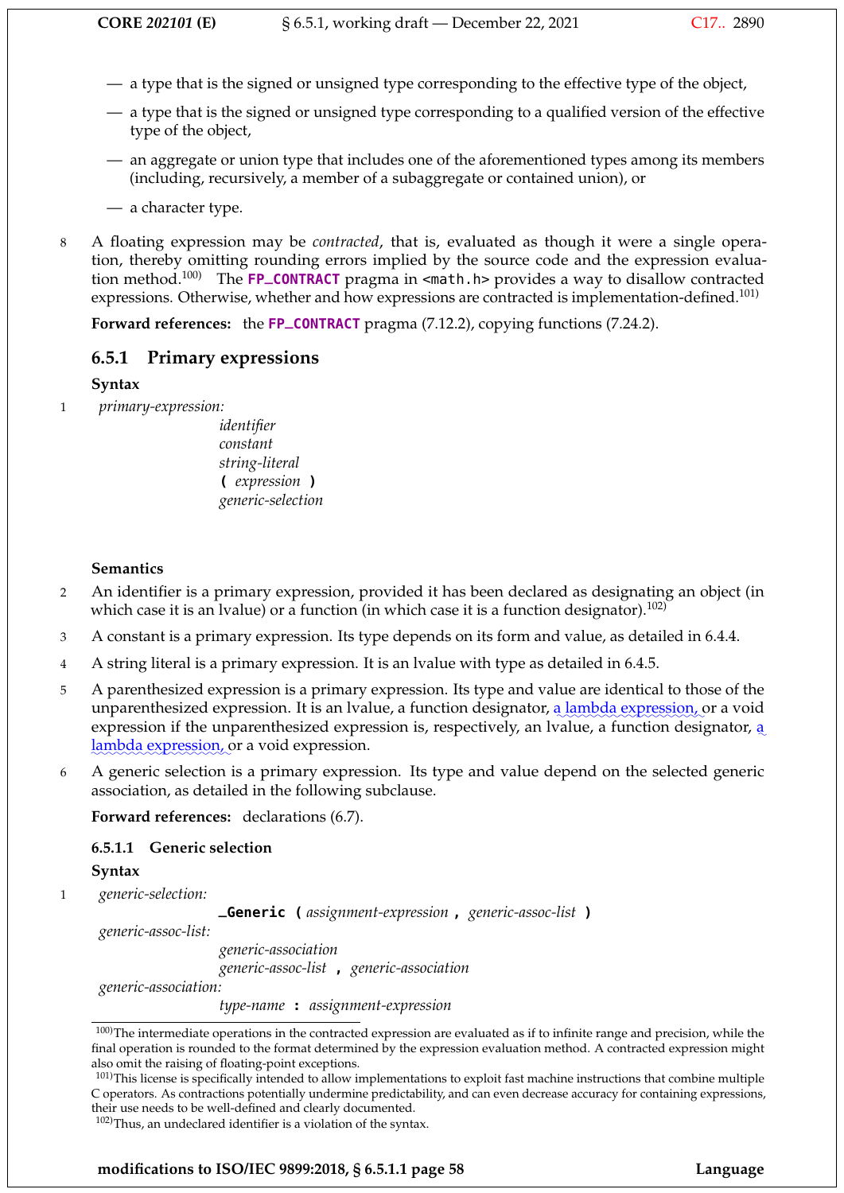- a type that is the signed or unsigned type corresponding to the effective type of the object,
- a type that is the signed or unsigned type corresponding to a qualified version of the effective type of the object,
- an aggregate or union type that includes one of the aforementioned types among its members (including, recursively, a member of a subaggregate or contained union), or
- a character type.
- 8 A floating expression may be *contracted*, that is, evaluated as though it were a single operation, thereby omitting rounding errors implied by the source code and the expression evaluation method.100) The **FP\_CONTRACT** pragma in <math.h> provides a way to disallow contracted expressions. Otherwise, whether and how expressions are contracted is implementation-defined.<sup>101)</sup>

**Forward references:** the **FP\_CONTRACT** pragma (7.12.2), copying functions (7.24.2).

## **6.5.1 Primary expressions**

### **Syntax**

1 *primary-expression:*

*identifier constant string-literal* **(** *expression* **)** *generic-selection*

### **Semantics**

- 2 An identifier is a primary expression, provided it has been declared as designating an object (in which case it is an Ivalue) or a function (in which case it is a function designator).<sup>102)</sup>
- 3 A constant is a primary expression. Its type depends on its form and value, as detailed in 6.4.4.
- 4 A string literal is a primary expression. It is an lvalue with type as detailed in 6.4.5.
- 5 A parenthesized expression is a primary expression. Its type and value are identical to those of the unparenthesized expression. It is an Ivalue, a function designator, a lambda expression, or a void expression if the unparenthesized expression is, respectively, an lvalue, a function designator, a lambda expression, or a void expression.
- 6 A generic selection is a primary expression. Its type and value depend on the selected generic association, as detailed in the following subclause.

**Forward references:** declarations (6.7).

### **6.5.1.1 Generic selection**

### **Syntax**

1 *generic-selection:*

**\_Generic (** *assignment-expression* **,** *generic-assoc-list* **)**

*generic-assoc-list:*

*generic-association generic-assoc-list* **,** *generic-association generic-association:*

*type-name* **:** *assignment-expression*

<sup>&</sup>lt;sup>100)</sup>The intermediate operations in the contracted expression are evaluated as if to infinite range and precision, while the final operation is rounded to the format determined by the expression evaluation method. A contracted expression might also omit the raising of floating-point exceptions.

<sup>101)</sup>This license is specifically intended to allow implementations to exploit fast machine instructions that combine multiple C operators. As contractions potentially undermine predictability, and can even decrease accuracy for containing expressions, their use needs to be well-defined and clearly documented.

 $102$ )Thus, an undeclared identifier is a violation of the syntax.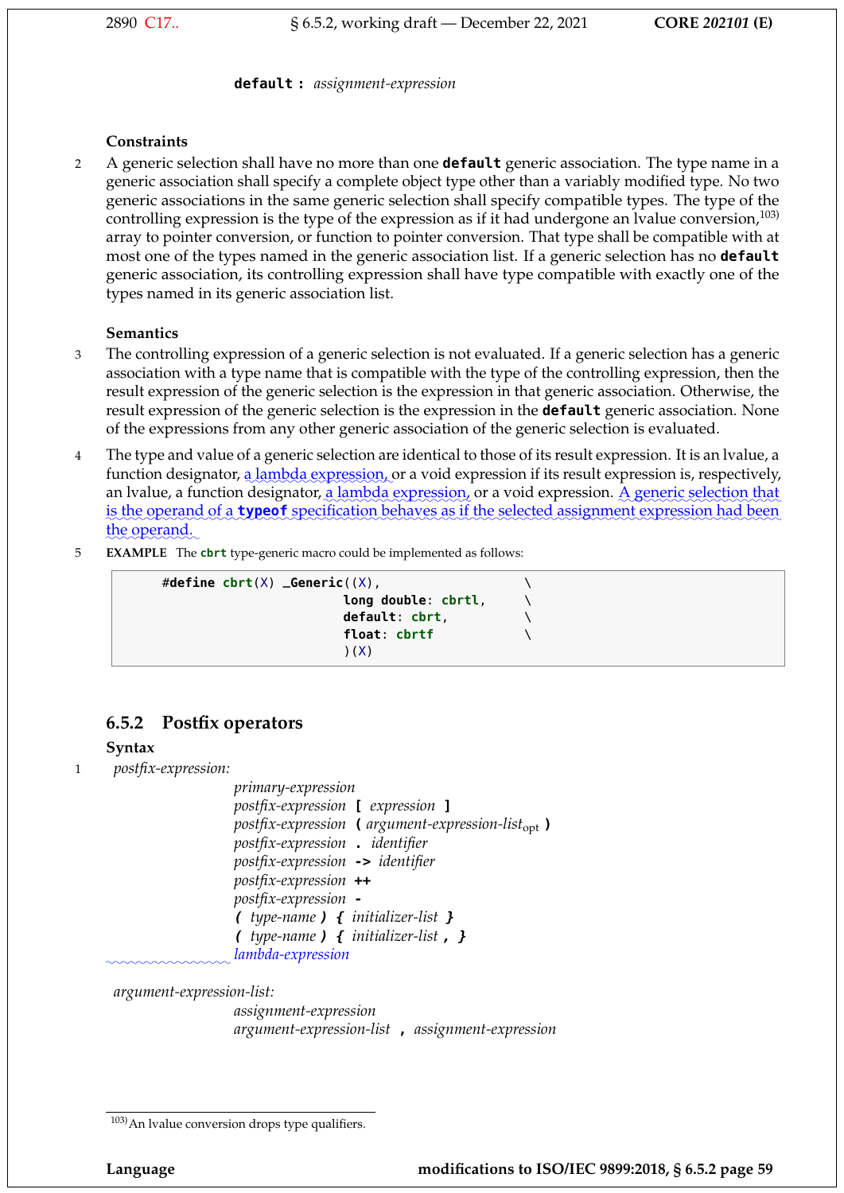**default :** *assignment-expression*

## **Constraints**

2 A generic selection shall have no more than one **default** generic association. The type name in a generic association shall specify a complete object type other than a variably modified type. No two generic associations in the same generic selection shall specify compatible types. The type of the controlling expression is the type of the expression as if it had undergone an Ivalue conversion, $^{103)}$ array to pointer conversion, or function to pointer conversion. That type shall be compatible with at most one of the types named in the generic association list. If a generic selection has no **default** generic association, its controlling expression shall have type compatible with exactly one of the types named in its generic association list.

## **Semantics**

- 3 The controlling expression of a generic selection is not evaluated. If a generic selection has a generic association with a type name that is compatible with the type of the controlling expression, then the result expression of the generic selection is the expression in that generic association. Otherwise, the result expression of the generic selection is the expression in the **default** generic association. None of the expressions from any other generic association of the generic selection is evaluated.
- 4 The type and value of a generic selection are identical to those of its result expression. It is an lvalue, a function designator, <u>a lambda expression,</u> or a void expression if its result expression is, respectively, an lvalue, a function designator, <u>a lambda expression</u>, or a void expression. <u>A generic selection that</u> is the operand of a **typeof** specification behaves as if the selected assignment expression had been the operand.
- 5 **EXAMPLE** The **cbrt** type-generic macro could be implemented as follows:

```
#define cbrt(X) _Generic((X), \
                long double: cbrtl, \
                default: cbrt, \
                 float: cbrtf \
                 )(X)
```
## **6.5.2 Postfix operators**

## **Syntax**

1 *postfix-expression:*

*primary-expression postfix-expression* **[** *expression* **]** *postfix-expression* **(** *argument-expression-list*opt **)** *postfix-expression* **.** *identifier postfix-expression* **->** *identifier postfix-expression* **++** *postfix-expression* **- (** *type-name* **) {** *initializer-list* **} (** *type-name* **) {** *initializer-list* **, }** *lambda-expression*

*argument-expression-list:*

✿✿✿✿✿✿✿✿✿✿✿✿✿✿✿✿

*assignment-expression argument-expression-list* **,** *assignment-expression*

<sup>103)</sup>An lvalue conversion drops type qualifiers.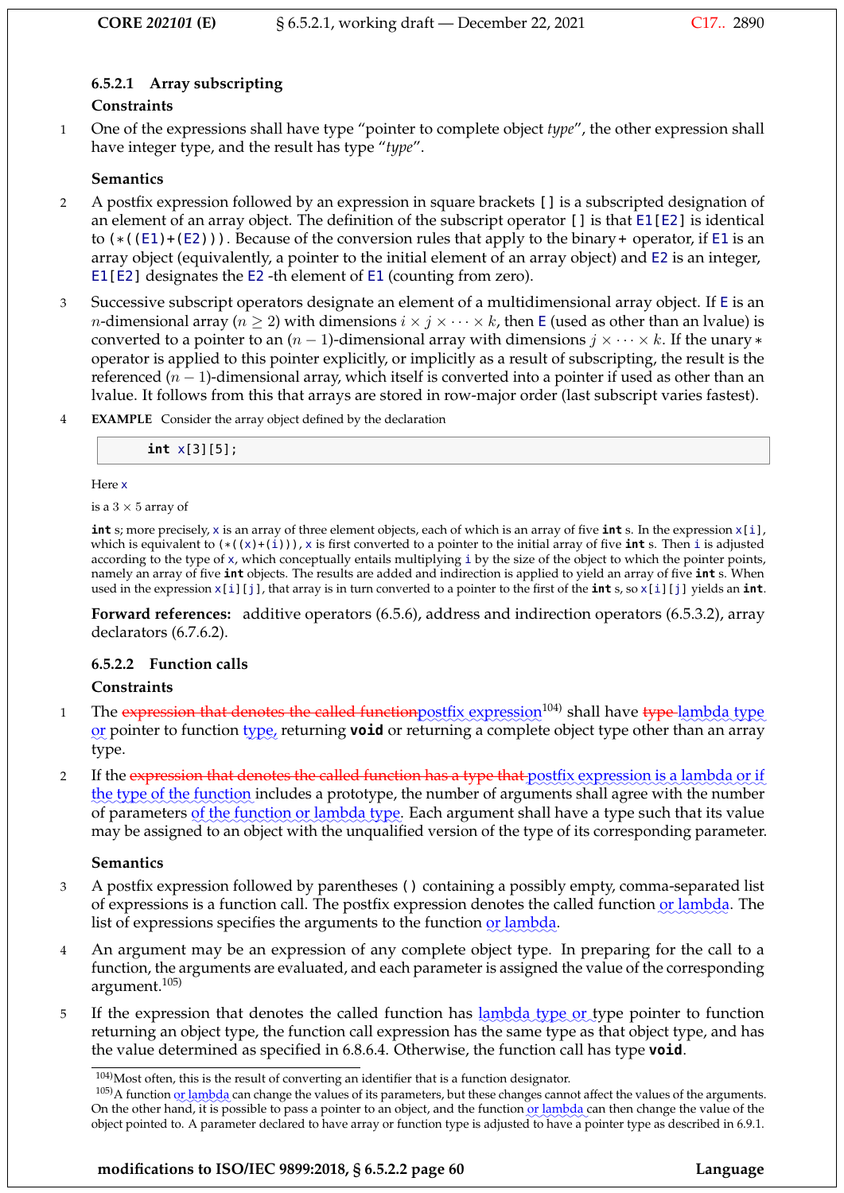## **6.5.2.1 Array subscripting**

## **Constraints**

1 One of the expressions shall have type "pointer to complete object *type*", the other expression shall have integer type, and the result has type "*type*".

## **Semantics**

- 2 A postfix expression followed by an expression in square brackets [] is a subscripted designation of an element of an array object. The definition of the subscript operator [] is that E1[E2] is identical to  $(*((E1)+(E2))$ . Because of the conversion rules that apply to the binary + operator, if E1 is an array object (equivalently, a pointer to the initial element of an array object) and E2 is an integer, E1[E2] designates the E2 -th element of E1 (counting from zero).
- 3 Successive subscript operators designate an element of a multidimensional array object. If E is an *n*-dimensional array ( $n \ge 2$ ) with dimensions  $i \times j \times \cdots \times k$ , then E (used as other than an lvalue) is converted to a pointer to an  $(n - 1)$ -dimensional array with dimensions  $j \times \cdots \times k$ . If the unary  $*$ operator is applied to this pointer explicitly, or implicitly as a result of subscripting, the result is the referenced  $(n - 1)$ -dimensional array, which itself is converted into a pointer if used as other than an lvalue. It follows from this that arrays are stored in row-major order (last subscript varies fastest).
- 4 **EXAMPLE** Consider the array object defined by the declaration

```
int x[3][5];
```
Here x

is a  $3 \times 5$  array of

**int** s; more precisely, x is an array of three element objects, each of which is an array of five **int** s. In the expression  $x[i]$ , which is equivalent to  $(*((x)+(i)))$ , x is first converted to a pointer to the initial array of five **int** s. Then i is adjusted according to the type of x, which conceptually entails multiplying i by the size of the object to which the pointer points, namely an array of five **int** objects. The results are added and indirection is applied to yield an array of five **int** s. When used in the expression x[i][j], that array is in turn converted to a pointer to the first of the **int** s, so x[i][j] yields an **int**.

**Forward references:** additive operators (6.5.6), address and indirection operators (6.5.3.2), array declarators (6.7.6.2).

## **6.5.2.2 Function calls**

## **Constraints**

- 1 The <del>expression that denotes the called function</del>postfix expression<sup>104)</sup> shall have <del>type lambda</del> type <u>or</u> pointer to function t<u>ype,</u> returning **void** or returning a complete object type other than an array type.
- 2 If the <del>expression that denotes the called function has a type that  $\rm postfix$  expression is a lambda or if</del> the type of the function includes a prototype, the number of arguments shall agree with the number of parameters <u>of the function or lambda type</u>. Each argument shall have a type such that its value may be assigned to an object with the unqualified version of the type of its corresponding parameter.

## **Semantics**

- 3 A postfix expression followed by parentheses () containing a possibly empty, comma-separated list of expressions is a function call. The postfix expression denotes the called function <u>or lambda</u>. The list of expressions specifies the arguments to the function or lambda.
- 4 An argument may be an expression of any complete object type. In preparing for the call to a function, the arguments are evaluated, and each parameter is assigned the value of the corresponding argument.105)
- 5 If the expression that denotes the called function has  $\lambda$  lambda type or type pointer to function returning an object type, the function call expression has the same type as that object type, and has the value determined as specified in 6.8.6.4. Otherwise, the function call has type **void**.

**modifications to ISO/IEC 9899:2018, § 6.5.2.2 page 60 Language**

<sup>104)</sup> Most often, this is the result of converting an identifier that is a function designator.

<sup>&</sup>lt;sup>105)</sup>A function or lambda can change the values of its parameters, but these changes cannot affect the values of the arguments. On the other hand, it is possible to pass a pointer to an object, and the function or lambda can then change the value of the object pointed to. A parameter declared to have array or function type is adjusted to have a pointer type as described in 6.9.1.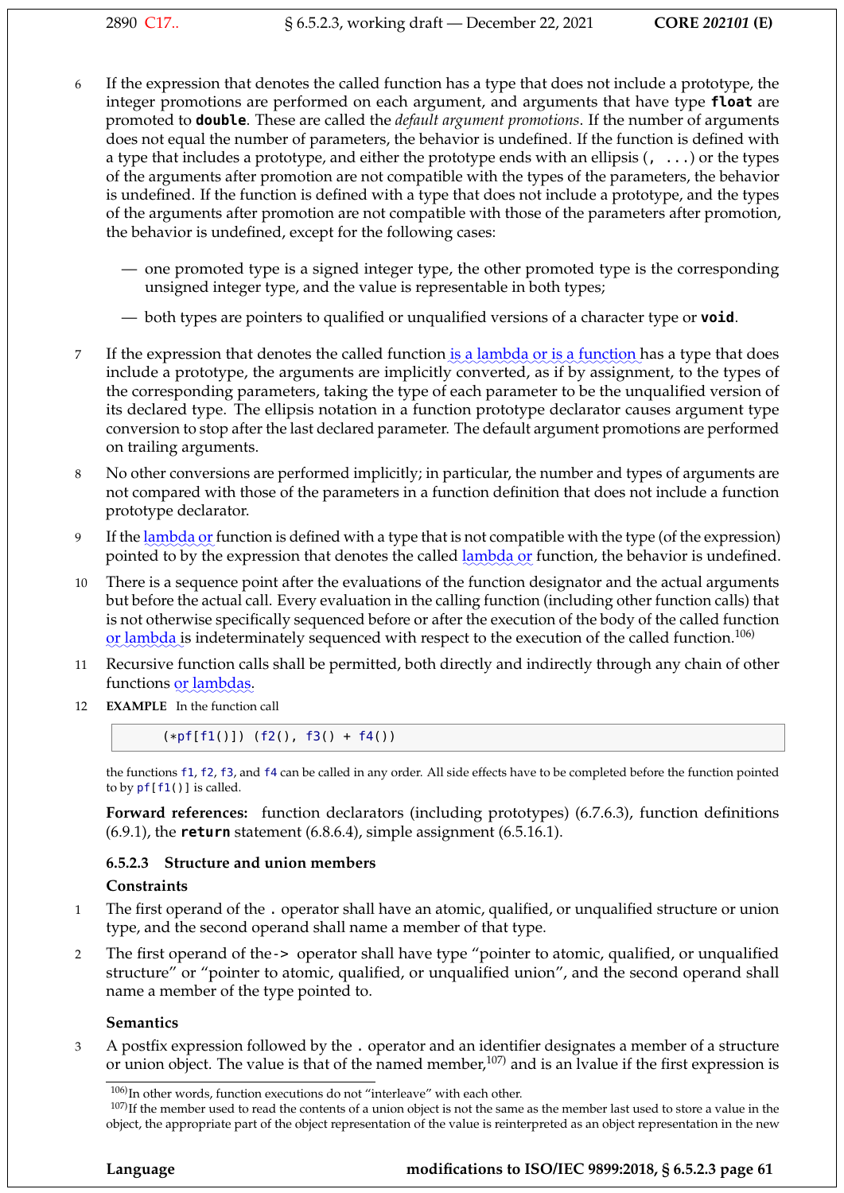- 6 If the expression that denotes the called function has a type that does not include a prototype, the integer promotions are performed on each argument, and arguments that have type **float** are promoted to **double**. These are called the *default argument promotions*. If the number of arguments does not equal the number of parameters, the behavior is undefined. If the function is defined with a type that includes a prototype, and either the prototype ends with an ellipsis  $($ ,  $\ldots)$  or the types of the arguments after promotion are not compatible with the types of the parameters, the behavior is undefined. If the function is defined with a type that does not include a prototype, and the types of the arguments after promotion are not compatible with those of the parameters after promotion, the behavior is undefined, except for the following cases:
	- one promoted type is a signed integer type, the other promoted type is the corresponding unsigned integer type, and the value is representable in both types;
	- both types are pointers to qualified or unqualified versions of a character type or **void**.
- 7 If the expression that denotes the called function <u>is a lambda or is a function</u> has a type that does include a prototype, the arguments are implicitly converted, as if by assignment, to the types of the corresponding parameters, taking the type of each parameter to be the unqualified version of its declared type. The ellipsis notation in a function prototype declarator causes argument type conversion to stop after the last declared parameter. The default argument promotions are performed on trailing arguments.
- 8 No other conversions are performed implicitly; in particular, the number and types of arguments are not compared with those of the parameters in a function definition that does not include a function prototype declarator.
- 9 If the <u>lambda or</u> function is defined with a type that is not compatible with the type (of the expression) pointed to by the expression that denotes the called <u>lambda or</u> function, the behavior is undefined.
- 10 There is a sequence point after the evaluations of the function designator and the actual arguments but before the actual call. Every evaluation in the calling function (including other function calls) that is not otherwise specifically sequenced before or after the execution of the body of the called function or lambda is indeterminately sequenced with respect to the execution of the called function.<sup>106)</sup>
- 11 Recursive function calls shall be permitted, both directly and indirectly through any chain of other functions or lambdas.
- 12 **EXAMPLE** In the function call

```
(*pf[f1()]) (f2(), f3() + f4())
```
the functions f1, f2, f3, and f4 can be called in any order. All side effects have to be completed before the function pointed to by  $pf[fl()]$  is called.

**Forward references:** function declarators (including prototypes) (6.7.6.3), function definitions (6.9.1), the **return** statement (6.8.6.4), simple assignment (6.5.16.1).

# **6.5.2.3 Structure and union members**

# **Constraints**

- 1 The first operand of the . operator shall have an atomic, qualified, or unqualified structure or union type, and the second operand shall name a member of that type.
- 2 The first operand of the-> operator shall have type "pointer to atomic, qualified, or unqualified structure" or "pointer to atomic, qualified, or unqualified union", and the second operand shall name a member of the type pointed to.

# **Semantics**

3 A postfix expression followed by the . operator and an identifier designates a member of a structure or union object. The value is that of the named member,<sup>107)</sup> and is an Ivalue if the first expression is

<sup>&</sup>lt;sup>106)</sup>In other words, function executions do not "interleave" with each other.

 $107$  If the member used to read the contents of a union object is not the same as the member last used to store a value in the object, the appropriate part of the object representation of the value is reinterpreted as an object representation in the new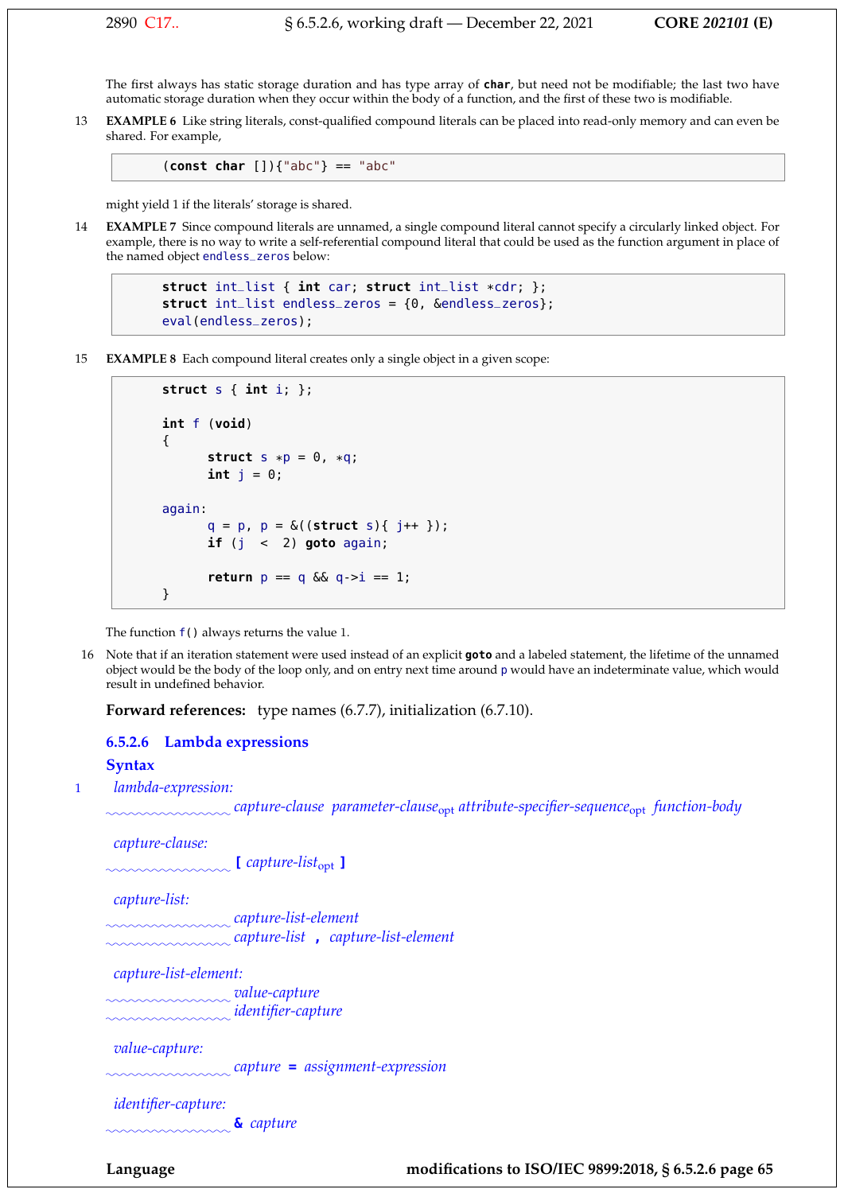The first always has static storage duration and has type array of **char**, but need not be modifiable; the last two have automatic storage duration when they occur within the body of a function, and the first of these two is modifiable.

13 **EXAMPLE 6** Like string literals, const-qualified compound literals can be placed into read-only memory and can even be shared. For example,

```
(const char []){"abc"} == "abc"
```
might yield 1 if the literals' storage is shared.

14 **EXAMPLE 7** Since compound literals are unnamed, a single compound literal cannot specify a circularly linked object. For example, there is no way to write a self-referential compound literal that could be used as the function argument in place of the named object endless\_zeros below:

```
struct int_list { int car; struct int_list *cdr; };
struct int_list endless_zeros = {0, &endless_zeros};
eval(endless_zeros);
```
15 **EXAMPLE 8** Each compound literal creates only a single object in a given scope:

```
struct s { int i; };
int f (void)
{
      struct s *p = 0, *q;int j = 0;
again:
      q = p, p = &((struct s){ j++ });
      if (j < 2) goto again;
      return p == q & & q > i == 1;}
```
The function f() always returns the value 1.

16 Note that if an iteration statement were used instead of an explicit **goto** and a labeled statement, the lifetime of the unnamed object would be the body of the loop only, and on entry next time around p would have an indeterminate value, which would result in undefined behavior.

**Forward references:** type names (6.7.7), initialization (6.7.10).

#### **6.5.2.6 Lambda expressions**

#### **Syntax**

1 *lambda-expression:*

✿✿✿✿✿✿✿✿✿✿✿✿✿✿✿✿ *capture-clause parameter-clause*opt *attribute-specifier-sequence*opt *function-body*

*capture-clause:*

✿✿✿✿✿✿✿✿✿✿✿✿✿✿✿✿ **[** *capture-list*opt **]**

*capture-list:*

✿✿✿✿✿✿✿✿✿✿✿✿✿✿✿✿ *capture-list-element* ✿✿✿✿✿✿✿✿✿✿✿✿✿✿✿✿ *capture-list* **,** *capture-list-element*

*capture-list-element:*

✿✿✿✿✿✿✿✿✿✿✿✿✿✿✿✿ *value-capture* ✿✿✿✿✿✿✿✿✿✿✿✿✿✿✿✿ *identifier-capture*

*value-capture:*

✿✿✿✿✿✿✿✿✿✿✿✿✿✿✿✿ *capture* **=** *assignment-expression*

*identifier-capture:*

✿✿✿✿✿✿✿✿✿✿✿✿✿✿✿✿ **&** *capture*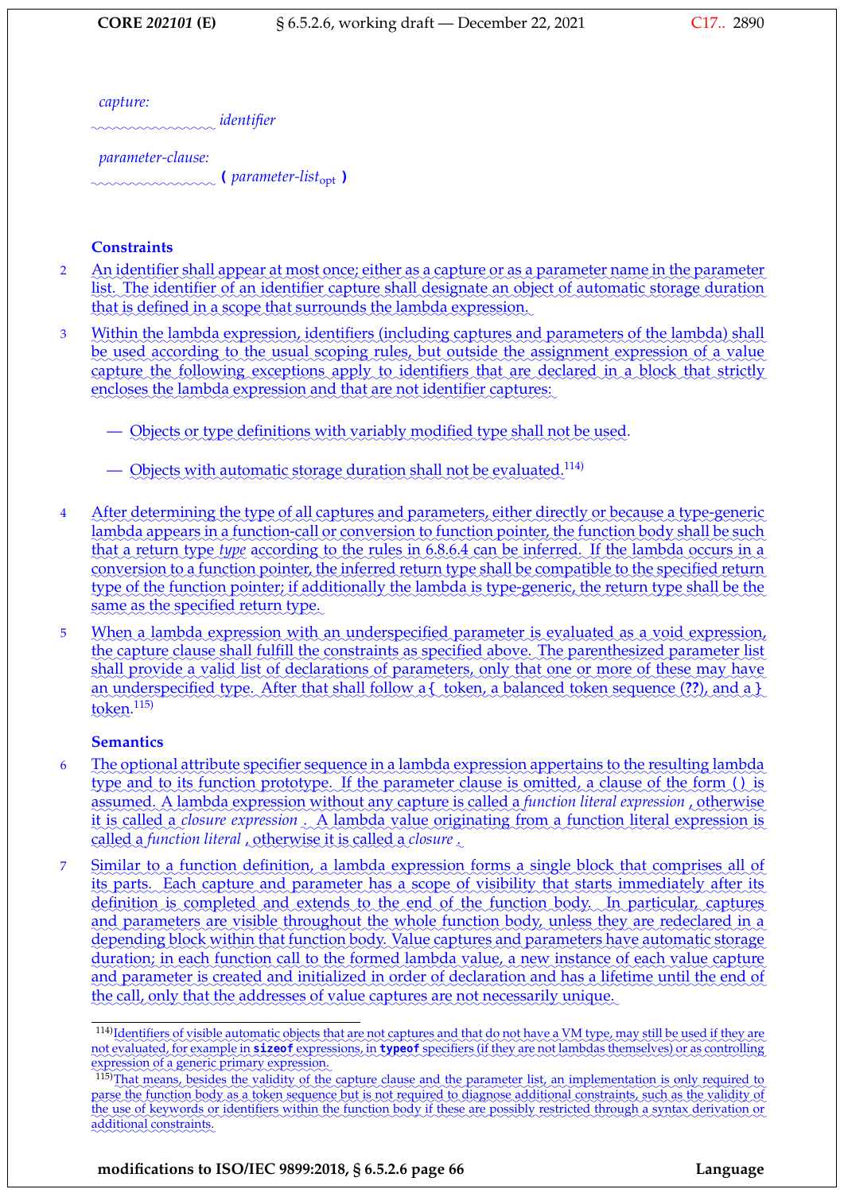*capture:*

✿✿✿✿✿✿✿✿✿✿✿✿✿✿✿✿ *identifier*

*parameter-clause:*

✿✿✿✿✿✿✿✿✿✿✿✿✿✿✿✿ **(** *parameter-list*opt **)**

# **Constraints**

- $\overline{2}$ An identifier shall appear at most once; either as a capture or as a parameter name in the parameter ✿✿✿✿✿ ✿✿✿✿✿✿ ✿✿✿ ✿✿✿✿✿ ✿✿✿✿✿✿ ✿✿ ✿✿ ✿✿ ✿✿ ✿✿ ✿✿✿✿✿✿ ✿✿ ✿✿✿✿✿✿✿✿✿✿ list. The identifier of an identifier capture shall designate an object of automatic storage duration that is defined in a scope that surrounds the lambda expression.
- 3 Within the lambda expression, identifiers (including captures and parameters of the lambda) shall the used according to the usual scoping rules, but outside the assignment expression of a value ✿✿ ✿✿✿✿✿ ✿✿✿✿✿✿ ✿✿✿✿✿✿✿✿ ✿✿✿✿ ✿✿✿✿✿✿✿ ✿✿✿✿ ✿✿✿✿✿✿✿✿✿✿✿ ✿✿✿✿✿✿✿✿✿✿ ✿✿ capture the following ✿✿✿✿✿✿✿✿✿✿ exceptions apply✿✿✿ to ✿✿✿✿✿✿✿✿✿✿ identifiers that are ✿✿✿✿✿✿✿✿ declared✿✿✿ in ✿✿ a ✿✿✿✿✿ block✿✿✿✿✿ that ✿✿✿✿✿✿✿ strictly ✿✿✿✿✿✿✿ ✿✿✿ ✿✿✿✿✿✿✿✿✿✿ ✿✿✿✿✿✿ ✿✿✿✿ ✿✿✿✿ encloses the lambda expression and that are not identifier captures:

— Objects or type definitions with variably modified type shall not be used.

- Objects with automatic storage duration shall not be evaluated.<sup>114)</sup>
- 4 After determining the type of all captures and parameters, either directly or because a type-generic lambda appears in a function-call or conversion to function pointer, the function body shall be such that a return type *type* according to the rules in 6.8.6.4 can be inferred. If the lambda occurs in a conversion to a function pointer, the inferred return type shall be compatible to the specified return type of the function pointer; if additionally the lambda is type-generic, the return type shall be the same as the specified return type.
- 5 When a lambda expression with an underspecified parameter is evaluated as a void expression, ✿✿ ✿✿✿✿✿✿✿✿✿ ✿✿ the capture clause shall fulfill the constraints as specified above. The parenthesized parameter list shall provide a valid list of declarations of parameters, only that one or more of these may have an underspecified type. After that shall follow a L token, a balanced token sequence (??), and a L  $\underline{\text{token}}$ .<sup>115)</sup>

## **Semantics**

- 6 type and to its function prototype. If the parameter clause is omitted, a clause of the form () is The optional attribute specifier sequence in a lambda expression appertains to the resulting lambda ✿✿✿✿ ✿✿✿✿ ✿✿✿✿✿✿✿✿ ✿✿✿ ✿✿✿ ✿✿✿✿✿✿✿✿✿✿ ✿✿✿✿✿✿ ✿✿ ✿✿✿✿✿✿✿✿ ✿✿ ✿✿ ✿✿✿✿ ✿✿✿✿✿ assumed. A lambda expression without any capture is called a function literal expression , otherwise it is called a *closure expression* . A lambda value originating from a function literal expression is called a function literal <u>, otherwise it is called a</u> closure <u>.</u>
- 7 Similar to a function definition, a lambda expression forms a single block that comprises all of its parts. Each capture and parameter has a scope of visibility that starts immediately after its definition is completed and extends to the end of the function body. In particular, captures and parameters are visible throughout the whole function body, unless they are redeclared in a depending block within that function body. Value captures and parameters have automatic storage ✿✿✿✿✿✿✿✿ ✿✿✿ ✿✿ ✿✿✿✿✿✿✿ ✿✿ ✿✿ ✿✿✿✿✿ ✿✿✿✿✿✿✿✿ duration; in each function call to the formed lambda value, a new instance of each value capture and parameter is created and initialized in order of declaration and has a lifetime until the end of the call, only that the addresses of value captures are not necessarily unique.

<sup>114)</sup> Identifiers of visible automatic objects that are not captures and that do not have a VM type, may still be used if they are not evaluated, for example in **sizeof** expressions, in **typeof** specifiers (if they are not lambdas themselves) or as controlling expression of a generic primary expression.

<sup>115)</sup> That means, besides the validity of the capture clause and the parameter list, an implementation is only required to ✿✿✿✿ ✿✿✿ ✿✿✿✿✿✿ ✿✿✿✿ ✿✿ ✿ ✿✿✿✿✿ ✿✿✿✿✿✿✿ ✿✿ ✿✿ ✿✿✿ ✿✿✿✿✿✿ ✿✿ ✿✿✿✿✿✿✿ ✿✿✿✿✿✿✿✿ ✿✿✿✿✿✿✿✿ ✿✿✿✿ ✿✿ ✿✿✿ ✿✿✿✿✿✿ ✿✿ parse the function body as a token sequence but is not required to diagnose additional constraints, such as the validity of the use of keywords or identifiers within the function body if these are possibly restricted through a syntax derivation or additional constraints.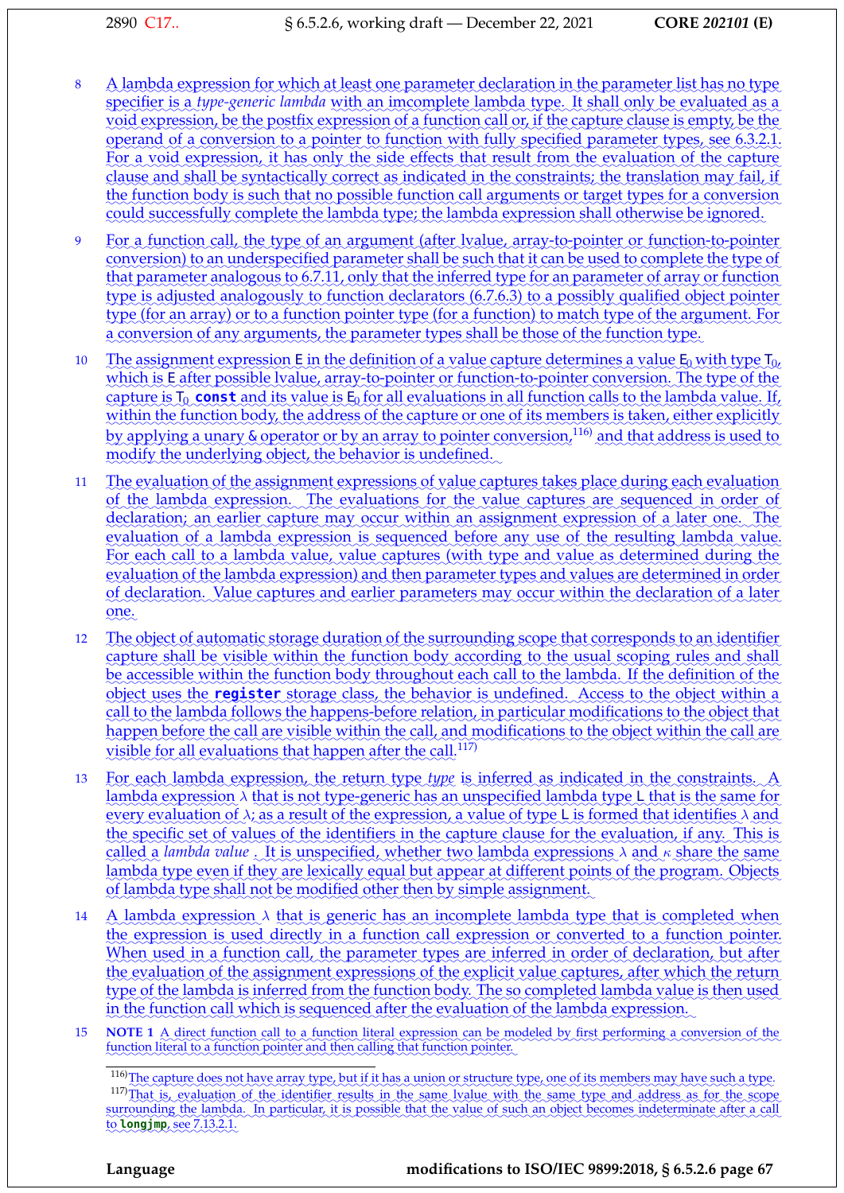- 8 A lambda expression for which at least one parameter declaration in the parameter list has no type specifier is a *type-generic lambda* with an imcomplete lambda type. It shall only be evaluated as a ✿✿✿✿✿✿✿ ✿✿ ✿✿ ✿✿✿✿✿✿✿ ✿✿ ✿✿✿✿✿ ✿✿✿✿✿ ✿✿✿✿✿✿✿✿✿✿ ✿✿ void expression, be the postfix expression of a function call or, if the capture clause is empty, be the ✿✿✿✿✿✿✿ ✿ ✿✿ ✿✿✿✿✿✿ ✿✿✿ ✿✿✿✿✿✿✿ operand of a conversion to a pointer to function with fully specified parameter types, see 6.3.2.1. For a void expression, it has only the side effects that result from the evaluation of the capture clause and shall be syntactically correct as indicated in the constraints; the translation may fail, if ✿✿✿ ✿✿✿✿✿✿✿✿ ✿✿✿✿ ✿✿✿ ✿✿✿✿✿✿✿✿ ✿✿✿✿✿✿✿✿✿✿ ✿✿✿ ✿✿✿✿✿✿ ✿✿✿✿✿ ✿✿✿ ✿ the function body is such that no possible function call arguments or target types for a conversion could successfully complete the lambda type; the lambda expression shall otherwise be ignored.
- 9 For a function call, the type of an argument (after lyalue, array-to-pointer or function-to-pointer that parameter analogous to 6.7.11, only that the inferred type for an parameter of array or function conversion) to an underspecified parameter shall be such that it can be used to complete the type of ✿✿✿ ✿✿✿✿✿✿✿✿✿✿ ✿✿✿✿✿✿✿✿✿✿ ✿✿ ✿✿✿✿ ✿✿✿ ✿✿✿✿✿✿✿✿ ✿✿✿ ✿✿✿ ✿✿ ✿✿✿✿✿✿ ✿✿✿✿✿✿✿✿ type is adjusted analogously to function declarators (6.7.6.3) to a possibly qualified object pointer type (for an array) or to a function pointer type (for a function) to match type of the argument. For a conversion of any arguments, the parameter types shall be those of the function type.
- 10 The assignment expression E in the definition of a value capture determines a value E<sub>0</sub> with type T<sub>0</sub>, which is E after possible lvalue, array-to-pointer or function-to-pointer conversion. The type of the capture is T<sub>0</sub> const and its value is E<sub>0</sub> for all evaluations in all function calls to the lambda value. If within the function body, the address of the capture or one of its members is taken, either explicitly by applying a unary & operator or by an array to pointer conversion,<sup>116)</sup> and that address is used to modify the underlying object, the behavior is undefined.
- 11 The evaluation of the assignment expressions of value captures takes place during each evaluation of the lambda expression. The evaluations for the value captures are sequenced in order of declaration; an earlier capture may occur within an assignment expression of a later one. The evaluation of a lambda expression is sequenced before any use of the resulting lambda value. For each call to a lambda value, value captures (with type and value as determined during the evaluation of the lambda expression) and then parameter types and values are determined in order of declaration. Value captures and earlier parameters may occur within the declaration of a later one.
- 12 The object of automatic storage duration of the surrounding scope that corresponds to an identifier ✿✿✿✿✿✿✿ ✿✿✿✿✿ ✿✿ ✿✿✿✿✿✿✿ ✿✿✿✿✿✿✿✿ ✿✿✿✿✿ ✿✿✿✿✿✿✿✿ ✿✿✿✿ capture shall be visible within the function body according to the usual scoping rules and shall be accessible within the function body throughout each call to the lambda. If the definition of the object uses the **register** storage class, the behavior is undefined. Access to the object within a call to the lambda follows the happens-before relation, in particular modifications to the object that happen before the call are visible within the call, and modifications to the object within the call are visible for all evaluations that happen after the call.<sup>117)</sup>
- 13 For each lambda expression, the return type type is inferred as indicated in the constraints. A lambda expression  $\lambda$  that is not type-generic has an unspecified lambda type L that is the same for ✿✿✿✿✿ ✿ ✿✿✿ ✿ ✿✿ ✿✿✿ ✿✿✿✿✿✿✿✿✿✿✿ ✿ ✿✿✿ ✿✿✿✿ ✿✿ ✿✿✿✿✿✿✿ ✿✿✿✿✿✿✿✿ ✿ every evaluation of  $\lambda$ ; as a result of the expression, a value of type L is formed that identifies  $\lambda$  and the specific set of values of the identifiers in the capture clause for the evaluation, if any. This is called a *lambda value* . It is unspecified, whether two lambda expressions  $\lambda$  and  $\kappa$  share the same lambda type even if they are lexically equal but appear at different points of the program. Objects of lambda type shall not be modified other then by simple assignment.
- 14 A lambda expression λ that is generic has an incomplete lambda type that is completed when When used in a function call, the parameter types are inferred in order of declaration, but after the expression is used directly in a function call expression or converted to a function pointer. the evaluation of the assignment expressions of the explicit value captures, after which the return ✿✿✿✿ ✿✿ ✿✿✿ ✿✿✿✿✿✿✿✿ ✿✿✿✿✿✿✿✿ ✿✿✿✿✿✿✿✿ ✿✿✿✿ ✿✿ type of the lambda is inferred from the function body. The so completed lambda value is then used in the function call which is sequenced after the evaluation of the lambda expression.
- 15 **NOTE** 1 A direct function call to a function literal expression can be modeled by first performing a conversion of the ✿ ✿✿✿✿✿✿ ✿✿✿ ✿✿ ✿✿ ✿✿✿✿✿✿ ✿✿✿✿✿ ✿✿✿✿✿✿✿✿ ✿✿✿ ✿✿✿ function literal to a function pointer and then calling that function pointer.

<sup>116)</sup> The capture does not have array type, but if it has a union or structure type, one of its members may have such a type. 117) That is, evaluation of the identifier results in the same lyalue with the same type and address as for the scope surrounding the lambda. In particular, it is possible that the value of such an object becomes indeterminate after a call <u>to **longjmp**, see 7.13.2.1.</u>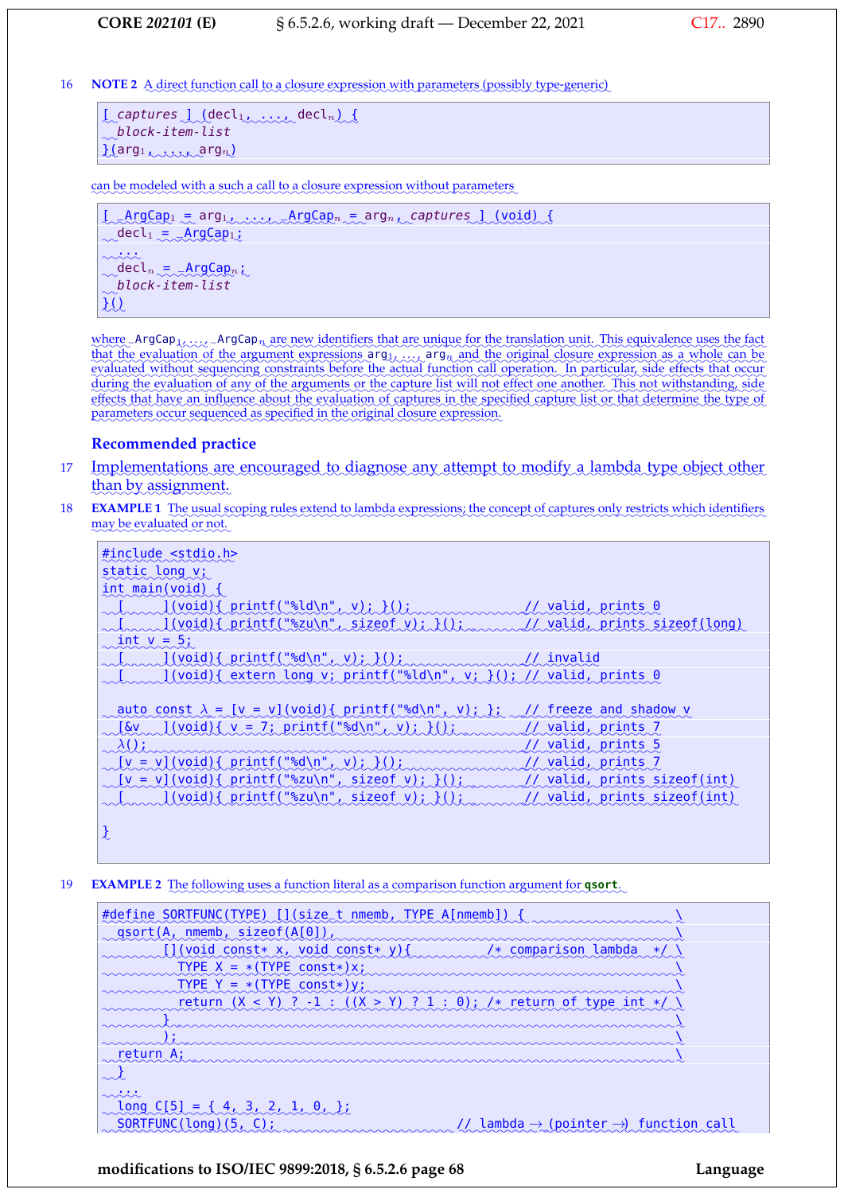16 **NOTE 2** A direct function call to a closure expression with parameters (possibly type-generic)

```
\int_{\mathbb{R}^d}captures\int_{\mathbb{R}^d}(<code>decl\int_{\mathbb{R}^d}decl\int_{\mathbb{R}^d}(</code>
\simblock-item-list
\}(arg_1 , , , , , , , , arg_n)
```
can be modeled with a such a call to a closure expression without parameters

```
\hat{\mathfrak{l}}✿✿✿✿✿✿✿✿
_ArgCap1 ✿✿
= arg1✿
,
✿✿✿✿✿
...,
✿✿✿✿✿✿✿✿
_ArgCapn ✿✿
=
✿
argn ✿
,
✿
captures
✿✿
]
✿✿
(
✿✿✿✿
void
✿
)
✿✿
{
\simdecl_1 = ArgCap<sub>1</sub>;
✿✿✿✿✿
   ...
\simdecl_{n} = _{-}ArgCap_{n};
\simblock-item-list
\mathfrak{z}(\mathfrak{c})
```
✿✿✿✿ ✿ ✿✿✿ ✿✿✿✿ ✿✿✿✿ ✿✿ ✿✿✿✿✿✿ ✿✿ ✿✿✿ ✿✿✿✿✿✿✿✿ ✿✿✿✿ ✿✿✿✿ ✿✿✿✿✿✿✿✿ ✿✿✿✿ ✿✿✿ ✿✿✿ where  $\text{ArgCap}_{1,\dots,\nu}$  argCap<sub>n</sub> are new identifiers that are unique for the translation unit. This equivalence uses the fact that the evaluation of the argument expressions  $arg_1$ , ...,  $arg_n$  and the original closure expression as a whole can be ✿✿✿✿✿✿✿ ✿✿✿✿✿✿ ✿✿✿✿✿✿✿✿✿ ✿✿✿✿✿✿✿✿ ✿✿✿✿✿ ✿✿✿ ✿✿✿✿✿ ✿✿✿✿✿✿ ✿✿✿ ✿✿✿✿✿✿✿✿ ✿✿✿ ✿✿✿✿✿✿✿ ✿✿✿✿ ✿✿✿✿✿ ✿✿✿ ✿✿✿✿✿ evaluated without sequencing constraints before the actual function call operation. In particular, side effects that occur during the evaluation of any of the arguments or the capture list will not effect one another. This not withstanding, side effects that have an influence about the evaluation of captures in the specified capture list or that determine the type of parameters occur sequenced as specified in the original closure expression.

#### **Recommended practice**

- 17 Implementations are encouraged to diagnose any attempt to modify a lambda type object other than by assignment.
- 18 **EXAMPLE 1** The usual scoping rules extend to lambda expressions; the concept of captures only restricts which identifiers <u>ትላት ለውስጥ</u> may be evaluated or not.

| #include <stdio.h></stdio.h>                                                          |                               |
|---------------------------------------------------------------------------------------|-------------------------------|
| static long v;                                                                        |                               |
| int main(void)                                                                        |                               |
| $(void)$ { $print(f("&old\n", v);$ $)()$ ;                                            | // valid, prints 0            |
| ](void){        printf("%zu\n", sizeof v);                                  }();      | // valid, prints sizeof(long) |
| int $v = 5k$                                                                          |                               |
|                                                                                       | // invalid                    |
| ](void){ extern long v;    printf("%ld\n", v;    }();     // valid,    prints 0       |                               |
|                                                                                       |                               |
| auto const $\lambda = [v = v] (void) { printf("ad\nu, v); }$ ; // freeze and shadow v |                               |
| $(\text{void})$ { $v = 7$ ; printf("%d\n", $v$ ); }<br>l &v                           | // valid, prints 7            |
|                                                                                       | // valid, prints 5            |
|                                                                                       | // valid, prints 7            |
| $v = v$ ](void){ printf("%zu\n", sizeof v);                                           | // valid, prints sizeof(int)  |
|                                                                                       | // valid, prints sizeof(int)  |
|                                                                                       |                               |
|                                                                                       |                               |

19 **EXAMPLE 2** The following uses a function literal as a comparison function argument for **gsort**.

| #define SORTFUNC(TYPE) [](size_t nmemb, TYPE A[nmemb]) {                           |
|------------------------------------------------------------------------------------|
| qsort(A, nmemb, sizeof(A[0]),                                                      |
| $[$ (void const* x, void const* y){<br>$/*$ comparison lambda                      |
| TYPE $X = *(TYPE const*)x;$                                                        |
| TYPE $Y = *(TYPE const*)y;$                                                        |
| return $(X < Y)$ ? -1 : $((X > Y)$ ? 1 : 0); /* return of type int */              |
|                                                                                    |
|                                                                                    |
| return A;                                                                          |
|                                                                                    |
| min                                                                                |
| $\{4, 3, 2, 1, 0, \}$ ;<br>$long$ $C[5] =$                                         |
| SORTFUNC(long)(5, C);<br>// lambda $\rightarrow$ (pointer $\rightarrow$ ) function |

**modifications to ISO/IEC 9899:2018, § 6.5.2.6 page 68 Language**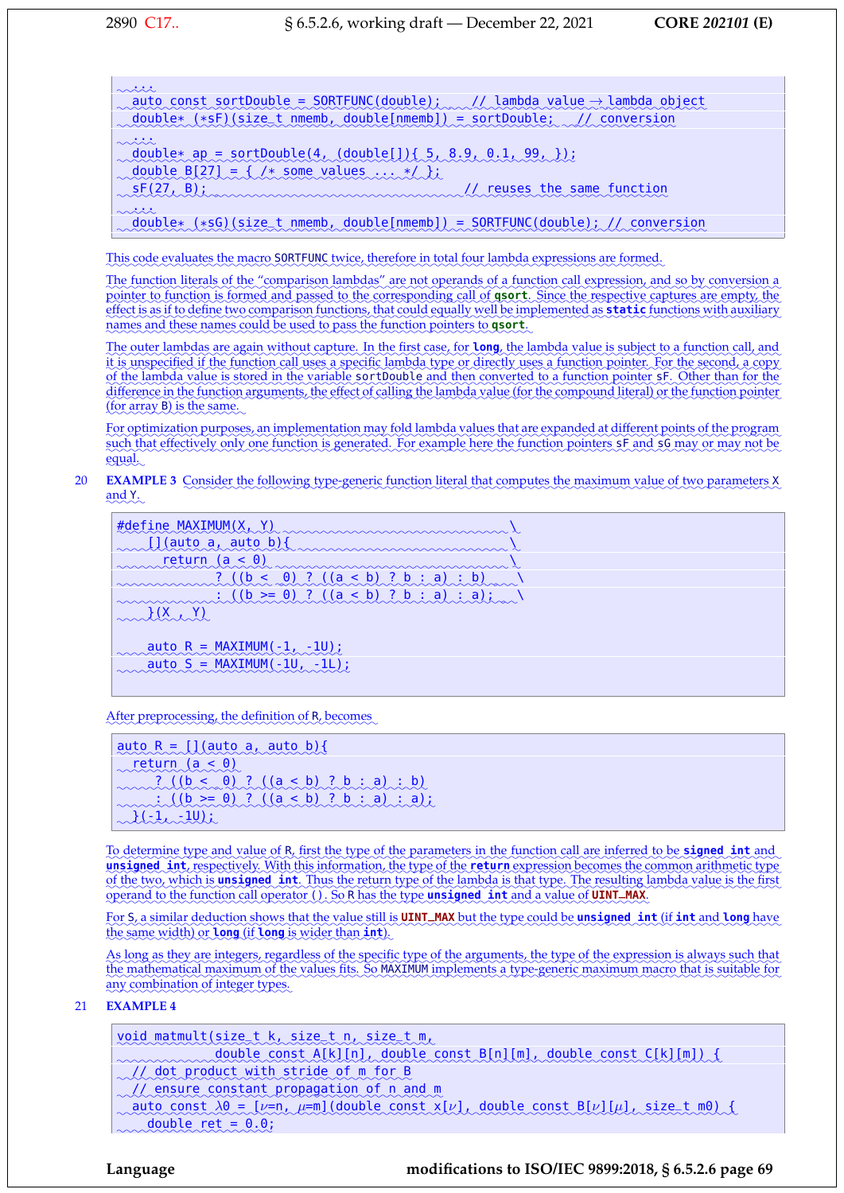✿✿✿✿✿ ... <sub>→</sub>\_auto\_const\_sortDouble = SORTFUNC(double);<br>←← \_double\*\_(\*sF)(size\_t\_nmemb,\_double[nmemb])\_=\_sortDouble;\_\_\_\_\_\_\_\_\_\_\_\_\_\_\_\_\_\_\_\_\_\_\_ ✿✿✿✿✿ ... ✿✿✿✿✿✿✿✿ double\*✿✿✿✿ ap ✿✿ = ✿✿✿✿✿✿✿✿✿✿ sortDouble ✿✿✿ (4, ✿✿ ( ✿✿✿✿✿✿ double ✿✿✿ []) ✿ { ✿✿✿ 5, ✿✿✿✿✿ 8.9, ✿✿✿✿✿ 0.1, ✿✿✿ 99, ✿✿✿ }) ✿ ; adouble B[27] = {/\* some values sF(27, B); ✿✿✿✿✿✿✿✿✿✿✿✿✿✿✿✿✿✿✿✿✿✿✿✿✿✿✿✿✿✿✿✿✿ ✿✿ // reuses the same function ✿✿✿✿✿ ... double\* (\*sG)(size\_t nmemb, double[nmemb]) = SORTFUNC(double); // conversion

This code evaluates the macro SORTFUNC twice, therefore in total four lambda expressions are formed.

The function literals of the "comparison lambdas" are not operands of a function call expression, and so by conversion a pointer to function is formed and passed to the corresponding call of **gsort**. Since the respective captures are empty, the ✿✿✿✿ ✿ ✿✿ ✿ ✿✿ ✿✿✿✿✿ ✿✿✿ ✿✿✿✿✿✿✿✿✿ ✿✿✿✿✿✿✿ ✿✿✿ ✿✿✿✿ ✿✿✿✿✿✿ ✿✿✿ ✿✿ effect is as if to define two comparison functions, that could equally well be implemented as **static** functions with auxiliary names and these names could be used to pass the function pointers to **gsort**.

The outer lambdas are again without capture. In the first case, for **long**, the lambda value is subject to a function call, and it is unspecified if the function call uses a specific lambda type or directly uses a function pointer. For the second, a copy of the lambda value is stored in the variable sortDouble and then converted to a function pointer sF. Other than for the difference in the function arguments, the effect of calling the lambda value (for the compound literal) or the function pointer (for array  $B$ ) is the same.

✿✿ ✿✿✿✿✿✿✿✿✿✿ ✿✿✿✿✿✿✿ ✿✿ ✿✿✿✿✿✿✿✿✿✿✿✿ ✿✿✿ ✿✿✿ ✿✿✿✿✿✿ ✿✿✿✿✿ ✿✿✿ ✿✿✿ ✿✿✿✿✿✿✿ ✿✿ ✿✿✿✿✿✿ ✿✿✿✿✿ ✿✿ ✿✿ ✿✿✿✿✿✿✿ For optimization purposes, an implementation may fold lambda values that are expanded at different points of the program such that effectively only one function is generated. For example here the function pointers sF and 5G may or may not be equal.

#### 20 **EXAMPLE 3** Consider the following type-generic function literal that computes the maximum value of two parameters X and Y<sub>.</sub>

| #define MAXIMUM(X, Y)                                                                    |
|------------------------------------------------------------------------------------------|
| $\iint (auto, a, auto, b)$                                                               |
| return (a $< 0$ )                                                                        |
| $(2)(b < 0)$ ? $((a < b)$ ? $b : a) : b$                                                 |
| $( (b \ge 0) ? ( (a < b) ? b : a) : a )$<br>$\left(\begin{matrix}X&Y\end{matrix}\right)$ |
| $auto R = MAXIMUM(-1, -10);$<br>$auto S = MAXIMUM(-10, -11)$ ;                           |

After preprocessing, the definition of R, becomes

auto R = [](auto a, auto b){ weturn (a.s. 0) milles and illes but did ✿✿✿✿✿✿ : ((b = 0) ? ((a < b) ? b : a) : a) i ntl:1n:10);

www.common.com/www.com/www.com/www.com/www.com/www.com/www.com/www.com/www.com/ww To determine type and value of R, first the type of the parameters in the function call are inferred to be **signed int** and unsigned int, respectively. With this information, the type of the return expression becomes the common arithmetic type ✿ ✿✿✿ ✿✿✿✿ ✿✿✿✿ ✿✿ ✿✿✿✿✿✿✿✿✿✿✿ ✿✿✿✿ ✿✿✿ ✿✿✿✿✿ ✿✿✿ ✿✿ ✿✿✿ ✿✿✿✿✿✿ ✿ ✿✿✿ ✿✿✿✿ ✿✿✿✿ ✿✿✿✿✿✿ of the two, which is **unsigned int**. Thus the return type of the lambda is that type. The resulting lambda value is the first operand to the function call operator (). So R has the type **unsigned int** and a value of **UINT\_MAX**.

For 5, a similar deduction shows that the value still is **UINT\_MAX** but the type could be **unsigned int** (if **int** and **long** have the same width) or **long** (if **long** is wider than **int**).

As long as they are integers, regardless of the specific type of the arguments, the type of the expression is always such that ✿✿ ✿✿✿✿✿✿✿✿✿✿ ✿✿✿✿✿✿✿✿ the mathematical maximum of the values fits. So MAXIMUM implements a type-generic maximum macro that is suitable for any combination of integer types.

#### 21 **EXAMPLE 4**

void matmult(size\_t k, size\_t n, size\_t m www.www.double.const.A[k][n], double.const.B[n][m], double.const.C[k][m]) { // dot product with stride of m for B www.constant\_propagation\_of\_n\_and\_m wauto const  $\lambda$ 0 = [v=n, u=m](double const x[v], double const B[v][µ], size\_t m0) { andouble ret = 0.0;

#### **Language modifications to ISO/IEC 9899:2018, § 6.5.2.6 page 69**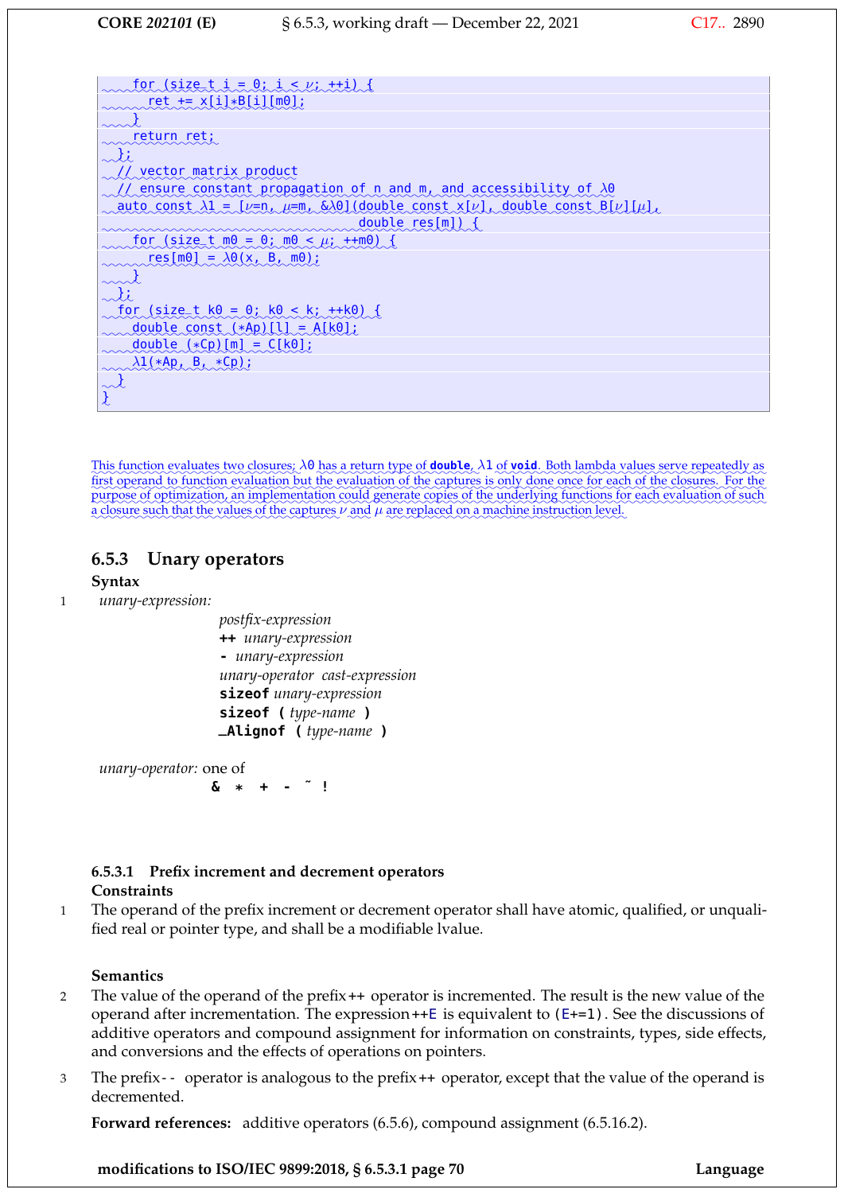```
for (size_t i = 0; i < l; ++i) {
✿✿✿✿✿✿✿✿✿
ret
✿✿✿
+=
✿✿
x
✿
[
✿
i
✿
]*✿
B
✿
[
✿
i
✿✿
][
✿✿
m0
✿✿
];
✿✿✿✿✿
    }
;<br>www.common.com
\mathop{\rm alt}\nolimitswector matrix product
and accessibility of λ@
auto const \lambda 1 = [\nu = n, \mu = m, \&\lambda 0] (double const x[\nu], double const B[\nu] [\mu]✿✿✿✿✿✿✿✿✿✿✿✿✿✿✿✿✿✿✿✿✿✿✿✿✿✿✿✿✿✿✿✿✿✿✿✿✿✿✿
                                       double_res[m])_{
when (size_t_mo = 0; mo < ui ++mo)
\text{res[m0]} = \text{A0(x, B, m0)}✿✿✿✿✿
    }
\mathop{\rm alt}\nolimitsof size the = 0; kg < k; ++kg) {
double_const (*Ap)[l] = A[k0];
www.double_(*Cp)[m]_=_C[k0];
mmal (* Ap, B, * Cp);
\lambda\mathfrak z
```
✿✿✿ ✿✿✿✿✿✿ ✿✿✿✿✿✿✿✿ ✿✿✿ ✿✿✿✿✿✿ ✿ ✿✿✿ ✿ ✿✿✿✿✿ ✿✿✿ ✿✿ ✿✿✿✿✿✿ ✿ ✿✿ ✿✿✿✿ ✿✿✿✿ ✿✿✿✿✿✿ ✿✿✿✿✿ ✿✿✿✿ ✿✿✿✿✿✿✿✿ ✿✿ This function evaluates two closures; λ0 has a return type of **double**, λ1 of **void**. Both lambda values serve repeatedly as first operand to function evaluation but the evaluation of the captures is only done once for each of the closures. For the purpose of optimization, an implementation could generate copies of the underlying functions for each evaluation of such a closure such that the values of the captures  $\nu$  and  $\mu$  are replaced on a machine instruction level.

# **6.5.3 Unary operators**

#### **Syntax**

1 *unary-expression:*

*postfix-expression* **++** *unary-expression* **-** *unary-expression unary-operator cast-expression* **sizeof** *unary-expression* **sizeof (** *type-name* **) \_Alignof (** *type-name* **)**

*unary-operator:* one of

**& \* + - ˜ !**

## **6.5.3.1 Prefix increment and decrement operators Constraints**

1 The operand of the prefix increment or decrement operator shall have atomic, qualified, or unqualified real or pointer type, and shall be a modifiable lvalue.

#### **Semantics**

- 2 The value of the operand of the prefix++ operator is incremented. The result is the new value of the operand after incrementation. The expression  $++E$  is equivalent to  $(E+=1)$ . See the discussions of additive operators and compound assignment for information on constraints, types, side effects, and conversions and the effects of operations on pointers.
- 3 The prefix-- operator is analogous to the prefix++ operator, except that the value of the operand is decremented.

**Forward references:** additive operators (6.5.6), compound assignment (6.5.16.2).

**modifications to ISO/IEC 9899:2018, § 6.5.3.1 page 70 Language**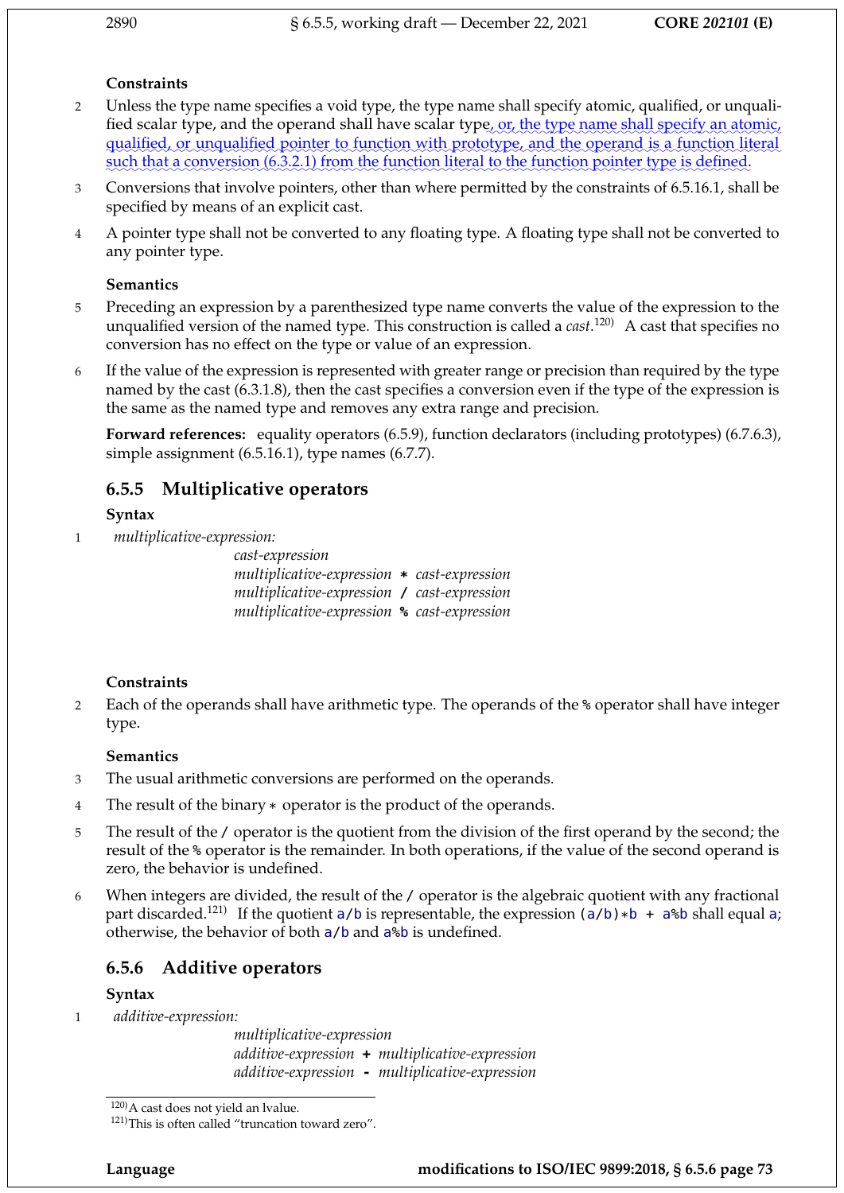# **Constraints**

- 2 Unless the type name specifies a void type, the type name shall specify atomic, qualified, or unqualified scalar type, and the operand shall have scalar type, or, the type name shall specify an atomic, qualified, or unqualified pointer to function with prototype, and the operand is a function literal such that a conversion (6.3.2.1) from the function literal to the function pointer type is defined.
- 3 Conversions that involve pointers, other than where permitted by the constraints of 6.5.16.1, shall be specified by means of an explicit cast.
- 4 A pointer type shall not be converted to any floating type. A floating type shall not be converted to any pointer type.

## **Semantics**

- 5 Preceding an expression by a parenthesized type name converts the value of the expression to the unqualified version of the named type. This construction is called a *cast*.<sup>120)</sup> A cast that specifies no conversion has no effect on the type or value of an expression.
- 6 If the value of the expression is represented with greater range or precision than required by the type named by the cast (6.3.1.8), then the cast specifies a conversion even if the type of the expression is the same as the named type and removes any extra range and precision.

**Forward references:** equality operators (6.5.9), function declarators (including prototypes) (6.7.6.3), simple assignment (6.5.16.1), type names (6.7.7).

# **6.5.5 Multiplicative operators**

# **Syntax**

1 *multiplicative-expression:*

*cast-expression multiplicative-expression* **\*** *cast-expression multiplicative-expression* **/** *cast-expression multiplicative-expression* **%** *cast-expression*

# **Constraints**

2 Each of the operands shall have arithmetic type. The operands of the % operator shall have integer type.

# **Semantics**

- 3 The usual arithmetic conversions are performed on the operands.
- 4 The result of the binary \* operator is the product of the operands.
- 5 The result of the / operator is the quotient from the division of the first operand by the second; the result of the % operator is the remainder. In both operations, if the value of the second operand is zero, the behavior is undefined.
- 6 When integers are divided, the result of the / operator is the algebraic quotient with any fractional part discarded.<sup>121)</sup> If the quotient  $a/b$  is representable, the expression  $(a/b)*b + a*b$  shall equal a; otherwise, the behavior of both a/b and a%b is undefined.

# **6.5.6 Additive operators**

# **Syntax**

1 *additive-expression:*

*multiplicative-expression additive-expression* **+** *multiplicative-expression additive-expression* **-** *multiplicative-expression*

<sup>120)</sup>A cast does not yield an lvalue.

<sup>121)</sup>This is often called "truncation toward zero".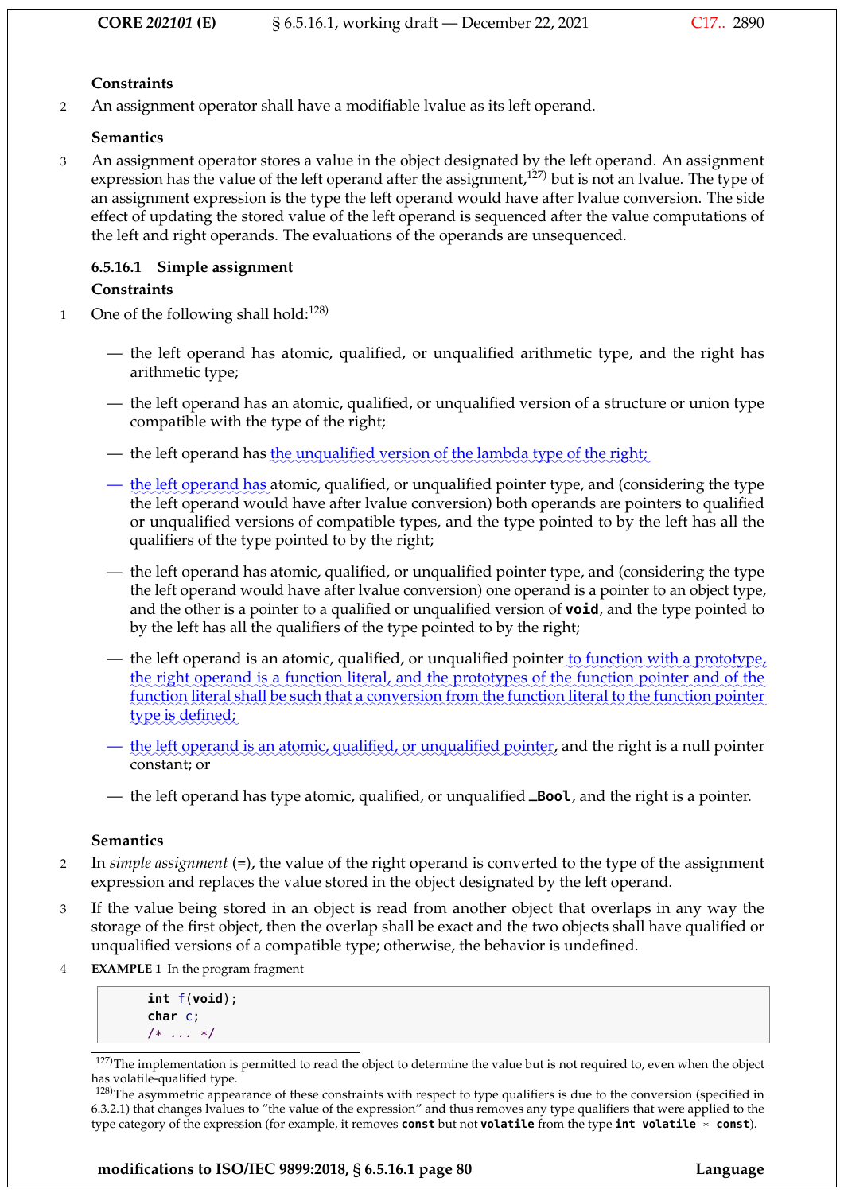## **Constraints**

2 An assignment operator shall have a modifiable lvalue as its left operand.

# **Semantics**

3 An assignment operator stores a value in the object designated by the left operand. An assignment expression has the value of the left operand after the assignment, $127$  but is not an lvalue. The type of an assignment expression is the type the left operand would have after lvalue conversion. The side effect of updating the stored value of the left operand is sequenced after the value computations of the left and right operands. The evaluations of the operands are unsequenced.

# **6.5.16.1 Simple assignment**

# **Constraints**

- 1 One of the following shall hold: $128$ 
	- the left operand has atomic, qualified, or unqualified arithmetic type, and the right has arithmetic type;
	- the left operand has an atomic, qualified, or unqualified version of a structure or union type compatible with the type of the right;
	- the left operand has the unqualified version of the lambda type of the right;
	- the left operand has atomic, qualified, or unqualified pointer type, and (considering the type the left operand would have after lvalue conversion) both operands are pointers to qualified or unqualified versions of compatible types, and the type pointed to by the left has all the qualifiers of the type pointed to by the right;
	- the left operand has atomic, qualified, or unqualified pointer type, and (considering the type the left operand would have after lvalue conversion) one operand is a pointer to an object type, and the other is a pointer to a qualified or unqualified version of **void**, and the type pointed to by the left has all the qualifiers of the type pointed to by the right;
	- the left operand is an atomic, qualified, or unqualified pointer to function with a prototype, the right operand is a function literal, and the prototypes of the function pointer and of the function literal shall be such that a conversion from the function literal to the function pointer type is defined;
	- the left operand is an atomic, qualified, or unqualified pointer, and the right is a null pointer constant; or
	- the left operand has type atomic, qualified, or unqualified **\_Bool**, and the right is a pointer.

# **Semantics**

- 2 In *simple assignment* (=), the value of the right operand is converted to the type of the assignment expression and replaces the value stored in the object designated by the left operand.
- 3 If the value being stored in an object is read from another object that overlaps in any way the storage of the first object, then the overlap shall be exact and the two objects shall have qualified or unqualified versions of a compatible type; otherwise, the behavior is undefined.
- 4 **EXAMPLE 1** In the program fragment

```
int f(void);
char c;
/* \ldots */
```
<sup>&</sup>lt;sup>127)</sup>The implementation is permitted to read the object to determine the value but is not required to, even when the object has volatile-qualified type.

<sup>128)</sup>The asymmetric appearance of these constraints with respect to type qualifiers is due to the conversion (specified in 6.3.2.1) that changes lvalues to "the value of the expression" and thus removes any type qualifiers that were applied to the type category of the expression (for example, it removes **const** but not **volatile** from the type **int volatile** \* **const**).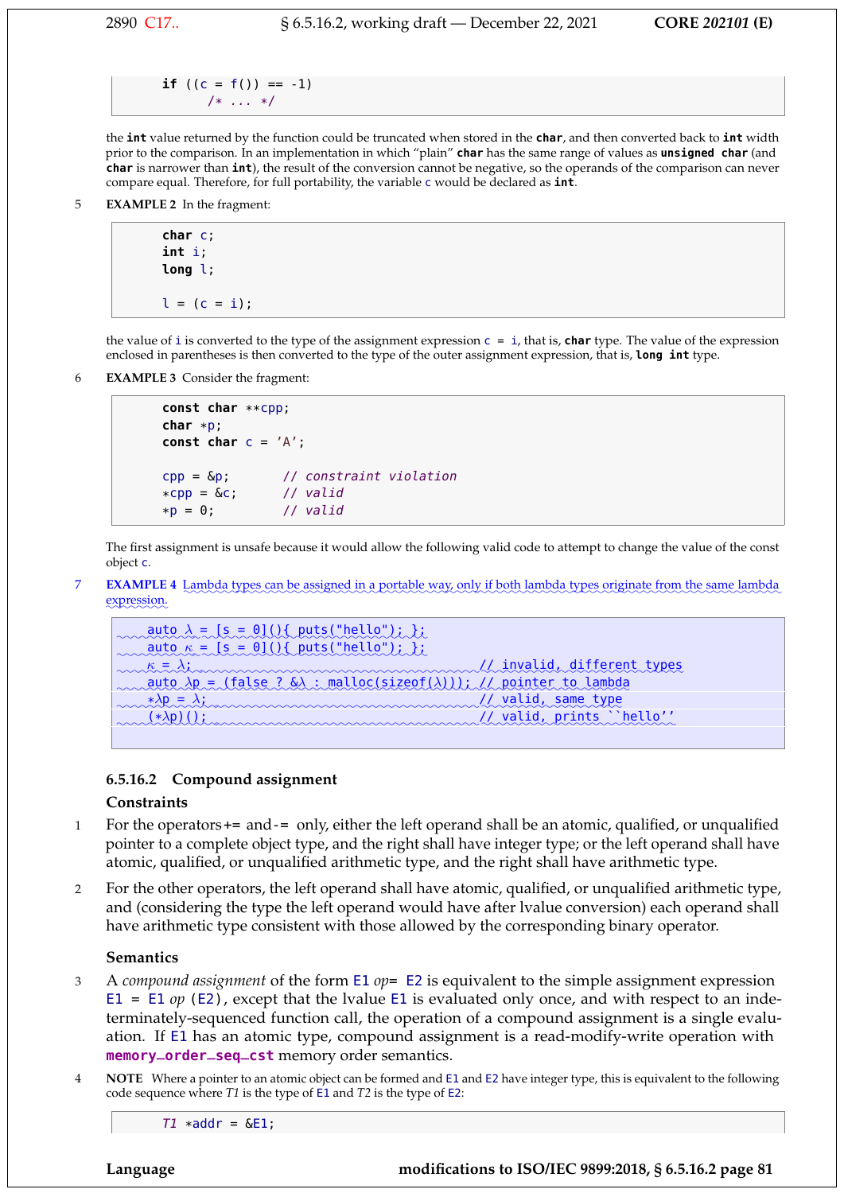**if**  $((c = f()) == -1)$ /\* ... \*/

the **int** value returned by the function could be truncated when stored in the **char**, and then converted back to **int** width prior to the comparison. In an implementation in which "plain" **char** has the same range of values as **unsigned char** (and **char** is narrower than **int**), the result of the conversion cannot be negative, so the operands of the comparison can never compare equal. Therefore, for full portability, the variable c would be declared as **int**.

5 **EXAMPLE 2** In the fragment:

```
char c;
int i;
long l;
l = (c = i);
```
the value of i is converted to the type of the assignment expression  $c = i$ , that is, **char** type. The value of the expression enclosed in parentheses is then converted to the type of the outer assignment expression, that is, **long int** type.

6 **EXAMPLE 3** Consider the fragment:

```
const char **cpp;
char *p;
const char c = 'A';
cpp = &p; // constraint violation
*cpp = \&c; // valid
*p = 0; // valid
```
The first assignment is unsafe because it would allow the following valid code to attempt to change the value of the const object c.

**FXAMPLE 4** Lambda types can be assigned in a portable way, only if both lambda types originate from the same lambda expression.

```
wave a = [s = 0](){ puts("hello"); };
wavete = [s = 0](){ puts("hello"); };
✿✿✿✿✿
✿✿
✿✿✿✿✿✿✿✿✿✿✿✿✿✿✿✿✿✿✿✿✿✿✿✿✿✿✿✿✿✿✿✿✿✿✿✿✿ ✿✿
    \stackrel{\kappa\; = \; \lambda_i}{\leadsto}// invalid, different types
<sub>←←←←</sub>auto λp = (false ? &λ : malloc(sizeof(λ))); // pointer to lambda
mmtde = 1i
             ✿✿✿✿✿✿✿✿✿✿✿✿✿✿✿✿✿✿✿✿✿✿✿✿✿✿✿✿✿✿✿✿✿✿✿ ✿✿
                                                     // valid, same type
mmthplai
             ✿✿✿✿✿✿✿✿✿✿✿✿✿✿✿✿✿✿✿✿✿✿✿✿✿✿✿✿✿✿✿✿✿✿✿ ✿✿
                                                     // valid, prints \\hello''
```
# **6.5.16.2 Compound assignment**

## **Constraints**

- 1 For the operators+= and-= only, either the left operand shall be an atomic, qualified, or unqualified pointer to a complete object type, and the right shall have integer type; or the left operand shall have atomic, qualified, or unqualified arithmetic type, and the right shall have arithmetic type.
- 2 For the other operators, the left operand shall have atomic, qualified, or unqualified arithmetic type, and (considering the type the left operand would have after lvalue conversion) each operand shall have arithmetic type consistent with those allowed by the corresponding binary operator.

#### **Semantics**

- 3 A *compound assignment* of the form E1 *op*= E2 is equivalent to the simple assignment expression E1 = E1 *op* (E2), except that the lvalue E1 is evaluated only once, and with respect to an indeterminately-sequenced function call, the operation of a compound assignment is a single evaluation. If E1 has an atomic type, compound assignment is a read-modify-write operation with **memory\_order\_seq\_cst** memory order semantics.
- **4 NOTE** Where a pointer to an atomic object can be formed and E1 and E2 have integer type, this is equivalent to the following code sequence where *T1* is the type of E1 and *T2* is the type of E2:

 $T1 * addr = \&E1$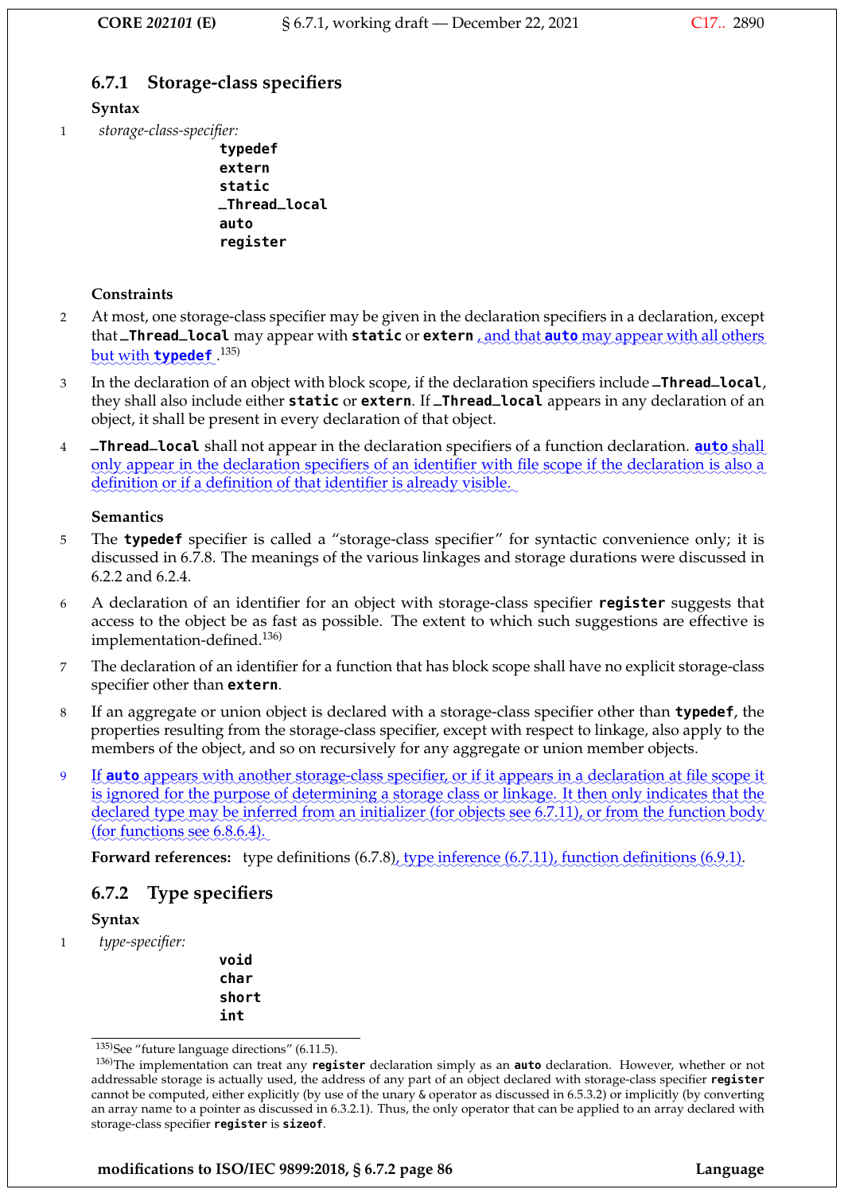# **6.7.1 Storage-class specifiers**

# **Syntax**

1 *storage-class-specifier:*

**typedef extern static \_Thread\_local auto register**

# **Constraints**

- 2 At most, one storage-class specifier may be given in the declaration specifiers in a declaration, except that **\_Thread\_local** may appear with **static** or **extern** , and that **auto** may appear with all others but with **typedef** .<sup>135)</sup>
- <sup>3</sup> In the declaration of an object with block scope, if the declaration specifiers include **\_Thread\_local**, they shall also include either **static** or **extern**. If **\_Thread\_local** appears in any declaration of an object, it shall be present in every declaration of that object.
- 4 **\_Thread\_local** shall not appear in the declaration specifiers of a function declaration. **<u>auto** shall</u> only appear in the declaration specifiers of an identifier with file scope if the declaration is also a definition or if a definition of that identifier is already visible.

# **Semantics**

- 5 The **typedef** specifier is called a "storage-class specifier" for syntactic convenience only; it is discussed in 6.7.8. The meanings of the various linkages and storage durations were discussed in 6.2.2 and 6.2.4.
- 6 A declaration of an identifier for an object with storage-class specifier **register** suggests that access to the object be as fast as possible. The extent to which such suggestions are effective is implementation-defined.136)
- 7 The declaration of an identifier for a function that has block scope shall have no explicit storage-class specifier other than **extern**.
- 8 If an aggregate or union object is declared with a storage-class specifier other than **typedef**, the properties resulting from the storage-class specifier, except with respect to linkage, also apply to the members of the object, and so on recursively for any aggregate or union member objects.
- 9 If **auto** appears with another storage-class specifier, or if it appears in a declaration at file scope it is ignored for the purpose of determining a storage class or linkage. It then only indicates that the declared type may be inferred from an initializer (for objects see 6.7.11), or from the function body (for functions see  $6.8.6.4$ ).

**Forward references:** type definitions (6.7.8), type inference (6.7.11), function definitions (6.9.1).

# **6.7.2 Type specifiers**

# **Syntax**

1 *type-specifier:*

**void char short int**

<sup>135)</sup>See "future language directions" (6.11.5).

<sup>136)</sup>The implementation can treat any **register** declaration simply as an **auto** declaration. However, whether or not addressable storage is actually used, the address of any part of an object declared with storage-class specifier **register** cannot be computed, either explicitly (by use of the unary & operator as discussed in 6.5.3.2) or implicitly (by converting an array name to a pointer as discussed in 6.3.2.1). Thus, the only operator that can be applied to an array declared with storage-class specifier **register** is **sizeof**.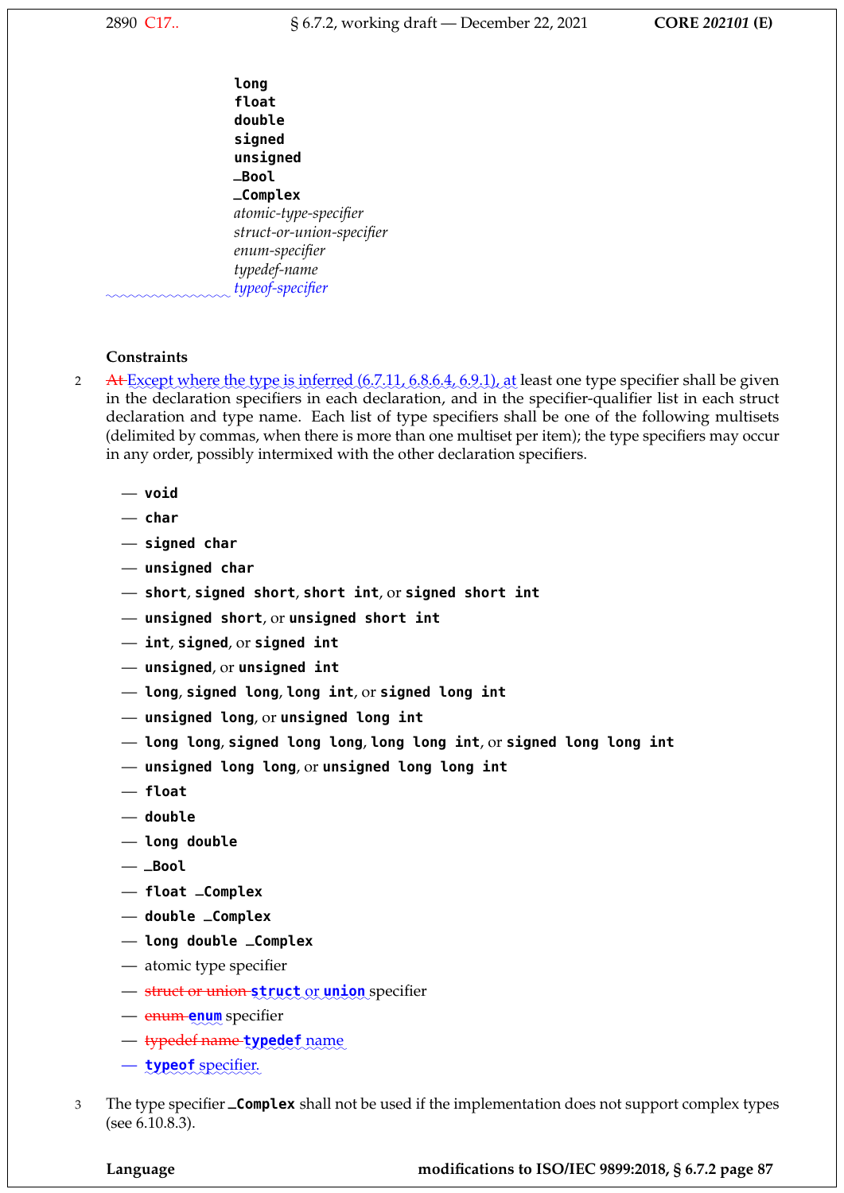**long float double signed unsigned \_Bool \_Complex** *atomic-type-specifier struct-or-union-specifier enum-specifier typedef-name* ✿✿✿✿✿✿✿✿✿✿✿✿✿✿✿✿ *typeof-specifier*

#### **Constraints**

2 At Except where the type is inferred  $(6.7.11, 6.8.6.4, 6.9.1)$ , at least one type specifier shall be given in the declaration specifiers in each declaration, and in the specifier-qualifier list in each struct declaration and type name. Each list of type specifiers shall be one of the following multisets (delimited by commas, when there is more than one multiset per item); the type specifiers may occur in any order, possibly intermixed with the other declaration specifiers.

- **void**
- **char**
- **signed char**
- **unsigned char**
- **short**, **signed short**, **short int**, or **signed short int**
- **unsigned short**, or **unsigned short int**
- **int**, **signed**, or **signed int**
- **unsigned**, or **unsigned int**
- **long**, **signed long**, **long int**, or **signed long int**
- **unsigned long**, or **unsigned long int**
- **long long**, **signed long long**, **long long int**, or **signed long long int**
- **unsigned long long**, or **unsigned long long int**
- **float**
- **double**
- **long double**
- **\_Bool**
- **float \_Complex**
- **double \_Complex**
- **long double \_Complex**
- atomic type specifier
- $-$  <del>struct or union struct</del> or **union** specifier
- enum enum specifier
- <del>typedef name typedef</del> name
- $-$ **typeof** specifier.
- <sup>3</sup> The type specifier **\_Complex** shall not be used if the implementation does not support complex types (see 6.10.8.3).

**Language modifications to ISO/IEC 9899:2018, § 6.7.2 page 87**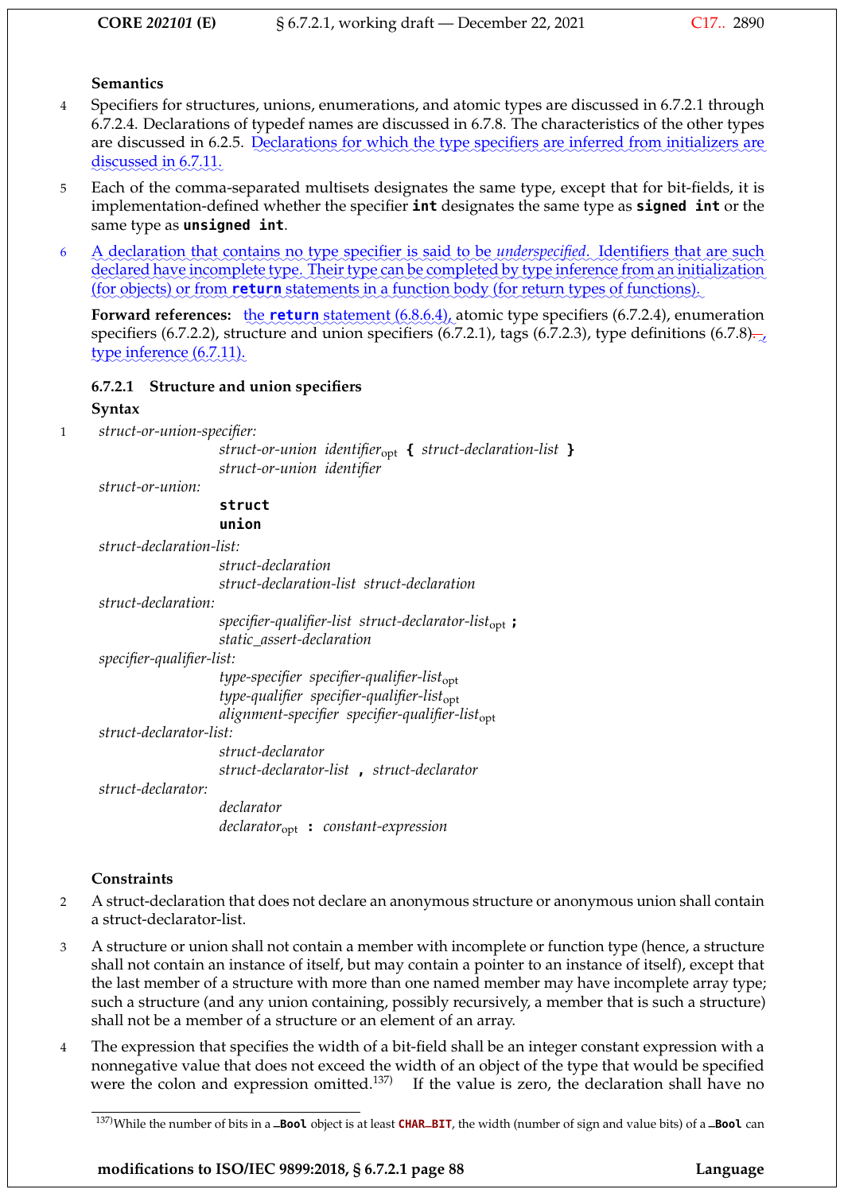## **Semantics**

- 4 Specifiers for structures, unions, enumerations, and atomic types are discussed in 6.7.2.1 through 6.7.2.4. Declarations of typedef names are discussed in 6.7.8. The characteristics of the other types are discussed in 6.2.5. Declarations for which the type specifiers are inferred from initializers are discussed in 6.7.11.
- 5 Each of the comma-separated multisets designates the same type, except that for bit-fields, it is implementation-defined whether the specifier **int** designates the same type as **signed int** or the same type as **unsigned int**.
- 6 A declaration that contains no type specifier is said to be *underspecified*. Identifiers that are such declared have incomplete type. Their type can be completed by type inference from an initialization (for objects) or from **return** statements in a function body (for return types of functions).

**Forward references:** the **return** statement  $(6.8.6.4)$ , atomic type specifiers (6.7.2.4), enumeration specifiers (6.7.2.2), structure and union specifiers (6.7.2.1), tags (6.7.2.3), type definitions (6.7.8). type inference (6.7.11).

#### **6.7.2.1 Structure and union specifiers**

#### **Syntax**

1 *struct-or-union-specifier:*

*struct-or-union identifier*opt **{** *struct-declaration-list* **}** *struct-or-union identifier*

*struct-or-union:*

**struct union**

*struct-declaration-list:*

*struct-declaration struct-declaration-list struct-declaration*

*struct-declaration:*

| specifier-qualifier-list struct-declarator-list <sub>opt</sub> : |  |
|------------------------------------------------------------------|--|
| static_assert-declaration                                        |  |

*specifier-qualifier-list:*

*type-specifier specifier-qualifier-list*<sub>opt</sub> *type-qualifier specifier-qualifier-list*<sub>opt</sub> alignment-specifier specifier-qualifier-list<sub>opt</sub> *struct-declarator-list: struct-declarator struct-declarator-list* **,** *struct-declarator struct-declarator: declarator declarator*opt **:** *constant-expression*

# **Constraints**

- 2 A struct-declaration that does not declare an anonymous structure or anonymous union shall contain a struct-declarator-list.
- 3 A structure or union shall not contain a member with incomplete or function type (hence, a structure shall not contain an instance of itself, but may contain a pointer to an instance of itself), except that the last member of a structure with more than one named member may have incomplete array type; such a structure (and any union containing, possibly recursively, a member that is such a structure) shall not be a member of a structure or an element of an array.
- 4 The expression that specifies the width of a bit-field shall be an integer constant expression with a nonnegative value that does not exceed the width of an object of the type that would be specified were the colon and expression omitted.<sup>137)</sup> If the value is zero, the declaration shall have no

<sup>137)</sup>While the number of bits in a **\_Bool** object is at least **CHAR\_BIT**, the width (number of sign and value bits) of a **\_Bool** can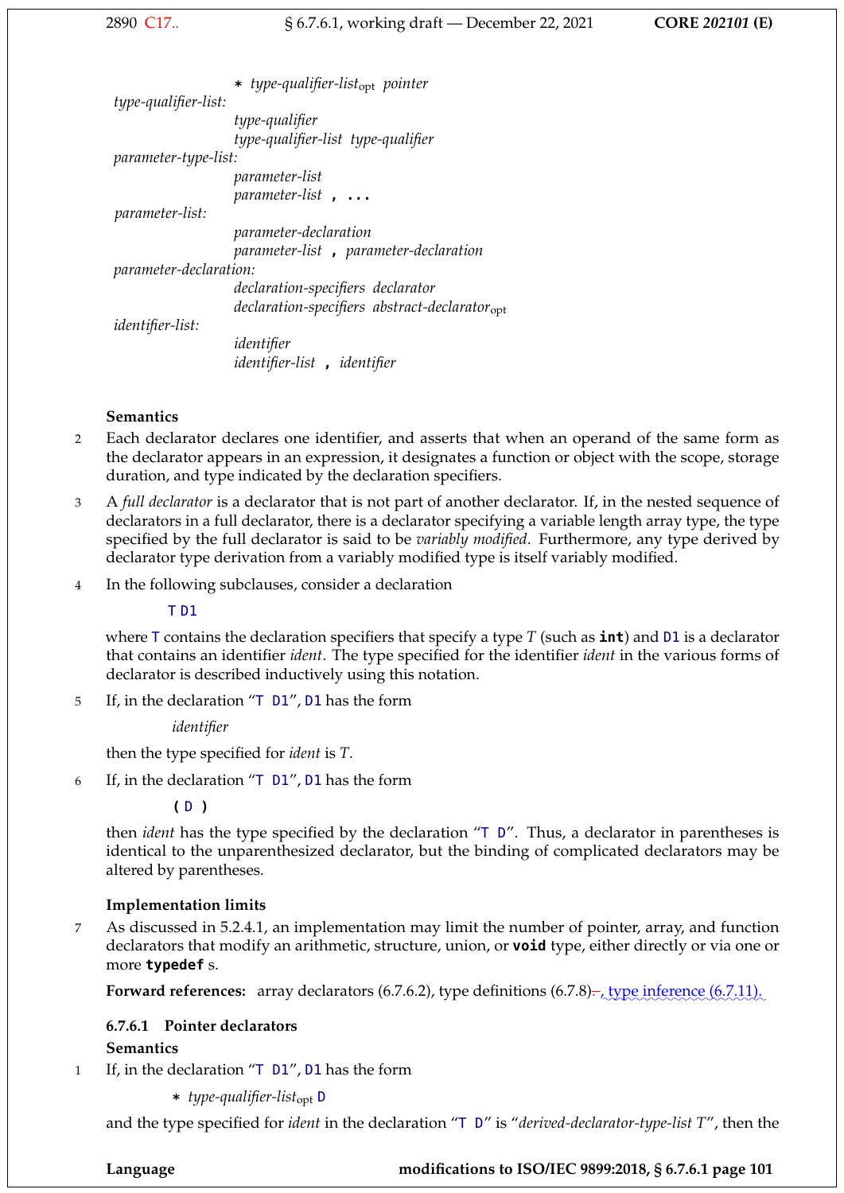|                               | * type-qualifier-list <sub>opt</sub> pointer                       |
|-------------------------------|--------------------------------------------------------------------|
| type-qualifier-list:          |                                                                    |
|                               | type-qualifier                                                     |
|                               | type-qualifier-list type-qualifier                                 |
| parameter-type-list:          |                                                                    |
|                               | <i>parameter-list</i>                                              |
|                               | $parameter-list$ ,                                                 |
| <i>parameter-list:</i>        |                                                                    |
|                               | <i>parameter-declaration</i>                                       |
|                               | parameter-list, parameter-declaration                              |
| <i>parameter-declaration:</i> |                                                                    |
|                               | declaration-specifiers declarator                                  |
|                               | $\alpha$ declaration-specifiers abstract-declarator <sub>opt</sub> |
| <i>identifier-list:</i>       |                                                                    |
|                               | identifier                                                         |
|                               | identifier-list, identifier                                        |

# **Semantics**

- 2 Each declarator declares one identifier, and asserts that when an operand of the same form as the declarator appears in an expression, it designates a function or object with the scope, storage duration, and type indicated by the declaration specifiers.
- 3 A *full declarator* is a declarator that is not part of another declarator. If, in the nested sequence of declarators in a full declarator, there is a declarator specifying a variable length array type, the type specified by the full declarator is said to be *variably modified*. Furthermore, any type derived by declarator type derivation from a variably modified type is itself variably modified.
- 4 In the following subclauses, consider a declaration

T D1

where T contains the declaration specifiers that specify a type *T* (such as **int**) and D1 is a declarator that contains an identifier *ident*. The type specified for the identifier *ident* in the various forms of declarator is described inductively using this notation.

5 If, in the declaration "T D1", D1 has the form

*identifier*

then the type specified for *ident* is *T*.

6 If, in the declaration "T D1", D1 has the form

**(** D **)**

then *ident* has the type specified by the declaration "T D". Thus, a declarator in parentheses is identical to the unparenthesized declarator, but the binding of complicated declarators may be altered by parentheses.

# **Implementation limits**

7 As discussed in 5.2.4.1, an implementation may limit the number of pointer, array, and function declarators that modify an arithmetic, structure, union, or **void** type, either directly or via one or more **typedef** s.

**Forward references:** array declarators (6.7.6.2), type definitions (6.7.8)<del>.</del>, type inference (6.7.11).

#### **6.7.6.1 Pointer declarators Semantics**

- 1 If, in the declaration "T D1", D1 has the form
	- **\*** *type-qualifier-list*opt D

and the type specified for *ident* in the declaration "T D" is "*derived-declarator-type-list T*", then the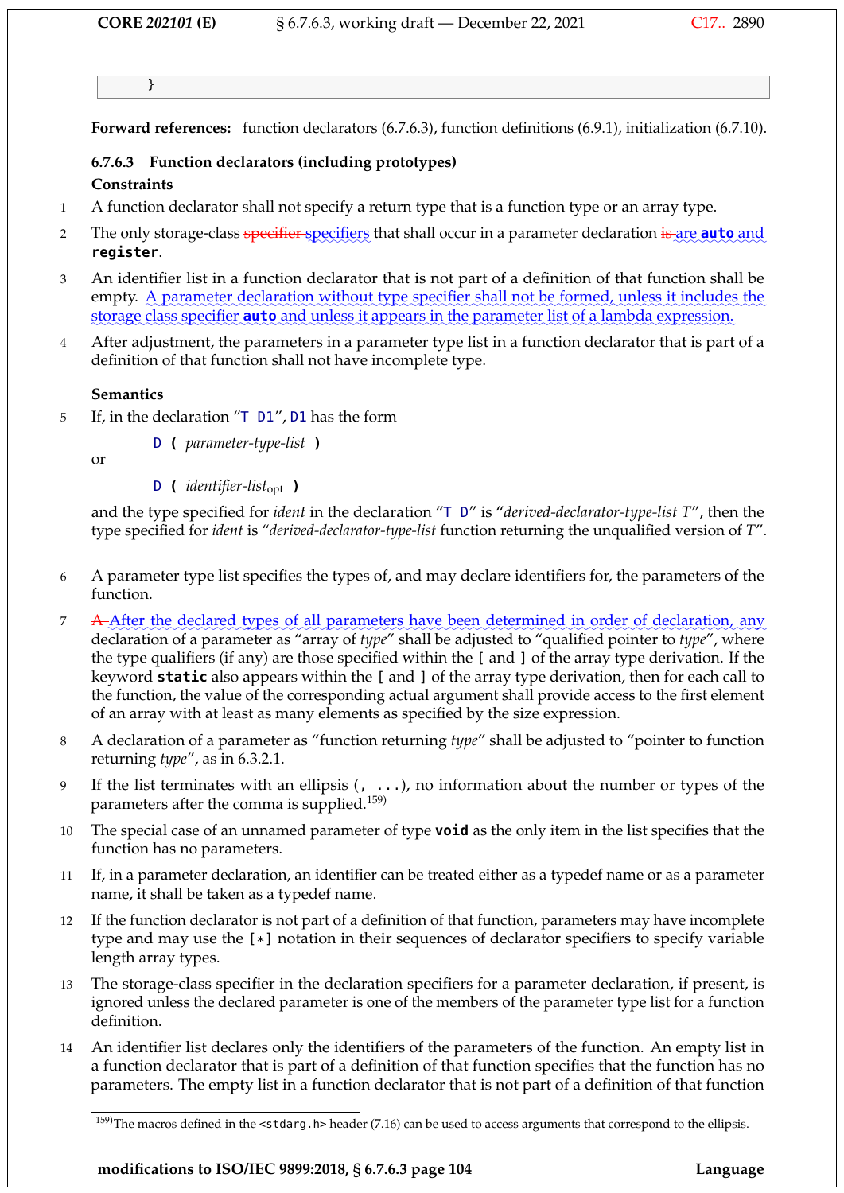}

**Forward references:** function declarators (6.7.6.3), function definitions (6.9.1), initialization (6.7.10).

# **6.7.6.3 Function declarators (including prototypes) Constraints**

- 1 A function declarator shall not specify a return type that is a function type or an array type.
- 2 The only storage-class specifier specifiers that shall occur in a parameter declaration is are **auto** and **register**.
- 3 An identifier list in a function declarator that is not part of a definition of that function shall be empty. A parameter declaration without type specifier shall not be formed, unless it includes the storage class specifier **auto** and unless it appears in the parameter list of a lambda expression.
- 4 After adjustment, the parameters in a parameter type list in a function declarator that is part of a definition of that function shall not have incomplete type.

# **Semantics**

5 If, in the declaration "T D1", D1 has the form

D **(** *parameter-type-list* **)**

or

D **(** *identifier-list*opt **)**

and the type specified for *ident* in the declaration "T D" is "*derived-declarator-type-list T*", then the type specified for *ident* is "*derived-declarator-type-list* function returning the unqualified version of *T*".

- 6 A parameter type list specifies the types of, and may declare identifiers for, the parameters of the function.
- 7 A-After the declared types of all parameters have been determined in order of declaration, any declaration of a parameter as "array of *type*" shall be adjusted to "qualified pointer to *type*", where the type qualifiers (if any) are those specified within the [ and ] of the array type derivation. If the keyword **static** also appears within the [ and ] of the array type derivation, then for each call to the function, the value of the corresponding actual argument shall provide access to the first element of an array with at least as many elements as specified by the size expression.
- 8 A declaration of a parameter as "function returning *type*" shall be adjusted to "pointer to function returning *type*", as in 6.3.2.1.
- 9 If the list terminates with an ellipsis (, ...), no information about the number or types of the parameters after the comma is supplied.<sup>159)</sup>
- 10 The special case of an unnamed parameter of type **void** as the only item in the list specifies that the function has no parameters.
- 11 If, in a parameter declaration, an identifier can be treated either as a typedef name or as a parameter name, it shall be taken as a typedef name.
- 12 If the function declarator is not part of a definition of that function, parameters may have incomplete type and may use the [\*] notation in their sequences of declarator specifiers to specify variable length array types.
- 13 The storage-class specifier in the declaration specifiers for a parameter declaration, if present, is ignored unless the declared parameter is one of the members of the parameter type list for a function definition.
- 14 An identifier list declares only the identifiers of the parameters of the function. An empty list in a function declarator that is part of a definition of that function specifies that the function has no parameters. The empty list in a function declarator that is not part of a definition of that function

 $159$ )The macros defined in the <stdarg.h> header (7.16) can be used to access arguments that correspond to the ellipsis.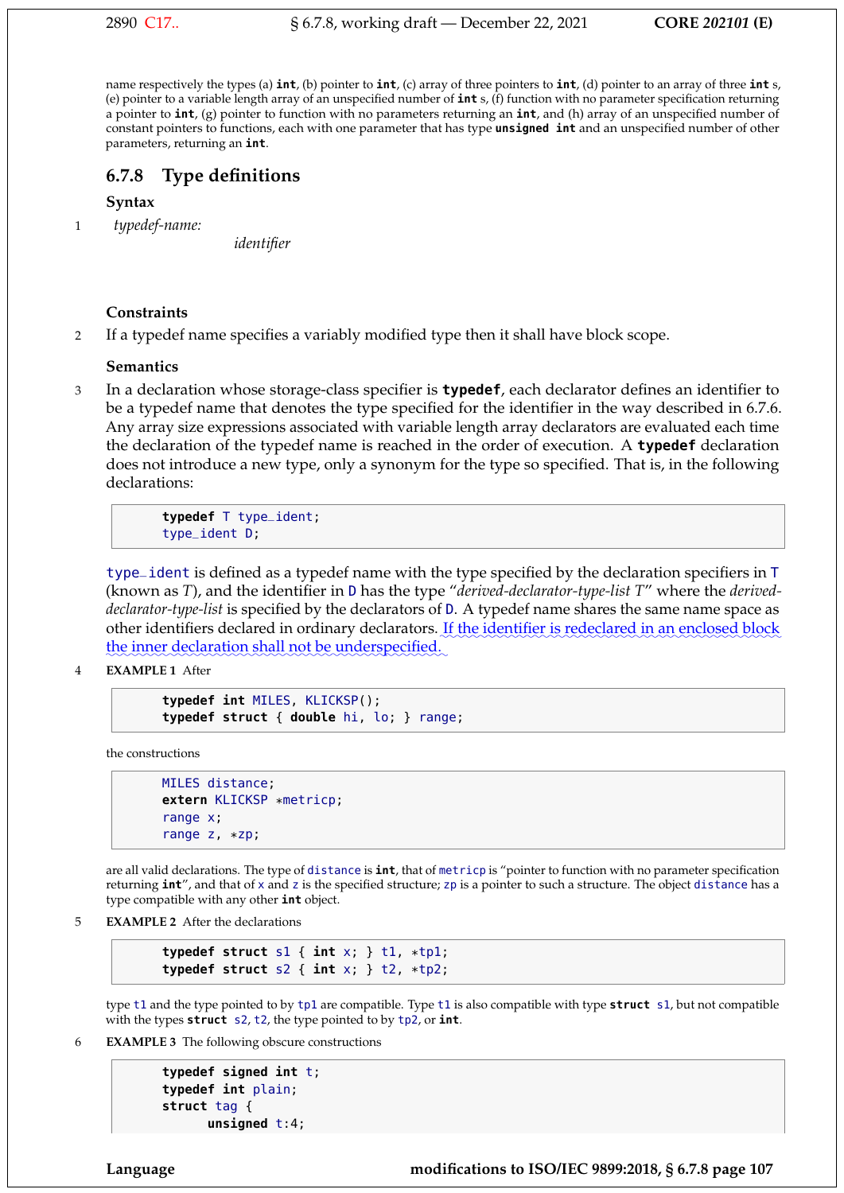name respectively the types (a) **int**, (b) pointer to **int**, (c) array of three pointers to **int**, (d) pointer to an array of three **int** s, (e) pointer to a variable length array of an unspecified number of **int** s, (f) function with no parameter specification returning a pointer to **int**, (g) pointer to function with no parameters returning an **int**, and (h) array of an unspecified number of constant pointers to functions, each with one parameter that has type **unsigned int** and an unspecified number of other parameters, returning an **int**.

## **6.7.8 Type definitions**

#### **Syntax**

1 *typedef-name:*

*identifier*

#### **Constraints**

2 If a typedef name specifies a variably modified type then it shall have block scope.

#### **Semantics**

3 In a declaration whose storage-class specifier is **typedef**, each declarator defines an identifier to be a typedef name that denotes the type specified for the identifier in the way described in 6.7.6. Any array size expressions associated with variable length array declarators are evaluated each time the declaration of the typedef name is reached in the order of execution. A **typedef** declaration does not introduce a new type, only a synonym for the type so specified. That is, in the following declarations:

> **typedef** T type\_ident; type\_ident D;

type\_ident is defined as a typedef name with the type specified by the declaration specifiers in T (known as *T*), and the identifier in D has the type "*derived-declarator-type-list T*" where the *deriveddeclarator-type-list* is specified by the declarators of D. A typedef name shares the same name space as other identifiers declared in ordinary declarators. If the identifier is redeclared in an enclosed block the inner declaration shall not be underspecified.

4 **EXAMPLE 1** After

```
typedef int MILES, KLICKSP();
typedef struct { double hi, lo; } range;
```
the constructions

```
MILES distance;
extern KLICKSP *metricp;
range x;
range z, *zp;
```
are all valid declarations. The type of distance is **int**, that of metricp is "pointer to function with no parameter specification returning **int**", and that of x and z is the specified structure; zp is a pointer to such a structure. The object distance has a type compatible with any other **int** object.

5 **EXAMPLE 2** After the declarations

**typedef struct** s1 { **int** x; } t1, \*tp1; **typedef struct** s2 { **int** x; } t2, \*tp2;

type t1 and the type pointed to by tp1 are compatible. Type t1 is also compatible with type **struct** s1, but not compatible with the types **struct** s2, t2, the type pointed to by tp2, or **int**.

6 **EXAMPLE 3** The following obscure constructions

```
typedef signed int t;
typedef int plain;
struct tag {
     unsigned t:4;
```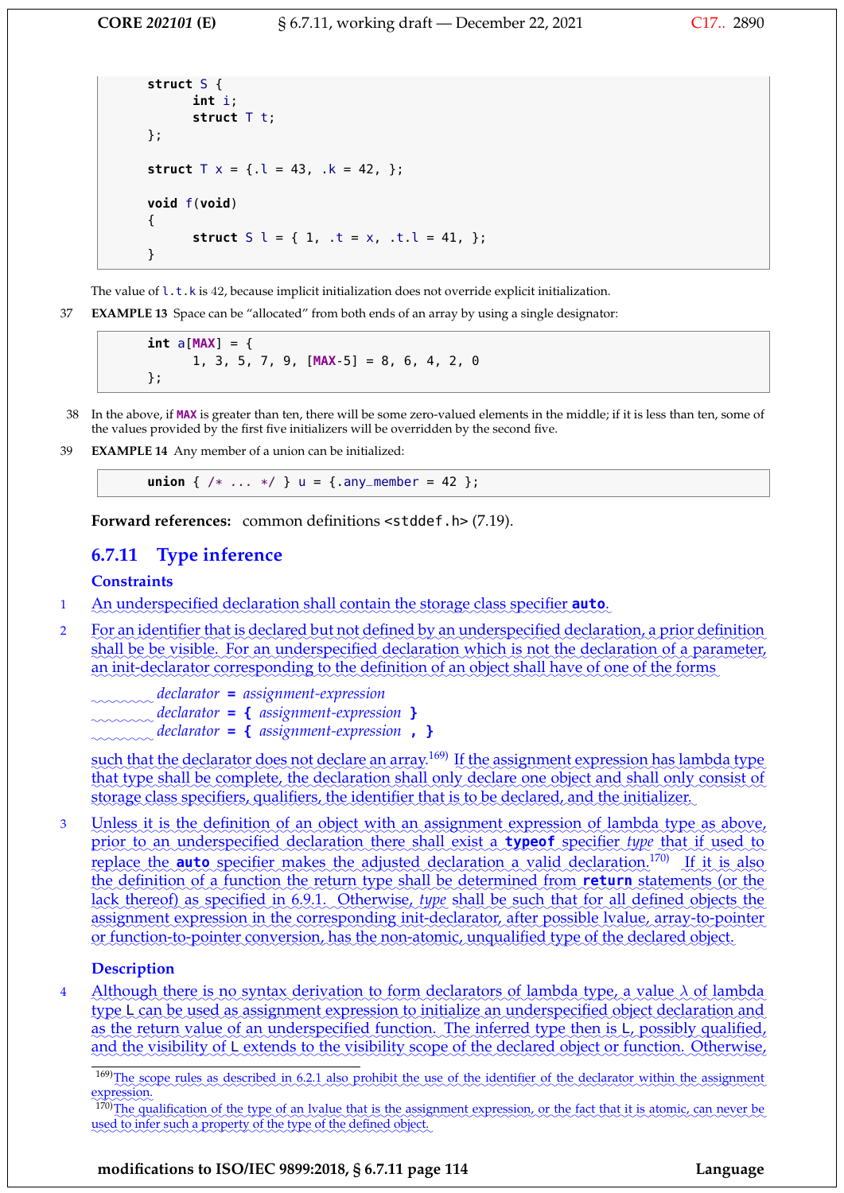```
struct S {
       int i;
       struct T t;
};
struct T \times = \{ .1 = 43, .1 = 42, .1 \}void f(void)
{
       struct S \leq I = \{ 1, \ldots t = x, \ldots t \leq 41, \};
}
```
The value of l.t.k is 42, because implicit initialization does not override explicit initialization.

37 **EXAMPLE 13** Space can be "allocated" from both ends of an array by using a single designator:

```
int a[MAX] = {
      1, 3, 5, 7, 9, [MAX-5] = 8, 6, 4, 2, 0
};
```
38 In the above, if **MAX** is greater than ten, there will be some zero-valued elements in the middle; if it is less than ten, some of the values provided by the first five initializers will be overridden by the second five.

39 **EXAMPLE 14** Any member of a union can be initialized:

**union**  $\{ / * ... * / }$  **u** =  $\{ .any\_member = 42 \};$ 

**Forward references:** common definitions <stddef.h> (7.19).

# **6.7.11 Type inference**

## **Constraints**

- 1 An underspecified declaration shall contain the storage class specifier **auto**.
- $\overline{2}$ For an identifier that is declared but not defined by an underspecified declaration, a prior definition shall be be visible. For an underspecified declaration which is not the declaration of a parameter, an init-declarator corresponding to the definition of an object shall have of one of the forms

✿✿✿✿✿✿✿✿ *declarator* **=** *assignment-expression*

- ✿✿✿✿✿✿✿✿ *declarator* **= {** *assignment-expression* **}**
- ✿✿✿✿✿✿✿✿ *declarator* **= {** *assignment-expression* **, }**

such that the declarator does not declare an array.<sup>169)</sup> If the assignment expression has lambda type that type shall be complete, the declaration shall only declare one object and shall only consist of storage class specifiers, qualifiers, the identifier that is to be declared, and the initializer.

3 Unless it is the definition of an object with an assignment expression of lambda type as above, prior to an underspecified declaration there shall exist a **typeof** specifier type that if used to the definition of a function the return type shall be determined from **return** statements (or the replace the **auto** specifier makes the adjusted declaration a valid declaration.<sup>170)</sup> If it is also ✿✿✿ ✿✿✿✿✿✿✿✿✿ ✿ ✿✿✿✿✿✿ ✿✿✿✿✿ ✿✿✿ ✿✿✿✿✿✿✿✿✿✿✿ ✿✿✿ ✿✿✿✿ lack thereof) as specified in 6.9.1. Otherwise, type shall be such that for all defined objects the assignment expression in the corresponding init-declarator, after possible lyalue, array-to-pointer or function-to-pointer conversion, has the non-atomic, unqualified type of the declared object.

## **Description**

4 Although there is no syntax derivation to form declarators of lambda type, a value  $\lambda$  of lambda type L can be used as assignment expression to initialize an underspecified object declaration and as the return value of an underspecified function. The inferred type then is L, possibly qualified, and the visibility of L extends to the visibility scope of the declared object or function. Otherwise,

<sup>169)</sup> The scope rules as described in 6.2.1 also prohibit the use of the identifier of the declarator within the assignment expression.

<sup>170)</sup> The qualification of the type of an Ivalue that is the assignment expression, or the fact that it is atomic, can never be used to infer such a property of the type of the defined object.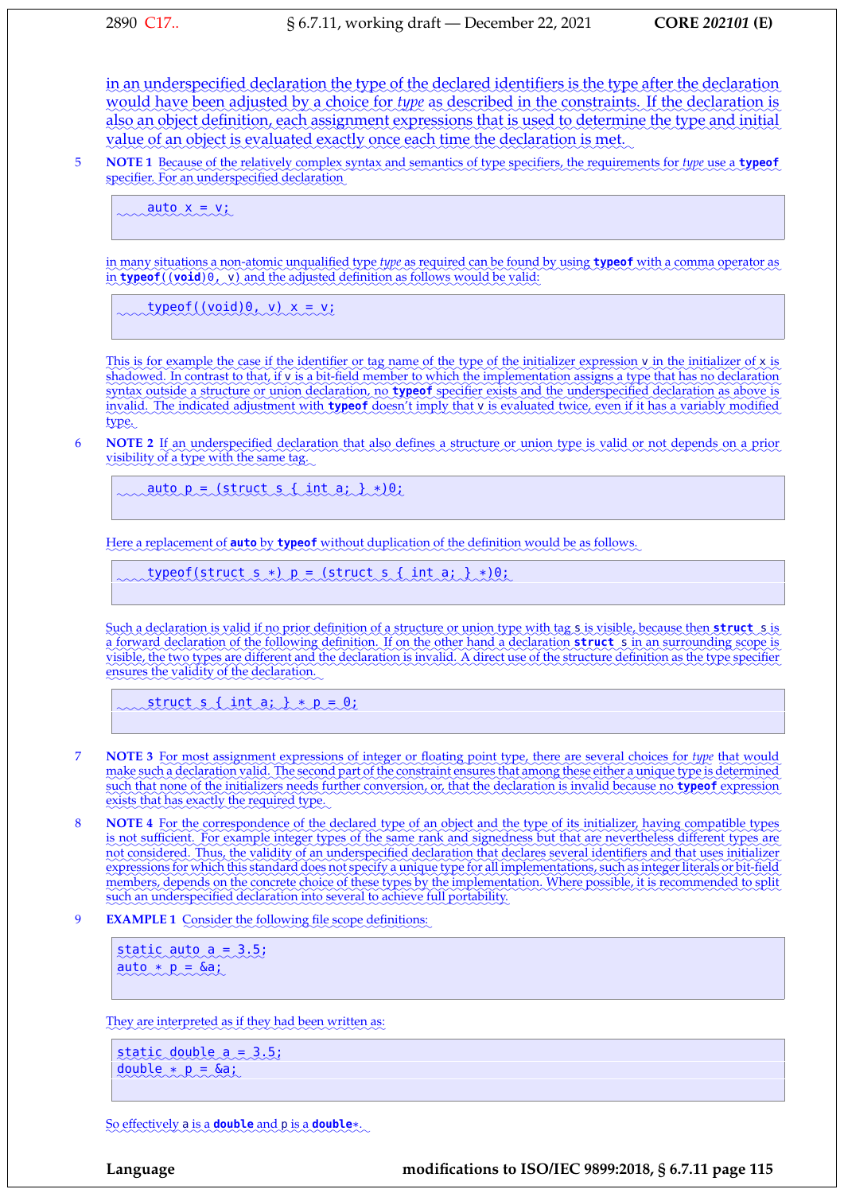in an underspecified declaration the type of the declared identifiers is the type after the declaration would have been adjusted by a choice for type as described in the constraints. If the declaration is ✿✿✿✿ ✿✿✿ ✿✿✿✿ ✿ ✿✿✿✿✿✿✿✿✿ ✿✿✿✿✿✿✿✿✿✿✿ ✿✿ ✿✿✿ ✿✿✿✿✿✿✿✿✿✿✿ also an object definition, each assignment expressions that is used to determine the type and initial value of an object is evaluated exactly once each time the declaration is met.

**NOTE 1** Because of the relatively complex syntax and semantics of type specifiers, the requirements for type use a **typeof** ✿✿✿✿✿ ✿✿ ✿✿✿ ✿✿✿✿✿✿✿ ✿✿✿✿✿✿ specifier. For an underspecified declaration

www.auto\_x\_=\_v;

in many situations a non-atomic unqualified type type as required can be found by using **typeof** with a comma operator as in **typeof**((**void**)0, v) and the adjusted definition as follows would be valid:

www.typeof((void)0, v) x = v;

shadowed. In contrast to that, if v is a bit-field member to which the implementation assigns a type that has no declaration This is for example the case if the identifier or tag name of the type of the initializer expression v in the initializer of x is ✿✿✿✿✿✿✿✿ ✿✿ ✿✿✿✿✿✿ ✿✿ ✿✿✿ ✿✿ ✿ ✿ ✿✿ ✿✿✿✿✿✿ ✿✿✿✿✿✿ ✿✿ ✿✿✿✿✿ ✿✿ ✿✿✿✿✿✿✿✿✿✿✿✿ ✿✿✿✿✿ ✿✿ ✿✿✿ ✿✿✿ ✿✿✿ ✿✿ ✿✿✿✿✿✿✿✿✿ syntax outside a structure or union declaration, no **typeof** specifier exists and the underspecified declaration as above is invalid. The indicated adjustment with **typeof** doesn't imply that v is evaluated twice, even if it has a variably modified type.

6 **NOTE 2** If an underspecified declaration that also defines a structure or union type is valid or not depends on a prior ✿ ✿✿ ✿✿✿✿✿✿✿✿✿✿✿ visibility of a type with the same tag.

www.auto.p.=/struct.s.f.int.ai.l.\*lli

Here a replacement of **auto** by **typeof** without duplication of the definition would be as follows.

www.typeof(struct.s.\*).p.= (struct.s.{.int.a;.}.\*)Q;

Such a declaration is valid if no prior definition of a structure or union type with tag s is visible, because then struct s is a forward declaration of the following definition. If on the other hand a declaration struct s in an surrounding scope is visible, the two types are different and the declaration is invalid. A direct use of the structure definition as the type specifier ensures the validity of the declaration.

metruct s { int ai } \* p= 0;

- 7 NOTE 3 For most assignment expressions of integer or floating point type, there are several choices for type that would such that none of the initializers needs further conversion, or, that the declaration is invalid because no **typeof** expression make such a declaration valid. The second part of the constraint ensures that among these either a unique type is determined ✿✿✿ ✿✿✿ ✿✿✿✿ ✿✿ ✿✿✿ ✿✿✿✿✿✿✿✿ ✿✿✿✿ exists that has exactly the required type.
- 8 NOTE 4 For the correspondence of the declared type of an object and the type of its initializer, having compatible types is not sufficient. For example integer types of the same rank and signedness but that are nevertheless different types are not considered. Thus, the validity of an underspecified declaration that declares several identifiers and that uses initializer members, depends on the concrete choice of these types by the implementation. Where possible, it is recommended to split expressions for which this standard does not specify a unique type for all implementations, such as integer literals or bit-field ✿✿✿✿✿✿✿ ✿✿✿✿✿✿ ✿✿✿ ✿✿ ✿✿✿✿✿✿ ✿✿✿✿✿ ✿✿ ✿✿✿✿ ✿✿✿✿ ✿✿✿ ✿✿ such an underspecified declaration into several to achieve full portability.
- **EXAMPLE 1** Consider the following file scope definitions:

static auto a = 3.5; auto \* p = &a;

They are interpreted as if they had been written as:

static double a = 3.5; double \* p = &a;

<u>So effectively a is a **double**</u> and p is a **double**\*.

**Language modifications to ISO/IEC 9899:2018, § 6.7.11 page 115**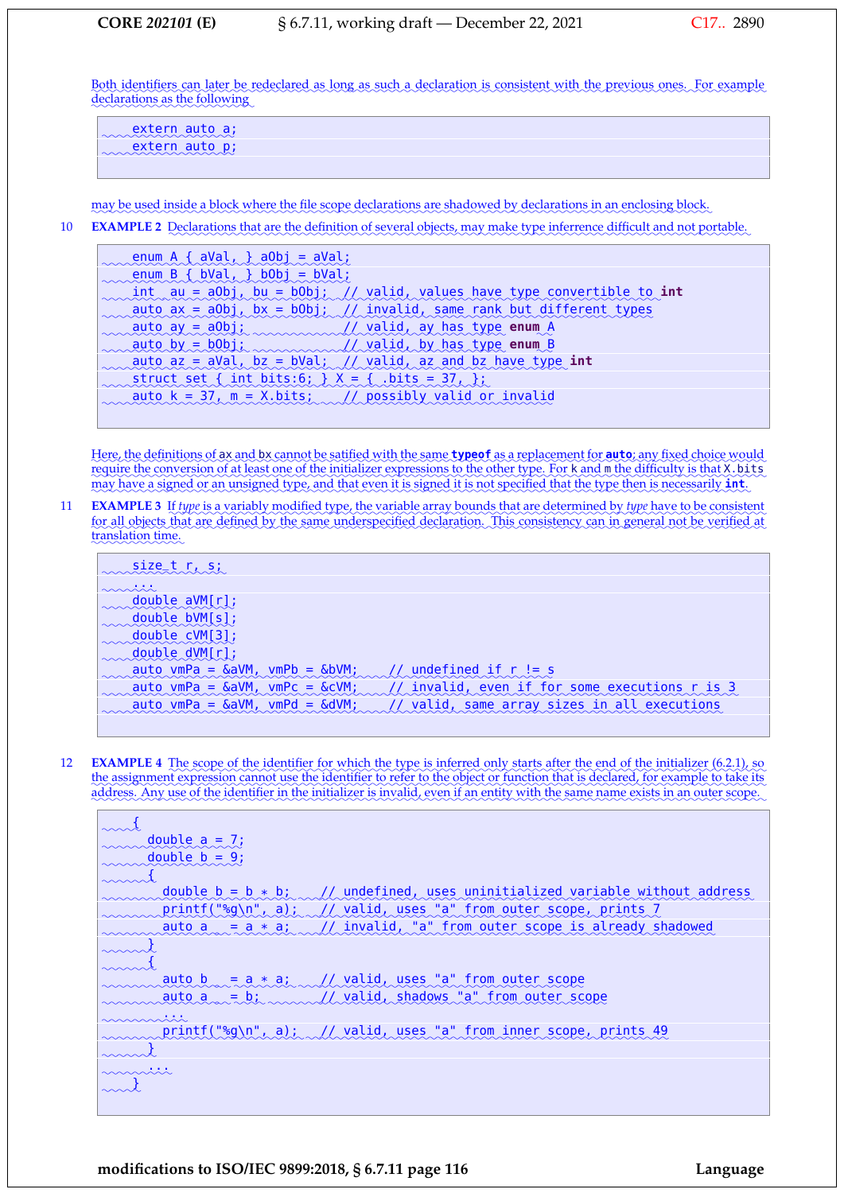✿✿✿ ✿✿✿✿✿✿✿✿ ✿✿✿ ✿✿✿✿ ✿✿ Both identifiers can later be redeclared as long as such a declaration is consistent with the previous ones. For example declarations as the following

www.extern\_auto\_a; www.extern\_auto\_p;

may be used inside a block where the file scope declarations are shadowed by declarations in an enclosing block.

10 **EXAMPLE 2** Declarations that are the definition of several objects, may make type inferrence difficult and not portable.

enum A { aVal, } a0bj = aVal; enum B { bVal, } bObj = bVal; www.intway\_=\_aObj, by\_=\_bObj; // valid, values have\_type\_convertible\_to\_**int** auto ax = aObj, bx = bObj, // invalid, same rank but different types walto ay = a0bji www.www.//valid, ay has type enum A www.auto.by = bObj; type enum by the stype enum b www.auto.az = aVal, bz = bVal; // valid, az and bz have type **int** struct set { int bits:6; } X = { bits = 37, }; www.auto.k = 37, m = X.bits; ///possibly\_valid\_or\_invalid

Here, the definitions of ax and bx cannot be satified with the same **typeof** as a replacement for **auto**; any fixed choice would ✿✿✿✿✿ ✿✿✿ ✿✿✿✿✿✿✿✿ ✿✿ ✿ ✿✿✿✿ ✿✿✿ ✿✿ ✿✿ ✿✿✿✿✿✿✿ ✿✿✿✿✿✿✿✿✿ ✿✿ ✿✿ ✿✿✿✿✿ ✿✿✿✿ ✿✿ ✿✿ ✿✿✿ ✿ ✿✿✿ ✿✿✿✿✿✿ ✿✿ ✿✿✿ require the conversion of at least one of the initializer expressions to the other type. For k and m the difficulty is that X. bits may have a signed or an unsigned type, and that even it is signed it is not specified that the type then is necessarily **int**.

11 **EXAMPLE 3** If type is a variably modified type, the variable array bounds that are determined by type have to be consistent for all objects that are defined by the same underspecified declaration. This consistency can in general not be verified at ✿✿ ✿✿ ✿✿✿✿✿✿ translation time.

```
musize_t r, s;
............<br>.................
www.double_aVM[r];
www.double_bVM[s];
www.double.cVM[3];
www.double.dVM[r];
auto vmPa = &aVM, vmPb = &bVM; undefined if r != s
auto vmPa = &aVM, vmPc = &cVM; invalid, even if for some executions r is 3
www.auto.vmPa = &aVM, vmPd = &dVM; walid, same array sizes in all executions
```
**EXAMPLE 4** The scope of the identifier for which the type is inferred only starts after the end of the initializer (6.2.1), so ✿✿ ✿✿✿✿✿✿✿✿✿ ✿✿✿✿✿✿✿✿ ✿✿✿✿✿ ✿✿✿ ✿✿ ✿✿✿✿✿✿✿ ✿✿ ✿✿✿✿ ✿✿ ✿✿ ✿✿✿✿✿ ✿✿ ✿✿✿✿✿✿ ✿✿✿ ✿✿ ✿✿✿✿✿✿✿ ✿✿ ✿✿✿✿✿✿ ✿✿ ✿✿✿✿ the assignment expression cannot use the identifier to refer to the object or function that is declared, for example to take its address. Any use of the identifier in the initializer is invalid, even if an entity with the same name exists in an outer scope.

```
✿✿✿✿✿
    {
www.double_a = 7;
www.double_b_=_9;
www.
      {
www.double b = b * b; www.doubleass.uninitialized variable without address.
www.printf("%g\n", a); ///valid, uses_"a" from outer_scope, prints_7
www.auto.a...=.a.*.a;....///_invalid..."a".from.outer.scope_is_already_shadowed
✿✿✿✿✿✿✿
      }
✿✿✿✿✿✿✿
      {
✿✿✿✿✿✿✿✿✿✿✿✿
auto
✿✿
b
✿✿✿
=
✿✿
a
✿✿*✿✿
a
✿
;
✿ ✿✿✿✿✿
//
✿✿✿✿✿✿
valid
✿
,
✿✿✿✿✿
uses
✿✿
"
✿
a
✿
"
✿✿✿✿✿
from
✿✿✿✿✿
outer
✿✿✿✿✿✿
scope
www.auto.a __= bimmellvalid, shadows "a" from outer scope
✿✿✿✿✿✿✿✿✿✿✿
        ...
www.printf("%g\n", a); ///valid, uses "a" from inner scope, prints 49
✿✿✿✿✿✿✿
      }
✿✿✿✿✿✿✿✿✿
...
✿✿✿✿✿
    }
```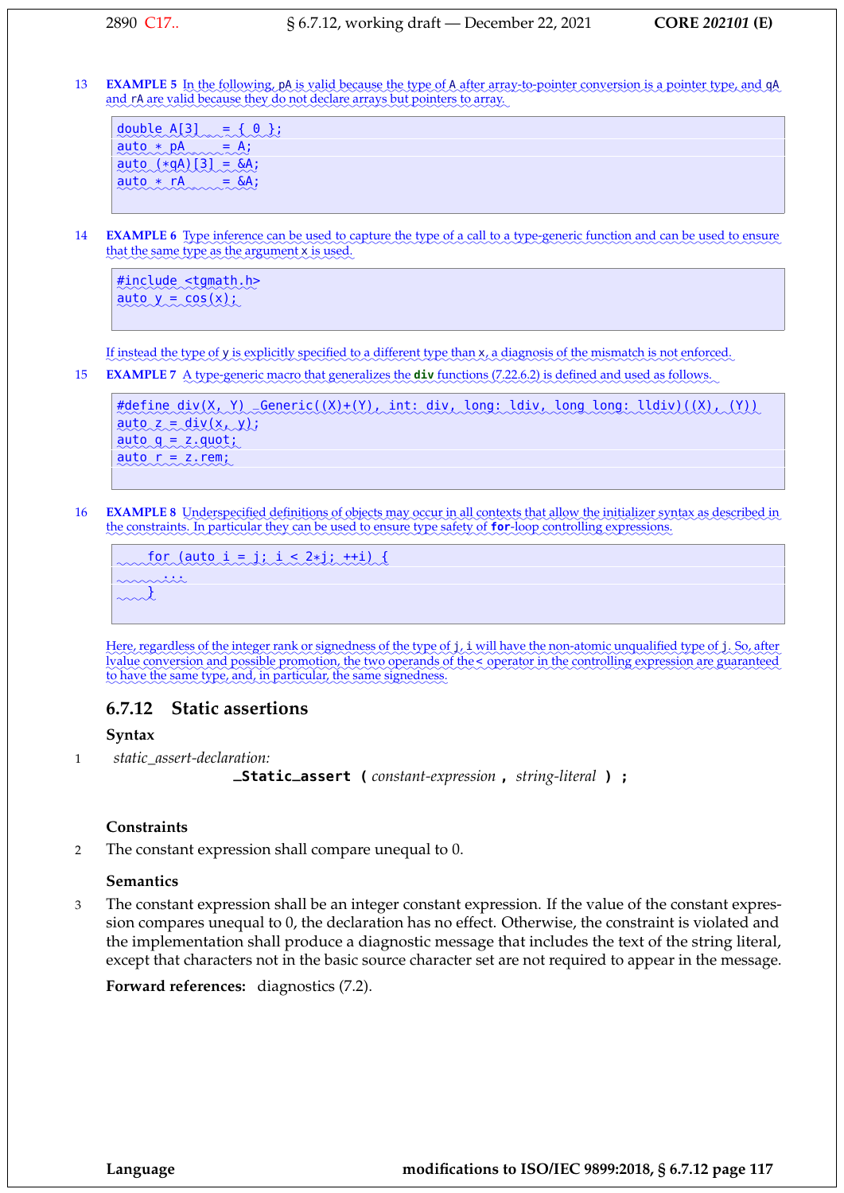13 **EXAMPLE 5** In the following, pA is valid because the type of A after array-to-pointer conversion is a pointer type, and qA ✿ ✿✿✿ ✿✿✿✿✿✿✿✿ ✿✿ ✿✿ ✿✿✿✿ ✿✿✿✿✿✿ ✿✿ ✿✿✿✿ ✿✿ ✿ ✿✿✿✿ and rA are valid because they do not declare arrays but pointers to array.

double A[3] matelli auto \* pA ✿✿✿✿✿ ✿  $\equiv$  A; <u>auto (\*gA)[3] = &A</u>; auto \* rA<br>
substantial = &A;

14 EXAMPLE 6 Type inference can be used to capture the type of a call to a type-generic function and can be used to ensure that the same type as the argument x is used.

```
#include_<tgmath.h>
auto_y_=_cos(x);
```
If instead the type of y is explicitly specified to a different type than x, a diagnosis of the mismatch is not enforced.

**EXAMPLE 7** A type-generic macro that generalizes the **div** functions (7.22.6.2) is defined and used as follows.

```
#define_div(X,_Y)__Generic((X)+(Y),_int:_div,_long:_ldiv,_long_long:_lldiv)((X),_(Y))
auto_z_=_div(x,_y);
auto_g_=_z.guot;
auto_r_=_z.rem;
```
16 **EXAMPLE 8** Underspecified definitions of objects may occur in all contexts that allow the initializer syntax as described in ✿✿✿✿✿✿✿✿✿✿✿ ✿✿✿✿✿✿✿✿ ✿ ✿✿✿✿✿✿ ✿✿✿ ✿✿✿✿ ✿✿ ✿✿ ✿✿✿✿✿✿✿ ✿✿✿ ✿✿✿✿ ✿✿✿✿✿✿✿ the constraints. In particular they can be used to ensure type safety of **for**-loop controlling expressions.

```
mmen laute i = ji i < 2*ji ++i)
✿✿✿✿✿✿✿✿✿
...
mad
```
Here, regardless of the integer rank or signedness of the type of j, i will have the non-atomic unqualified type of j. So, after ✿✿✿✿ ✿✿✿✿✿✿✿✿✿ ✿✿✿ ✿✿✿✿✿✿ ✿✿✿✿✿✿✿✿ ✿✿✿ ✿✿✿ ✿✿✿✿✿✿✿ lyalue conversion and possible promotion, the two operands of the < operator in the controlling expression are guaranteed to have the same type, and, in particular, the same signedness.

# **6.7.12 Static assertions**

# **Syntax**

1 *static\_assert-declaration:*

**\_Static\_assert (** *constant-expression* **,** *string-literal* **) ;**

# **Constraints**

2 The constant expression shall compare unequal to 0.

# **Semantics**

3 The constant expression shall be an integer constant expression. If the value of the constant expression compares unequal to 0, the declaration has no effect. Otherwise, the constraint is violated and the implementation shall produce a diagnostic message that includes the text of the string literal, except that characters not in the basic source character set are not required to appear in the message.

**Forward references:** diagnostics (7.2).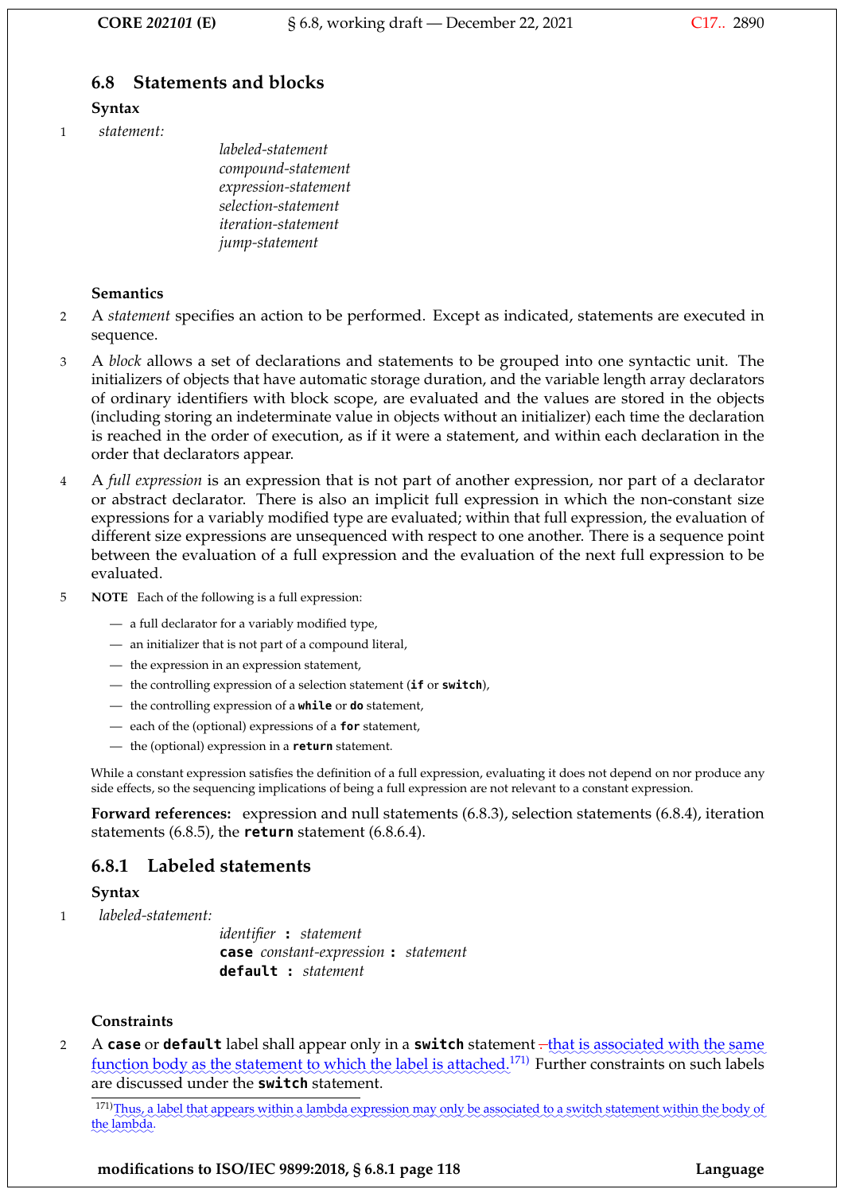# **6.8 Statements and blocks**

#### **Syntax**

1 *statement:*

*labeled-statement compound-statement expression-statement selection-statement iteration-statement jump-statement*

## **Semantics**

- 2 A *statement* specifies an action to be performed. Except as indicated, statements are executed in sequence.
- 3 A *block* allows a set of declarations and statements to be grouped into one syntactic unit. The initializers of objects that have automatic storage duration, and the variable length array declarators of ordinary identifiers with block scope, are evaluated and the values are stored in the objects (including storing an indeterminate value in objects without an initializer) each time the declaration is reached in the order of execution, as if it were a statement, and within each declaration in the order that declarators appear.
- 4 A *full expression* is an expression that is not part of another expression, nor part of a declarator or abstract declarator. There is also an implicit full expression in which the non-constant size expressions for a variably modified type are evaluated; within that full expression, the evaluation of different size expressions are unsequenced with respect to one another. There is a sequence point between the evaluation of a full expression and the evaluation of the next full expression to be evaluated.
- 5 **NOTE** Each of the following is a full expression:
	- a full declarator for a variably modified type,
	- an initializer that is not part of a compound literal,
	- the expression in an expression statement,
	- the controlling expression of a selection statement (**if** or **switch**),
	- the controlling expression of a **while** or **do** statement,
	- each of the (optional) expressions of a **for** statement,
	- the (optional) expression in a **return** statement.

While a constant expression satisfies the definition of a full expression, evaluating it does not depend on nor produce any side effects, so the sequencing implications of being a full expression are not relevant to a constant expression.

**Forward references:** expression and null statements (6.8.3), selection statements (6.8.4), iteration statements (6.8.5), the **return** statement (6.8.6.4).

# **6.8.1 Labeled statements**

## **Syntax**

1 *labeled-statement:*

*identifier* **:** *statement* **case** *constant-expression* **:** *statement* **default :** *statement*

# **Constraints**

2 A case or default label shall appear only in a switch statement <del>. that</del> is associated with the same function body as the statement to which the label is attached.<sup>171)</sup> Further constraints on such labels are discussed under the **switch** statement.

171) Thus, a label that appears within a lambda expression may only be associated to a switch statement within the body of the lambda.

**modifications to ISO/IEC 9899:2018, § 6.8.1 page 118 Language**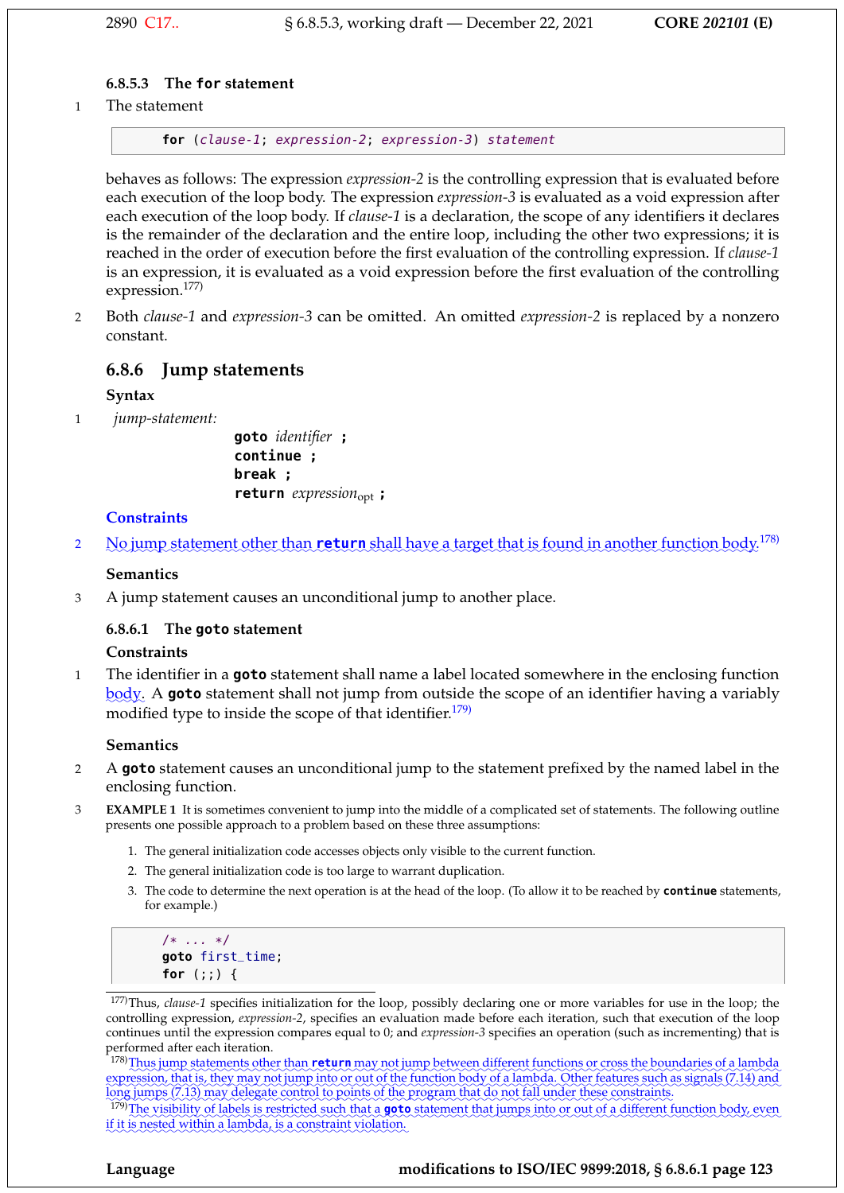## **6.8.5.3 The for statement**

1 The statement

**for** (clause-1; expression-2; expression-3) statement

behaves as follows: The expression *expression-2* is the controlling expression that is evaluated before each execution of the loop body. The expression *expression-3* is evaluated as a void expression after each execution of the loop body. If *clause-1* is a declaration, the scope of any identifiers it declares is the remainder of the declaration and the entire loop, including the other two expressions; it is reached in the order of execution before the first evaluation of the controlling expression. If *clause-1* is an expression, it is evaluated as a void expression before the first evaluation of the controlling expression.177)

2 Both *clause-1* and *expression-3* can be omitted. An omitted *expression-2* is replaced by a nonzero constant.

# **6.8.6 Jump statements**

# **Syntax**

1 *jump-statement:*

**goto** *identifier* **; continue ; break ; return** *expression*<sub>opt</sub> **;** 

## **Constraints**

 $\overline{2}$ No jump statement other than **return** shall have a target that is found in another function body.<sup>178)</sup>

#### **Semantics**

3 A jump statement causes an unconditional jump to another place.

# **6.8.6.1 The goto statement**

#### **Constraints**

1 The identifier in a **goto** statement shall name a label located somewhere in the enclosing function body. A **goto** statement shall not jump from outside the scope of an identifier having a variably modified type to inside the scope of that identifier.<sup>179)</sup>

#### **Semantics**

- 2 A **goto** statement causes an unconditional jump to the statement prefixed by the named label in the enclosing function.
- 3 **EXAMPLE 1** It is sometimes convenient to jump into the middle of a complicated set of statements. The following outline presents one possible approach to a problem based on these three assumptions:
	- 1. The general initialization code accesses objects only visible to the current function.
	- 2. The general initialization code is too large to warrant duplication.
	- 3. The code to determine the next operation is at the head of the loop. (To allow it to be reached by **continue** statements, for example.)

```
/* ... */
goto first_time;
for (;;) {
```
177)Thus, *clause-1* specifies initialization for the loop, possibly declaring one or more variables for use in the loop; the controlling expression, *expression-2*, specifies an evaluation made before each iteration, such that execution of the loop continues until the expression compares equal to 0; and *expression-3* specifies an operation (such as incrementing) that is performed after each iteration.

178) Thus jump statements other than return may not jump between different functions or cross the boundaries of a lambda ✿✿✿✿✿✿✿✿ ✿✿✿ ✿✿ ✿✿✿ ✿✿✿✿ ✿✿✿ ✿✿✿✿ ✿✿✿ ✿✿ ✿✿ ✿✿ ✿✿✿ ✿✿✿✿✿✿ ✿✿✿✿ ✿✿ ✿ ✿✿✿✿✿✿ ✿✿✿✿✿ ✿✿✿✿✿✿ ✿✿✿ expression, that is, they may not jump into or out of the function body of a lambda. Other features such as signals (7.14) and long jumps (7.13) may delegate control to points of the program that do not fall under these constraints.

179) The visibility of labels is restricted such that a **goto** statement that jumps into or out of a different function body, even if it is nested within a lambda, is a constraint violation.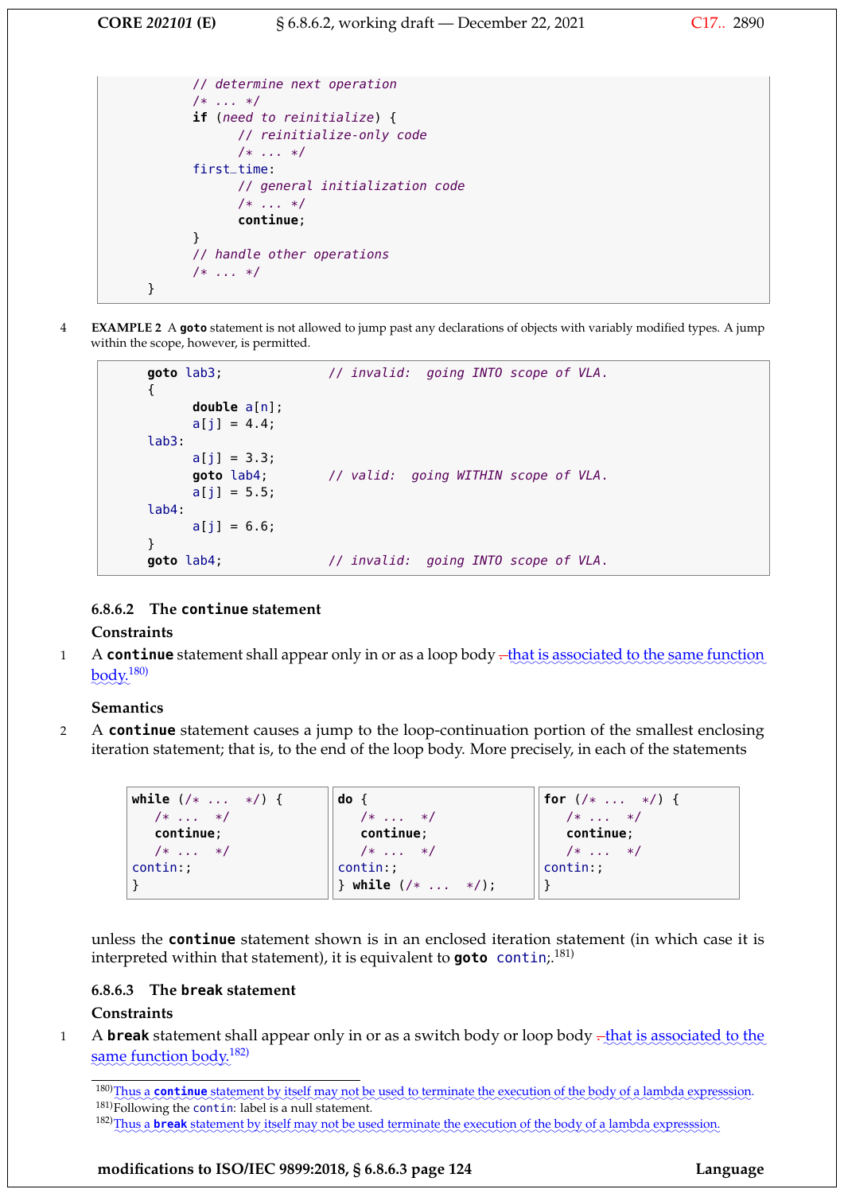```
// determine next operation
      /* ... */
      if (need to reinitialize) {
            // reinitialize-only code
            /* ... */
      first_time:
            // general initialization code
            /* ... */
            continue;
      }
      // handle other operations
      /* ... */
}
```
4 **EXAMPLE 2** A **goto** statement is not allowed to jump past any declarations of objects with variably modified types. A jump within the scope, however, is permitted.

```
goto lab3; // invalid: going INTO scope of VLA.
{
     double a[n];
     a[j] = 4.4;lab3:
     a[j] = 3.3;goto lab4; // valid: going WITHIN scope of VLA.
     a[j] = 5.5;lab4:
     a[j] = 6.6;}
goto lab4; // invalid: going INTO scope of VLA.
```
#### **6.8.6.2 The continue statement**

#### **Constraints**

1 A continue statement shall appear only in or as a loop body <del>. that is associated to the same function</del>  $body^{180}$ 

#### **Semantics**

2 A **continue** statement causes a jump to the loop-continuation portion of the smallest enclosing iteration statement; that is, to the end of the loop body. More precisely, in each of the statements

| while $(\frac{*}{*} \dots *')$ { | $\blacksquare$ do $\blacksquare$          | $ $ for $\left(\frac{1}{2} \ldots \frac{1}{2} \right)$ { |
|----------------------------------|-------------------------------------------|----------------------------------------------------------|
| $/* \dots */$                    | $/*  */$                                  | $1*$ $*/$                                                |
| continue;                        | continue;                                 | continue;                                                |
| $/* \dots * \times$              | $1*$ $*/$                                 | $1*$ $*$                                                 |
| $contin$ :                       | contin:;                                  | contin:;                                                 |
|                                  | $  \}$ while $(\frac{*}{*}, \ldots *')$ ; |                                                          |

unless the **continue** statement shown is in an enclosed iteration statement (in which case it is interpreted within that statement), it is equivalent to **goto** contin;  $^{181}$ 

#### **6.8.6.3 The break statement**

#### **Constraints**

1 A **break** statement shall appear only in or as a switch body or loop body <del>. that is associated to the</del> same function body.<sup>182)</sup>

<sup>180)</sup> Thus a **continue** statement by itself may not be used to terminate the execution of the body of a lambda expresssion. 181)Following the contin: label is a null statement.

<sup>182)</sup> Thus a **break** statement by itself may not be used terminate the execution of the body of a lambda expresssion.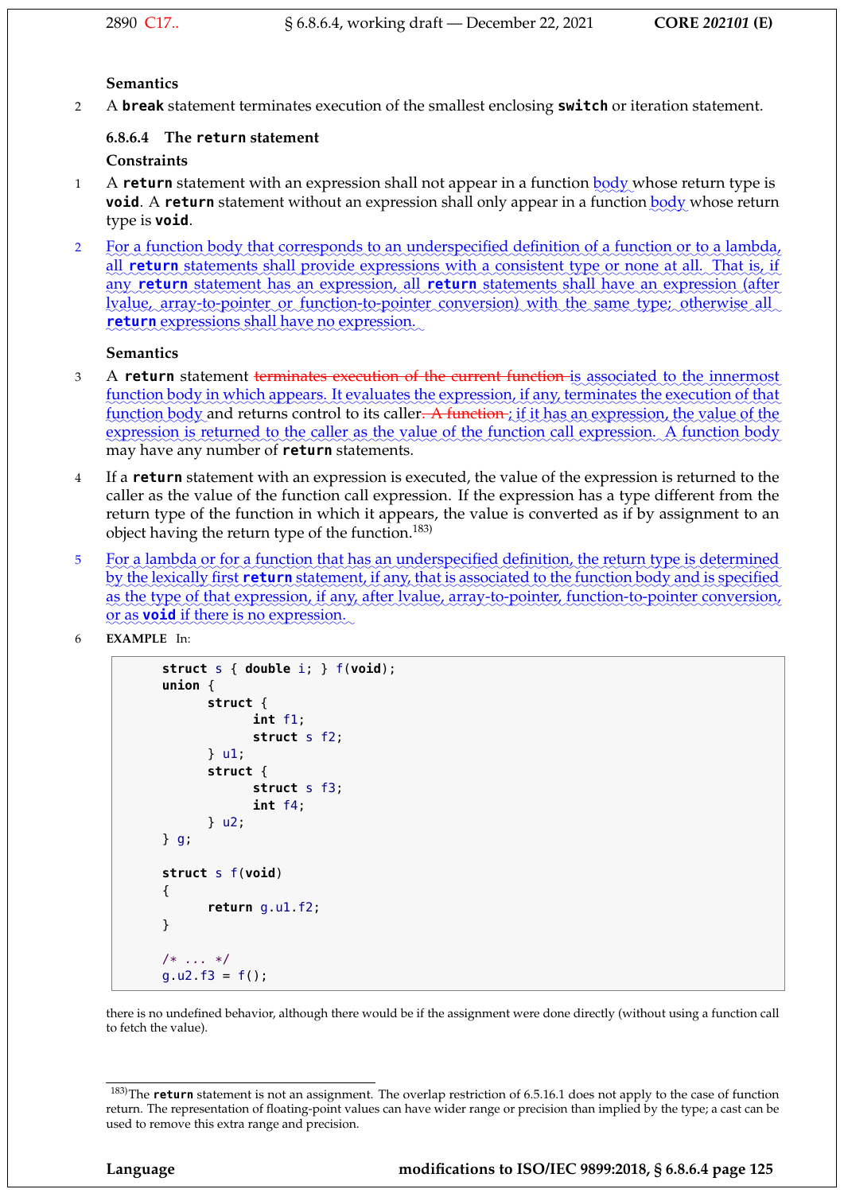# **Semantics**

2 A **break** statement terminates execution of the smallest enclosing **switch** or iteration statement.

# **6.8.6.4 The return statement**

# **Constraints**

- 1 A **return** statement with an expression shall not appear in a function <u>body</u> whose return type is **void**. A **return** statement without an expression shall only appear in a function <u>body</u> whose return type is **void**.
- $\overline{2}$ For a function body that corresponds to an underspecified definition of a function or to a lambda, all return statements shall provide expressions with a consistent type or none at all. That is, if any **return** statement has an expression, all **return** statements shall have an expression (after lvalue, array-to-pointer or function-to-pointer conversion) with the same type; otherwise all return expressions shall have no expression.

# **Semantics**

- 3 A return statement terminates execution of the current function is associated to the innermost function body in which appears. It evaluates the expression, if any, terminates the execution of that function body and returns control to its caller. A function *i* if it has an expression, the value of the expression is returned to the caller as the value of the function call expression. A function body may have any number of **return** statements.
- 4 If a **return** statement with an expression is executed, the value of the expression is returned to the caller as the value of the function call expression. If the expression has a type different from the return type of the function in which it appears, the value is converted as if by assignment to an object having the return type of the function.<sup>183)</sup>
- 5 For a lambda or for a function that has an underspecified definition, the return type is determined by the lexically first **return** statement, if any, that is associated to the function body and is specified as the type of that expression, if any, after lyalue, array-to-pointer, function-to-pointer conversion, or as **void** if there is no expression.
- 6 **EXAMPLE** In:

```
struct s { double i; } f(void);
union {
      struct {
            int f1;
            struct s f2;
      } u1;
      struct {
            struct s f3;
            int f4;
      } u2;
} g;
struct s f(void)
{
      return g.u1.f2;
}
/* ... */
g.u2.f3 = f();
```
there is no undefined behavior, although there would be if the assignment were done directly (without using a function call to fetch the value).

<sup>&</sup>lt;sup>183)</sup>The **return** statement is not an assignment. The overlap restriction of 6.5.16.1 does not apply to the case of function return. The representation of floating-point values can have wider range or precision than implied by the type; a cast can be used to remove this extra range and precision.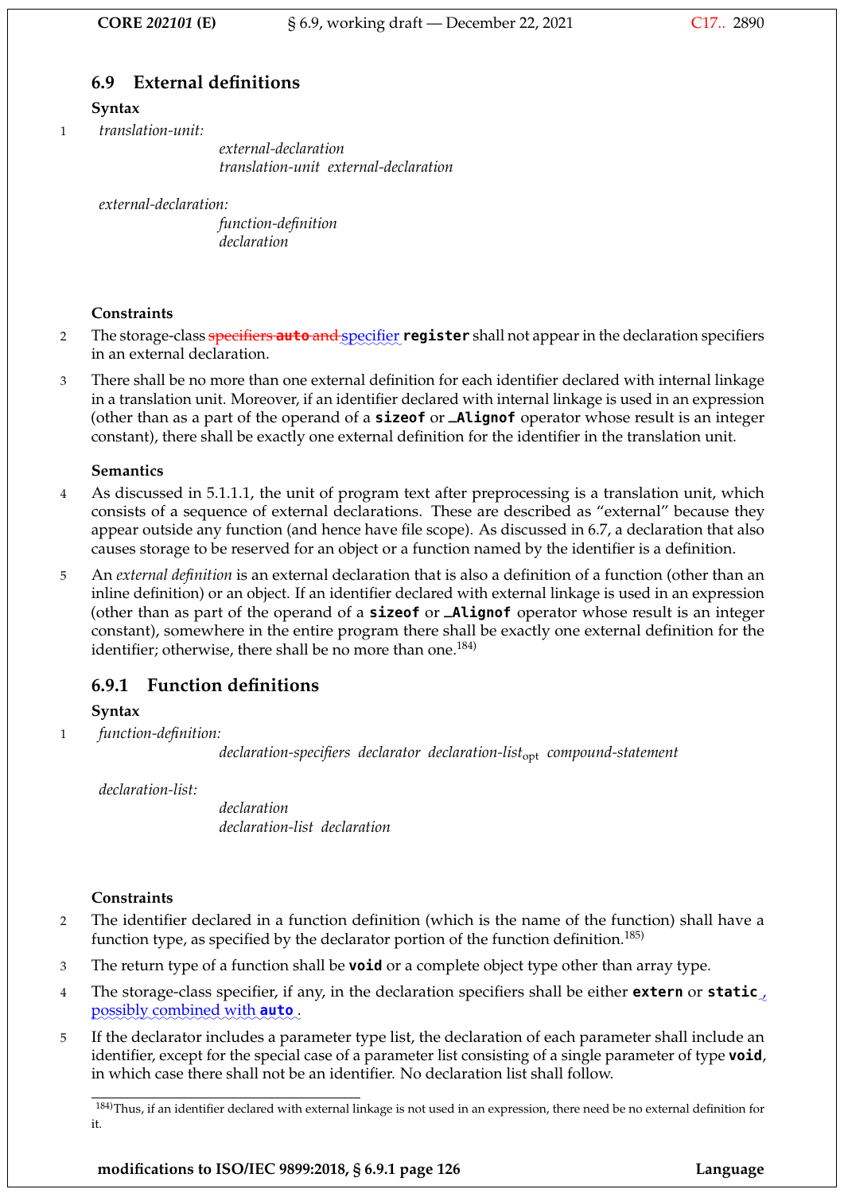# **6.9 External definitions**

**Syntax**

1 *translation-unit:*

*external-declaration translation-unit external-declaration*

*external-declaration:*

*function-definition declaration*

## **Constraints**

- 2 The storage-class <del>specifiers **auto** and specifier</del> <code>register</code> shall not appear in the declaration specifiers in an external declaration.
- 3 There shall be no more than one external definition for each identifier declared with internal linkage in a translation unit. Moreover, if an identifier declared with internal linkage is used in an expression (other than as a part of the operand of a **sizeof** or **\_Alignof** operator whose result is an integer constant), there shall be exactly one external definition for the identifier in the translation unit.

#### **Semantics**

- 4 As discussed in 5.1.1.1, the unit of program text after preprocessing is a translation unit, which consists of a sequence of external declarations. These are described as "external" because they appear outside any function (and hence have file scope). As discussed in 6.7, a declaration that also causes storage to be reserved for an object or a function named by the identifier is a definition.
- 5 An *external definition* is an external declaration that is also a definition of a function (other than an inline definition) or an object. If an identifier declared with external linkage is used in an expression (other than as part of the operand of a **sizeof** or **\_Alignof** operator whose result is an integer constant), somewhere in the entire program there shall be exactly one external definition for the identifier; otherwise, there shall be no more than one.<sup>184)</sup>

# **6.9.1 Function definitions**

#### **Syntax**

1 *function-definition:*

*declaration-specifiers declarator declaration-list*opt *compound-statement*

*declaration-list:*

*declaration declaration-list declaration*

#### **Constraints**

- 2 The identifier declared in a function definition (which is the name of the function) shall have a function type, as specified by the declarator portion of the function definition.<sup>185)</sup>
- 3 The return type of a function shall be **void** or a complete object type other than array type.
- $4$  The storage-class specifier, if any, in the declaration specifiers shall be either **extern** or **static**<sub>a</sub> ✿✿✿✿✿✿✿ possibly✿✿✿✿✿✿✿✿✿✿ combined ✿✿✿✿ with✿✿✿✿✿✿ **auto** .
- 5 If the declarator includes a parameter type list, the declaration of each parameter shall include an identifier, except for the special case of a parameter list consisting of a single parameter of type **void**, in which case there shall not be an identifier. No declaration list shall follow.

<sup>&</sup>lt;sup>184)</sup>Thus, if an identifier declared with external linkage is not used in an expression, there need be no external definition for it.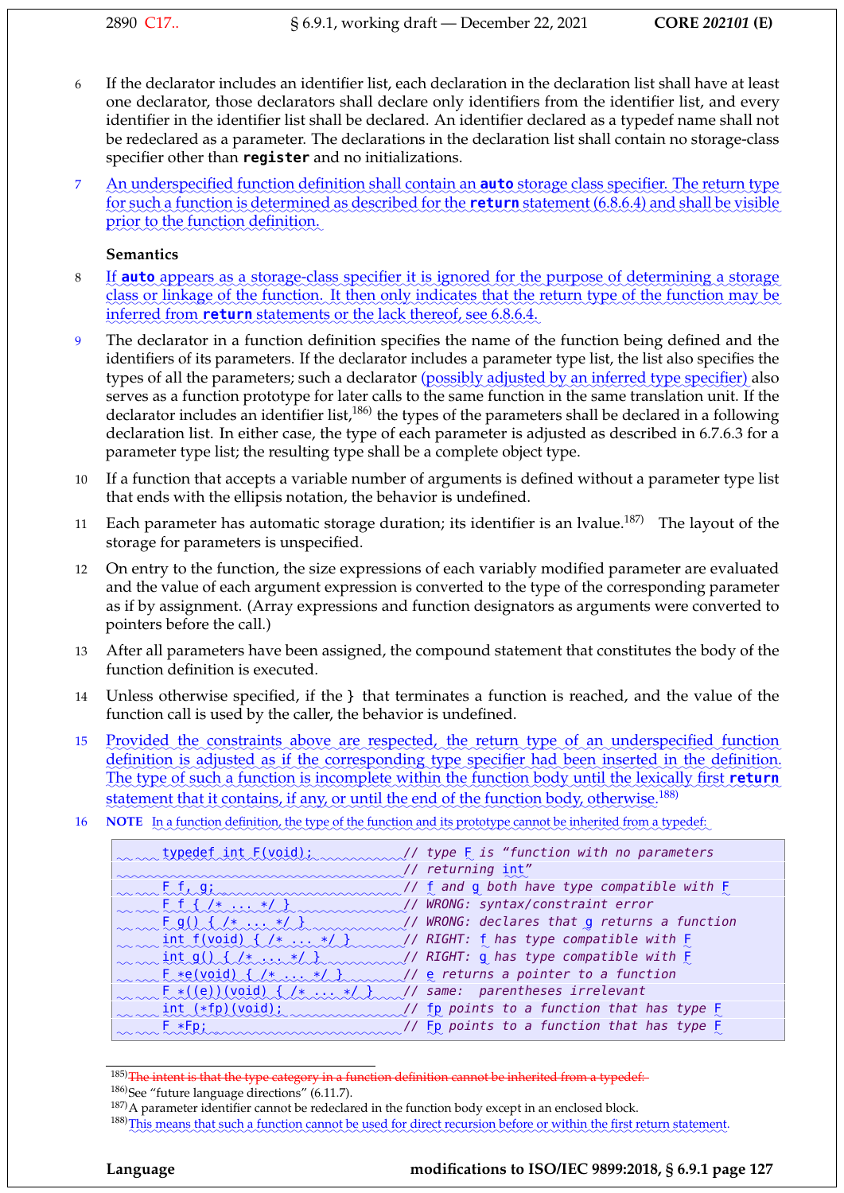- 6 If the declarator includes an identifier list, each declaration in the declaration list shall have at least one declarator, those declarators shall declare only identifiers from the identifier list, and every identifier in the identifier list shall be declared. An identifier declared as a typedef name shall not be redeclared as a parameter. The declarations in the declaration list shall contain no storage-class specifier other than **register** and no initializations.
- 7 An underspecified function definition shall contain an **auto** storage class specifier. The return type for such a function is determined as described for the **return** statement (6.8.6.4) and shall be visible prior to the function definition.

#### **Semantics**

- 8 If **auto** appears as a storage-class specifier it is ignored for the purpose of determining a storage class or linkage of the function. It then only indicates that the return type of the function may be inferred from **return** statements or the lack thereof, see 6.8.6.4.
- 9 The declarator in a function definition specifies the name of the function being defined and the identifiers of its parameters. If the declarator includes a parameter type list, the list also specifies the types of all the parameters; such a declarator (possibly adjusted by an inferred type specifier) also serves as a function prototype for later calls to the same function in the same translation unit. If the declarator includes an identifier list, $186$ ) the types of the parameters shall be declared in a following declaration list. In either case, the type of each parameter is adjusted as described in 6.7.6.3 for a parameter type list; the resulting type shall be a complete object type.
- 10 If a function that accepts a variable number of arguments is defined without a parameter type list that ends with the ellipsis notation, the behavior is undefined.
- 11 Each parameter has automatic storage duration; its identifier is an Ivalue.<sup>187)</sup> The layout of the storage for parameters is unspecified.
- 12 On entry to the function, the size expressions of each variably modified parameter are evaluated and the value of each argument expression is converted to the type of the corresponding parameter as if by assignment. (Array expressions and function designators as arguments were converted to pointers before the call.)
- 13 After all parameters have been assigned, the compound statement that constitutes the body of the function definition is executed.
- 14 Unless otherwise specified, if the } that terminates a function is reached, and the value of the function call is used by the caller, the behavior is undefined.
- 15 Provided the constraints above are respected, the return type of an underspecified function definition is adjusted as if the corresponding type specifier had been inserted in the definition. The type of such a function is incomplete within the function body until the lexically first **return** statement that it contains, if any, or until the end of the function body, otherwise.<sup>188)</sup>
- 16 **NOTE** In a function definition, the type of the function and its prototype cannot be inherited from a typedef:

|                                                                                                                                                                                                                                                                                         | typedef int F(void); \\type F is "function with no parameters                                                  |
|-----------------------------------------------------------------------------------------------------------------------------------------------------------------------------------------------------------------------------------------------------------------------------------------|----------------------------------------------------------------------------------------------------------------|
|                                                                                                                                                                                                                                                                                         |                                                                                                                |
|                                                                                                                                                                                                                                                                                         | and post-strain proposed that the strain is a set of the strain of the strain of the strain of the strain of t |
| mm F.f. {/* //* //* /// wRONG: syntax/constraint error                                                                                                                                                                                                                                  |                                                                                                                |
|                                                                                                                                                                                                                                                                                         | $\frac{F_g(1) + F_g(1) + F_g(1)}{F_g(1) + F_g(1)}$ // WRONG: declares that g returns a function                |
| $\frac{1}{2}$ int f(void) { $\frac{1}{2}$ and $\frac{1}{2}$ and $\frac{1}{2}$ and $\frac{1}{2}$ and $\frac{1}{2}$ and $\frac{1}{2}$ and $\frac{1}{2}$ and $\frac{1}{2}$ and $\frac{1}{2}$ and $\frac{1}{2}$ and $\frac{1}{2}$ and $\frac{1}{2}$ and $\frac{1}{2}$ and $\frac{1}{2}$ and |                                                                                                                |
|                                                                                                                                                                                                                                                                                         | $\int \int_{0}^{\pi} g(x) g(x) dx$ */ }                                                                        |
|                                                                                                                                                                                                                                                                                         |                                                                                                                |
| $*( (e) ) (void) { / *  * / }$ // same: parentheses irrelevant                                                                                                                                                                                                                          |                                                                                                                |
|                                                                                                                                                                                                                                                                                         | $\int \frac{f(p)}{p} f(p) (vq) d \}$ , according to a function that has type F                                 |
|                                                                                                                                                                                                                                                                                         | $\frac{1}{2}$ // Fp points to a function that has type F                                                       |

 $185)$ The intent is that the type category in a tu 186)See "future language directions" (6.11.7).

<sup>187)</sup> A parameter identifier cannot be redeclared in the function body except in an enclosed block.

<sup>188)</sup> This means that such a function cannot be used for direct recursion before or within the first return statement.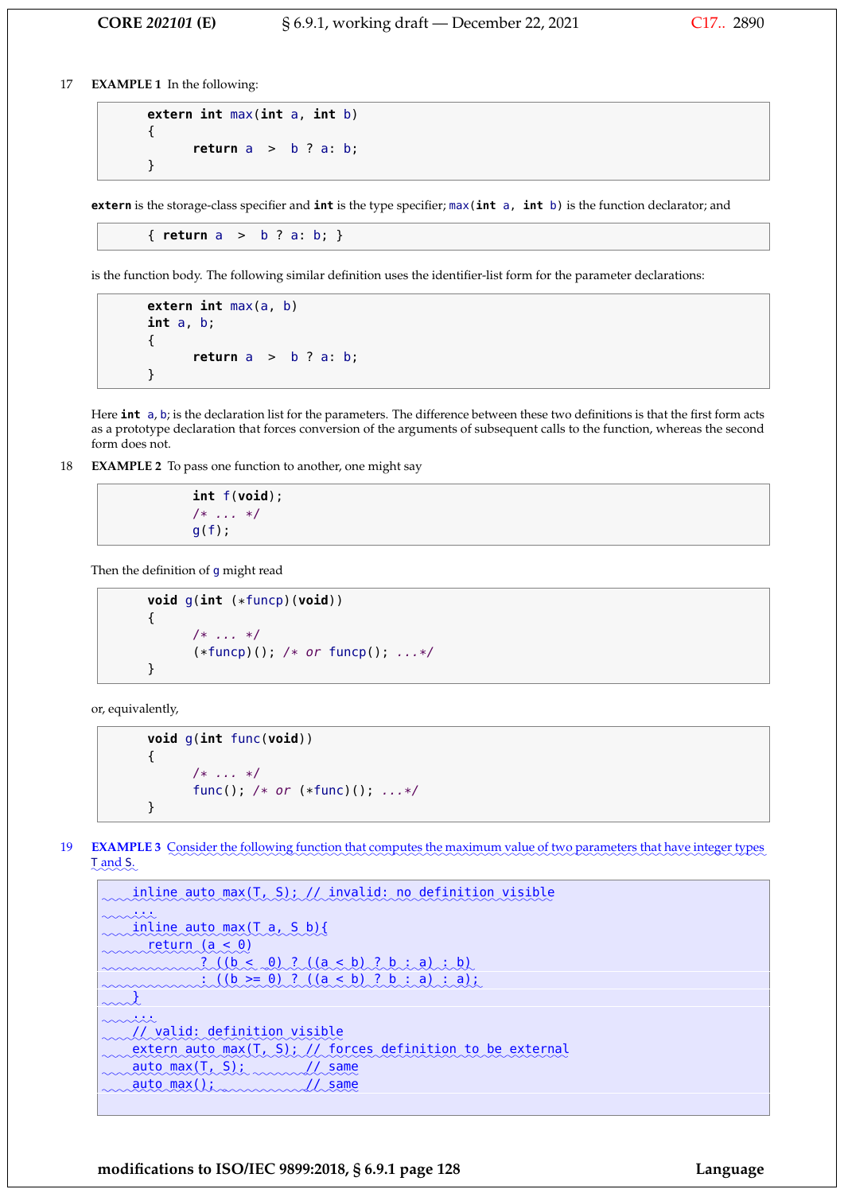**CORE** 202101 **(E)** § 6.9.1, working draft — December 22, 2021 C17.. 2890

17 **EXAMPLE 1** In the following:

```
extern int max(int a, int b)
{
      return a > b ? a: b;
}
```
**extern** is the storage-class specifier and **int** is the type specifier; max(**int** a, **int** b) is the function declarator; and

{ **return** a > b ? a: b; }

is the function body. The following similar definition uses the identifier-list form for the parameter declarations:

```
extern int max(a, b)
int a, b;
{
      return a > b ? a: b;
}
```
Here **int** a, b; is the declaration list for the parameters. The difference between these two definitions is that the first form acts as a prototype declaration that forces conversion of the arguments of subsequent calls to the function, whereas the second form does not.

18 **EXAMPLE 2** To pass one function to another, one might say

**int** f(**void**);  $/* \ldots */$  $g(f)$ ;

Then the definition of g might read

```
void g(int (*funcp)(void))
{
      /* ... */
      (*funcp)(); /* or funcp(); ...*/
}
```
or, equivalently,

```
void g(int func(void))
{
      /* ... */
      func(); /* or (*func)(); ...*/
}
```
19 **EXAMPLE 3** Consider the following function that computes the maximum value of two parameters that have integer types  $T$  and  $S$ .

```
winline_auto_max(T,_S); //_invalid:_no_definition_visible
✿✿✿✿✿✿✿
   ...
www.inline_auto_max(T_a, _S_b){
mmeturn (a < 0)
wwwww.
            ? (10 < 0) ? (1a < 0) ? b : a) : b)
mmmilles al ? ((as b) ? b i al i ali
mad
~~~~~~~~~~~~<br>,,,,// valid: definition visible
   ...
✿✿✿✿✿✿
✿✿✿✿✿✿
✿
✿✿✿✿✿✿✿✿✿✿
✿✿✿✿✿✿✿✿
wextern auto max(T, S); // forces definition to be external
max(T, S) immall same
waarde max ();<br>and the maximum of same
```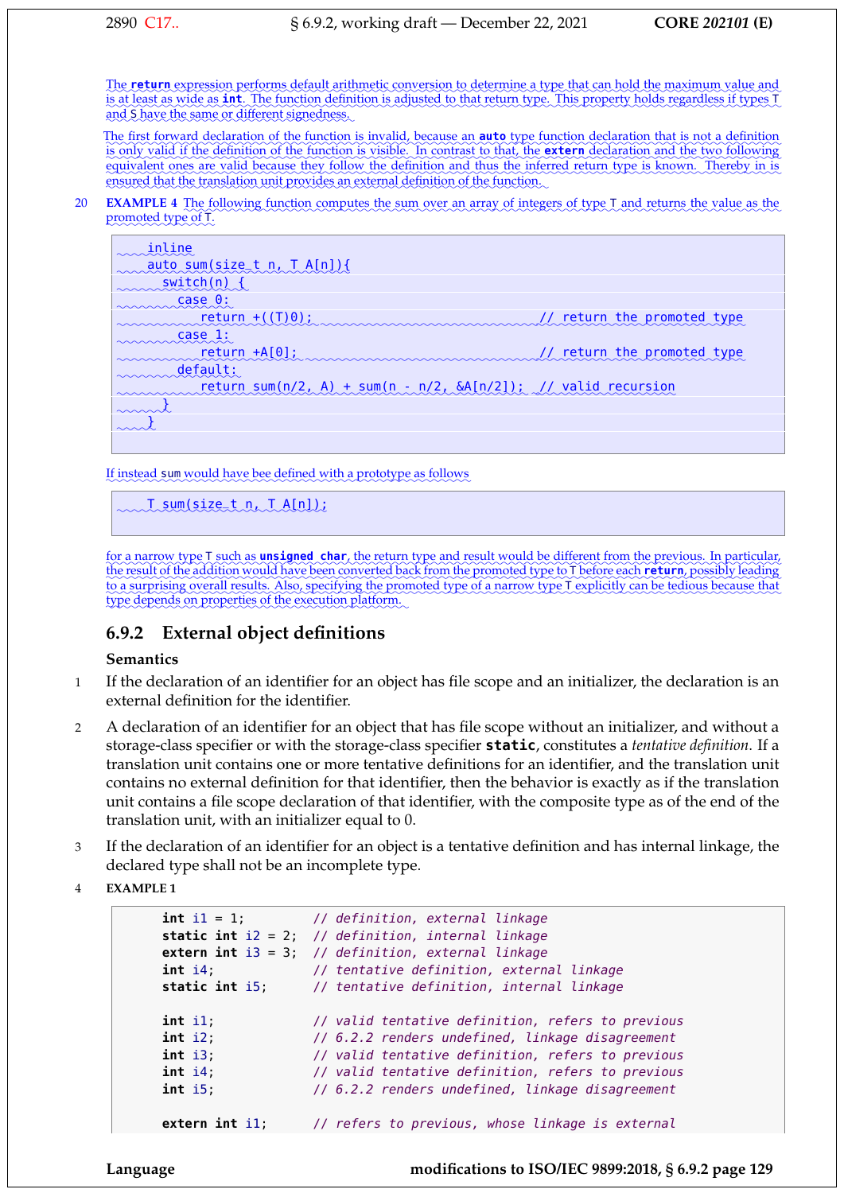✿✿✿ ✿✿✿✿✿ ✿✿✿✿✿✿✿✿ ✿✿✿✿✿✿✿ ✿✿✿✿✿✿ ✿✿✿✿✿✿✿ ✿✿✿✿✿✿✿✿✿ ✿ ✿✿✿✿✿✿✿✿ ✿ ✿✿✿✿ ✿✿✿ ✿✿✿ ✿✿✿✿ ✿✿ ✿✿✿✿✿✿✿✿ ✿✿✿ The **return** expression performs default arithmetic conversion to determine a type that can hold the maximum value and is at least as wide as **int**. The function definition is adjusted to that return type. This property holds regardless if types T and S have the same or different signedness.

The first forward declaration of the function is invalid, because an **auto** type function declaration that is not a definition is only valid if the definition of the function is visible. In contrast to that, the **extern** declaration and the two following equivalent ones are valid because they follow the definition and thus the inferred return type is known. Thereby in is ensured that the translation unit provides an external definition of the function.

20 **EXAMPLE 4** The following function computes the sum over an array of integers of type T and returns the value as the promoted type of T.

```
✿✿✿✿✿✿✿✿✿✿
inline
auto_sum(size_t_n, T_A[n]){
switch(n)
www.case_0:
mmmmteturn +((T)0);
                          return the promoted type
www.case_1:
✿✿✿✿✿✿✿✿✿✿✿✿✿✿✿✿✿
return
✿
+
✿
A
✿✿✿✿
[0];
✿ ✿✿✿✿✿✿✿✿✿✿✿✿✿✿✿✿✿✿✿✿✿✿✿✿✿✿✿✿✿✿✿✿
//
✿✿✿✿✿✿✿
return
✿✿✿✿
the
✿✿✿✿✿✿✿✿✿
promoted
✿✿✿✿✿
type
~~~~~~~~<u>default:</u>
www.return.sum(n/2, A) + sum(n - n/2, &A[n/2]); // valid recursion
✿✿✿✿✿✿✿
      }
✿✿✿✿✿
    }
```
If instead sum would have bee defined with a prototype as follows

www.sum(size\_t.n, T.A[n]);

✿✿ ✿ ✿✿✿✿✿✿ ✿✿ ✿✿✿ ✿✿ ✿✿✿✿✿✿✿✿✿✿✿✿ ✿✿✿ ✿✿✿✿✿ ✿✿✿✿ ✿✿✿ ✿✿✿✿ ✿✿✿✿✿ ✿✿ ✿✿✿✿✿✿✿ ✿✿✿✿ ✿✿✿✿✿✿✿ ✿✿ ✿✿✿✿✿✿✿✿ for a narrow type T such as **unsigned char**, the return type and result would be different from the previous. In particular, the result of the addition would have been converted back from the promoted type to T before each return, possibly leading to a surprising overall results. Also, specifying the promoted type of a narrow type T explicitly can be tedious because that type depends on properties of the execution platform.

# **6.9.2 External object definitions**

#### **Semantics**

- 1 If the declaration of an identifier for an object has file scope and an initializer, the declaration is an external definition for the identifier.
- 2 A declaration of an identifier for an object that has file scope without an initializer, and without a storage-class specifier or with the storage-class specifier **static**, constitutes a *tentative definition*. If a translation unit contains one or more tentative definitions for an identifier, and the translation unit contains no external definition for that identifier, then the behavior is exactly as if the translation unit contains a file scope declaration of that identifier, with the composite type as of the end of the translation unit, with an initializer equal to 0.
- 3 If the declaration of an identifier for an object is a tentative definition and has internal linkage, the declared type shall not be an incomplete type.
- 4 **EXAMPLE 1**

```
int i1 = 1; // definition, external linkage
static int i2 = 2; // definition, internal linkage
extern int i3 = 3; // definition, external linkage
int i4; \frac{1}{4} // tentative definition, external linkage
static int i5; \frac{1}{2} // tentative definition, internal linkage
int i1; \frac{1}{2} // valid tentative definition, refers to previous
int i2; // 6.2.2 renders undefined, linkage disagreement
int i3; \frac{1}{2} // valid tentative definition, refers to previous
int i4; \frac{1}{2} // valid tentative definition, refers to previous
int i5; \frac{1}{2} // 6.2.2 renders undefined, linkage disagreement
extern int i1; \frac{1}{2} // refers to previous, whose linkage is external
```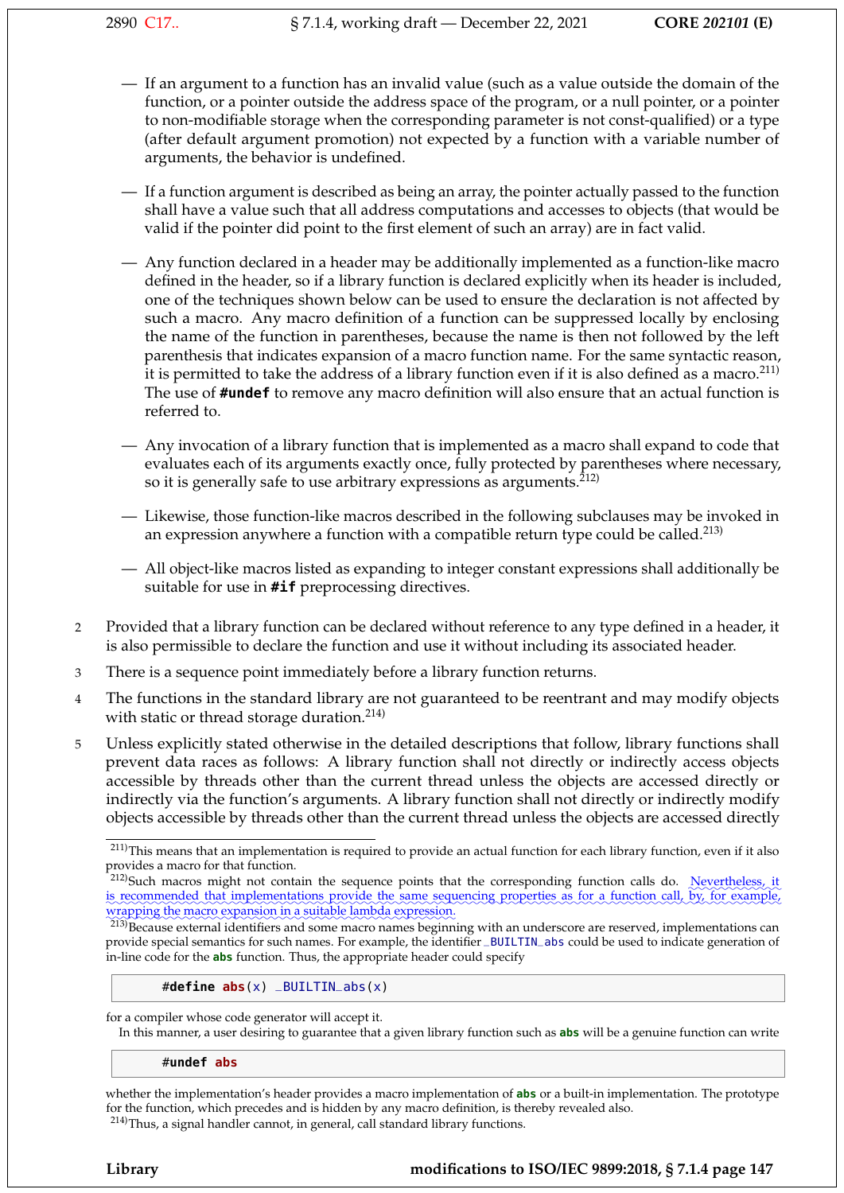- If an argument to a function has an invalid value (such as a value outside the domain of the function, or a pointer outside the address space of the program, or a null pointer, or a pointer to non-modifiable storage when the corresponding parameter is not const-qualified) or a type (after default argument promotion) not expected by a function with a variable number of arguments, the behavior is undefined.
- If a function argument is described as being an array, the pointer actually passed to the function shall have a value such that all address computations and accesses to objects (that would be valid if the pointer did point to the first element of such an array) are in fact valid.
- Any function declared in a header may be additionally implemented as a function-like macro defined in the header, so if a library function is declared explicitly when its header is included, one of the techniques shown below can be used to ensure the declaration is not affected by such a macro. Any macro definition of a function can be suppressed locally by enclosing the name of the function in parentheses, because the name is then not followed by the left parenthesis that indicates expansion of a macro function name. For the same syntactic reason, it is permitted to take the address of a library function even if it is also defined as a macro.<sup>211)</sup> The use of **#undef** to remove any macro definition will also ensure that an actual function is referred to.
- Any invocation of a library function that is implemented as a macro shall expand to code that evaluates each of its arguments exactly once, fully protected by parentheses where necessary, so it is generally safe to use arbitrary expressions as arguments.<sup>212)</sup>
- Likewise, those function-like macros described in the following subclauses may be invoked in an expression anywhere a function with a compatible return type could be called.<sup>213)</sup>
- All object-like macros listed as expanding to integer constant expressions shall additionally be suitable for use in **#if** preprocessing directives.
- 2 Provided that a library function can be declared without reference to any type defined in a header, it is also permissible to declare the function and use it without including its associated header.
- 3 There is a sequence point immediately before a library function returns.
- 4 The functions in the standard library are not guaranteed to be reentrant and may modify objects with static or thread storage duration.<sup>214)</sup>
- 5 Unless explicitly stated otherwise in the detailed descriptions that follow, library functions shall prevent data races as follows: A library function shall not directly or indirectly access objects accessible by threads other than the current thread unless the objects are accessed directly or indirectly via the function's arguments. A library function shall not directly or indirectly modify objects accessible by threads other than the current thread unless the objects are accessed directly

```
#define abs(x) _BUILTIN_abs(x)
```
for a compiler whose code generator will accept it.

In this manner, a user desiring to guarantee that a given library function such as **abs** will be a genuine function can write

#### #**undef abs**

whether the implementation's header provides a macro implementation of **abs** or a built-in implementation. The prototype for the function, which precedes and is hidden by any macro definition, is thereby revealed also. <sup>214)</sup>Thus, a signal handler cannot, in general, call standard library functions.

<sup>211)</sup>This means that an implementation is required to provide an actual function for each library function, even if it also provides a macro for that function.

<sup>&</sup>lt;sup>212)</sup>Such macros might not contain the sequence points that the corresponding function calls do. Nevertheless, it is recommended that implementations provide the same sequencing properties as for a function call, by, for example, wrapping the macro expansion in a suitable lambda expression.

<sup>&</sup>lt;u>vack the macro explantion abadded and a expression</u>.<br><sup>213</sup>)Because external identifiers and some macro names beginning with an underscore are reserved, implementations can provide special semantics for such names. For example, the identifier \_BUILTIN\_abs could be used to indicate generation of in-line code for the **abs** function. Thus, the appropriate header could specify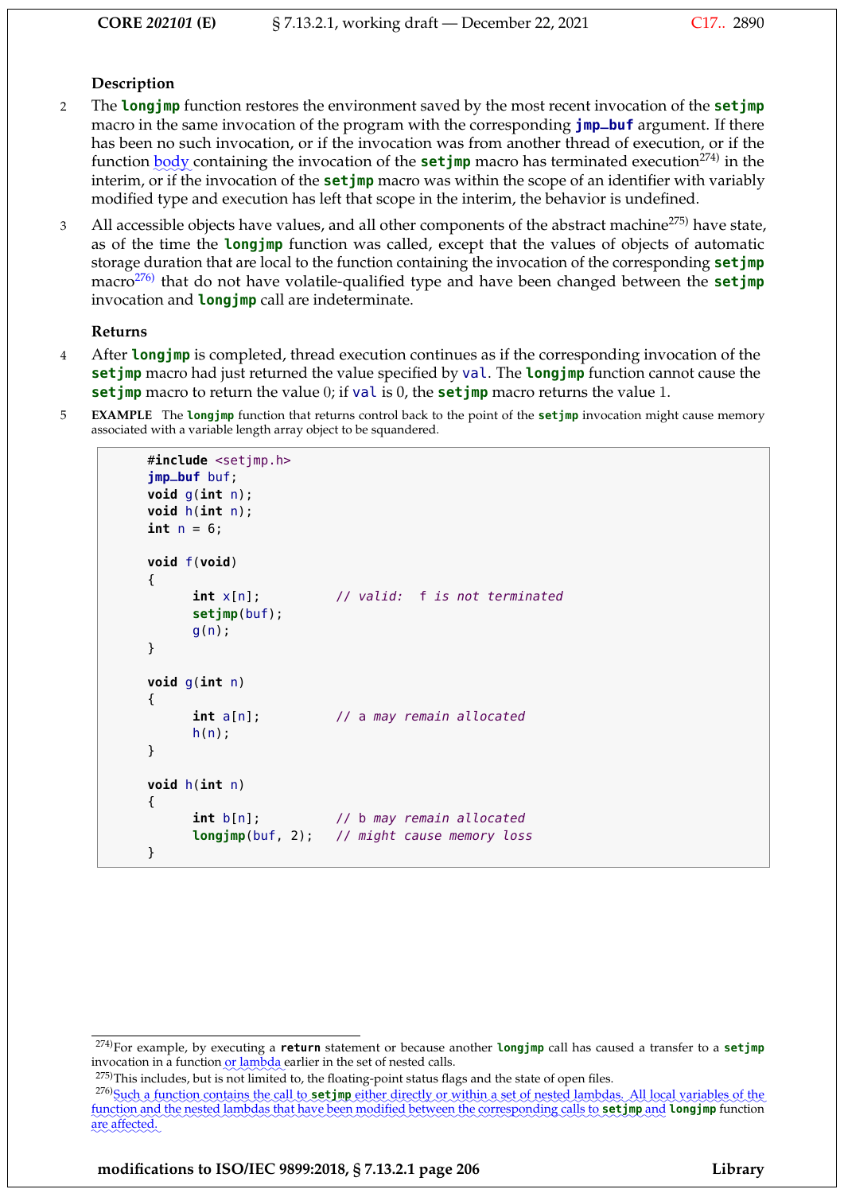## **Description**

- 2 The **longjmp** function restores the environment saved by the most recent invocation of the **setjmp** macro in the same invocation of the program with the corresponding **jmp\_buf** argument. If there has been no such invocation, or if the invocation was from another thread of execution, or if the function <u>body</u> containing the invocation of the **setjmp** macro has terminated execution<sup>274)</sup> in the interim, or if the invocation of the **setjmp** macro was within the scope of an identifier with variably modified type and execution has left that scope in the interim, the behavior is undefined.
- 3 All accessible objects have values, and all other components of the abstract machine<sup>275)</sup> have state, as of the time the **longjmp** function was called, except that the values of objects of automatic storage duration that are local to the function containing the invocation of the corresponding **setjmp** macro<sup>276</sup>) that do not have volatile-qualified type and have been changed between the **setjmp** invocation and **longjmp** call are indeterminate.

#### **Returns**

- 4 After **longjmp** is completed, thread execution continues as if the corresponding invocation of the **setjmp** macro had just returned the value specified by val. The **longjmp** function cannot cause the **setjmp** macro to return the value 0; if val is 0, the **setjmp** macro returns the value 1.
- 5 **EXAMPLE** The **longjmp** function that returns control back to the point of the **setjmp** invocation might cause memory associated with a variable length array object to be squandered.

```
#include <setjmp.h>
jmp_buf buf;
void g(int n);
void h(int n);
int n = 6;
void f(void)
{
     int x[n]; // valid: f is not terminated
     setjmp(buf);
     g(n);
}
void g(int n)
{
     int a[n]; // a may remain allocated
     h(n):
}
void h(int n)
{
     int b[n]; // b may remain allocated
     longjmp(buf, 2); // might cause memory loss
}
```
<sup>274)</sup>For example, by executing a **return** statement or because another **longjmp** call has caused a transfer to a **setjmp** invocation in a function or lambda earlier in the set of nested calls.

above the detection of tangual currer in the set of hested ears.<br><sup>275)</sup>This includes, but is not limited to, the floating-point status flags and the state of open files.

<sup>&</sup>lt;sup>276</sup>)Such a function contains the call to **set jmp** either directly or within a set of nested lambdas. All local variables of the ✿✿✿ ✿✿ ✿✿✿✿✿✿ ✿✿✿✿✿✿ ✿✿✿ ✿✿✿ ✿✿ ✿✿✿✿✿✿ ✿✿✿✿ ✿✿✿✿✿✿ ✿✿ ✿✿✿✿✿ ✿ ✿✿✿ ✿✿ ✿✿✿✿✿ ✿✿✿✿✿✿✿ ✿✿✿ ✿✿✿ ✿✿✿✿✿✿✿ ✿✿ ✿✿✿ function and the nested lambdas that have been modified between the corresponding calls to **set jmp** and **longjmp** function are affected.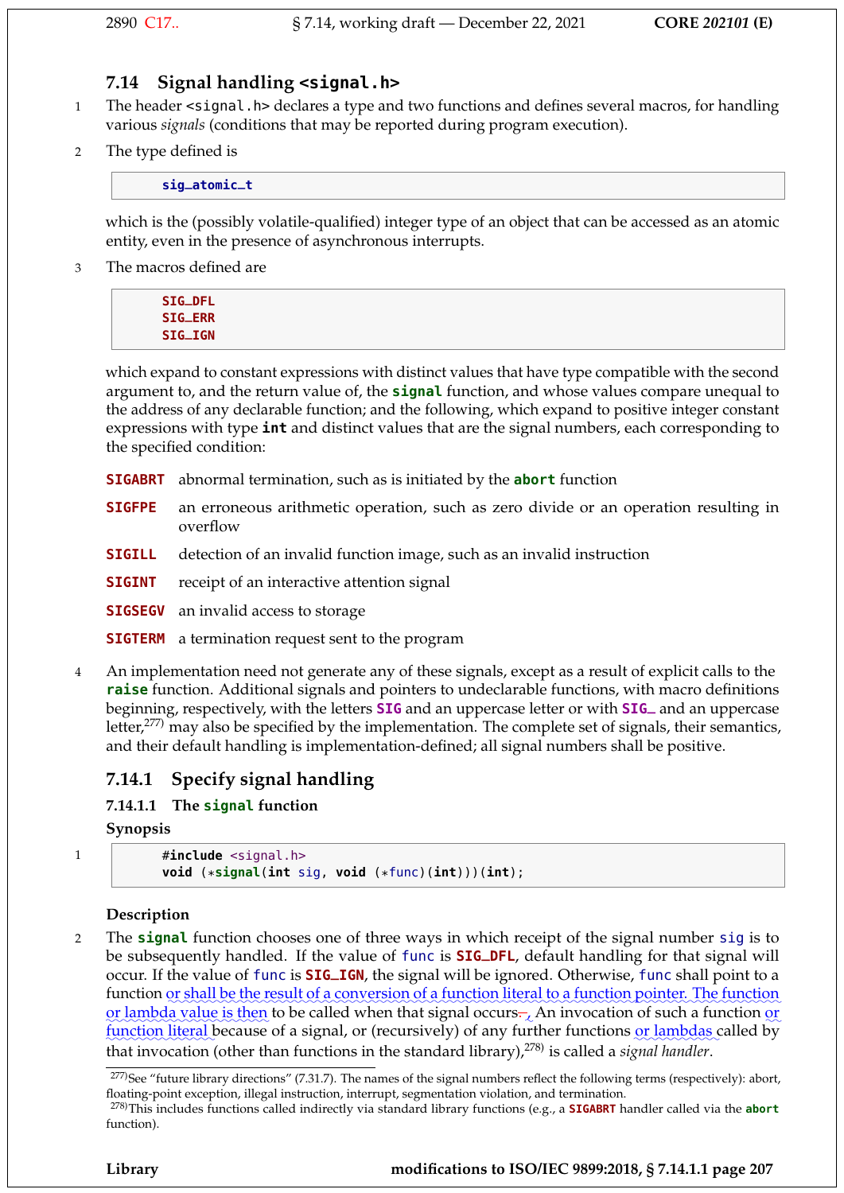# **7.14 Signal handling <signal.h>**

- 1 The header <signal.h> declares a type and two functions and defines several macros, for handling various *signals* (conditions that may be reported during program execution).
- 2 The type defined is

**sig\_atomic\_t**

which is the (possibly volatile-qualified) integer type of an object that can be accessed as an atomic entity, even in the presence of asynchronous interrupts.

3 The macros defined are

| <b>SIG_DFL</b> |  |  |
|----------------|--|--|
| <b>SIG_ERR</b> |  |  |
| <b>SIG_IGN</b> |  |  |

which expand to constant expressions with distinct values that have type compatible with the second argument to, and the return value of, the **signal** function, and whose values compare unequal to the address of any declarable function; and the following, which expand to positive integer constant expressions with type **int** and distinct values that are the signal numbers, each corresponding to the specified condition:

- **SIGABRT** abnormal termination, such as is initiated by the **abort** function
- **SIGFPE** an erroneous arithmetic operation, such as zero divide or an operation resulting in overflow
- **SIGILL** detection of an invalid function image, such as an invalid instruction
- **SIGINT** receipt of an interactive attention signal
- **SIGSEGV** an invalid access to storage
- **SIGTERM** a termination request sent to the program
- 4 An implementation need not generate any of these signals, except as a result of explicit calls to the **raise** function. Additional signals and pointers to undeclarable functions, with macro definitions beginning, respectively, with the letters **SIG** and an uppercase letter or with **SIG\_** and an uppercase letter,277) may also be specified by the implementation. The complete set of signals, their semantics, and their default handling is implementation-defined; all signal numbers shall be positive.

# **7.14.1 Specify signal handling**

```
7.14.1.1 The signal function
```
**Synopsis**

1 **#include** <signal.h> **void** (\***signal**(**int** sig, **void** (\*func)(**int**)))(**int**);

# **Description**

2 The **signal** function chooses one of three ways in which receipt of the signal number sig is to be subsequently handled. If the value of func is **SIG\_DFL**, default handling for that signal will occur. If the value of func is **SIG\_IGN**, the signal will be ignored. Otherwise, func shall point to a function or shall be the result of a conversion of a function literal to a function pointer. The function or lambda value is then to be called when that signal occurs. An invocation of such a function or function literal because of a signal, or (recursively) of any further functions or lambdas called by that invocation (other than functions in the standard library),278) is called a *signal handler*.

<sup>&</sup>lt;sup>277)</sup>See "future library directions" (7.31.7). The names of the signal numbers reflect the following terms (respectively): abort, floating-point exception, illegal instruction, interrupt, segmentation violation, and termination.

<sup>278)</sup>This includes functions called indirectly via standard library functions (e.g., a **SIGABRT** handler called via the **abort** function).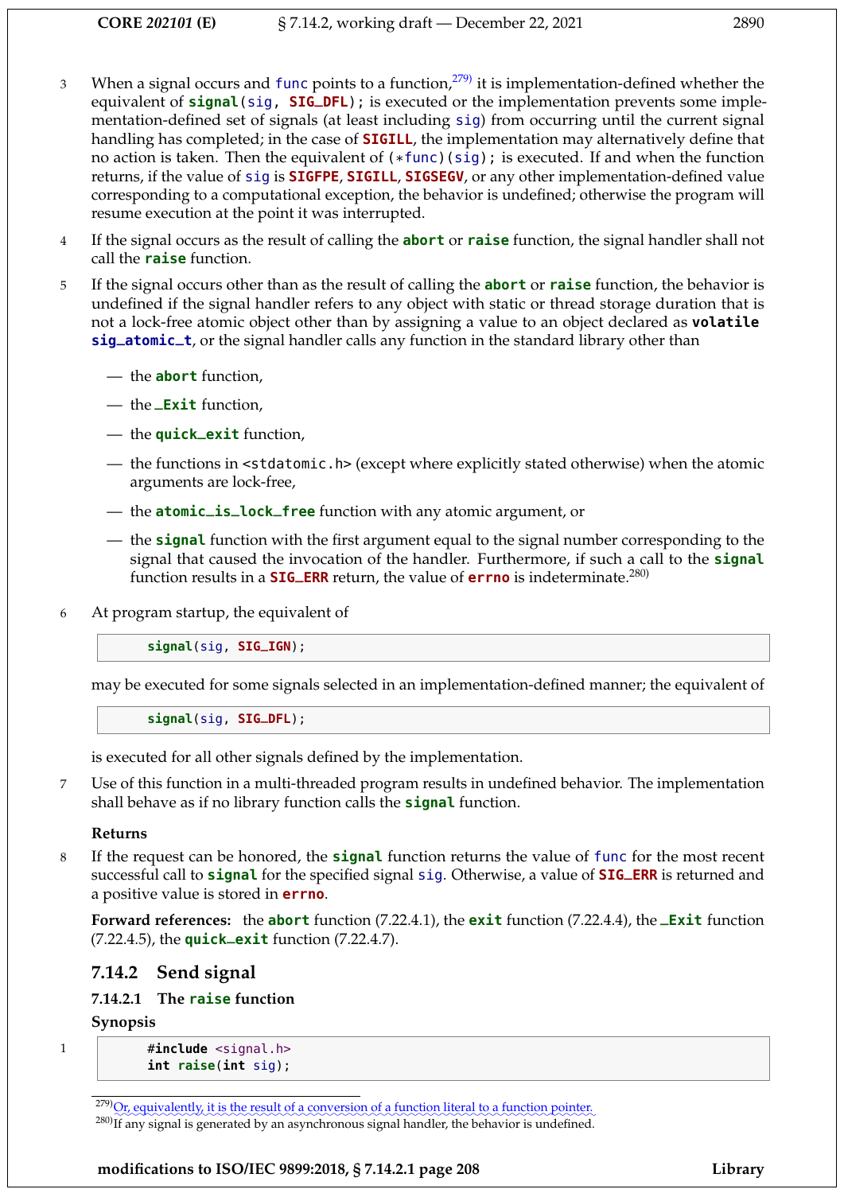- 3 When a signal occurs and func points to a function,<sup>279</sup> it is implementation-defined whether the equivalent of **signal**(sig, **SIG\_DFL**); is executed or the implementation prevents some implementation-defined set of signals (at least including sig) from occurring until the current signal handling has completed; in the case of **SIGILL**, the implementation may alternatively define that no action is taken. Then the equivalent of (\*func)(sig); is executed. If and when the function returns, if the value of sig is **SIGFPE**, **SIGILL**, **SIGSEGV**, or any other implementation-defined value corresponding to a computational exception, the behavior is undefined; otherwise the program will resume execution at the point it was interrupted.
- 4 If the signal occurs as the result of calling the **abort** or **raise** function, the signal handler shall not call the **raise** function.
- 5 If the signal occurs other than as the result of calling the **abort** or **raise** function, the behavior is undefined if the signal handler refers to any object with static or thread storage duration that is not a lock-free atomic object other than by assigning a value to an object declared as **volatile sig\_atomic\_t**, or the signal handler calls any function in the standard library other than
	- the **abort** function,
	- the **\_Exit** function,
	- the **quick\_exit** function,
	- the functions in <stdatomic.h> (except where explicitly stated otherwise) when the atomic arguments are lock-free,
	- the **atomic\_is\_lock\_free** function with any atomic argument, or
	- the **signal** function with the first argument equal to the signal number corresponding to the signal that caused the invocation of the handler. Furthermore, if such a call to the **signal** function results in a **SIG\_ERR** return, the value of **errno** is indeterminate.280)
- 6 At program startup, the equivalent of

**signal**(sig, **SIG\_IGN**);

may be executed for some signals selected in an implementation-defined manner; the equivalent of

**signal**(sig, **SIG\_DFL**);

is executed for all other signals defined by the implementation.

7 Use of this function in a multi-threaded program results in undefined behavior. The implementation shall behave as if no library function calls the **signal** function.

#### **Returns**

8 If the request can be honored, the **signal** function returns the value of func for the most recent successful call to **signal** for the specified signal sig. Otherwise, a value of **SIG\_ERR** is returned and a positive value is stored in **errno**.

**Forward references:** the **abort** function (7.22.4.1), the **exit** function (7.22.4.4), the **\_Exit** function (7.22.4.5), the **quick\_exit** function (7.22.4.7).

# **7.14.2 Send signal**

**7.14.2.1 The raise function**

**Synopsis**

1 **#include** <signal.h> **int raise**(**int** sig);

 $^{279}$ Or, equivalently, it is the result of a conversion of a function literal to a function pointer.

280) If any signal is generated by an asynchronous signal handler, the behavior is undefined.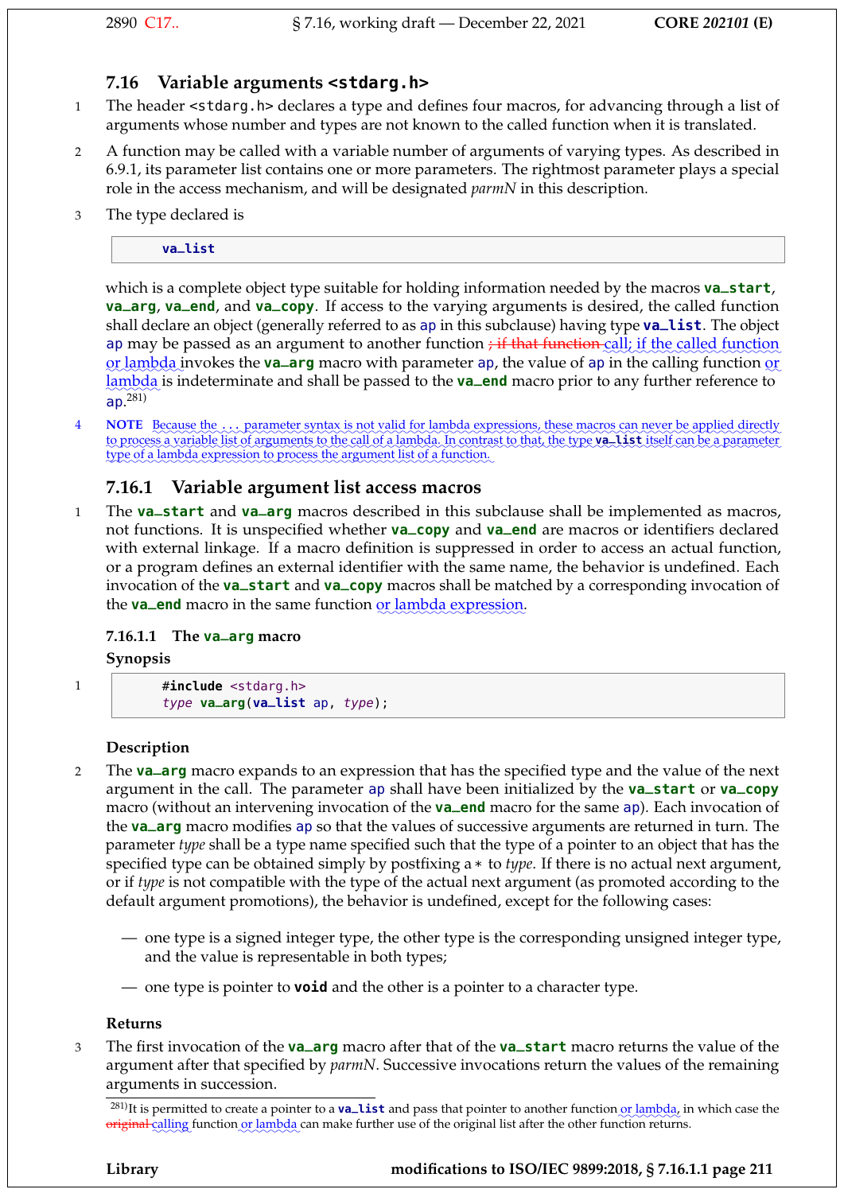# **7.16 Variable arguments <stdarg.h>**

- 1 The header <stdarg.h> declares a type and defines four macros, for advancing through a list of arguments whose number and types are not known to the called function when it is translated.
- 2 A function may be called with a variable number of arguments of varying types. As described in 6.9.1, its parameter list contains one or more parameters. The rightmost parameter plays a special role in the access mechanism, and will be designated *parmN* in this description.
- 3 The type declared is

**va\_list**

which is a complete object type suitable for holding information needed by the macros **va\_start**, **va\_arg**, **va\_end**, and **va\_copy**. If access to the varying arguments is desired, the called function shall declare an object (generally referred to as ap in this subclause) having type **va\_list**. The object ap may be passed as an argument to another function <del>; if that function call, if the called function</del> or lambda invokes the **va\_arg** macro with parameter ap, the value of ap in the calling function or lambda is indeterminate and shall be passed to the **va\_end** macro prior to any further reference to ap. 281)

**A NOTE** Because the **container syntax** is not valid for lambda expressions, these macros can never be applied directly to process a variable list of arguments to the call of a lambda. In contrast to that, the type values itself can be a parameter type of a lambda expression to process the argument list of a function.

# **7.16.1 Variable argument list access macros**

<sup>1</sup> The **va\_start** and **va\_arg** macros described in this subclause shall be implemented as macros, not functions. It is unspecified whether **va\_copy** and **va\_end** are macros or identifiers declared with external linkage. If a macro definition is suppressed in order to access an actual function, or a program defines an external identifier with the same name, the behavior is undefined. Each invocation of the **va\_start** and **va\_copy** macros shall be matched by a corresponding invocation of the **va\_end** macro in the same function or lambda expression.

#### **7.16.1.1 The va\_arg macro**

#### **Synopsis**

1 **#include** <stdarg.h> type **va\_arg**(**va\_list** ap, type);

# **Description**

- <sup>2</sup> The **va\_arg** macro expands to an expression that has the specified type and the value of the next argument in the call. The parameter ap shall have been initialized by the **va\_start** or **va\_copy** macro (without an intervening invocation of the **va\_end** macro for the same ap). Each invocation of the **va\_arg** macro modifies ap so that the values of successive arguments are returned in turn. The parameter *type* shall be a type name specified such that the type of a pointer to an object that has the specified type can be obtained simply by postfixing a \* to *type*. If there is no actual next argument, or if *type* is not compatible with the type of the actual next argument (as promoted according to the default argument promotions), the behavior is undefined, except for the following cases:
	- one type is a signed integer type, the other type is the corresponding unsigned integer type, and the value is representable in both types;
	- one type is pointer to **void** and the other is a pointer to a character type.

#### **Returns**

<sup>3</sup> The first invocation of the **va\_arg** macro after that of the **va\_start** macro returns the value of the argument after that specified by *parmN*. Successive invocations return the values of the remaining arguments in succession.

<sup>&</sup>lt;sup>281)</sup>It is permitted to create a pointer to a **va\_list** and pass that pointer to another function or lambda, in which case the <mark>original</mark> calling function <u>or lambda</u> can make further use of the original list after the other function returns.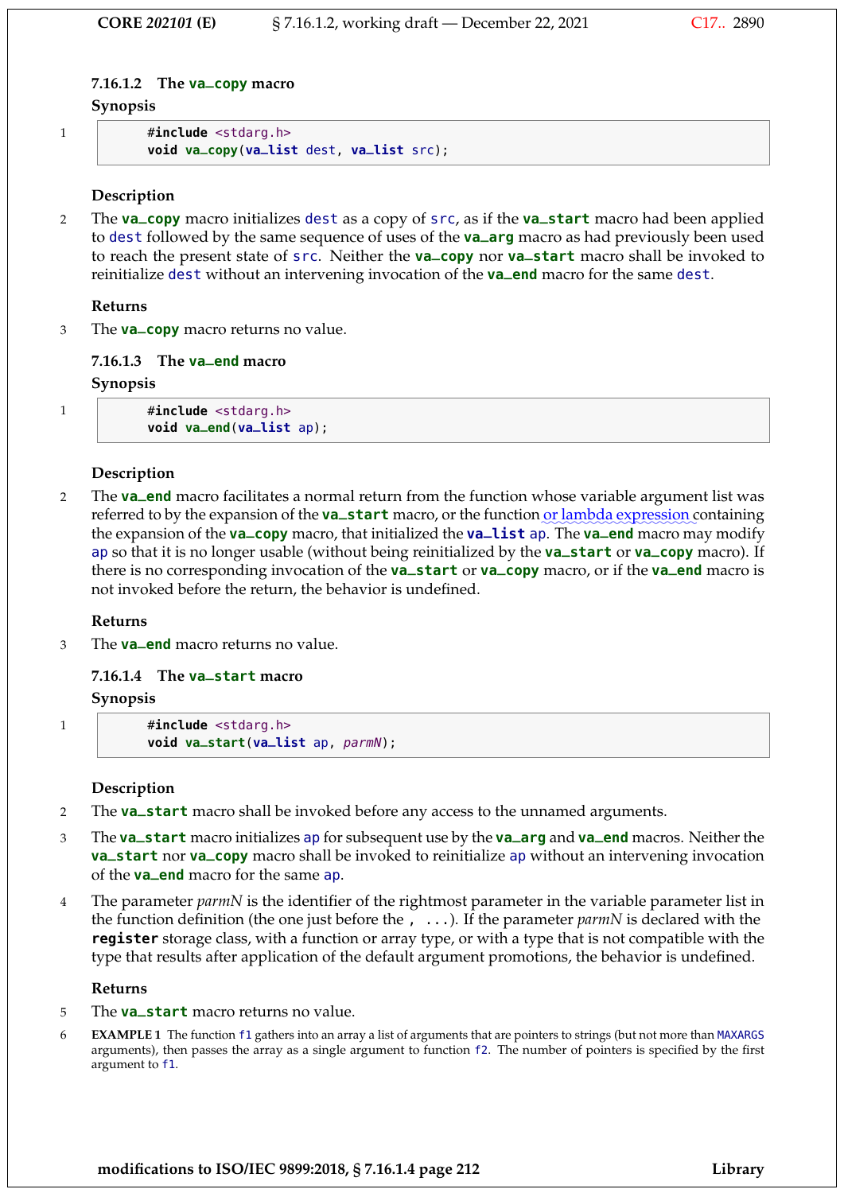# **7.16.1.2 The va\_copy macro**

**Synopsis**

```
1 #include <stdarg.h>
          void va_copy(va_list dest, va_list src);
```
# **Description**

<sup>2</sup> The **va\_copy** macro initializes dest as a copy of src, as if the **va\_start** macro had been applied to dest followed by the same sequence of uses of the **va\_arg** macro as had previously been used to reach the present state of src. Neither the **va\_copy** nor **va\_start** macro shall be invoked to reinitialize dest without an intervening invocation of the **va\_end** macro for the same dest.

#### **Returns**

<sup>3</sup> The **va\_copy** macro returns no value.

# **7.16.1.3 The va\_end macro**

**Synopsis**

1 **#include** <stdarg.h> **void va\_end**(**va\_list** ap);

## **Description**

<sup>2</sup> The **va\_end** macro facilitates a normal return from the function whose variable argument list was referred to by the expansion of the **va\_start** macro, or the function <u>or lambda expression</u> containing the expansion of the **va\_copy** macro, that initialized the **va\_list** ap. The **va\_end** macro may modify ap so that it is no longer usable (without being reinitialized by the **va\_start** or **va\_copy** macro). If there is no corresponding invocation of the **va\_start** or **va\_copy** macro, or if the **va\_end** macro is not invoked before the return, the behavior is undefined.

#### **Returns**

<sup>3</sup> The **va\_end** macro returns no value.

#### **7.16.1.4 The va\_start macro**

#### **Synopsis**

```
1 #include <stdarg.h>
          void va_start(va_list ap, parmN);
```
#### **Description**

- <sup>2</sup> The **va\_start** macro shall be invoked before any access to the unnamed arguments.
- <sup>3</sup> The **va\_start** macro initializes ap for subsequent use by the **va\_arg** and **va\_end** macros. Neither the **va\_start** nor **va\_copy** macro shall be invoked to reinitialize ap without an intervening invocation of the **va\_end** macro for the same ap.
- 4 The parameter *parmN* is the identifier of the rightmost parameter in the variable parameter list in the function definition (the one just before the , ...). If the parameter *parmN* is declared with the **register** storage class, with a function or array type, or with a type that is not compatible with the type that results after application of the default argument promotions, the behavior is undefined.

#### **Returns**

- <sup>5</sup> The **va\_start** macro returns no value.
- 6 **EXAMPLE 1** The function f1 gathers into an array a list of arguments that are pointers to strings (but not more than MAXARGS arguments), then passes the array as a single argument to function f2. The number of pointers is specified by the first argument to f1.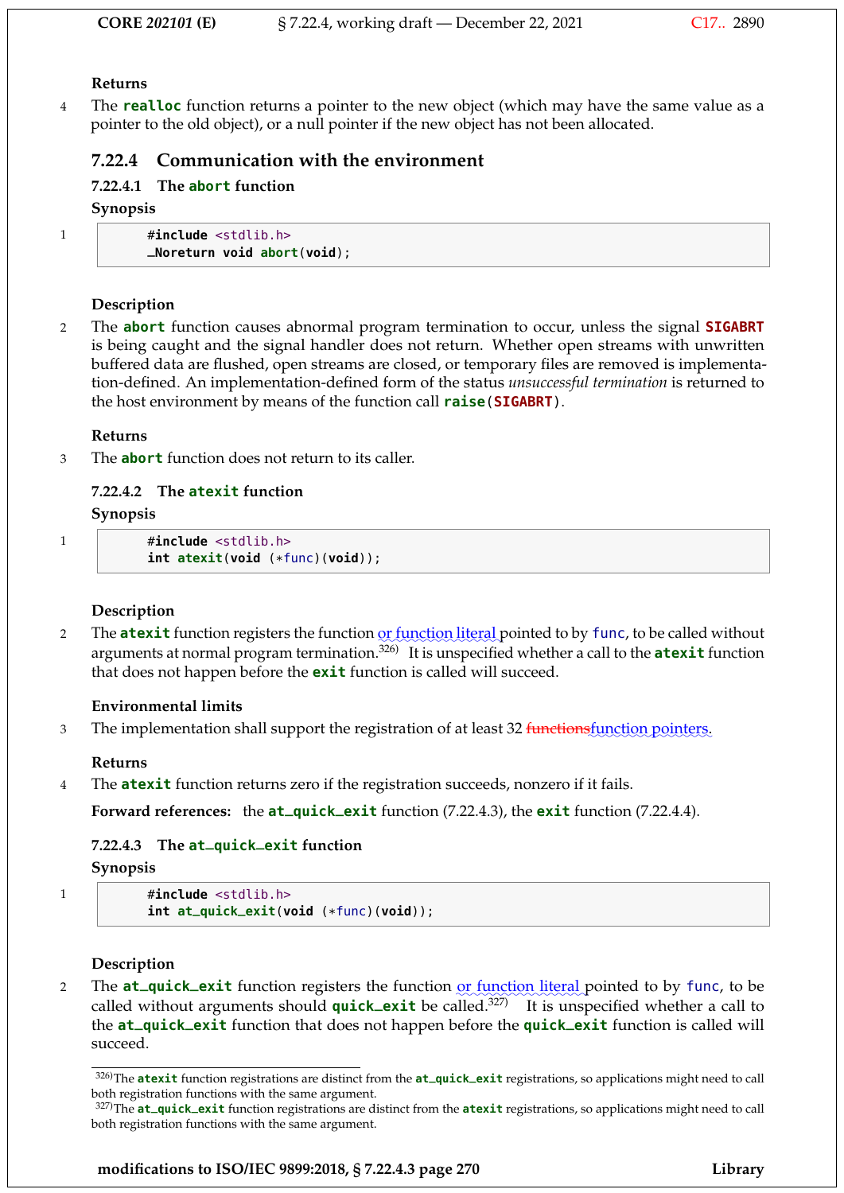## **Returns**

4 The **realloc** function returns a pointer to the new object (which may have the same value as a pointer to the old object), or a null pointer if the new object has not been allocated.

# **7.22.4 Communication with the environment**

# **7.22.4.1 The abort function**

```
Synopsis
```

```
1 #include <stdlib.h>
          _Noreturn void abort(void);
```
# **Description**

2 The **abort** function causes abnormal program termination to occur, unless the signal **SIGABRT** is being caught and the signal handler does not return. Whether open streams with unwritten buffered data are flushed, open streams are closed, or temporary files are removed is implementation-defined. An implementation-defined form of the status *unsuccessful termination* is returned to the host environment by means of the function call **raise**(**SIGABRT**).

## **Returns**

3 The **abort** function does not return to its caller.

## **7.22.4.2 The atexit function**

**Synopsis**

```
1 #include <stdlib.h>
          int atexit(void (*func)(void));
```
#### **Description**

2 The **atexit** function registers the function <u>or function literal</u> pointed to by func, to be called without arguments at normal program termination.326) It is unspecified whether a call to the **atexit** function that does not happen before the **exit** function is called will succeed.

#### **Environmental limits**

3 The implementation shall support the registration of at least 32 <del>functions function</del> pointers.

#### **Returns**

4 The **atexit** function returns zero if the registration succeeds, nonzero if it fails.

**Forward references:** the **at\_quick\_exit** function (7.22.4.3), the **exit** function (7.22.4.4).

# **7.22.4.3 The at\_quick\_exit function**

**Synopsis**

```
1 #include <stdlib.h>
          int at_quick_exit(void (*func)(void));
```
#### **Description**

2 The **at\_quick\_exit** function registers the function or function literal pointed to by func, to be called without arguments should **quick\_exit** be called.<sup>327)</sup> It is unspecified whether a call to the **at\_quick\_exit** function that does not happen before the **quick\_exit** function is called will succeed.

<sup>326)</sup>The **atexit** function registrations are distinct from the **at\_quick\_exit** registrations, so applications might need to call both registration functions with the same argument.

<sup>327)</sup>The **at\_quick\_exit** function registrations are distinct from the **atexit** registrations, so applications might need to call both registration functions with the same argument.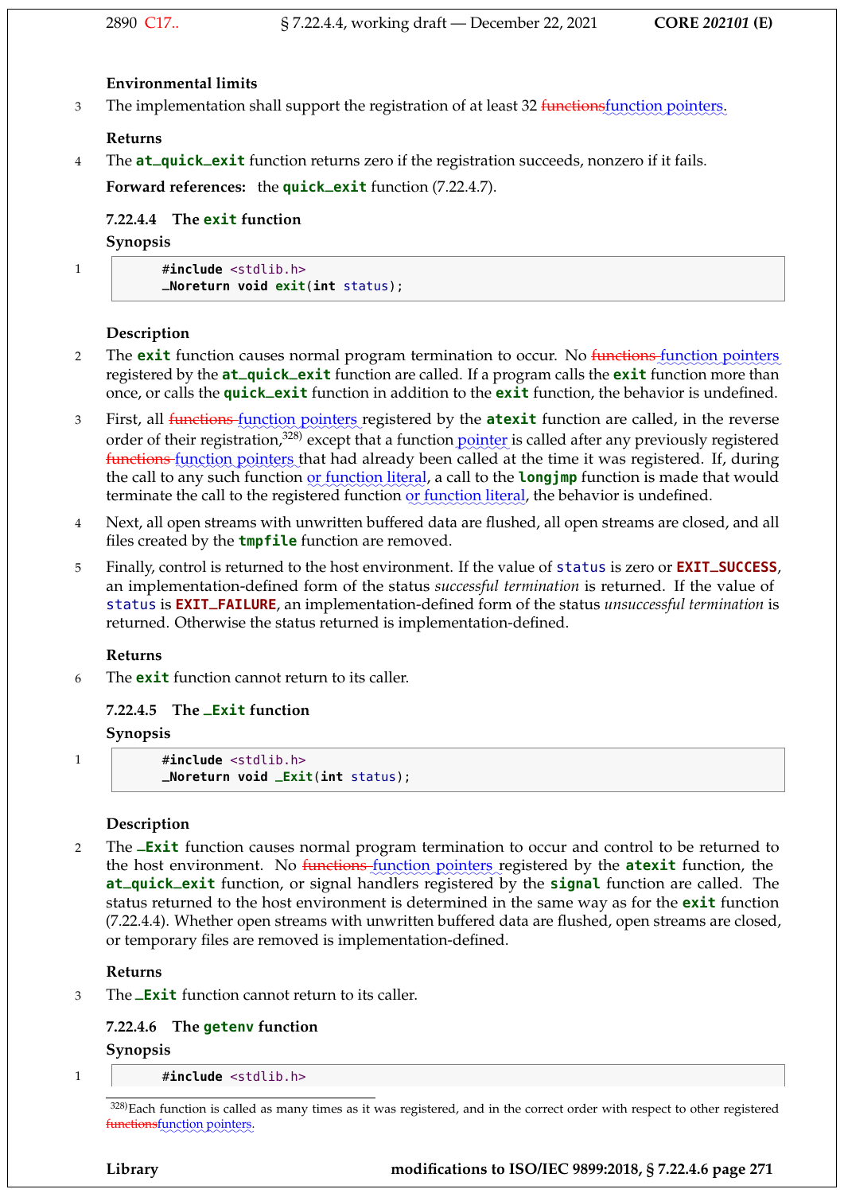#### **Environmental limits**

3 The implementation shall support the registration of at least 32 <del>functions function</del> pointers.

## **Returns**

<sup>4</sup> The **at\_quick\_exit** function returns zero if the registration succeeds, nonzero if it fails.

**Forward references:** the **quick\_exit** function (7.22.4.7).

# **7.22.4.4 The exit function**

#### **Synopsis**

```
1 #include <stdlib.h>
         _Noreturn void exit(int status);
```
## **Description**

- 2 The **exit** function causes normal program termination to occur. No functions function pointers registered by the **at\_quick\_exit** function are called. If a program calls the **exit** function more than once, or calls the **quick\_exit** function in addition to the **exit** function, the behavior is undefined.
- 3 First, all <del>functions function</del> pointers registered by the **atexit** function are called, in the reverse order of their registration,<sup>328)</sup> except that a function <u>pointer</u> is called after any previously registered functions function pointers that had already been called at the time it was registered. If, during the call to any such function <u>or function litera</u>l, a call to the **longjmp** function is made that would terminate the call to the registered function or function literal, the behavior is undefined.
- 4 Next, all open streams with unwritten buffered data are flushed, all open streams are closed, and all files created by the **tmpfile** function are removed.
- <sup>5</sup> Finally, control is returned to the host environment. If the value of status is zero or **EXIT\_SUCCESS**, an implementation-defined form of the status *successful termination* is returned. If the value of status is **EXIT\_FAILURE**, an implementation-defined form of the status *unsuccessful termination* is returned. Otherwise the status returned is implementation-defined.

#### **Returns**

6 The **exit** function cannot return to its caller.

#### **7.22.4.5 The \_Exit function**

#### **Synopsis**

```
1 #include <stdlib.h>
          _Noreturn void _Exit(int status);
```
#### **Description**

<sup>2</sup> The **\_Exit** function causes normal program termination to occur and control to be returned to the host environment. No functions function pointers registered by the **atexit** function, the **at\_quick\_exit** function, or signal handlers registered by the **signal** function are called. The status returned to the host environment is determined in the same way as for the **exit** function (7.22.4.4). Whether open streams with unwritten buffered data are flushed, open streams are closed, or temporary files are removed is implementation-defined.

#### **Returns**

<sup>3</sup> The **\_Exit** function cannot return to its caller.

# **7.22.4.6 The getenv function**

## **Synopsis**

1 #**include** <stdlib.h>

328)Each function is called as many times as it was registered, and in the correct order with respect to other registered functionsfunction pointers.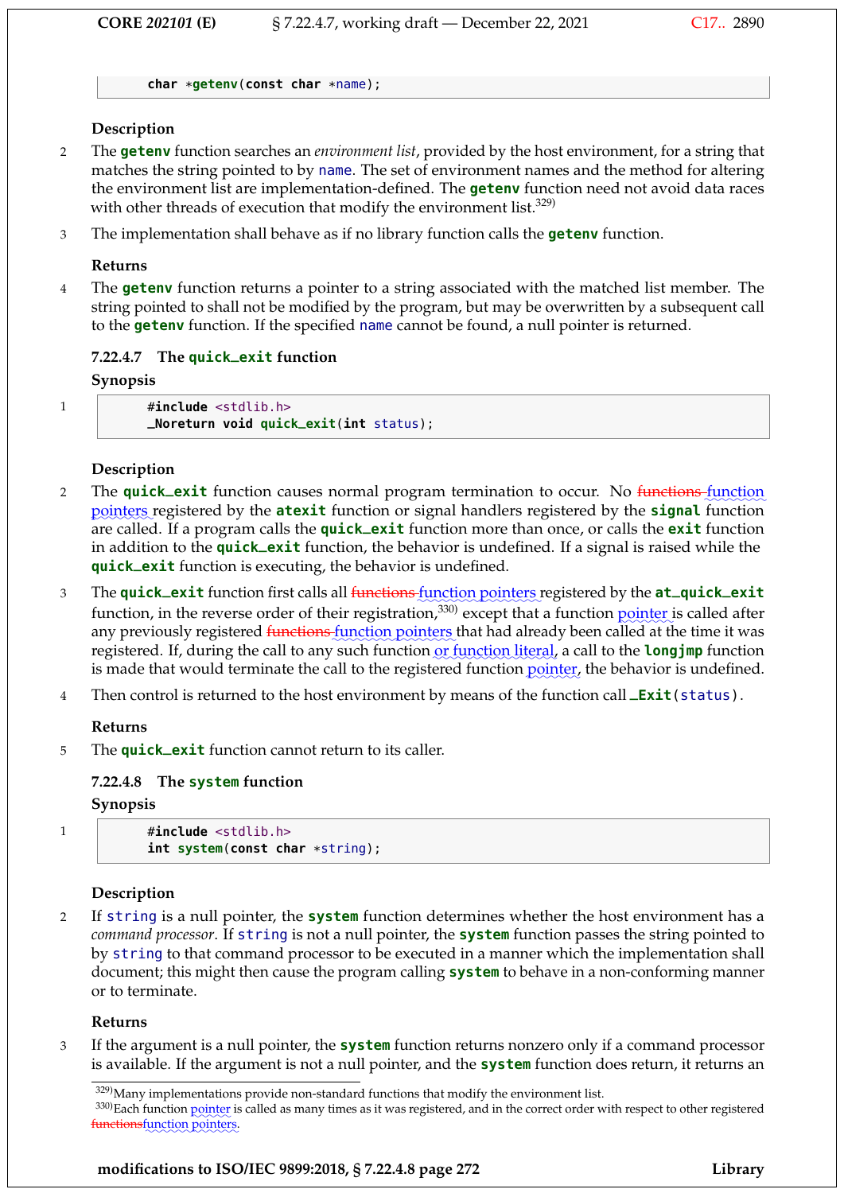**char** \***getenv**(**const char** \*name);

#### **Description**

- 2 The **getenv** function searches an *environment list*, provided by the host environment, for a string that matches the string pointed to by name. The set of environment names and the method for altering the environment list are implementation-defined. The **getenv** function need not avoid data races with other threads of execution that modify the environment list.  $329$ )
- 3 The implementation shall behave as if no library function calls the **getenv** function.

# **Returns**

4 The **getenv** function returns a pointer to a string associated with the matched list member. The string pointed to shall not be modified by the program, but may be overwritten by a subsequent call to the **getenv** function. If the specified name cannot be found, a null pointer is returned.

# **7.22.4.7 The quick\_exit function**

# **Synopsis**

```
1 #include <stdlib.h>
 _Noreturn void quick_exit(int status);
```
# **Description**

- 2 The **quick\_exit** function causes normal program termination to occur. No functions function pointers registered by the **atexit** function or signal handlers registered by the **signal** function are called. If a program calls the **quick\_exit** function more than once, or calls the **exit** function in addition to the **quick\_exit** function, the behavior is undefined. If a signal is raised while the **quick\_exit** function is executing, the behavior is undefined.
- 3 The **quick\_exit** function first calls all <del>functions function</del> pointers registered by the **at\_quick\_exit** function, in the reverse order of their registration, $^{330)}$  except that a function  $\overline{\text{pointer}}$  is called after any previously registered <del>functions f</del>unction pointers that had already been called at the time it was registered. If, during the call to any such function <u>or function literal</u>, a call to the **longjmp** function is made that would terminate the call to the registered function <u>pointer</u>, the behavior is undefined.
- <sup>4</sup> Then control is returned to the host environment by means of the function call **\_Exit**(status).

# **Returns**

<sup>5</sup> The **quick\_exit** function cannot return to its caller.

# **7.22.4.8 The system function Synopsis**

```
1 #include <stdlib.h>
int system(const char *string);
```
# **Description**

2 If string is a null pointer, the **system** function determines whether the host environment has a *command processor*. If string is not a null pointer, the **system** function passes the string pointed to by string to that command processor to be executed in a manner which the implementation shall document; this might then cause the program calling **system** to behave in a non-conforming manner or to terminate.

#### **Returns**

3 If the argument is a null pointer, the **system** function returns nonzero only if a command processor is available. If the argument is not a null pointer, and the **system** function does return, it returns an

<sup>329)</sup>Many implementations provide non-standard functions that modify the environment list.

 $\frac{330}{2}$ Each function pointer is called as many times as it was registered, and in the correct order with respect to other registered functionsfunction pointers.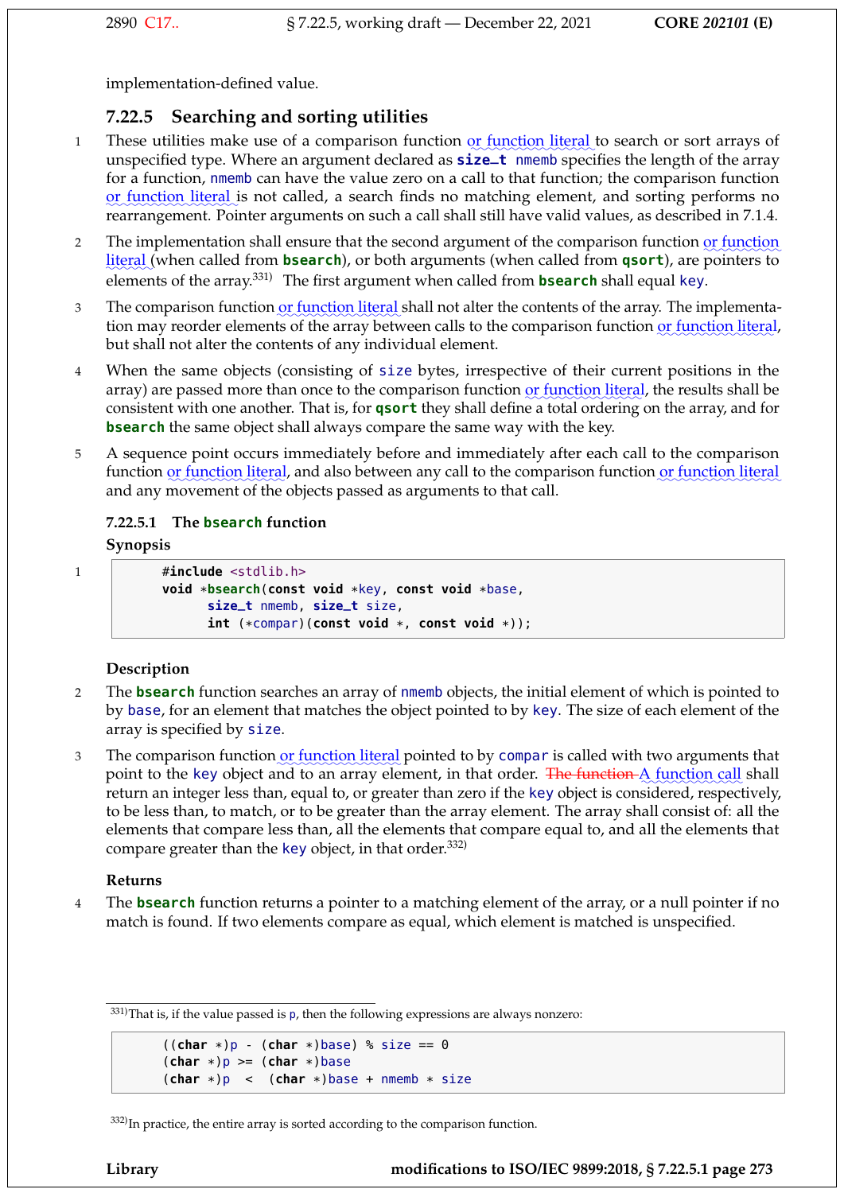implementation-defined value.

# **7.22.5 Searching and sorting utilities**

- 1 These utilities make use of a comparison function or function literal to search or sort arrays of unspecified type. Where an argument declared as **size\_t** nmemb specifies the length of the array for a function, nmemb can have the value zero on a call to that function; the comparison function or function literal is not called, a search finds no matching element, and sorting performs no rearrangement. Pointer arguments on such a call shall still have valid values, as described in 7.1.4.
- 2 The implementation shall ensure that the second argument of the comparison function <u>or function</u> <u>literal</u> (when called from **bsearch**), or both arguments (when called from **qsort**), are pointers to elements of the array.331) The first argument when called from **bsearch** shall equal key.
- 3 The comparison function <u>or function literal</u> shall not alter the contents of the array. The implementation may reorder elements of the array between calls to the comparison function <u>or function litera</u>l, but shall not alter the contents of any individual element.
- 4 When the same objects (consisting of size bytes, irrespective of their current positions in the array) are passed more than once to the comparison function <u>or function litera</u>l, the results shall be consistent with one another. That is, for **qsort** they shall define a total ordering on the array, and for **bsearch** the same object shall always compare the same way with the key.
- 5 A sequence point occurs immediately before and immediately after each call to the comparison function or function literal, and also between any call to the comparison function or function literal and any movement of the objects passed as arguments to that call.

# **7.22.5.1 The bsearch function**

# **Synopsis**

```
1 #include <stdlib.h>
  void *bsearch(const void *key, const void *base,
       size_t nmemb, size_t size,
       int (*compar)(const void *, const void *));
```
# **Description**

- 2 The **bsearch** function searches an array of nmemb objects, the initial element of which is pointed to by base, for an element that matches the object pointed to by key. The size of each element of the array is specified by size.
- 3 The comparison function <u>or function literal</u> pointed to by compar is called with two arguments that point to the key object and to an array element, in that order. <del>The function A function call</del> shall return an integer less than, equal to, or greater than zero if the key object is considered, respectively, to be less than, to match, or to be greater than the array element. The array shall consist of: all the elements that compare less than, all the elements that compare equal to, and all the elements that compare greater than the key object, in that order. $332$ )

# **Returns**

4 The **bsearch** function returns a pointer to a matching element of the array, or a null pointer if no match is found. If two elements compare as equal, which element is matched is unspecified.

```
((char * )p - (char * )base) % size == 0(char *)p \geq (char *)base(char *)p < (char *)base + nmemb * size
```
332) In practice, the entire array is sorted according to the comparison function.

<sup>331)</sup>That is, if the value passed is p, then the following expressions are always nonzero: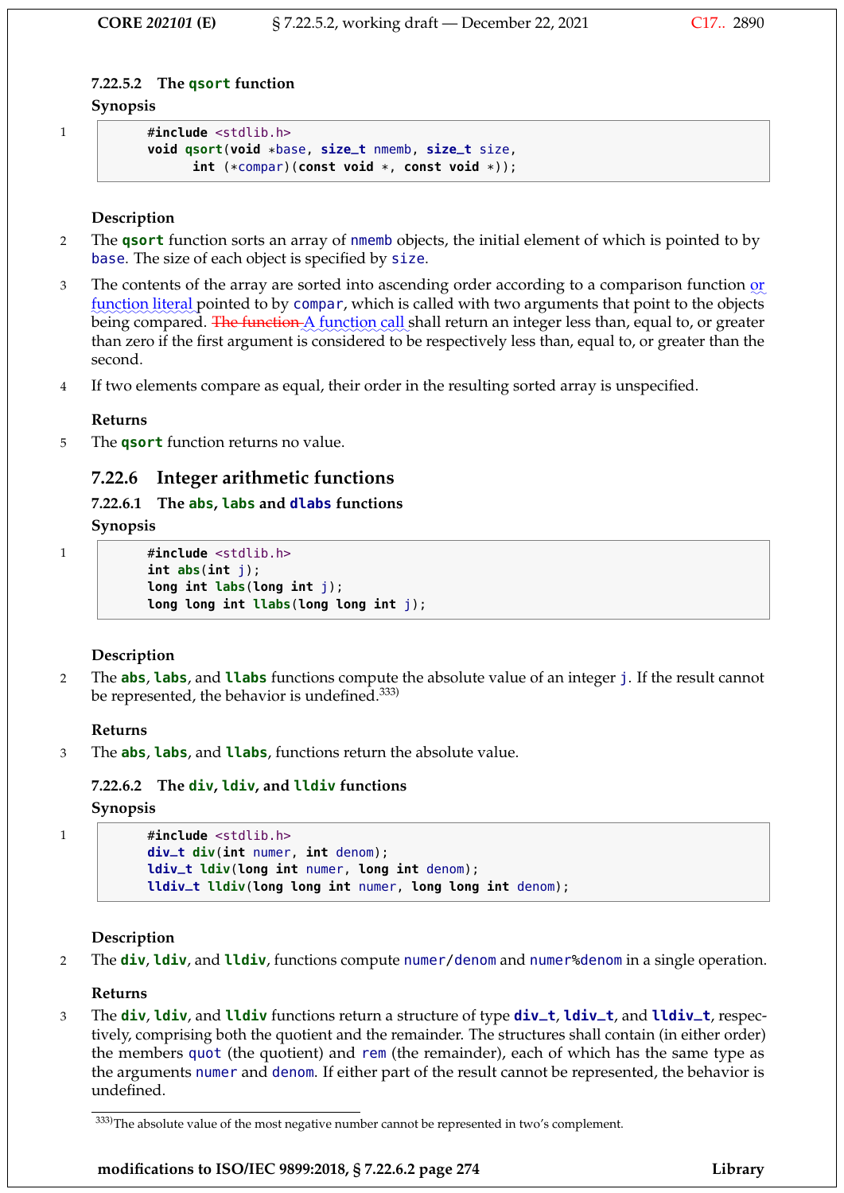# **7.22.5.2 The qsort function**

**Synopsis**

```
1 #include <stdlib.h>
 void qsort(void *base, size_t nmemb, size_t size,
       int (*compar)(const void *, const void *));
```
# **Description**

- 2 The **qsort** function sorts an array of nmemb objects, the initial element of which is pointed to by base. The size of each object is specified by size.
- 3 The contents of the array are sorted into ascending order according to a comparison function  $or$ </u> function literal pointed to by compar, which is called with two arguments that point to the objects being compared. <del>The function A function call</del> shall return an integer less than, equal to, or greater than zero if the first argument is considered to be respectively less than, equal to, or greater than the second.
- 4 If two elements compare as equal, their order in the resulting sorted array is unspecified.

#### **Returns**

5 The **qsort** function returns no value.

# **7.22.6 Integer arithmetic functions**

# **7.22.6.1 The abs, labs and dlabs functions**

**Synopsis**

1 #**include** <stdlib.h> **int abs**(**int** j); **long int labs**(**long int** j); **long long int llabs**(**long long int** j);

# **Description**

2 The **abs**, **labs**, and **llabs** functions compute the absolute value of an integer j. If the result cannot be represented, the behavior is undefined.<sup>333)</sup>

#### **Returns**

3 The **abs**, **labs**, and **llabs**, functions return the absolute value.

# **7.22.6.2 The div, ldiv, and lldiv functions**

**Synopsis**

```
1 #include <stdlib.h>
 div_t div(int numer, int denom);
 ldiv_t ldiv(long int numer, long int denom);
 lldiv_t lldiv(long long int numer, long long int denom);
```
#### **Description**

2 The **div**, **ldiv**, and **lldiv**, functions compute numer/denom and numer%denom in a single operation.

# **Returns**

<sup>3</sup> The **div**, **ldiv**, and **lldiv** functions return a structure of type **div\_t**, **ldiv\_t**, and **lldiv\_t**, respectively, comprising both the quotient and the remainder. The structures shall contain (in either order) the members quot (the quotient) and rem (the remainder), each of which has the same type as the arguments numer and denom. If either part of the result cannot be represented, the behavior is undefined.

<sup>333)</sup>The absolute value of the most negative number cannot be represented in two's complement.